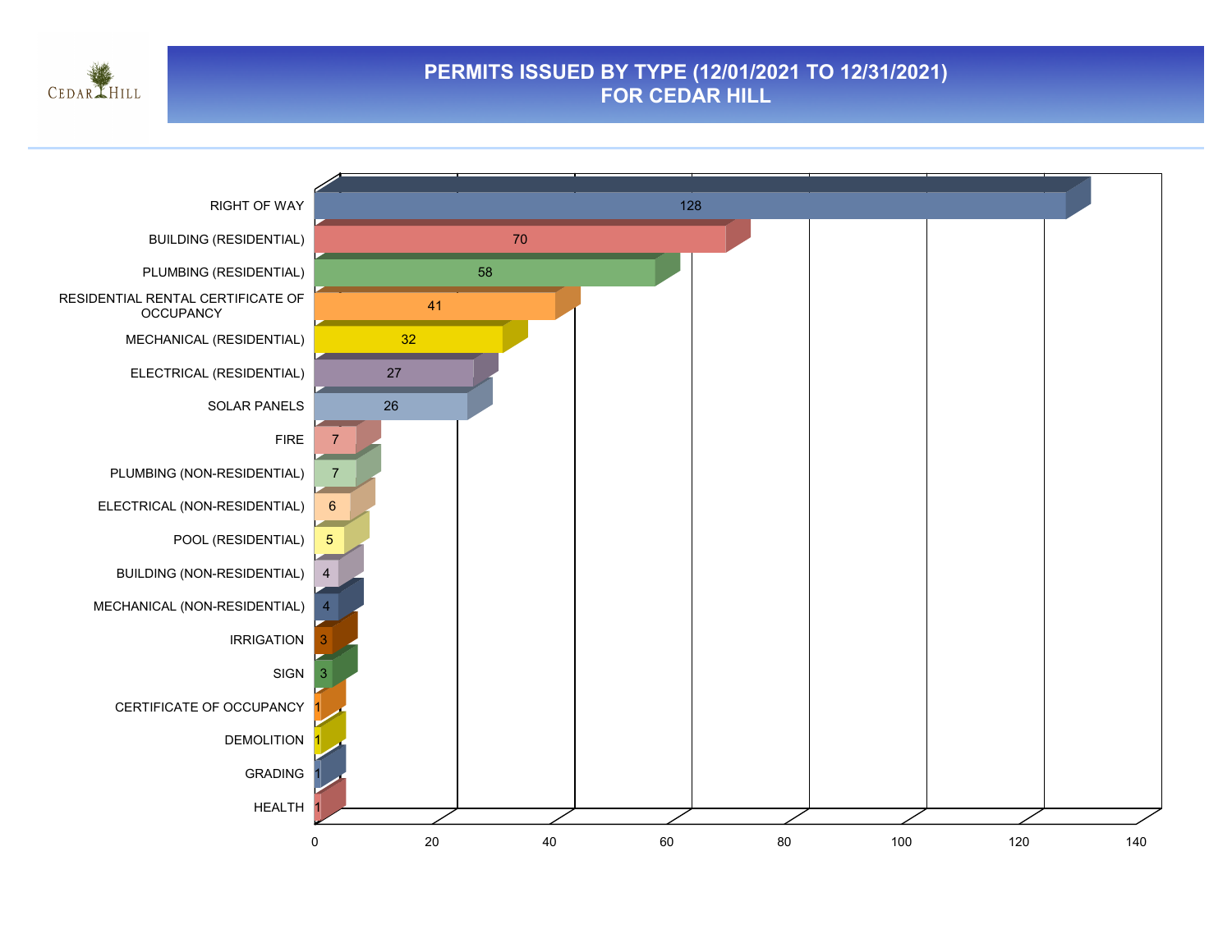

#### **PERMITS ISSUED BY TYPE (12/01/2021 TO 12/31/2021) FOR CEDAR HILL**

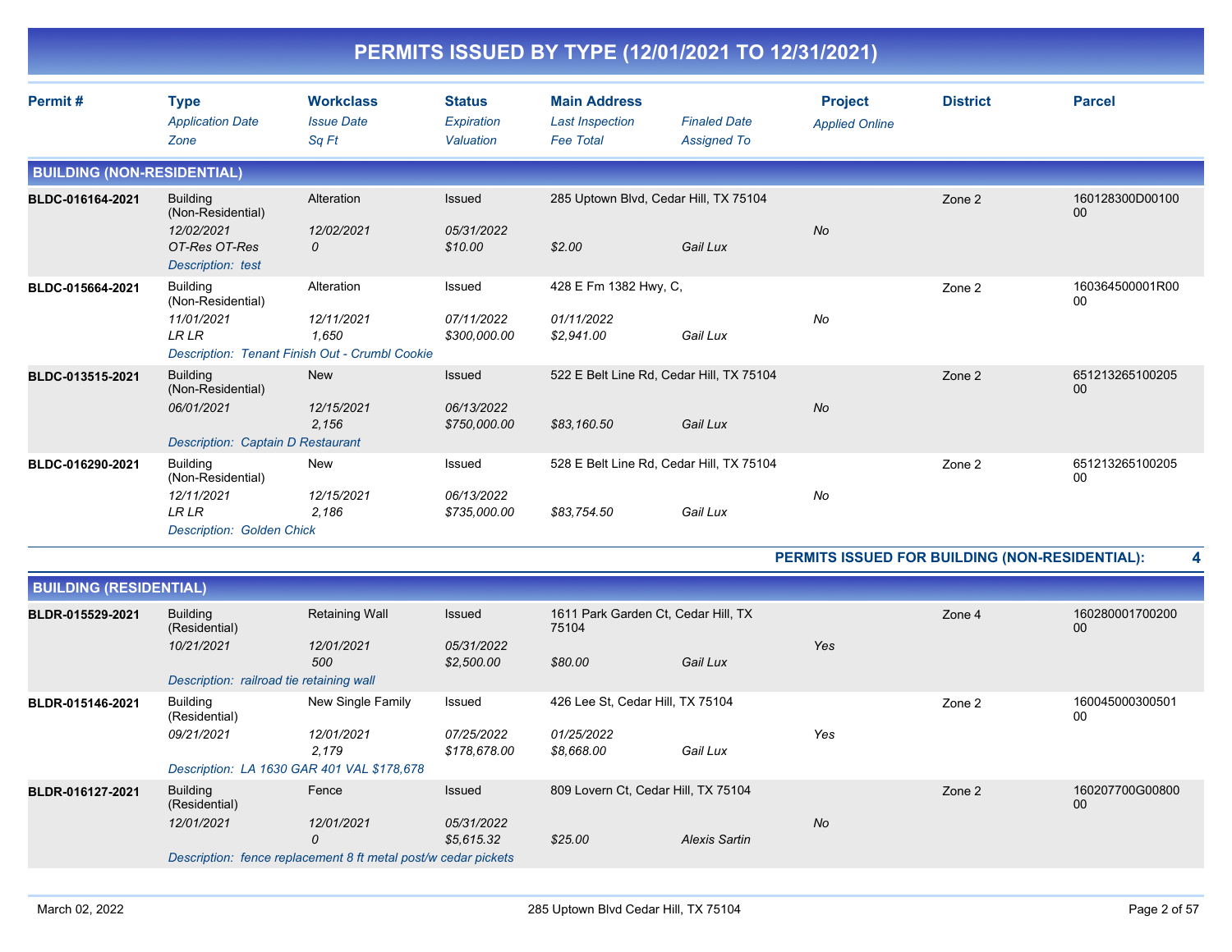| Permit#                           | <b>Type</b>                                     | <b>Workclass</b>  | <b>Status</b> | <b>Main Address</b>    |                                          | <b>Project</b>        | <b>District</b> | <b>Parcel</b>         |
|-----------------------------------|-------------------------------------------------|-------------------|---------------|------------------------|------------------------------------------|-----------------------|-----------------|-----------------------|
|                                   | <b>Application Date</b>                         | <b>Issue Date</b> | Expiration    | <b>Last Inspection</b> | <b>Finaled Date</b>                      | <b>Applied Online</b> |                 |                       |
|                                   | Zone                                            | Sq Ft             | Valuation     | <b>Fee Total</b>       | <b>Assigned To</b>                       |                       |                 |                       |
| <b>BUILDING (NON-RESIDENTIAL)</b> |                                                 |                   |               |                        |                                          |                       |                 |                       |
| BLDC-016164-2021                  | <b>Building</b><br>(Non-Residential)            | Alteration        | <b>Issued</b> |                        | 285 Uptown Blvd, Cedar Hill, TX 75104    |                       | Zone 2          | 160128300D00100<br>00 |
|                                   | 12/02/2021                                      | 12/02/2021        | 05/31/2022    |                        |                                          | <b>No</b>             |                 |                       |
|                                   | OT-Res OT-Res                                   | $\mathcal{O}$     | \$10.00       | \$2.00                 | Gail Lux                                 |                       |                 |                       |
|                                   | Description: test                               |                   |               |                        |                                          |                       |                 |                       |
| BLDC-015664-2021                  | <b>Building</b><br>(Non-Residential)            | Alteration        | Issued        | 428 E Fm 1382 Hwy, C,  |                                          |                       | Zone 2          | 160364500001R00<br>00 |
|                                   | 11/01/2021                                      | 12/11/2021        | 07/11/2022    | 01/11/2022             |                                          | No                    |                 |                       |
|                                   | <b>LRLR</b>                                     | 1.650             | \$300,000.00  | \$2,941.00             | Gail Lux                                 |                       |                 |                       |
|                                   | Description: Tenant Finish Out - Crumbl Cookie  |                   |               |                        |                                          |                       |                 |                       |
| BLDC-013515-2021                  | <b>Building</b><br>(Non-Residential)            | <b>New</b>        | <b>Issued</b> |                        | 522 E Belt Line Rd, Cedar Hill, TX 75104 |                       | Zone 2          | 651213265100205<br>00 |
|                                   | 06/01/2021                                      | 12/15/2021        | 06/13/2022    |                        |                                          | <b>No</b>             |                 |                       |
|                                   | <b>Description: Captain D Restaurant</b>        | 2,156             | \$750,000.00  | \$83,160.50            | Gail Lux                                 |                       |                 |                       |
|                                   |                                                 |                   |               |                        |                                          |                       |                 |                       |
| BLDC-016290-2021                  | <b>Building</b><br>(Non-Residential)            | New               | Issued        |                        | 528 E Belt Line Rd, Cedar Hill, TX 75104 |                       | Zone 2          | 651213265100205<br>00 |
|                                   | 12/11/2021                                      | 12/15/2021        | 06/13/2022    |                        |                                          | No                    |                 |                       |
|                                   | <b>LRLR</b><br><b>Description: Golden Chick</b> | 2,186             | \$735,000.00  | \$83,754.50            | Gail Lux                                 |                       |                 |                       |

| <b>BUILDING (RESIDENTIAL)</b> |                                            |                                                                |                                   |                                              |               |           |        |                       |
|-------------------------------|--------------------------------------------|----------------------------------------------------------------|-----------------------------------|----------------------------------------------|---------------|-----------|--------|-----------------------|
| BLDR-015529-2021              | <b>Building</b><br>(Residential)           | <b>Retaining Wall</b>                                          | Issued                            | 1611 Park Garden Ct, Cedar Hill, TX<br>75104 |               |           | Zone 4 | 160280001700200<br>00 |
|                               | 10/21/2021                                 | 12/01/2021<br>500                                              | 05/31/2022<br>\$2,500.00          | \$80.00                                      | Gail Lux      | Yes       |        |                       |
|                               | Description: railroad tie retaining wall   |                                                                |                                   |                                              |               |           |        |                       |
| BLDR-015146-2021              | <b>Building</b><br>(Residential)           | New Single Family                                              | Issued                            | 426 Lee St, Cedar Hill, TX 75104             |               |           | Zone 2 | 160045000300501<br>00 |
|                               | 09/21/2021                                 | 12/01/2021<br>2,179                                            | <i>07/25/2022</i><br>\$178,678.00 | 01/25/2022<br>\$8,668.00                     | Gail Lux      | Yes       |        |                       |
|                               | Description: LA 1630 GAR 401 VAL \$178,678 |                                                                |                                   |                                              |               |           |        |                       |
| BLDR-016127-2021              | <b>Building</b><br>(Residential)           | Fence                                                          | Issued                            | 809 Lovern Ct, Cedar Hill, TX 75104          |               |           | Zone 2 | 160207700G00800<br>00 |
|                               | 12/01/2021                                 | 12/01/2021<br>0                                                | 05/31/2022<br>\$5,615.32          | \$25.00                                      | Alexis Sartin | <b>No</b> |        |                       |
|                               |                                            | Description: fence replacement 8 ft metal post/w cedar pickets |                                   |                                              |               |           |        |                       |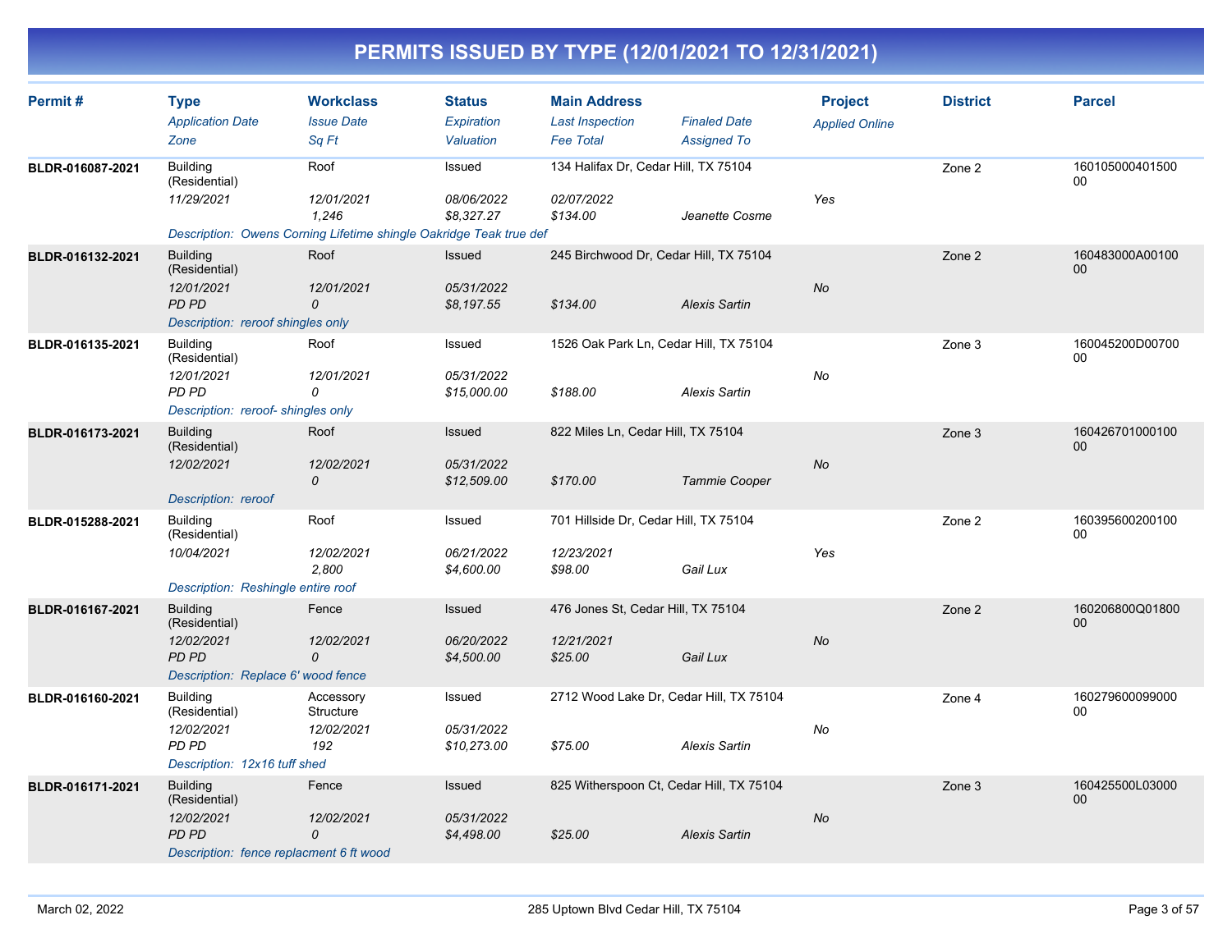| Permit#          | <b>Type</b><br><b>Application Date</b><br>Zone                                                                       | <b>Workclass</b><br><b>Issue Date</b><br>Sa Ft | <b>Status</b><br>Expiration<br>Valuation   | <b>Main Address</b><br><b>Last Inspection</b><br><b>Fee Total</b> | <b>Finaled Date</b><br><b>Assigned To</b> | <b>Project</b><br><b>Applied Online</b> | <b>District</b> | <b>Parcel</b>             |
|------------------|----------------------------------------------------------------------------------------------------------------------|------------------------------------------------|--------------------------------------------|-------------------------------------------------------------------|-------------------------------------------|-----------------------------------------|-----------------|---------------------------|
| BLDR-016087-2021 | <b>Building</b><br>(Residential)<br>11/29/2021<br>Description: Owens Corning Lifetime shingle Oakridge Teak true def | Roof<br>12/01/2021<br>1.246                    | Issued<br>08/06/2022<br>\$8,327.27         | 134 Halifax Dr, Cedar Hill, TX 75104<br>02/07/2022<br>\$134.00    | Jeanette Cosme                            | Yes                                     | Zone 2          | 160105000401500<br>00     |
| BLDR-016132-2021 | <b>Building</b><br>(Residential)<br>12/01/2021<br>PD PD<br>Description: reroof shingles only                         | Roof<br>12/01/2021<br>0                        | Issued<br>05/31/2022<br>\$8,197.55         | 245 Birchwood Dr, Cedar Hill, TX 75104<br>\$134.00                | <b>Alexis Sartin</b>                      | No                                      | Zone 2          | 160483000A00100<br>00     |
| BLDR-016135-2021 | <b>Building</b><br>(Residential)<br>12/01/2021<br>PD PD<br>Description: reroof-shingles only                         | Roof<br>12/01/2021<br>0                        | Issued<br>05/31/2022<br>\$15,000.00        | 1526 Oak Park Ln, Cedar Hill, TX 75104<br>\$188.00                | <b>Alexis Sartin</b>                      | No                                      | Zone 3          | 160045200D00700<br>00     |
| BLDR-016173-2021 | <b>Building</b><br>(Residential)<br>12/02/2021<br>Description: reroof                                                | Roof<br>12/02/2021<br>0                        | <b>Issued</b><br>05/31/2022<br>\$12,509.00 | 822 Miles Ln, Cedar Hill, TX 75104<br>\$170.00                    | Tammie Cooper                             | <b>No</b>                               | Zone 3          | 160426701000100<br>00     |
| BLDR-015288-2021 | <b>Building</b><br>(Residential)<br>10/04/2021<br>Description: Reshingle entire roof                                 | Roof<br>12/02/2021<br>2,800                    | Issued<br>06/21/2022<br>\$4,600.00         | 701 Hillside Dr, Cedar Hill, TX 75104<br>12/23/2021<br>\$98.00    | Gail Lux                                  | Yes                                     | Zone 2          | 160395600200100<br>00     |
| BLDR-016167-2021 | <b>Building</b><br>(Residential)<br>12/02/2021<br><b>PD PD</b><br>Description: Replace 6' wood fence                 | Fence<br>12/02/2021<br>$\mathcal{O}$           | Issued<br>06/20/2022<br>\$4,500.00         | 476 Jones St, Cedar Hill, TX 75104<br>12/21/2021<br>\$25.00       | Gail Lux                                  | No                                      | Zone 2          | 160206800Q01800<br>00     |
| BLDR-016160-2021 | <b>Building</b><br>(Residential)<br>12/02/2021<br>PD PD<br>Description: 12x16 tuff shed                              | Accessory<br>Structure<br>12/02/2021<br>192    | Issued<br>05/31/2022<br>\$10,273.00        | 2712 Wood Lake Dr, Cedar Hill, TX 75104<br>\$75.00                | <b>Alexis Sartin</b>                      | No                                      | Zone 4          | 160279600099000<br>00     |
| BLDR-016171-2021 | <b>Building</b><br>(Residential)<br>12/02/2021<br>PD PD<br>Description: fence replacment 6 ft wood                   | Fence<br>12/02/2021<br>0                       | Issued<br>05/31/2022<br>\$4,498.00         | 825 Witherspoon Ct, Cedar Hill, TX 75104<br>\$25.00               | <b>Alexis Sartin</b>                      | No                                      | Zone 3          | 160425500L03000<br>$00\,$ |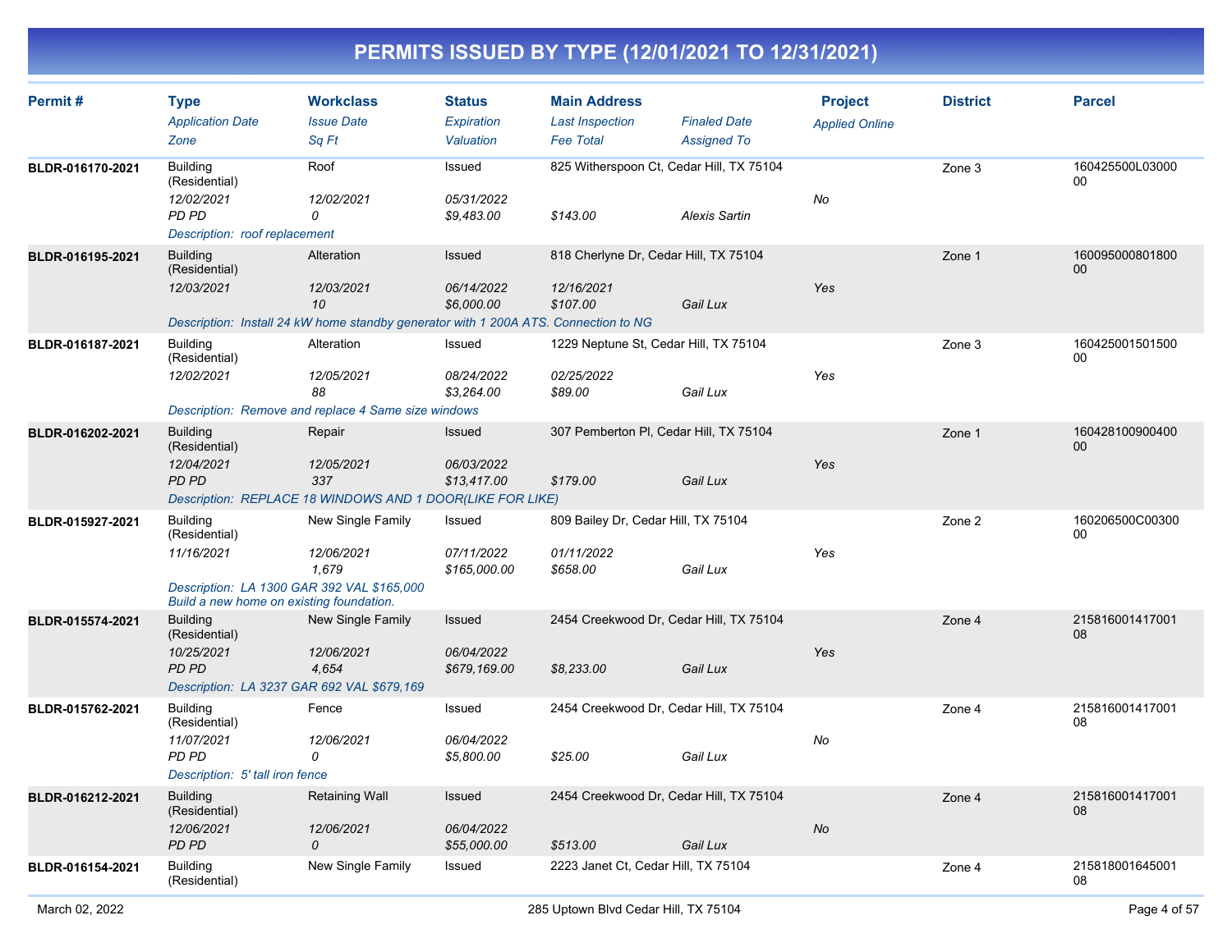| Permit#          | <b>Type</b><br><b>Application Date</b>   | <b>Workclass</b><br><b>Issue Date</b>                                               | <b>Status</b><br>Expiration | <b>Main Address</b><br><b>Last Inspection</b> | <b>Finaled Date</b>                      | <b>Project</b><br><b>Applied Online</b> | <b>District</b> | <b>Parcel</b>         |
|------------------|------------------------------------------|-------------------------------------------------------------------------------------|-----------------------------|-----------------------------------------------|------------------------------------------|-----------------------------------------|-----------------|-----------------------|
|                  | Zone                                     | Sq Ft                                                                               | Valuation                   | <b>Fee Total</b>                              | <b>Assigned To</b>                       |                                         |                 |                       |
| BLDR-016170-2021 | Building<br>(Residential)                | Roof                                                                                | Issued                      |                                               | 825 Witherspoon Ct, Cedar Hill, TX 75104 |                                         | Zone 3          | 160425500L03000<br>00 |
|                  | 12/02/2021<br>PD PD                      | 12/02/2021<br>0                                                                     | 05/31/2022<br>\$9,483.00    | \$143.00                                      | <b>Alexis Sartin</b>                     | No                                      |                 |                       |
|                  | Description: roof replacement            |                                                                                     |                             |                                               |                                          |                                         |                 |                       |
| BLDR-016195-2021 | <b>Building</b><br>(Residential)         | Alteration                                                                          | Issued                      | 818 Cherlyne Dr, Cedar Hill, TX 75104         |                                          |                                         | Zone 1          | 160095000801800<br>00 |
|                  | 12/03/2021                               | 12/03/2021<br>10                                                                    | 06/14/2022<br>\$6,000.00    | 12/16/2021<br>\$107.00                        | Gail Lux                                 | Yes                                     |                 |                       |
|                  |                                          | Description: Install 24 kW home standby generator with 1 200A ATS. Connection to NG |                             |                                               |                                          |                                         |                 |                       |
| BLDR-016187-2021 | <b>Building</b><br>(Residential)         | Alteration                                                                          | Issued                      | 1229 Neptune St, Cedar Hill, TX 75104         |                                          |                                         | Zone 3          | 160425001501500<br>00 |
|                  | 12/02/2021                               | 12/05/2021<br>88                                                                    | 08/24/2022<br>\$3,264.00    | 02/25/2022<br>\$89.00                         | Gail Lux                                 | Yes                                     |                 |                       |
|                  |                                          | Description: Remove and replace 4 Same size windows                                 |                             |                                               |                                          |                                         |                 |                       |
| BLDR-016202-2021 | <b>Building</b><br>(Residential)         | Repair                                                                              | Issued                      | 307 Pemberton PI, Cedar Hill, TX 75104        |                                          |                                         | Zone 1          | 160428100900400<br>00 |
|                  | 12/04/2021<br>PD PD                      | 12/05/2021<br>337<br>Description: REPLACE 18 WINDOWS AND 1 DOOR(LIKE FOR LIKE)      | 06/03/2022<br>\$13,417.00   | \$179.00                                      | Gail Lux                                 | Yes                                     |                 |                       |
| BLDR-015927-2021 | <b>Building</b><br>(Residential)         | New Single Family                                                                   | Issued                      | 809 Bailey Dr, Cedar Hill, TX 75104           |                                          |                                         | Zone 2          | 160206500C00300<br>00 |
|                  | 11/16/2021                               | 12/06/2021<br>1,679                                                                 | 07/11/2022<br>\$165,000.00  | 01/11/2022<br>\$658.00                        | Gail Lux                                 | Yes                                     |                 |                       |
|                  | Build a new home on existing foundation. | Description: LA 1300 GAR 392 VAL \$165,000                                          |                             |                                               |                                          |                                         |                 |                       |
| BLDR-015574-2021 | <b>Building</b><br>(Residential)         | New Single Family                                                                   | Issued                      |                                               | 2454 Creekwood Dr, Cedar Hill, TX 75104  |                                         | Zone 4          | 215816001417001<br>08 |
|                  | 10/25/2021<br><b>PD PD</b>               | 12/06/2021<br>4,654                                                                 | 06/04/2022<br>\$679,169.00  | \$8,233.00                                    | Gail Lux                                 | Yes                                     |                 |                       |
|                  |                                          | Description: LA 3237 GAR 692 VAL \$679,169                                          |                             |                                               |                                          |                                         |                 |                       |
| BLDR-015762-2021 | <b>Building</b><br>(Residential)         | Fence                                                                               | Issued                      |                                               | 2454 Creekwood Dr, Cedar Hill, TX 75104  |                                         | Zone 4          | 215816001417001<br>08 |
|                  | 11/07/2021<br>PD PD                      | 12/06/2021<br>0                                                                     | 06/04/2022<br>\$5,800.00    | \$25.00                                       | Gail Lux                                 | No                                      |                 |                       |
|                  | Description: 5' tall iron fence          |                                                                                     |                             |                                               |                                          |                                         |                 |                       |
| BLDR-016212-2021 | <b>Building</b><br>(Residential)         | <b>Retaining Wall</b>                                                               | Issued                      |                                               | 2454 Creekwood Dr, Cedar Hill, TX 75104  |                                         | Zone 4          | 215816001417001<br>08 |
|                  | 12/06/2021<br>PD PD                      | 12/06/2021<br>0                                                                     | 06/04/2022<br>\$55,000.00   | \$513.00                                      | Gail Lux                                 | $N\sigma$                               |                 |                       |
| BLDR-016154-2021 | Building<br>(Residential)                | New Single Family                                                                   | Issued                      | 2223 Janet Ct, Cedar Hill, TX 75104           |                                          |                                         | Zone 4          | 215818001645001<br>08 |
|                  |                                          |                                                                                     |                             |                                               |                                          |                                         |                 |                       |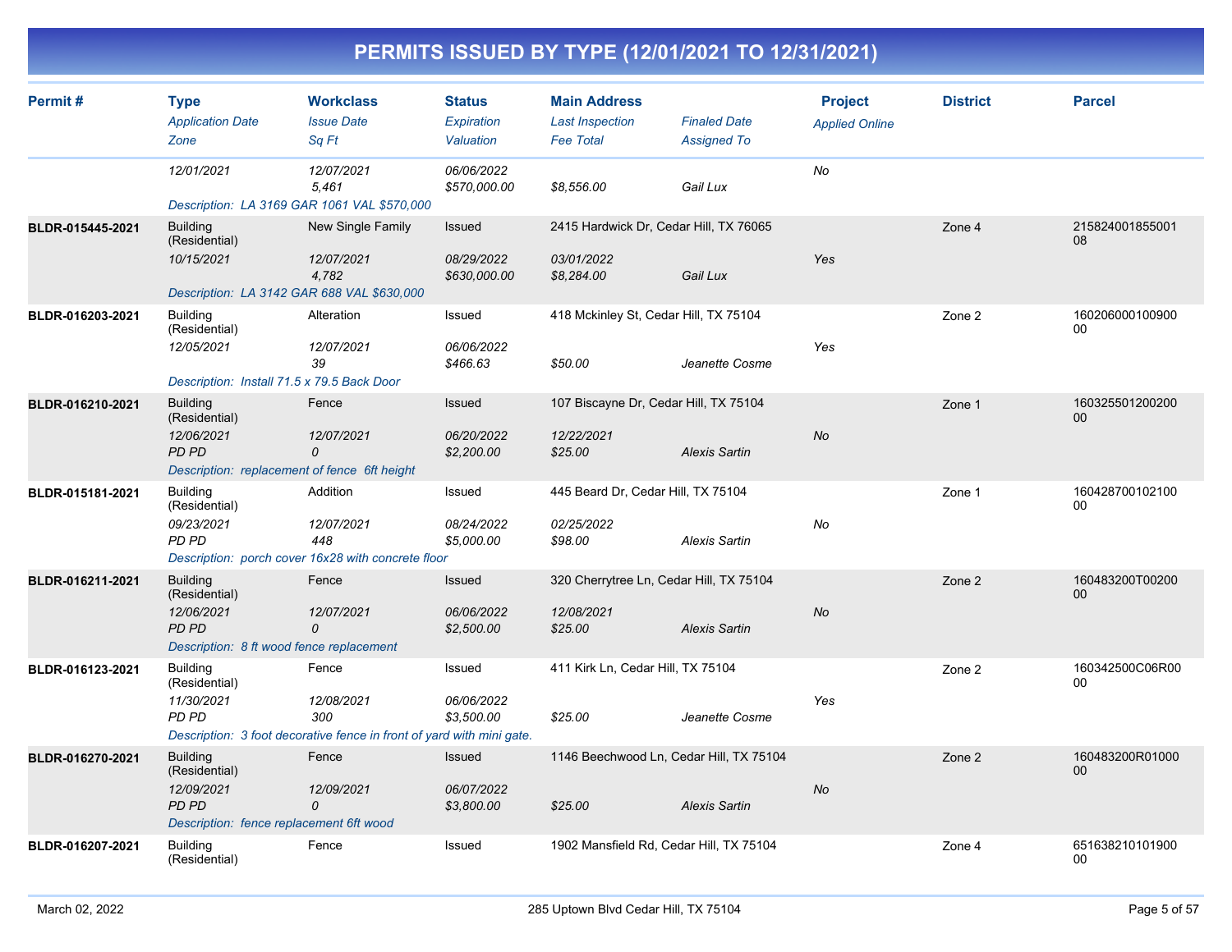| Permit#          | <b>Type</b><br><b>Application Date</b><br>Zone                                                             | <b>Workclass</b><br><b>Issue Date</b><br>Sa Ft                                                      | <b>Status</b><br>Expiration<br>Valuation | <b>Main Address</b><br><b>Last Inspection</b><br><b>Fee Total</b>  | <b>Finaled Date</b><br><b>Assigned To</b> | <b>Project</b><br><b>Applied Online</b> | <b>District</b> | <b>Parcel</b>             |
|------------------|------------------------------------------------------------------------------------------------------------|-----------------------------------------------------------------------------------------------------|------------------------------------------|--------------------------------------------------------------------|-------------------------------------------|-----------------------------------------|-----------------|---------------------------|
|                  | 12/01/2021<br>Description: LA 3169 GAR 1061 VAL \$570,000                                                  | 12/07/2021<br>5,461                                                                                 | 06/06/2022<br>\$570,000.00               | \$8,556.00                                                         | Gail Lux                                  | No                                      |                 |                           |
| BLDR-015445-2021 | <b>Building</b><br>(Residential)<br>10/15/2021<br>Description: LA 3142 GAR 688 VAL \$630,000               | New Single Family<br>12/07/2021<br>4,782                                                            | Issued<br>08/29/2022<br>\$630,000.00     | 2415 Hardwick Dr, Cedar Hill, TX 76065<br>03/01/2022<br>\$8,284.00 | Gail Lux                                  | Yes                                     | Zone 4          | 215824001855001<br>08     |
| BLDR-016203-2021 | <b>Building</b><br>(Residential)<br>12/05/2021<br>Description: Install 71.5 x 79.5 Back Door               | Alteration<br>12/07/2021<br>39                                                                      | Issued<br>06/06/2022<br>\$466.63         | 418 Mckinley St, Cedar Hill, TX 75104<br>\$50.00                   | Jeanette Cosme                            | Yes                                     | Zone 2          | 160206000100900<br>00     |
| BLDR-016210-2021 | <b>Building</b><br>(Residential)<br>12/06/2021<br>PD PD<br>Description: replacement of fence 6ft height    | Fence<br>12/07/2021<br>$\mathcal{O}$                                                                | Issued<br>06/20/2022<br>\$2,200.00       | 107 Biscayne Dr, Cedar Hill, TX 75104<br>12/22/2021<br>\$25.00     | <b>Alexis Sartin</b>                      | No                                      | Zone 1          | 160325501200200<br>00     |
| BLDR-015181-2021 | <b>Building</b><br>(Residential)<br>09/23/2021<br>PD PD                                                    | Addition<br>12/07/2021<br>448<br>Description: porch cover 16x28 with concrete floor                 | Issued<br>08/24/2022<br>\$5,000.00       | 445 Beard Dr, Cedar Hill, TX 75104<br>02/25/2022<br>\$98.00        | <b>Alexis Sartin</b>                      | No                                      | Zone 1          | 160428700102100<br>00     |
| BLDR-016211-2021 | <b>Building</b><br>(Residential)<br>12/06/2021<br><b>PD PD</b><br>Description: 8 ft wood fence replacement | Fence<br>12/07/2021<br>0                                                                            | Issued<br>06/06/2022<br>\$2,500.00       | 320 Cherrytree Ln, Cedar Hill, TX 75104<br>12/08/2021<br>\$25.00   | <b>Alexis Sartin</b>                      | <b>No</b>                               | Zone 2          | 160483200T00200<br>00     |
| BLDR-016123-2021 | <b>Building</b><br>(Residential)<br>11/30/2021<br>PD PD                                                    | Fence<br>12/08/2021<br>300<br>Description: 3 foot decorative fence in front of yard with mini gate. | Issued<br>06/06/2022<br>\$3,500.00       | 411 Kirk Ln, Cedar Hill, TX 75104<br>\$25.00                       | Jeanette Cosme                            | Yes                                     | Zone 2          | 160342500C06R00<br>00     |
| BLDR-016270-2021 | <b>Building</b><br>(Residential)<br>12/09/2021<br>PD PD<br>Description: fence replacement 6ft wood         | Fence<br>12/09/2021<br>0                                                                            | Issued<br>06/07/2022<br>\$3,800.00       | 1146 Beechwood Ln, Cedar Hill, TX 75104<br>\$25.00                 | <b>Alexis Sartin</b>                      | <b>No</b>                               | Zone 2          | 160483200R01000<br>$00\,$ |
| BLDR-016207-2021 | <b>Building</b><br>(Residential)                                                                           | Fence                                                                                               | Issued                                   | 1902 Mansfield Rd, Cedar Hill, TX 75104                            |                                           |                                         | Zone 4          | 651638210101900<br>00     |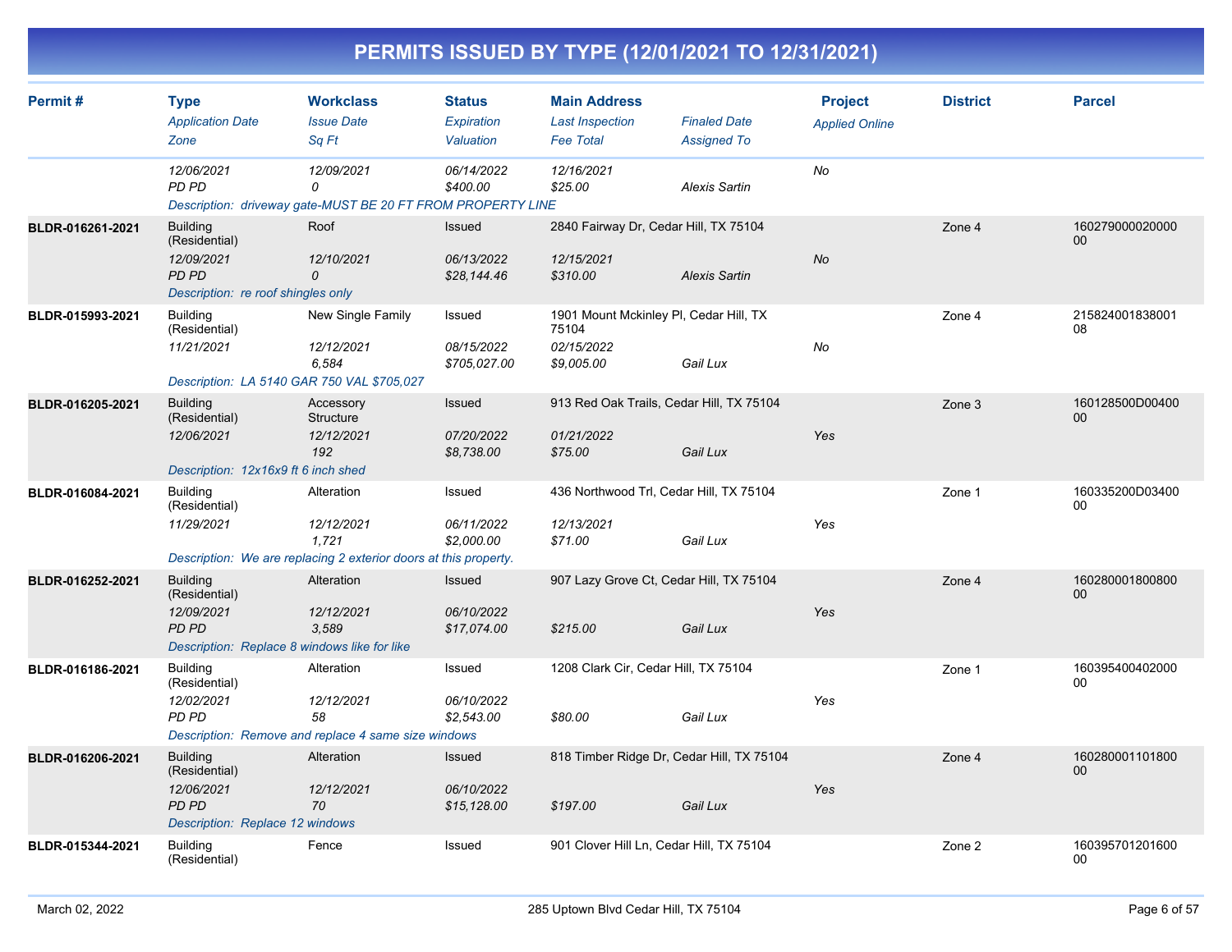| PERMITS ISSUED BY TYPE (12/01/2021 TO 12/31/2021) |
|---------------------------------------------------|
|---------------------------------------------------|

| Permit#          | <b>Type</b><br><b>Application Date</b><br>Zone                                                          | <b>Workclass</b><br><b>Issue Date</b><br>Sq Ft                                                        | <b>Status</b><br><b>Expiration</b><br>Valuation | <b>Main Address</b><br><b>Last Inspection</b><br><b>Fee Total</b>           | <b>Finaled Date</b><br><b>Assigned To</b> | <b>Project</b><br><b>Applied Online</b> | <b>District</b> | <b>Parcel</b>              |
|------------------|---------------------------------------------------------------------------------------------------------|-------------------------------------------------------------------------------------------------------|-------------------------------------------------|-----------------------------------------------------------------------------|-------------------------------------------|-----------------------------------------|-----------------|----------------------------|
|                  | 12/06/2021<br>PD PD                                                                                     | 12/09/2021<br>0<br>Description: driveway gate-MUST BE 20 FT FROM PROPERTY LINE                        | 06/14/2022<br>\$400.00                          | 12/16/2021<br>\$25.00                                                       | <b>Alexis Sartin</b>                      | No                                      |                 |                            |
| BLDR-016261-2021 | <b>Building</b><br>(Residential)<br>12/09/2021<br>PD PD<br>Description: re roof shingles only           | Roof<br>12/10/2021<br>0                                                                               | Issued<br>06/13/2022<br>\$28,144.46             | 2840 Fairway Dr, Cedar Hill, TX 75104<br>12/15/2021<br>\$310.00             | <b>Alexis Sartin</b>                      | <b>No</b>                               | Zone 4          | 160279000020000<br>$00 \,$ |
| BLDR-015993-2021 | <b>Building</b><br>(Residential)<br>11/21/2021<br>Description: LA 5140 GAR 750 VAL \$705,027            | New Single Family<br>12/12/2021<br>6.584                                                              | Issued<br>08/15/2022<br>\$705,027.00            | 1901 Mount Mckinley PI, Cedar Hill, TX<br>75104<br>02/15/2022<br>\$9,005.00 | Gail Lux                                  | No                                      | Zone 4          | 215824001838001<br>08      |
| BLDR-016205-2021 | <b>Building</b><br>(Residential)<br>12/06/2021<br>Description: 12x16x9 ft 6 inch shed                   | Accessory<br><b>Structure</b><br>12/12/2021<br>192                                                    | Issued<br>07/20/2022<br>\$8,738.00              | 913 Red Oak Trails, Cedar Hill, TX 75104<br>01/21/2022<br>\$75.00           | Gail Lux                                  | Yes                                     | Zone 3          | 160128500D00400<br>00      |
| BLDR-016084-2021 | <b>Building</b><br>(Residential)<br>11/29/2021                                                          | Alteration<br>12/12/2021<br>1,721<br>Description: We are replacing 2 exterior doors at this property. | Issued<br>06/11/2022<br>\$2,000.00              | 436 Northwood Trl, Cedar Hill, TX 75104<br>12/13/2021<br>\$71.00            | Gail Lux                                  | Yes                                     | Zone 1          | 160335200D03400<br>00      |
| BLDR-016252-2021 | <b>Building</b><br>(Residential)<br>12/09/2021<br>PD PD<br>Description: Replace 8 windows like for like | Alteration<br>12/12/2021<br>3,589                                                                     | Issued<br>06/10/2022<br>\$17,074.00             | 907 Lazy Grove Ct, Cedar Hill, TX 75104<br>\$215.00                         | Gail Lux                                  | Yes                                     | Zone 4          | 160280001800800<br>00      |
| BLDR-016186-2021 | <b>Building</b><br>(Residential)<br>12/02/2021<br>PD PD                                                 | Alteration<br>12/12/2021<br>58<br>Description: Remove and replace 4 same size windows                 | Issued<br>06/10/2022<br>\$2,543.00              | 1208 Clark Cir, Cedar Hill, TX 75104<br>\$80.00                             | Gail Lux                                  | Yes                                     | Zone 1          | 160395400402000<br>$00\,$  |
| BLDR-016206-2021 | <b>Building</b><br>(Residential)<br>12/06/2021<br><b>PD PD</b><br>Description: Replace 12 windows       | Alteration<br>12/12/2021<br>70                                                                        | Issued<br>06/10/2022<br>\$15,128.00             | 818 Timber Ridge Dr, Cedar Hill, TX 75104<br>\$197.00                       | Gail Lux                                  | Yes                                     | Zone 4          | 160280001101800<br>00      |
| BLDR-015344-2021 | <b>Building</b><br>(Residential)                                                                        | Fence                                                                                                 | Issued                                          | 901 Clover Hill Ln, Cedar Hill, TX 75104                                    |                                           |                                         | Zone 2          | 160395701201600<br>00      |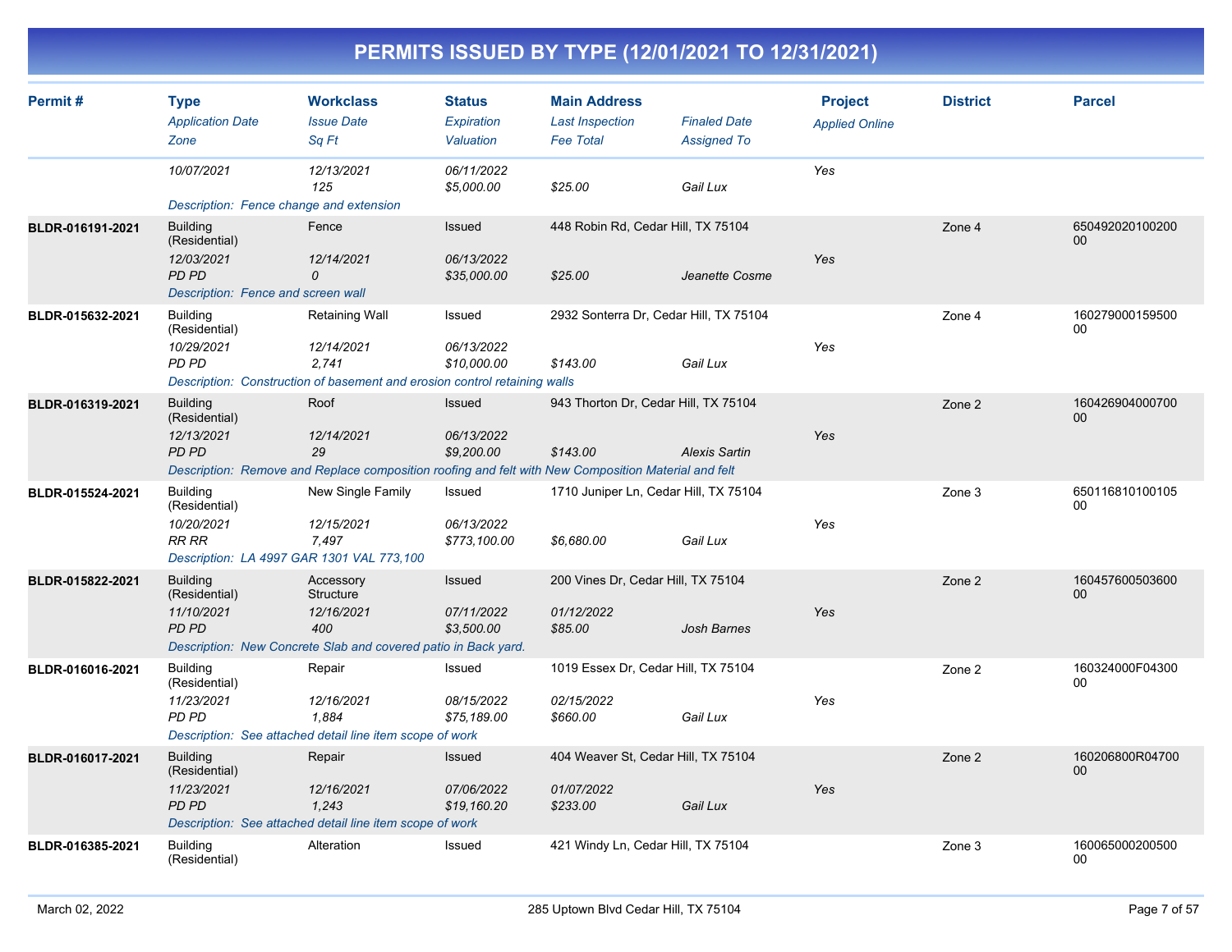| Permit#          | <b>Type</b><br><b>Application Date</b><br>Zone                                                       | <b>Workclass</b><br><b>Issue Date</b><br>Sa Ft                                                                                  | <b>Status</b><br>Expiration<br>Valuation | <b>Main Address</b><br><b>Last Inspection</b><br><b>Fee Total</b> | <b>Finaled Date</b><br><b>Assigned To</b> | <b>Project</b><br><b>Applied Online</b> | <b>District</b> | <b>Parcel</b>         |
|------------------|------------------------------------------------------------------------------------------------------|---------------------------------------------------------------------------------------------------------------------------------|------------------------------------------|-------------------------------------------------------------------|-------------------------------------------|-----------------------------------------|-----------------|-----------------------|
|                  | 10/07/2021<br>Description: Fence change and extension                                                | 12/13/2021<br>125                                                                                                               | 06/11/2022<br>\$5,000.00                 | \$25.00                                                           | Gail Lux                                  | Yes                                     |                 |                       |
| BLDR-016191-2021 | <b>Building</b><br>(Residential)<br>12/03/2021<br>PD PD<br>Description: Fence and screen wall        | Fence<br>12/14/2021<br>$\mathcal{O}$                                                                                            | Issued<br>06/13/2022<br>\$35,000.00      | 448 Robin Rd, Cedar Hill, TX 75104<br>\$25.00                     | Jeanette Cosme                            | Yes                                     | Zone 4          | 650492020100200<br>00 |
| BLDR-015632-2021 | <b>Building</b><br>(Residential)<br>10/29/2021<br>PD PD                                              | <b>Retaining Wall</b><br>12/14/2021<br>2.741<br>Description: Construction of basement and erosion control retaining walls       | Issued<br>06/13/2022<br>\$10,000.00      | 2932 Sonterra Dr, Cedar Hill, TX 75104<br>\$143.00                | Gail Lux                                  | Yes                                     | Zone 4          | 160279000159500<br>00 |
| BLDR-016319-2021 | <b>Building</b><br>(Residential)<br>12/13/2021<br><b>PD PD</b>                                       | Roof<br>12/14/2021<br>29<br>Description: Remove and Replace composition roofing and felt with New Composition Material and felt | Issued<br>06/13/2022<br>\$9,200.00       | 943 Thorton Dr, Cedar Hill, TX 75104<br>\$143.00                  | <b>Alexis Sartin</b>                      | Yes                                     | Zone 2          | 160426904000700<br>00 |
| BLDR-015524-2021 | <b>Building</b><br>(Residential)<br>10/20/2021<br>RR RR<br>Description: LA 4997 GAR 1301 VAL 773,100 | New Single Family<br>12/15/2021<br>7,497                                                                                        | Issued<br>06/13/2022<br>\$773,100.00     | 1710 Juniper Ln, Cedar Hill, TX 75104<br>\$6,680.00               | Gail Lux                                  | Yes                                     | Zone 3          | 650116810100105<br>00 |
| BLDR-015822-2021 | <b>Building</b><br>(Residential)<br>11/10/2021<br><b>PD PD</b>                                       | Accessory<br>Structure<br>12/16/2021<br>400<br>Description: New Concrete Slab and covered patio in Back yard.                   | Issued<br>07/11/2022<br>\$3,500.00       | 200 Vines Dr, Cedar Hill, TX 75104<br>01/12/2022<br>\$85.00       | <b>Josh Barnes</b>                        | Yes                                     | Zone 2          | 160457600503600<br>00 |
| BLDR-016016-2021 | <b>Building</b><br>(Residential)<br>11/23/2021<br>PD PD                                              | Repair<br>12/16/2021<br>1,884<br>Description: See attached detail line item scope of work                                       | Issued<br>08/15/2022<br>\$75,189.00      | 1019 Essex Dr, Cedar Hill, TX 75104<br>02/15/2022<br>\$660.00     | Gail Lux                                  | Yes                                     | Zone 2          | 160324000F04300<br>00 |
| BLDR-016017-2021 | <b>Building</b><br>(Residential)<br>11/23/2021<br>PD PD                                              | Repair<br>12/16/2021<br>1,243<br>Description: See attached detail line item scope of work                                       | Issued<br>07/06/2022<br>\$19,160.20      | 404 Weaver St, Cedar Hill, TX 75104<br>01/07/2022<br>\$233.00     | Gail Lux                                  | Yes                                     | Zone 2          | 160206800R04700<br>00 |
| BLDR-016385-2021 | <b>Building</b><br>(Residential)                                                                     | Alteration                                                                                                                      | Issued                                   | 421 Windy Ln, Cedar Hill, TX 75104                                |                                           |                                         | Zone 3          | 160065000200500<br>00 |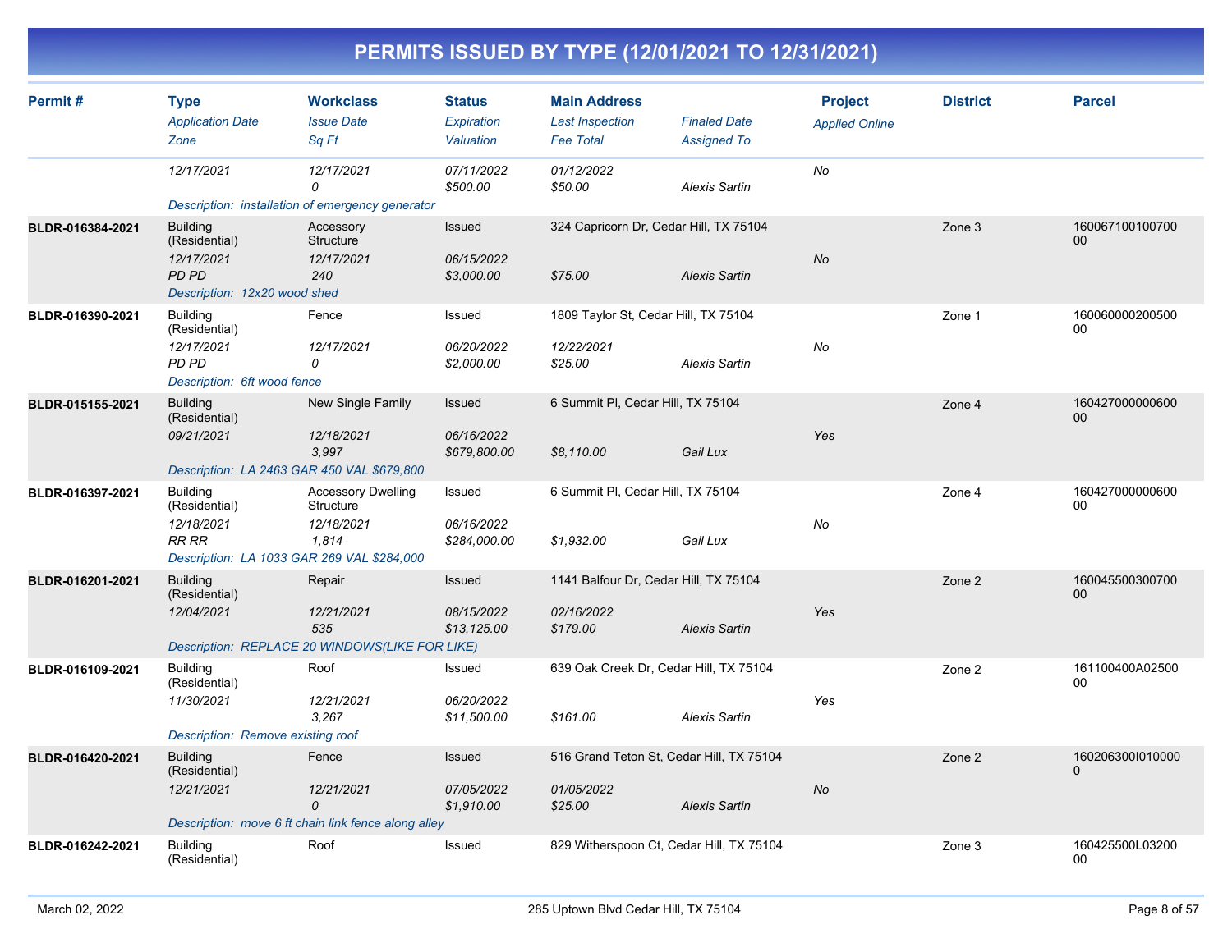| Permit#          | <b>Type</b><br><b>Application Date</b><br>Zone                                                        | <b>Workclass</b><br><b>Issue Date</b><br>Sq Ft                                  | <b>Status</b><br>Expiration<br>Valuation    | <b>Main Address</b><br><b>Last Inspection</b><br><b>Fee Total</b> | <b>Finaled Date</b><br><b>Assigned To</b> | <b>Project</b><br><b>Applied Online</b> | <b>District</b> | <b>Parcel</b>                |
|------------------|-------------------------------------------------------------------------------------------------------|---------------------------------------------------------------------------------|---------------------------------------------|-------------------------------------------------------------------|-------------------------------------------|-----------------------------------------|-----------------|------------------------------|
|                  | 12/17/2021                                                                                            | 12/17/2021<br>0<br>Description: installation of emergency generator             | 07/11/2022<br>\$500.00                      | 01/12/2022<br>\$50.00                                             | <b>Alexis Sartin</b>                      | No                                      |                 |                              |
| BLDR-016384-2021 | <b>Building</b><br>(Residential)<br>12/17/2021<br><b>PD PD</b><br>Description: 12x20 wood shed        | Accessory<br>Structure<br>12/17/2021<br>240                                     | Issued<br>06/15/2022<br>\$3,000.00          | 324 Capricorn Dr, Cedar Hill, TX 75104<br>\$75.00                 | <b>Alexis Sartin</b>                      | <b>No</b>                               | Zone 3          | 160067100100700<br>00        |
| BLDR-016390-2021 | <b>Building</b><br>(Residential)<br>12/17/2021<br>PD PD<br>Description: 6ft wood fence                | Fence<br>12/17/2021<br>0                                                        | Issued<br>06/20/2022<br>\$2,000.00          | 1809 Taylor St, Cedar Hill, TX 75104<br>12/22/2021<br>\$25.00     | <b>Alexis Sartin</b>                      | No                                      | Zone 1          | 160060000200500<br>00        |
| BLDR-015155-2021 | <b>Building</b><br>(Residential)<br>09/21/2021<br>Description: LA 2463 GAR 450 VAL \$679,800          | New Single Family<br>12/18/2021<br>3,997                                        | <b>Issued</b><br>06/16/2022<br>\$679,800.00 | 6 Summit PI, Cedar Hill, TX 75104<br>\$8,110.00                   | Gail Lux                                  | Yes                                     | Zone 4          | 160427000000600<br>00        |
| BLDR-016397-2021 | <b>Building</b><br>(Residential)<br>12/18/2021<br>RR RR<br>Description: LA 1033 GAR 269 VAL \$284,000 | <b>Accessory Dwelling</b><br>Structure<br>12/18/2021<br>1,814                   | Issued<br>06/16/2022<br>\$284,000.00        | 6 Summit PI, Cedar Hill, TX 75104<br>\$1,932.00                   | Gail Lux                                  | No                                      | Zone 4          | 160427000000600<br>00        |
| BLDR-016201-2021 | <b>Building</b><br>(Residential)<br>12/04/2021                                                        | Repair<br>12/21/2021<br>535<br>Description: REPLACE 20 WINDOWS(LIKE FOR LIKE)   | Issued<br>08/15/2022<br>\$13,125.00         | 1141 Balfour Dr, Cedar Hill, TX 75104<br>02/16/2022<br>\$179.00   | <b>Alexis Sartin</b>                      | Yes                                     | Zone 2          | 160045500300700<br>00        |
| BLDR-016109-2021 | <b>Building</b><br>(Residential)<br>11/30/2021<br>Description: Remove existing roof                   | Roof<br>12/21/2021<br>3.267                                                     | Issued<br>06/20/2022<br>\$11,500.00         | 639 Oak Creek Dr, Cedar Hill, TX 75104<br>\$161.00                | <b>Alexis Sartin</b>                      | Yes                                     | Zone 2          | 161100400A02500<br>00        |
| BLDR-016420-2021 | <b>Building</b><br>(Residential)<br>12/21/2021                                                        | Fence<br>12/21/2021<br>0<br>Description: move 6 ft chain link fence along alley | Issued<br>07/05/2022<br>\$1,910.00          | 516 Grand Teton St, Cedar Hill, TX 75104<br>01/05/2022<br>\$25.00 | <b>Alexis Sartin</b>                      | No                                      | Zone 2          | 1602063001010000<br>$\Omega$ |
| BLDR-016242-2021 | <b>Building</b><br>(Residential)                                                                      | Roof                                                                            | Issued                                      | 829 Witherspoon Ct, Cedar Hill, TX 75104                          |                                           |                                         | Zone 3          | 160425500L03200<br>00        |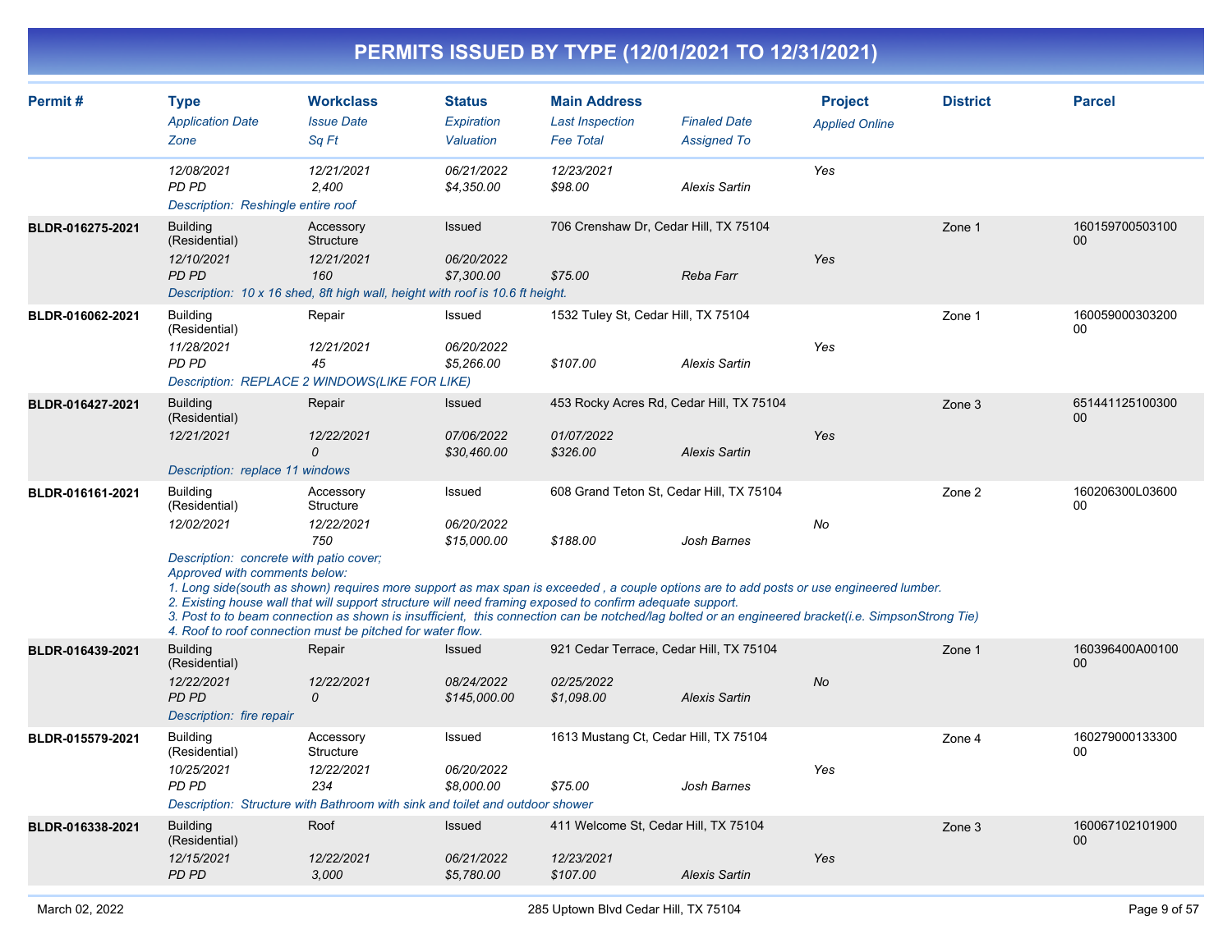| Permit#          | <b>Type</b><br><b>Application Date</b><br>Zone                                                                             | <b>Workclass</b><br><b>Issue Date</b><br>Sq Ft                                                                                                                                                                                                                                                                                                                                                                                                                                                                          | <b>Status</b><br>Expiration<br>Valuation  | <b>Main Address</b><br><b>Last Inspection</b><br><b>Fee Total</b>   | <b>Finaled Date</b><br><b>Assigned To</b> | <b>Project</b><br><b>Applied Online</b> | <b>District</b> | <b>Parcel</b>              |
|------------------|----------------------------------------------------------------------------------------------------------------------------|-------------------------------------------------------------------------------------------------------------------------------------------------------------------------------------------------------------------------------------------------------------------------------------------------------------------------------------------------------------------------------------------------------------------------------------------------------------------------------------------------------------------------|-------------------------------------------|---------------------------------------------------------------------|-------------------------------------------|-----------------------------------------|-----------------|----------------------------|
|                  | 12/08/2021<br><b>PD PD</b><br>Description: Reshingle entire roof                                                           | 12/21/2021<br>2.400                                                                                                                                                                                                                                                                                                                                                                                                                                                                                                     | 06/21/2022<br>\$4,350.00                  | 12/23/2021<br>\$98.00                                               | <b>Alexis Sartin</b>                      | Yes                                     |                 |                            |
| BLDR-016275-2021 | <b>Building</b><br>(Residential)<br>12/10/2021<br><b>PD PD</b>                                                             | Accessory<br>Structure<br>12/21/2021<br>160<br>Description: 10 x 16 shed, 8ft high wall, height with roof is 10.6 ft height.                                                                                                                                                                                                                                                                                                                                                                                            | Issued<br>06/20/2022<br>\$7,300.00        | 706 Crenshaw Dr, Cedar Hill, TX 75104<br>\$75.00                    | Reba Farr                                 | Yes                                     | Zone 1          | 160159700503100<br>00      |
| BLDR-016062-2021 | <b>Building</b><br>(Residential)<br>11/28/2021<br>PD PD                                                                    | Repair<br>12/21/2021<br>45<br>Description: REPLACE 2 WINDOWS(LIKE FOR LIKE)                                                                                                                                                                                                                                                                                                                                                                                                                                             | Issued<br>06/20/2022<br>\$5,266.00        | 1532 Tuley St, Cedar Hill, TX 75104<br>\$107.00                     | <b>Alexis Sartin</b>                      | Yes                                     | Zone 1          | 160059000303200<br>$00 \,$ |
| BLDR-016427-2021 | <b>Building</b><br>(Residential)<br>12/21/2021<br>Description: replace 11 windows                                          | Repair<br>12/22/2021<br>0                                                                                                                                                                                                                                                                                                                                                                                                                                                                                               | Issued<br>07/06/2022<br>\$30,460.00       | 453 Rocky Acres Rd, Cedar Hill, TX 75104<br>01/07/2022<br>\$326.00  | <b>Alexis Sartin</b>                      | Yes                                     | Zone 3          | 651441125100300<br>00      |
| BLDR-016161-2021 | <b>Building</b><br>(Residential)<br>12/02/2021<br>Description: concrete with patio cover;<br>Approved with comments below: | Accessory<br>Structure<br>12/22/2021<br>750<br>1. Long side(south as shown) requires more support as max span is exceeded, a couple options are to add posts or use engineered lumber.<br>2. Existing house wall that will support structure will need framing exposed to confirm adequate support.<br>3. Post to to beam connection as shown is insufficient, this connection can be notched/lag bolted or an engineered bracket(i.e. SimpsonStrong Tie)<br>4. Roof to roof connection must be pitched for water flow. | Issued<br>06/20/2022<br>\$15,000.00       | 608 Grand Teton St, Cedar Hill, TX 75104<br>\$188.00                | Josh Barnes                               | No                                      | Zone 2          | 160206300L03600<br>$00\,$  |
| BLDR-016439-2021 | <b>Building</b><br>(Residential)<br>12/22/2021<br><b>PD PD</b><br>Description: fire repair                                 | Repair<br>12/22/2021<br>$\mathcal{O}$                                                                                                                                                                                                                                                                                                                                                                                                                                                                                   | Issued<br>08/24/2022<br>\$145,000.00      | 921 Cedar Terrace, Cedar Hill, TX 75104<br>02/25/2022<br>\$1,098.00 | <b>Alexis Sartin</b>                      | <b>No</b>                               | Zone 1          | 160396400A00100<br>00      |
| BLDR-015579-2021 | <b>Building</b><br>(Residential)<br>10/25/2021<br>PD PD                                                                    | Accessory<br>Structure<br>12/22/2021<br>234<br>Description: Structure with Bathroom with sink and toilet and outdoor shower                                                                                                                                                                                                                                                                                                                                                                                             | Issued<br>06/20/2022<br>\$8,000.00        | 1613 Mustang Ct, Cedar Hill, TX 75104<br>\$75.00                    | Josh Barnes                               | Yes                                     | Zone 4          | 160279000133300<br>00      |
| BLDR-016338-2021 | <b>Building</b><br>(Residential)<br>12/15/2021<br><b>PD PD</b>                                                             | Roof<br>12/22/2021<br>3,000                                                                                                                                                                                                                                                                                                                                                                                                                                                                                             | <b>Issued</b><br>06/21/2022<br>\$5,780.00 | 411 Welcome St, Cedar Hill, TX 75104<br>12/23/2021<br>\$107.00      | <b>Alexis Sartin</b>                      | Yes                                     | Zone 3          | 160067102101900<br>$00\,$  |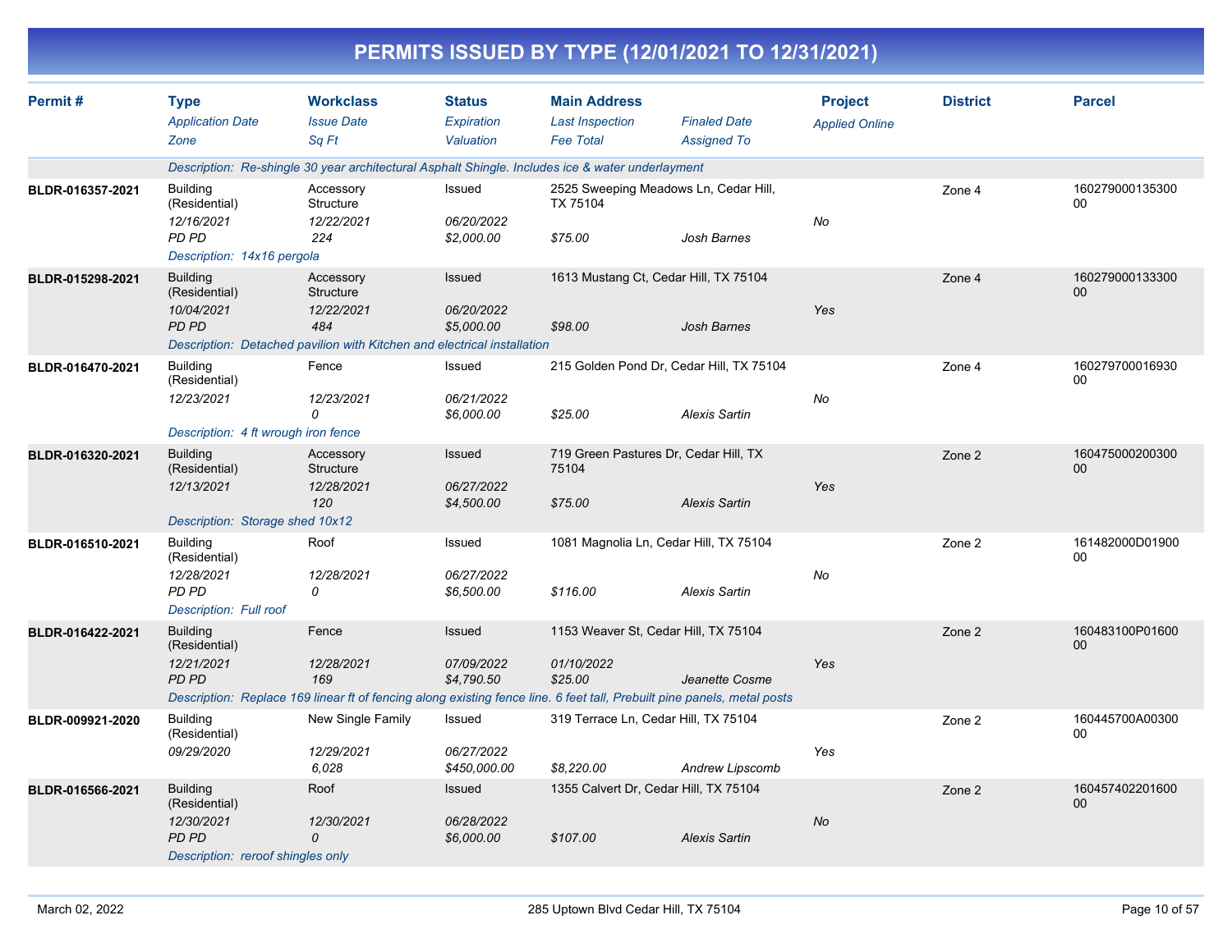|                  |                                                                                                                          |                                                                                                                        |                                          |                                                                   | PERMITS ISSUED BY TYPE (12/01/2021 TO 12/31/2021)                                                                                                                                 |                                         |                 |                           |
|------------------|--------------------------------------------------------------------------------------------------------------------------|------------------------------------------------------------------------------------------------------------------------|------------------------------------------|-------------------------------------------------------------------|-----------------------------------------------------------------------------------------------------------------------------------------------------------------------------------|-----------------------------------------|-----------------|---------------------------|
| Permit#          | <b>Type</b><br><b>Application Date</b><br>Zone                                                                           | <b>Workclass</b><br><b>Issue Date</b><br>Sq Ft                                                                         | <b>Status</b><br>Expiration<br>Valuation | <b>Main Address</b><br><b>Last Inspection</b><br><b>Fee Total</b> | <b>Finaled Date</b><br><b>Assigned To</b>                                                                                                                                         | <b>Project</b><br><b>Applied Online</b> | <b>District</b> | <b>Parcel</b>             |
|                  |                                                                                                                          | Description: Re-shingle 30 year architectural Asphalt Shingle. Includes ice & water underlayment                       |                                          |                                                                   |                                                                                                                                                                                   |                                         |                 |                           |
| BLDR-016357-2021 | <b>Building</b><br>(Residential)<br>12/16/2021<br><b>PD PD</b><br>Description: 14x16 pergola                             | Accessory<br>Structure<br>12/22/2021<br>224                                                                            | Issued<br>06/20/2022<br>\$2,000.00       | TX 75104<br>\$75.00                                               | 2525 Sweeping Meadows Ln, Cedar Hill,<br>Josh Barnes                                                                                                                              | No                                      | Zone 4          | 160279000135300<br>00     |
| BLDR-015298-2021 | <b>Building</b><br>(Residential)<br>10/04/2021<br><b>PD PD</b>                                                           | Accessory<br>Structure<br>12/22/2021<br>484<br>Description: Detached pavilion with Kitchen and electrical installation | Issued<br>06/20/2022<br>\$5,000.00       | \$98.00                                                           | 1613 Mustang Ct, Cedar Hill, TX 75104<br>Josh Barnes                                                                                                                              | Yes                                     | Zone 4          | 160279000133300<br>00     |
| BLDR-016470-2021 | <b>Building</b><br>(Residential)<br>12/23/2021                                                                           | Fence<br>12/23/2021<br>0                                                                                               | Issued<br>06/21/2022<br>\$6,000.00       | \$25.00                                                           | 215 Golden Pond Dr, Cedar Hill, TX 75104<br><b>Alexis Sartin</b>                                                                                                                  | No                                      | Zone 4          | 160279700016930<br>00     |
| BLDR-016320-2021 | Description: 4 ft wrough iron fence<br><b>Building</b><br>(Residential)<br>12/13/2021<br>Description: Storage shed 10x12 | Accessory<br>Structure<br>12/28/2021<br>120                                                                            | Issued<br>06/27/2022<br>\$4,500.00       | 75104<br>\$75.00                                                  | 719 Green Pastures Dr, Cedar Hill, TX<br><b>Alexis Sartin</b>                                                                                                                     | Yes                                     | Zone 2          | 160475000200300<br>$00\,$ |
| BLDR-016510-2021 | <b>Building</b><br>(Residential)<br>12/28/2021<br><b>PD PD</b><br><b>Description: Full roof</b>                          | Roof<br>12/28/2021<br>0                                                                                                | Issued<br>06/27/2022<br>\$6,500.00       | \$116.00                                                          | 1081 Magnolia Ln, Cedar Hill, TX 75104<br><b>Alexis Sartin</b>                                                                                                                    | No                                      | Zone 2          | 161482000D01900<br>00     |
| BLDR-016422-2021 | <b>Building</b><br>(Residential)<br>12/21/2021<br><b>PD PD</b>                                                           | Fence<br>12/28/2021<br>169                                                                                             | Issued<br>07/09/2022<br>\$4,790.50       | 01/10/2022<br>\$25.00                                             | 1153 Weaver St, Cedar Hill, TX 75104<br>Jeanette Cosme<br>Description: Replace 169 linear ft of fencing along existing fence line. 6 feet tall, Prebuilt pine panels, metal posts | Yes                                     | Zone 2          | 160483100P01600<br>00     |
| BLDR-009921-2020 | <b>Building</b><br>(Residential)<br>09/29/2020                                                                           | New Single Family<br>12/29/2021<br>6,028                                                                               | Issued<br>06/27/2022<br>\$450,000.00     | \$8,220.00                                                        | 319 Terrace Ln, Cedar Hill, TX 75104<br>Andrew Lipscomb                                                                                                                           | Yes                                     | Zone 2          | 160445700A00300<br>00     |
| BLDR-016566-2021 | <b>Building</b><br>(Residential)<br>12/30/2021<br>PD PD<br>Description: reroof shingles only                             | Roof<br>12/30/2021<br>0                                                                                                | Issued<br>06/28/2022<br>\$6,000.00       | \$107.00                                                          | 1355 Calvert Dr, Cedar Hill, TX 75104<br><b>Alexis Sartin</b>                                                                                                                     | No                                      | Zone 2          | 160457402201600<br>$00\,$ |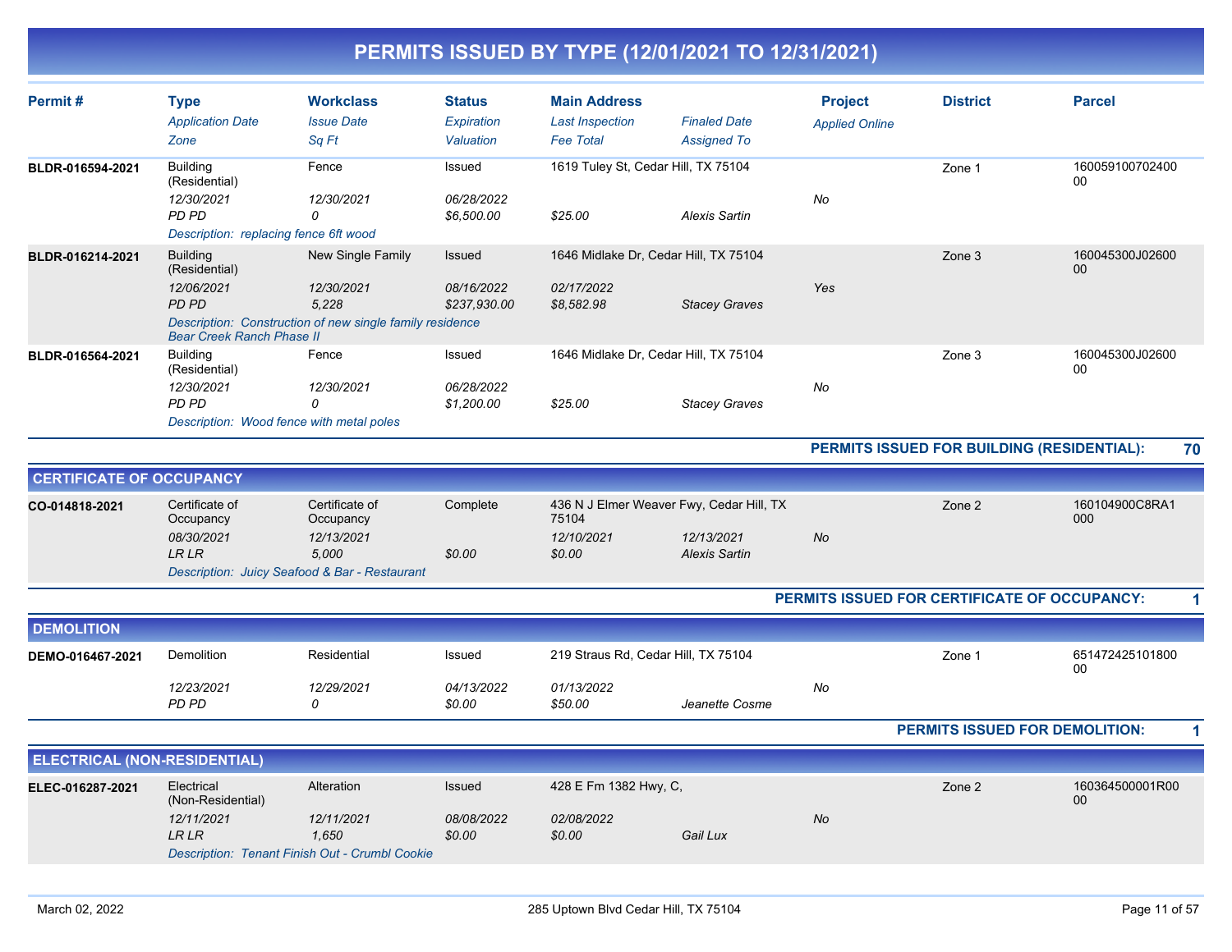| Permit#                             | <b>Type</b>                              | <b>Workclass</b>                                         | <b>Status</b> | <b>Main Address</b>                 |                                          | <b>Project</b>        | <b>District</b>                              | <b>Parcel</b>             |    |
|-------------------------------------|------------------------------------------|----------------------------------------------------------|---------------|-------------------------------------|------------------------------------------|-----------------------|----------------------------------------------|---------------------------|----|
|                                     | <b>Application Date</b>                  | <b>Issue Date</b>                                        | Expiration    | <b>Last Inspection</b>              | <b>Finaled Date</b>                      | <b>Applied Online</b> |                                              |                           |    |
|                                     | Zone                                     | Sq Ft                                                    | Valuation     | <b>Fee Total</b>                    | <b>Assigned To</b>                       |                       |                                              |                           |    |
| BLDR-016594-2021                    | <b>Building</b><br>(Residential)         | Fence                                                    | Issued        | 1619 Tuley St, Cedar Hill, TX 75104 |                                          |                       | Zone 1                                       | 160059100702400<br>00     |    |
|                                     | 12/30/2021                               | 12/30/2021                                               | 06/28/2022    |                                     |                                          | No                    |                                              |                           |    |
|                                     | PD PD                                    | 0                                                        | \$6,500.00    | \$25.00                             | <b>Alexis Sartin</b>                     |                       |                                              |                           |    |
|                                     | Description: replacing fence 6ft wood    |                                                          |               |                                     |                                          |                       |                                              |                           |    |
| BLDR-016214-2021                    | <b>Building</b><br>(Residential)         | New Single Family                                        | Issued        |                                     | 1646 Midlake Dr, Cedar Hill, TX 75104    |                       | Zone 3                                       | 160045300J02600<br>00     |    |
|                                     | 12/06/2021                               | 12/30/2021                                               | 08/16/2022    | 02/17/2022                          |                                          | Yes                   |                                              |                           |    |
|                                     | PD PD                                    | 5.228                                                    | \$237.930.00  | \$8.582.98                          | <b>Stacey Graves</b>                     |                       |                                              |                           |    |
|                                     | <b>Bear Creek Ranch Phase II</b>         | Description: Construction of new single family residence |               |                                     |                                          |                       |                                              |                           |    |
| BLDR-016564-2021                    | <b>Building</b><br>(Residential)         | Fence                                                    | Issued        |                                     | 1646 Midlake Dr, Cedar Hill, TX 75104    |                       | Zone 3                                       | 160045300J02600<br>$00\,$ |    |
|                                     | 12/30/2021                               | 12/30/2021                                               | 06/28/2022    |                                     |                                          | No                    |                                              |                           |    |
|                                     | PD PD                                    | 0                                                        | \$1,200.00    | \$25.00                             | <b>Stacey Graves</b>                     |                       |                                              |                           |    |
|                                     | Description: Wood fence with metal poles |                                                          |               |                                     |                                          |                       |                                              |                           |    |
|                                     |                                          |                                                          |               |                                     |                                          |                       | PERMITS ISSUED FOR BUILDING (RESIDENTIAL):   |                           | 70 |
| <b>CERTIFICATE OF OCCUPANCY</b>     |                                          |                                                          |               |                                     |                                          |                       |                                              |                           |    |
| CO-014818-2021                      | Certificate of<br>Occupancy              | Certificate of<br>Occupancy                              | Complete      | 75104                               | 436 N J Elmer Weaver Fwy, Cedar Hill, TX |                       | Zone 2                                       | 160104900C8RA1<br>000     |    |
|                                     | 08/30/2021                               | 12/13/2021                                               |               | 12/10/2021                          | 12/13/2021                               | No                    |                                              |                           |    |
|                                     | <b>LR LR</b>                             | 5.000                                                    | \$0.00        | \$0.00                              | <b>Alexis Sartin</b>                     |                       |                                              |                           |    |
|                                     |                                          | Description: Juicy Seafood & Bar - Restaurant            |               |                                     |                                          |                       |                                              |                           |    |
|                                     |                                          |                                                          |               |                                     |                                          |                       | PERMITS ISSUED FOR CERTIFICATE OF OCCUPANCY: |                           |    |
| <b>DEMOLITION</b>                   |                                          |                                                          |               |                                     |                                          |                       |                                              |                           |    |
| DEMO-016467-2021                    | <b>Demolition</b>                        | Residential                                              | Issued        | 219 Straus Rd, Cedar Hill, TX 75104 |                                          |                       | Zone 1                                       | 651472425101800           |    |
|                                     |                                          |                                                          |               |                                     |                                          |                       |                                              | 00                        |    |
|                                     | 12/23/2021                               | 12/29/2021                                               | 04/13/2022    | 01/13/2022                          |                                          | No                    |                                              |                           |    |
|                                     | PD PD                                    | 0                                                        | \$0.00        | \$50.00                             | Jeanette Cosme                           |                       |                                              |                           |    |
|                                     |                                          |                                                          |               |                                     |                                          |                       | PERMITS ISSUED FOR DEMOLITION:               |                           |    |
| <b>ELECTRICAL (NON-RESIDENTIAL)</b> |                                          |                                                          |               |                                     |                                          |                       |                                              |                           |    |
| ELEC-016287-2021                    | Electrical                               | Alteration                                               | Issued        | 428 E Fm 1382 Hwy, C,               |                                          |                       | Zone 2                                       | 160364500001R00           |    |
|                                     | (Non-Residential)                        |                                                          |               |                                     |                                          |                       |                                              | 00                        |    |
|                                     | 12/11/2021                               | 12/11/2021                                               | 08/08/2022    | 02/08/2022                          |                                          | <b>No</b>             |                                              |                           |    |
|                                     | <b>LR LR</b>                             | 1.650                                                    | \$0.00        | \$0.00                              | Gail Lux                                 |                       |                                              |                           |    |

*Description: Tenant Finish Out - Crumbl Cookie*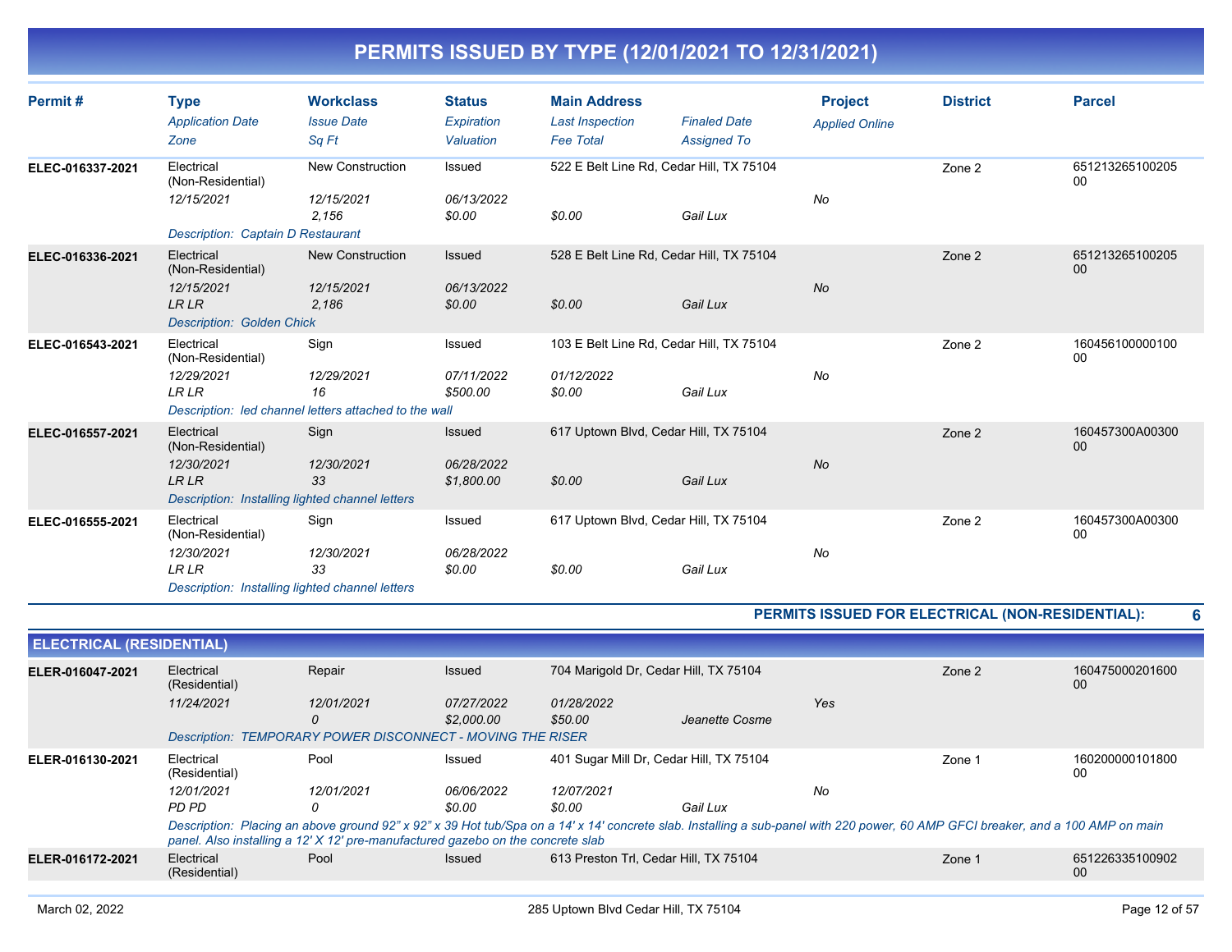| Permit#          | Type<br><b>Application Date</b><br>Zone                                                                         | <b>Workclass</b><br><b>Issue Date</b><br>Sq Ft                                    | <b>Status</b><br>Expiration<br>Valuation | <b>Main Address</b><br><b>Last Inspection</b><br><b>Fee Total</b> | <b>Finaled Date</b><br><b>Assigned To</b>            | <b>Project</b><br><b>Applied Online</b> | <b>District</b> | <b>Parcel</b>         |
|------------------|-----------------------------------------------------------------------------------------------------------------|-----------------------------------------------------------------------------------|------------------------------------------|-------------------------------------------------------------------|------------------------------------------------------|-----------------------------------------|-----------------|-----------------------|
| ELEC-016337-2021 | Electrical<br>(Non-Residential)<br>12/15/2021<br><b>Description: Captain D Restaurant</b>                       | <b>New Construction</b><br>12/15/2021<br>2,156                                    | Issued<br>06/13/2022<br>\$0.00           | \$0.00                                                            | 522 E Belt Line Rd, Cedar Hill, TX 75104<br>Gail Lux | No                                      | Zone 2          | 651213265100205<br>00 |
| ELEC-016336-2021 | Electrical<br>(Non-Residential)<br>12/15/2021<br><b>LRLR</b><br><b>Description: Golden Chick</b>                | <b>New Construction</b><br>12/15/2021<br>2,186                                    | Issued<br>06/13/2022<br>\$0.00           | \$0.00                                                            | 528 E Belt Line Rd, Cedar Hill, TX 75104<br>Gail Lux | <b>No</b>                               | Zone 2          | 651213265100205<br>00 |
| ELEC-016543-2021 | Electrical<br>(Non-Residential)<br>12/29/2021<br><b>LRLR</b>                                                    | Sign<br>12/29/2021<br>16<br>Description: led channel letters attached to the wall | Issued<br>07/11/2022<br>\$500.00         | 01/12/2022<br>\$0.00                                              | 103 E Belt Line Rd, Cedar Hill, TX 75104<br>Gail Lux | No                                      | Zone 2          | 160456100000100<br>00 |
| ELEC-016557-2021 | Electrical<br>(Non-Residential)<br>12/30/2021<br><b>LRLR</b><br>Description: Installing lighted channel letters | Sign<br>12/30/2021<br>33                                                          | Issued<br>06/28/2022<br>\$1,800.00       | \$0.00                                                            | 617 Uptown Blvd, Cedar Hill, TX 75104<br>Gail Lux    | No                                      | Zone 2          | 160457300A00300<br>00 |
| ELEC-016555-2021 | Electrical<br>(Non-Residential)<br>12/30/2021<br><b>LRLR</b><br>Description: Installing lighted channel letters | Sign<br>12/30/2021<br>33                                                          | Issued<br>06/28/2022<br>\$0.00           | \$0.00                                                            | 617 Uptown Blvd, Cedar Hill, TX 75104<br>Gail Lux    | No                                      | Zone 2          | 160457300A00300<br>00 |

**PERMITS ISSUED FOR ELECTRICAL (NON-RESIDENTIAL): 6**

| <b>ELECTRICAL (RESIDENTIAL)</b> |                             |                                                                                                                                                                                                                                                                    |                          |                                         |                |     |        |                       |
|---------------------------------|-----------------------------|--------------------------------------------------------------------------------------------------------------------------------------------------------------------------------------------------------------------------------------------------------------------|--------------------------|-----------------------------------------|----------------|-----|--------|-----------------------|
| ELER-016047-2021                | Electrical<br>(Residential) | Repair                                                                                                                                                                                                                                                             | Issued                   | 704 Marigold Dr. Cedar Hill, TX 75104   |                |     | Zone 2 | 160475000201600<br>00 |
|                                 | 11/24/2021                  | 12/01/2021<br>0                                                                                                                                                                                                                                                    | 07/27/2022<br>\$2,000.00 | 01/28/2022<br>\$50.00                   | Jeanette Cosme | Yes |        |                       |
|                                 |                             | <b>Description: TEMPORARY POWER DISCONNECT - MOVING THE RISER</b>                                                                                                                                                                                                  |                          |                                         |                |     |        |                       |
| ELER-016130-2021                | Electrical<br>(Residential) | Pool                                                                                                                                                                                                                                                               | Issued                   | 401 Sugar Mill Dr. Cedar Hill, TX 75104 |                |     | Zone 1 | 160200000101800<br>00 |
|                                 | 12/01/2021                  | 12/01/2021                                                                                                                                                                                                                                                         | 06/06/2022               | 12/07/2021                              |                | No  |        |                       |
|                                 | PD PD                       |                                                                                                                                                                                                                                                                    | \$0.00                   | \$0.00                                  | Gail Lux       |     |        |                       |
|                                 |                             | Description: Placing an above ground 92" x 92" x 39 Hot tub/Spa on a 14' x 14' concrete slab. Installing a sub-panel with 220 power, 60 AMP GFCI breaker, and a 100 AMP on main<br>panel. Also installing a 12' X 12' pre-manufactured gazebo on the concrete slab |                          |                                         |                |     |        |                       |
| ELER-016172-2021                | Electrical<br>(Residential) | Pool                                                                                                                                                                                                                                                               | <b>Issued</b>            | 613 Preston Trl, Cedar Hill, TX 75104   |                |     | Zone 1 | 651226335100902<br>00 |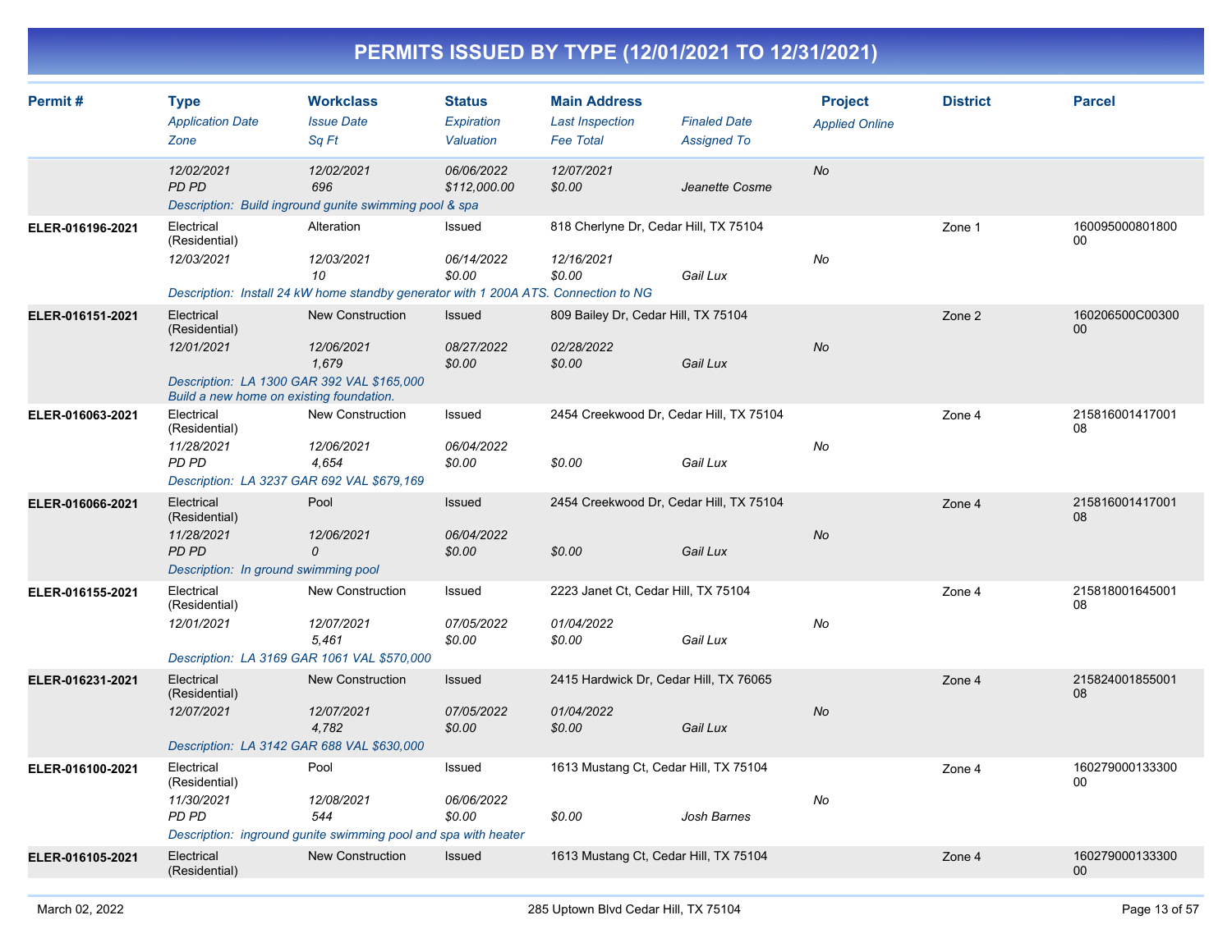| Permit#          | <b>Type</b><br><b>Application Date</b><br>Zone                                                                                      | <b>Workclass</b><br><b>Issue Date</b><br>Sq Ft                                                                        | <b>Status</b><br>Expiration<br>Valuation | <b>Main Address</b><br><b>Last Inspection</b><br><b>Fee Total</b> | <b>Finaled Date</b><br><b>Assigned To</b> | <b>Project</b><br><b>Applied Online</b> | <b>District</b> | <b>Parcel</b>         |
|------------------|-------------------------------------------------------------------------------------------------------------------------------------|-----------------------------------------------------------------------------------------------------------------------|------------------------------------------|-------------------------------------------------------------------|-------------------------------------------|-----------------------------------------|-----------------|-----------------------|
|                  | 12/02/2021<br>PD PD                                                                                                                 | 12/02/2021<br>696<br>Description: Build inground gunite swimming pool & spa                                           | 06/06/2022<br>\$112,000.00               | 12/07/2021<br>\$0.00                                              | Jeanette Cosme                            | <b>No</b>                               |                 |                       |
| ELER-016196-2021 | Electrical<br>(Residential)<br>12/03/2021                                                                                           | Alteration<br>12/03/2021<br>10<br>Description: Install 24 kW home standby generator with 1 200A ATS. Connection to NG | Issued<br>06/14/2022<br>\$0.00           | 818 Cherlyne Dr, Cedar Hill, TX 75104<br>12/16/2021<br>\$0.00     | Gail Lux                                  | No                                      | Zone 1          | 160095000801800<br>00 |
| ELER-016151-2021 | Electrical<br>(Residential)<br>12/01/2021<br>Description: LA 1300 GAR 392 VAL \$165,000<br>Build a new home on existing foundation. | <b>New Construction</b><br>12/06/2021<br>1,679                                                                        | Issued<br>08/27/2022<br>\$0.00           | 809 Bailey Dr, Cedar Hill, TX 75104<br>02/28/2022<br>\$0.00       | Gail Lux                                  | <b>No</b>                               | Zone 2          | 160206500C00300<br>00 |
| ELER-016063-2021 | Electrical<br>(Residential)<br>11/28/2021<br>PD PD<br>Description: LA 3237 GAR 692 VAL \$679,169                                    | New Construction<br>12/06/2021<br>4,654                                                                               | Issued<br>06/04/2022<br>\$0.00           | 2454 Creekwood Dr, Cedar Hill, TX 75104<br>\$0.00                 | Gail Lux                                  | No                                      | Zone 4          | 215816001417001<br>08 |
| ELER-016066-2021 | Electrical<br>(Residential)<br>11/28/2021<br><b>PD PD</b><br>Description: In ground swimming pool                                   | Pool<br>12/06/2021<br>0                                                                                               | <b>Issued</b><br>06/04/2022<br>\$0.00    | 2454 Creekwood Dr, Cedar Hill, TX 75104<br>\$0.00                 | Gail Lux                                  | No                                      | Zone 4          | 215816001417001<br>08 |
| ELER-016155-2021 | Electrical<br>(Residential)<br>12/01/2021<br>Description: LA 3169 GAR 1061 VAL \$570,000                                            | New Construction<br>12/07/2021<br>5,461                                                                               | Issued<br>07/05/2022<br>\$0.00           | 2223 Janet Ct, Cedar Hill, TX 75104<br>01/04/2022<br>\$0.00       | Gail Lux                                  | No                                      | Zone 4          | 215818001645001<br>08 |
| ELER-016231-2021 | Electrical<br>(Residential)<br>12/07/2021<br>Description: LA 3142 GAR 688 VAL \$630,000                                             | New Construction<br>12/07/2021<br>4,782                                                                               | <b>Issued</b><br>07/05/2022<br>\$0.00    | 2415 Hardwick Dr, Cedar Hill, TX 76065<br>01/04/2022<br>\$0.00    | Gail Lux                                  | No                                      | Zone 4          | 215824001855001<br>08 |
| ELER-016100-2021 | Electrical<br>(Residential)<br>11/30/2021<br>PD PD                                                                                  | Pool<br>12/08/2021<br>544<br>Description: inground gunite swimming pool and spa with heater                           | Issued<br>06/06/2022<br>\$0.00           | 1613 Mustang Ct, Cedar Hill, TX 75104<br>\$0.00                   | Josh Barnes                               | No                                      | Zone 4          | 160279000133300<br>00 |
| ELER-016105-2021 | Electrical<br>(Residential)                                                                                                         | <b>New Construction</b>                                                                                               | <b>Issued</b>                            | 1613 Mustang Ct, Cedar Hill, TX 75104                             |                                           |                                         | Zone 4          | 160279000133300<br>00 |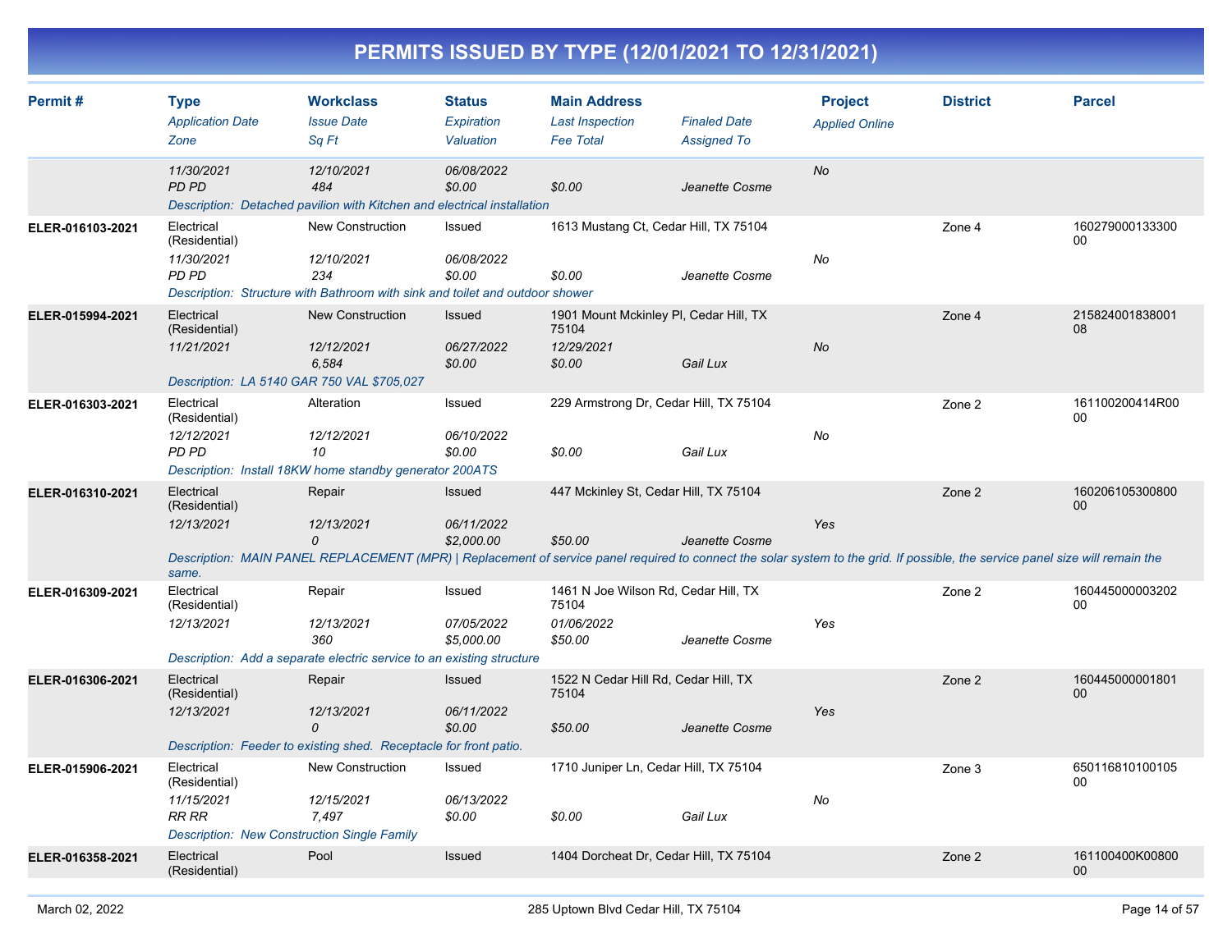| Permit#          | <b>Type</b><br><b>Application Date</b><br>Zone                                                                  | <b>Workclass</b><br><b>Issue Date</b><br>Sq Ft                                                                                                                                                              | <b>Status</b><br>Expiration<br>Valuation | <b>Main Address</b><br><b>Last Inspection</b><br><b>Fee Total</b>       | <b>Finaled Date</b><br><b>Assigned To</b> | <b>Project</b><br><b>Applied Online</b> | <b>District</b> | <b>Parcel</b>         |
|------------------|-----------------------------------------------------------------------------------------------------------------|-------------------------------------------------------------------------------------------------------------------------------------------------------------------------------------------------------------|------------------------------------------|-------------------------------------------------------------------------|-------------------------------------------|-----------------------------------------|-----------------|-----------------------|
|                  | 11/30/2021<br>PD PD                                                                                             | 12/10/2021<br>484<br>Description: Detached pavilion with Kitchen and electrical installation                                                                                                                | 06/08/2022<br>\$0.00                     | \$0.00                                                                  | Jeanette Cosme                            | No                                      |                 |                       |
| ELER-016103-2021 | Electrical<br>(Residential)<br>11/30/2021<br>PD PD                                                              | <b>New Construction</b><br>12/10/2021<br>234<br>Description: Structure with Bathroom with sink and toilet and outdoor shower                                                                                | Issued<br>06/08/2022<br>\$0.00           | 1613 Mustang Ct, Cedar Hill, TX 75104<br>\$0.00                         | Jeanette Cosme                            | No                                      | Zone 4          | 160279000133300<br>00 |
| ELER-015994-2021 | Electrical<br>(Residential)<br>11/21/2021<br>Description: LA 5140 GAR 750 VAL \$705,027                         | New Construction<br>12/12/2021<br>6,584                                                                                                                                                                     | <b>Issued</b><br>06/27/2022<br>\$0.00    | 1901 Mount Mckinley PI, Cedar Hill, TX<br>75104<br>12/29/2021<br>\$0.00 | Gail Lux                                  | No                                      | Zone 4          | 215824001838001<br>08 |
| ELER-016303-2021 | Electrical<br>(Residential)<br>12/12/2021<br>PD PD                                                              | Alteration<br>12/12/2021<br>10<br>Description: Install 18KW home standby generator 200ATS                                                                                                                   | <b>Issued</b><br>06/10/2022<br>\$0.00    | 229 Armstrong Dr, Cedar Hill, TX 75104<br>\$0.00                        | Gail Lux                                  | No                                      | Zone 2          | 161100200414R00<br>00 |
| ELER-016310-2021 | Electrical<br>(Residential)<br>12/13/2021<br>same.                                                              | Repair<br>12/13/2021<br>0<br>Description: MAIN PANEL REPLACEMENT (MPR)   Replacement of service panel required to connect the solar system to the grid. If possible, the service panel size will remain the | Issued<br>06/11/2022<br>\$2,000.00       | 447 Mckinley St, Cedar Hill, TX 75104<br>\$50.00                        | Jeanette Cosme                            | Yes                                     | Zone 2          | 160206105300800<br>00 |
| ELER-016309-2021 | Electrical<br>(Residential)<br>12/13/2021                                                                       | Repair<br>12/13/2021<br>360<br>Description: Add a separate electric service to an existing structure                                                                                                        | Issued<br>07/05/2022<br>\$5,000.00       | 1461 N Joe Wilson Rd, Cedar Hill, TX<br>75104<br>01/06/2022<br>\$50.00  | Jeanette Cosme                            | Yes                                     | Zone 2          | 160445000003202<br>00 |
| ELER-016306-2021 | Electrical<br>(Residential)<br>12/13/2021                                                                       | Repair<br>12/13/2021<br>0<br>Description: Feeder to existing shed. Receptacle for front patio.                                                                                                              | <b>Issued</b><br>06/11/2022<br>\$0.00    | 1522 N Cedar Hill Rd, Cedar Hill, TX<br>75104<br>\$50.00                | Jeanette Cosme                            | Yes                                     | Zone 2          | 160445000001801<br>00 |
| ELER-015906-2021 | Electrical<br>(Residential)<br>11/15/2021<br><b>RR RR</b><br><b>Description: New Construction Single Family</b> | New Construction<br>12/15/2021<br>7.497                                                                                                                                                                     | Issued<br>06/13/2022<br>\$0.00           | 1710 Juniper Ln, Cedar Hill, TX 75104<br>\$0.00                         | Gail Lux                                  | No                                      | Zone 3          | 650116810100105<br>00 |
| ELER-016358-2021 | Electrical<br>(Residential)                                                                                     | Pool                                                                                                                                                                                                        | <b>Issued</b>                            | 1404 Dorcheat Dr, Cedar Hill, TX 75104                                  |                                           |                                         | Zone 2          | 161100400K00800<br>00 |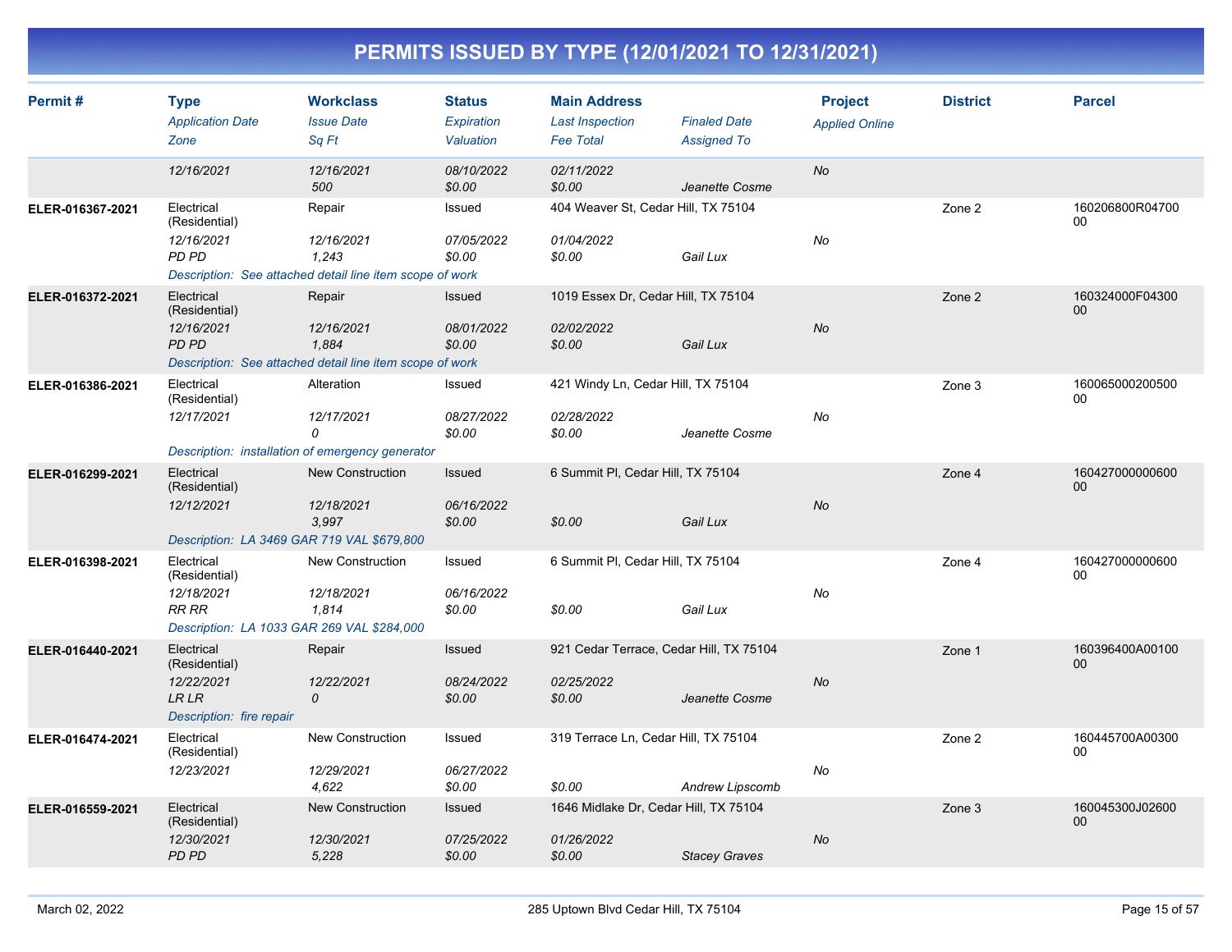| Permit#          | <b>Type</b><br><b>Application Date</b><br>Zone         | <b>Workclass</b><br><b>Issue Date</b><br>Sq Ft           | <b>Status</b><br>Expiration<br>Valuation | <b>Main Address</b><br><b>Last Inspection</b><br><b>Fee Total</b> | <b>Finaled Date</b><br><b>Assigned To</b> | <b>Project</b><br><b>Applied Online</b> | <b>District</b> | <b>Parcel</b>             |
|------------------|--------------------------------------------------------|----------------------------------------------------------|------------------------------------------|-------------------------------------------------------------------|-------------------------------------------|-----------------------------------------|-----------------|---------------------------|
|                  | 12/16/2021                                             | 12/16/2021<br>500                                        | 08/10/2022<br>\$0.00                     | 02/11/2022<br>\$0.00                                              | Jeanette Cosme                            | No                                      |                 |                           |
| ELER-016367-2021 | Electrical<br>(Residential)                            | Repair                                                   | Issued                                   | 404 Weaver St, Cedar Hill, TX 75104                               |                                           |                                         | Zone 2          | 160206800R04700<br>00     |
|                  | 12/16/2021<br>PD PD                                    | 12/16/2021<br>1.243                                      | 07/05/2022<br>\$0.00                     | 01/04/2022<br>\$0.00                                              | Gail Lux                                  | No                                      |                 |                           |
|                  |                                                        | Description: See attached detail line item scope of work |                                          |                                                                   |                                           |                                         |                 |                           |
| ELER-016372-2021 | Electrical<br>(Residential)                            | Repair                                                   | Issued                                   | 1019 Essex Dr, Cedar Hill, TX 75104                               |                                           |                                         | Zone 2          | 160324000F04300<br>00     |
|                  | 12/16/2021<br><b>PD PD</b>                             | 12/16/2021<br>1,884                                      | 08/01/2022<br>\$0.00                     | 02/02/2022<br>\$0.00                                              | Gail Lux                                  | <b>No</b>                               |                 |                           |
|                  |                                                        | Description: See attached detail line item scope of work |                                          |                                                                   |                                           |                                         |                 |                           |
| ELER-016386-2021 | Electrical<br>(Residential)                            | Alteration                                               | Issued                                   | 421 Windy Ln, Cedar Hill, TX 75104                                |                                           |                                         | Zone 3          | 160065000200500<br>00     |
|                  | 12/17/2021                                             | 12/17/2021<br>0                                          | 08/27/2022<br>\$0.00                     | 02/28/2022<br>\$0.00                                              | Jeanette Cosme                            | No                                      |                 |                           |
|                  |                                                        | Description: installation of emergency generator         |                                          |                                                                   |                                           |                                         |                 |                           |
| ELER-016299-2021 | Electrical<br>(Residential)                            | <b>New Construction</b>                                  | Issued                                   | 6 Summit PI, Cedar Hill, TX 75104                                 |                                           |                                         | Zone 4          | 160427000000600<br>00     |
|                  | 12/12/2021                                             | 12/18/2021<br>3,997                                      | 06/16/2022<br>\$0.00                     | \$0.00                                                            | Gail Lux                                  | <b>No</b>                               |                 |                           |
|                  | Description: LA 3469 GAR 719 VAL \$679,800             |                                                          |                                          |                                                                   |                                           |                                         |                 |                           |
| ELER-016398-2021 | Electrical<br>(Residential)                            | <b>New Construction</b>                                  | Issued                                   | 6 Summit PI, Cedar Hill, TX 75104                                 |                                           |                                         | Zone 4          | 160427000000600<br>00     |
|                  | 12/18/2021<br>RR RR                                    | 12/18/2021<br>1,814                                      | 06/16/2022<br>\$0.00                     | \$0.00                                                            | Gail Lux                                  | No                                      |                 |                           |
|                  | Description: LA 1033 GAR 269 VAL \$284,000             |                                                          |                                          |                                                                   |                                           |                                         |                 |                           |
| ELER-016440-2021 | Electrical<br>(Residential)                            | Repair                                                   | Issued                                   | 921 Cedar Terrace, Cedar Hill, TX 75104                           |                                           |                                         | Zone 1          | 160396400A00100<br>$00\,$ |
|                  | 12/22/2021<br><b>LR LR</b><br>Description: fire repair | 12/22/2021<br>$\mathcal{O}$                              | 08/24/2022<br>\$0.00                     | 02/25/2022<br>\$0.00                                              | Jeanette Cosme                            | <b>No</b>                               |                 |                           |
| ELER-016474-2021 | Electrical<br>(Residential)                            | New Construction                                         | Issued                                   | 319 Terrace Ln, Cedar Hill, TX 75104                              |                                           |                                         | Zone 2          | 160445700A00300<br>00     |
|                  | 12/23/2021                                             | 12/29/2021<br>4,622                                      | 06/27/2022<br>\$0.00                     | \$0.00                                                            | Andrew Lipscomb                           | No                                      |                 |                           |
| ELER-016559-2021 | Electrical<br>(Residential)                            | <b>New Construction</b>                                  | Issued                                   | 1646 Midlake Dr, Cedar Hill, TX 75104                             |                                           |                                         | Zone 3          | 160045300J02600<br>$00\,$ |
|                  | 12/30/2021<br><b>PD PD</b>                             | 12/30/2021<br>5,228                                      | 07/25/2022<br>\$0.00                     | 01/26/2022<br>\$0.00                                              | <b>Stacey Graves</b>                      | <b>No</b>                               |                 |                           |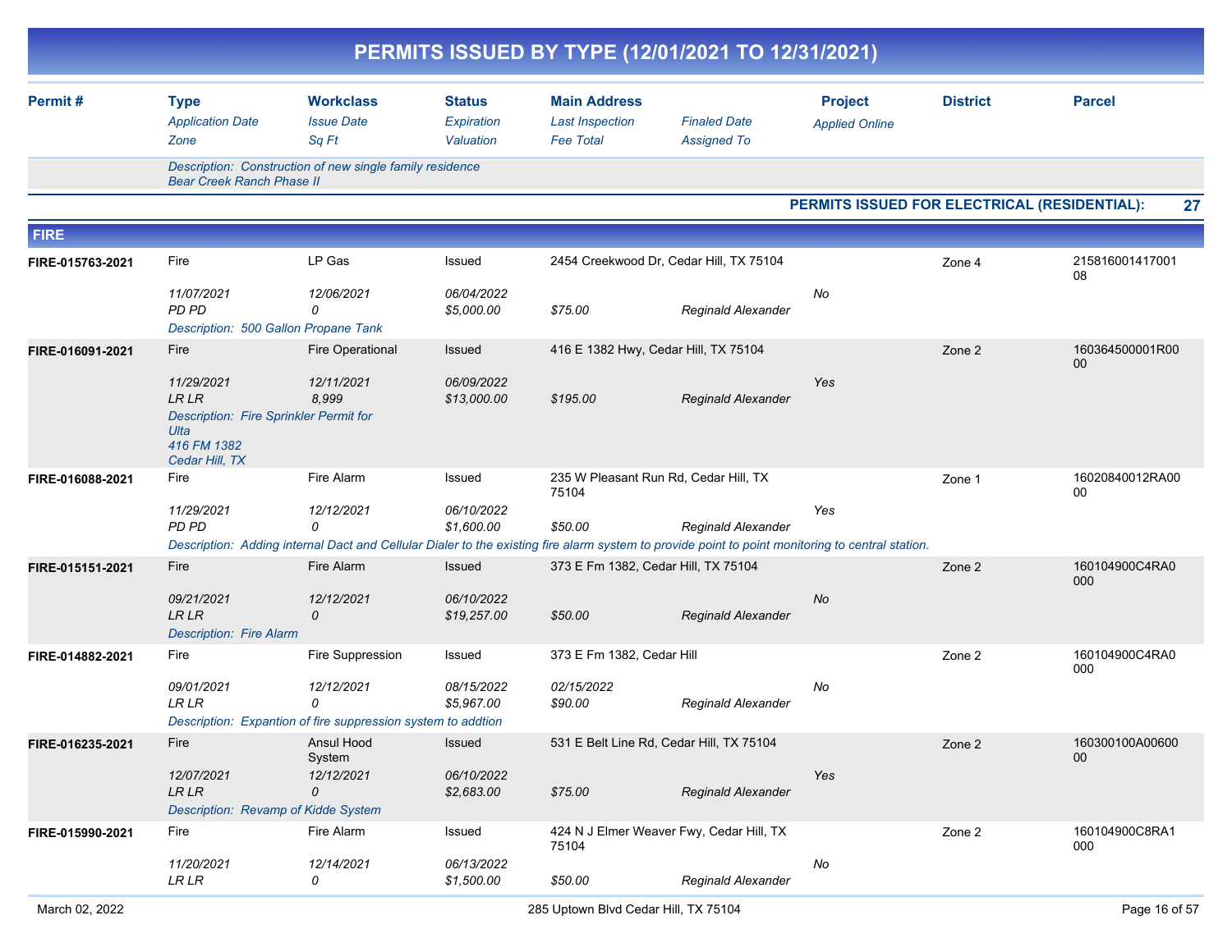|                  |                                                                                                              |                                                                                                                                                                            |                                          |                                                                   | PERMITS ISSUED BY TYPE (12/01/2021 TO 12/31/2021) |                                         |                                              |                       |
|------------------|--------------------------------------------------------------------------------------------------------------|----------------------------------------------------------------------------------------------------------------------------------------------------------------------------|------------------------------------------|-------------------------------------------------------------------|---------------------------------------------------|-----------------------------------------|----------------------------------------------|-----------------------|
| Permit#          | <b>Type</b><br><b>Application Date</b><br>Zone                                                               | <b>Workclass</b><br><b>Issue Date</b><br>Sq Ft                                                                                                                             | <b>Status</b><br>Expiration<br>Valuation | <b>Main Address</b><br><b>Last Inspection</b><br><b>Fee Total</b> | <b>Finaled Date</b><br><b>Assigned To</b>         | <b>Project</b><br><b>Applied Online</b> | <b>District</b>                              | <b>Parcel</b>         |
|                  | <b>Bear Creek Ranch Phase II</b>                                                                             | Description: Construction of new single family residence                                                                                                                   |                                          |                                                                   |                                                   |                                         |                                              |                       |
|                  |                                                                                                              |                                                                                                                                                                            |                                          |                                                                   |                                                   |                                         | PERMITS ISSUED FOR ELECTRICAL (RESIDENTIAL): | 27                    |
| <b>FIRE</b>      |                                                                                                              |                                                                                                                                                                            |                                          |                                                                   |                                                   |                                         |                                              |                       |
| FIRE-015763-2021 | Fire                                                                                                         | LP Gas                                                                                                                                                                     | Issued                                   | 2454 Creekwood Dr, Cedar Hill, TX 75104                           |                                                   |                                         | Zone 4                                       | 215816001417001<br>08 |
|                  | 11/07/2021<br>PD PD<br>Description: 500 Gallon Propane Tank                                                  | 12/06/2021<br>0                                                                                                                                                            | 06/04/2022<br>\$5,000.00                 | \$75.00                                                           | Reginald Alexander                                | No                                      |                                              |                       |
| FIRE-016091-2021 | Fire                                                                                                         | <b>Fire Operational</b>                                                                                                                                                    | <b>Issued</b>                            | 416 E 1382 Hwy, Cedar Hill, TX 75104                              |                                                   |                                         | Zone 2                                       | 160364500001R00<br>00 |
|                  | 11/29/2021<br><b>LRLR</b><br>Description: Fire Sprinkler Permit for<br>Ulta<br>416 FM 1382<br>Cedar Hill, TX | 12/11/2021<br>8,999                                                                                                                                                        | 06/09/2022<br>\$13,000.00                | \$195.00                                                          | Reginald Alexander                                | Yes                                     |                                              |                       |
| FIRE-016088-2021 | Fire                                                                                                         | Fire Alarm                                                                                                                                                                 | Issued                                   | 235 W Pleasant Run Rd, Cedar Hill, TX<br>75104                    |                                                   |                                         | Zone 1                                       | 16020840012RA00<br>00 |
|                  | 11/29/2021<br>PD PD                                                                                          | 12/12/2021<br>$\Omega$<br>Description: Adding internal Dact and Cellular Dialer to the existing fire alarm system to provide point to point monitoring to central station. | 06/10/2022<br>\$1,600.00                 | \$50.00                                                           | Reginald Alexander                                | Yes                                     |                                              |                       |
| FIRE-015151-2021 | Fire                                                                                                         | Fire Alarm                                                                                                                                                                 | <b>Issued</b>                            | 373 E Fm 1382, Cedar Hill, TX 75104                               |                                                   |                                         | Zone 2                                       | 160104900C4RA0        |
|                  | 09/21/2021<br>LR LR<br><b>Description: Fire Alarm</b>                                                        | 12/12/2021<br>0                                                                                                                                                            | 06/10/2022<br>\$19,257.00                | \$50.00                                                           | <b>Reginald Alexander</b>                         | No                                      |                                              | 000                   |
| FIRE-014882-2021 | Fire                                                                                                         | Fire Suppression                                                                                                                                                           | Issued                                   | 373 E Fm 1382, Cedar Hill                                         |                                                   |                                         | Zone 2                                       | 160104900C4RA0<br>000 |
|                  | 09/01/2021<br><b>LRLR</b>                                                                                    | 12/12/2021<br>0<br>Description: Expantion of fire suppression system to addtion                                                                                            | 08/15/2022<br>\$5,967.00                 | 02/15/2022<br>\$90.00                                             | Reginald Alexander                                | No                                      |                                              |                       |
| FIRE-016235-2021 | Fire                                                                                                         | Ansul Hood<br>System                                                                                                                                                       | Issued                                   | 531 E Belt Line Rd, Cedar Hill, TX 75104                          |                                                   |                                         | Zone 2                                       | 160300100A00600<br>00 |
|                  | 12/07/2021<br><b>LR LR</b><br>Description: Revamp of Kidde System                                            | 12/12/2021<br>0                                                                                                                                                            | 06/10/2022<br>\$2,683.00                 | \$75.00                                                           | <b>Reginald Alexander</b>                         | Yes                                     |                                              |                       |
| FIRE-015990-2021 | Fire                                                                                                         | Fire Alarm                                                                                                                                                                 | Issued                                   | 75104                                                             | 424 N J Elmer Weaver Fwy, Cedar Hill, TX          |                                         | Zone 2                                       | 160104900C8RA1<br>000 |
|                  | 11/20/2021<br><b>LR LR</b>                                                                                   | 12/14/2021<br>0                                                                                                                                                            | 06/13/2022<br>\$1,500.00                 | \$50.00                                                           | Reginald Alexander                                | No                                      |                                              |                       |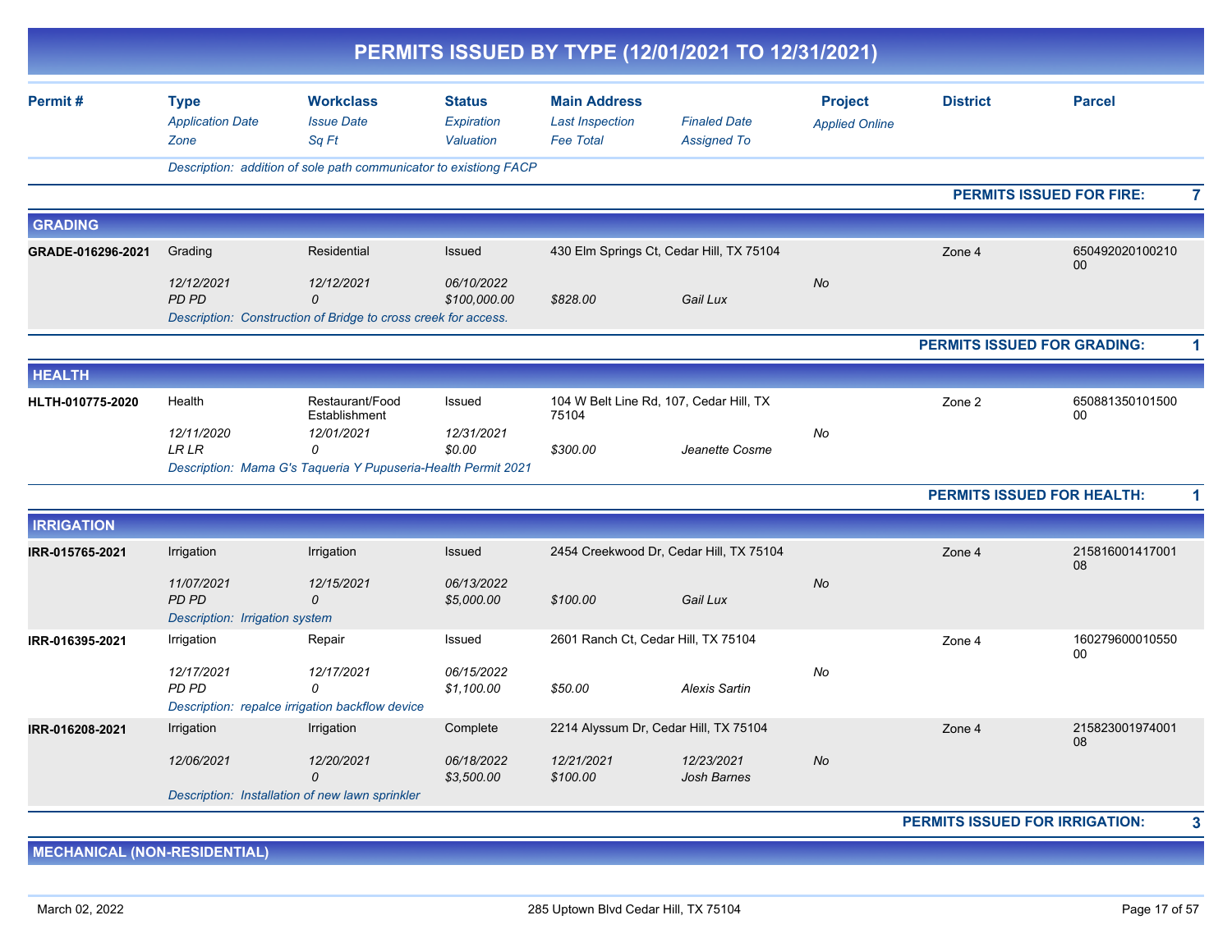|                   |                                                       |                                                                                          |                                          |                                                                   | PERMITS ISSUED BY TYPE (12/01/2021 TO 12/31/2021) |                                         |                                       |                                                   |
|-------------------|-------------------------------------------------------|------------------------------------------------------------------------------------------|------------------------------------------|-------------------------------------------------------------------|---------------------------------------------------|-----------------------------------------|---------------------------------------|---------------------------------------------------|
| Permit#           | <b>Type</b><br><b>Application Date</b><br>Zone        | <b>Workclass</b><br><b>Issue Date</b><br>Sq Ft                                           | <b>Status</b><br>Expiration<br>Valuation | <b>Main Address</b><br><b>Last Inspection</b><br><b>Fee Total</b> | <b>Finaled Date</b><br><b>Assigned To</b>         | <b>Project</b><br><b>Applied Online</b> | <b>District</b>                       | <b>Parcel</b>                                     |
|                   |                                                       | Description: addition of sole path communicator to existiong FACP                        |                                          |                                                                   |                                                   |                                         |                                       |                                                   |
|                   |                                                       |                                                                                          |                                          |                                                                   |                                                   |                                         |                                       | <b>PERMITS ISSUED FOR FIRE:</b><br>$\overline{7}$ |
| <b>GRADING</b>    |                                                       |                                                                                          |                                          |                                                                   |                                                   |                                         |                                       |                                                   |
| GRADE-016296-2021 | Grading                                               | Residential                                                                              | Issued                                   |                                                                   | 430 Elm Springs Ct, Cedar Hill, TX 75104          |                                         | Zone 4                                | 650492020100210                                   |
|                   | 12/12/2021<br>PD PD                                   | 12/12/2021<br>$\Omega$<br>Description: Construction of Bridge to cross creek for access. | 06/10/2022<br>\$100,000.00               | \$828.00                                                          | Gail Lux                                          | No                                      |                                       | 00                                                |
|                   |                                                       |                                                                                          |                                          |                                                                   |                                                   |                                         |                                       | <b>PERMITS ISSUED FOR GRADING:</b><br>1           |
| <b>HEALTH</b>     |                                                       |                                                                                          |                                          |                                                                   |                                                   |                                         |                                       |                                                   |
| HLTH-010775-2020  | Health                                                | Restaurant/Food<br>Establishment                                                         | Issued                                   | 75104                                                             | 104 W Belt Line Rd, 107, Cedar Hill, TX           |                                         | Zone 2                                | 650881350101500<br>00                             |
|                   | 12/11/2020<br><b>LR LR</b>                            | 12/01/2021<br>$\Omega$<br>Description: Mama G's Taqueria Y Pupuseria-Health Permit 2021  | 12/31/2021<br>\$0.00                     | \$300.00                                                          | Jeanette Cosme                                    | No                                      |                                       |                                                   |
|                   |                                                       |                                                                                          |                                          |                                                                   |                                                   |                                         |                                       | <b>PERMITS ISSUED FOR HEALTH:</b><br>1            |
| <b>IRRIGATION</b> |                                                       |                                                                                          |                                          |                                                                   |                                                   |                                         |                                       |                                                   |
| IRR-015765-2021   | Irrigation                                            | Irrigation                                                                               | Issued                                   |                                                                   | 2454 Creekwood Dr, Cedar Hill, TX 75104           |                                         | Zone 4                                | 215816001417001<br>08                             |
|                   | 11/07/2021<br>PD PD<br>Description: Irrigation system | 12/15/2021<br>$\Omega$                                                                   | 06/13/2022<br>\$5,000.00                 | \$100.00                                                          | Gail Lux                                          | No                                      |                                       |                                                   |
| IRR-016395-2021   | Irrigation                                            | Repair                                                                                   | Issued                                   | 2601 Ranch Ct, Cedar Hill, TX 75104                               |                                                   |                                         | Zone 4                                | 160279600010550<br>00                             |
|                   | 12/17/2021<br>PD PD                                   | 12/17/2021<br>0<br>Description: repalce irrigation backflow device                       | 06/15/2022<br>\$1,100.00                 | \$50.00                                                           | <b>Alexis Sartin</b>                              | No                                      |                                       |                                                   |
| IRR-016208-2021   | Irrigation                                            | Irrigation                                                                               | Complete                                 |                                                                   | 2214 Alyssum Dr, Cedar Hill, TX 75104             |                                         | Zone 4                                | 215823001974001                                   |
|                   | 12/06/2021                                            | 12/20/2021<br>0                                                                          | 06/18/2022<br>\$3,500.00                 | 12/21/2021<br>\$100.00                                            | 12/23/2021<br><b>Josh Barnes</b>                  | No                                      |                                       | 08                                                |
|                   |                                                       | Description: Installation of new lawn sprinkler                                          |                                          |                                                                   |                                                   |                                         |                                       |                                                   |
|                   |                                                       |                                                                                          |                                          |                                                                   |                                                   |                                         | <b>PERMITS ISSUED FOR IRRIGATION:</b> | 3                                                 |

**MECHANICAL (NON-RESIDENTIAL)**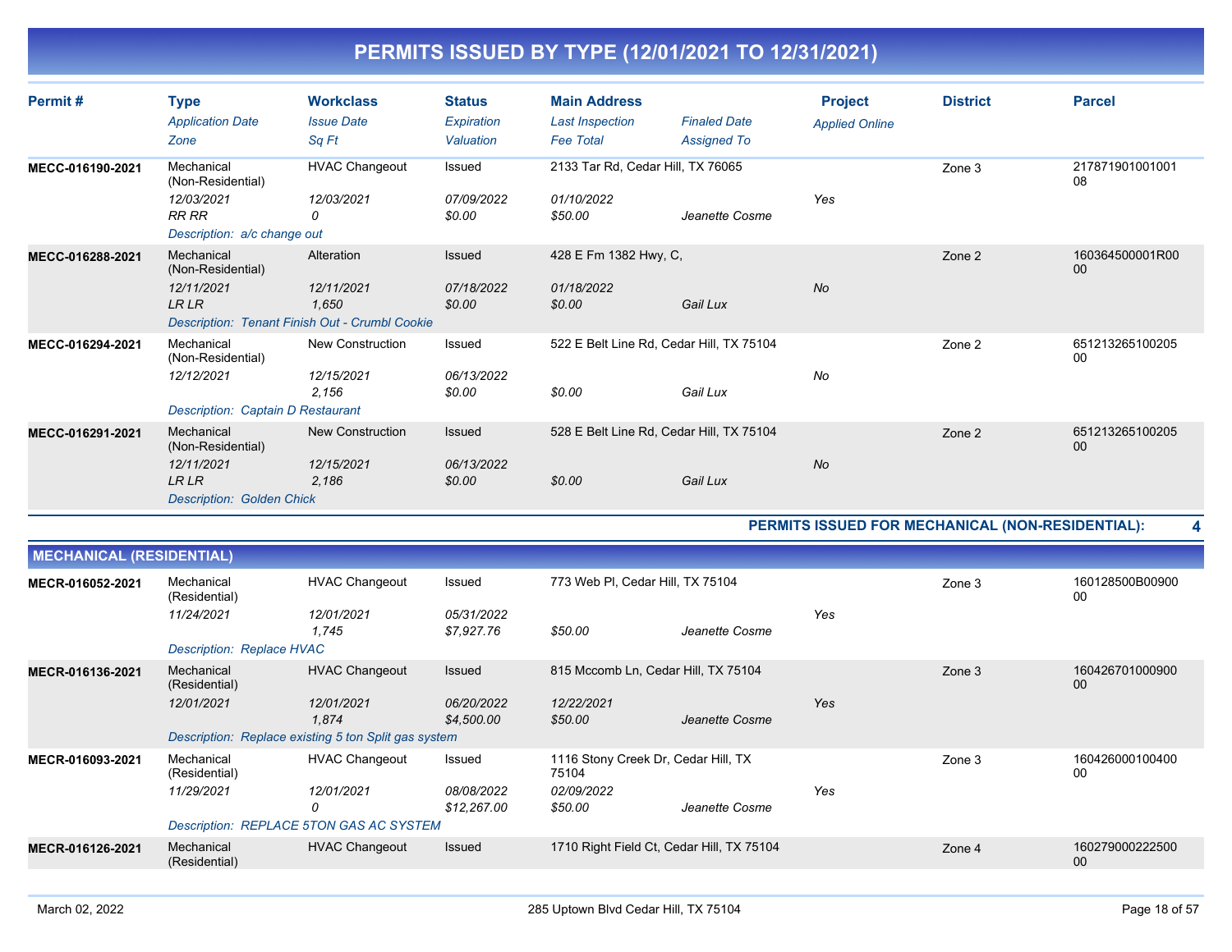| Permit#          | <b>Type</b><br><b>Application Date</b><br>Zone                                                   | <b>Workclass</b><br><b>Issue Date</b><br>Sq Ft                                      | <b>Status</b><br>Expiration<br>Valuation | <b>Main Address</b><br><b>Last Inspection</b><br><b>Fee Total</b> | <b>Finaled Date</b><br><b>Assigned To</b> | <b>Project</b><br><b>Applied Online</b> | <b>District</b> | <b>Parcel</b>         |
|------------------|--------------------------------------------------------------------------------------------------|-------------------------------------------------------------------------------------|------------------------------------------|-------------------------------------------------------------------|-------------------------------------------|-----------------------------------------|-----------------|-----------------------|
| MECC-016190-2021 | Mechanical<br>(Non-Residential)<br>12/03/2021<br>RR RR<br>Description: a/c change out            | <b>HVAC Changeout</b><br>12/03/2021<br>0                                            | Issued<br>07/09/2022<br>\$0.00           | 2133 Tar Rd, Cedar Hill, TX 76065<br>01/10/2022<br>\$50.00        | Jeanette Cosme                            | Yes                                     | Zone 3          | 217871901001001<br>08 |
| MECC-016288-2021 | Mechanical<br>(Non-Residential)<br>12/11/2021<br><b>LR LR</b>                                    | Alteration<br>12/11/2021<br>1,650<br>Description: Tenant Finish Out - Crumbl Cookie | <b>Issued</b><br>07/18/2022<br>\$0.00    | 428 E Fm 1382 Hwy, C,<br>01/18/2022<br>\$0.00                     | Gail Lux                                  | No                                      | Zone 2          | 160364500001R00<br>00 |
| MECC-016294-2021 | Mechanical<br>(Non-Residential)<br>12/12/2021<br><b>Description: Captain D Restaurant</b>        | New Construction<br>12/15/2021<br>2.156                                             | Issued<br>06/13/2022<br>\$0.00           | 522 E Belt Line Rd, Cedar Hill, TX 75104<br>\$0.00                | Gail Lux                                  | No                                      | Zone 2          | 651213265100205<br>00 |
| MECC-016291-2021 | Mechanical<br>(Non-Residential)<br>12/11/2021<br><b>LRLR</b><br><b>Description: Golden Chick</b> | <b>New Construction</b><br>12/15/2021<br>2.186                                      | <b>Issued</b><br>06/13/2022<br>\$0.00    | 528 E Belt Line Rd, Cedar Hill, TX 75104<br>\$0.00                | Gail Lux                                  | No                                      | Zone 2          | 651213265100205<br>00 |

**PERMITS ISSUED FOR MECHANICAL (NON-RESIDENTIAL): 4**

| <b>MECHANICAL (RESIDENTIAL)</b> |                                                      |                       |                           |                                              |                |     |        |                       |
|---------------------------------|------------------------------------------------------|-----------------------|---------------------------|----------------------------------------------|----------------|-----|--------|-----------------------|
| MECR-016052-2021                | Mechanical<br>(Residential)                          | <b>HVAC Changeout</b> | Issued                    | 773 Web PI, Cedar Hill, TX 75104             |                |     | Zone 3 | 160128500B00900<br>00 |
|                                 | 11/24/2021                                           | 12/01/2021<br>1,745   | 05/31/2022<br>\$7,927.76  | \$50.00                                      | Jeanette Cosme | Yes |        |                       |
|                                 | Description: Replace HVAC                            |                       |                           |                                              |                |     |        |                       |
| MECR-016136-2021                | Mechanical<br>(Residential)                          | <b>HVAC Changeout</b> | Issued                    | 815 Mccomb Ln, Cedar Hill, TX 75104          |                |     | Zone 3 | 160426701000900<br>00 |
|                                 | 12/01/2021                                           | 12/01/2021<br>1,874   | 06/20/2022<br>\$4,500.00  | 12/22/2021<br>\$50.00                        | Jeanette Cosme | Yes |        |                       |
|                                 | Description: Replace existing 5 ton Split gas system |                       |                           |                                              |                |     |        |                       |
| MECR-016093-2021                | Mechanical<br>(Residential)                          | <b>HVAC Changeout</b> | Issued                    | 1116 Stony Creek Dr, Cedar Hill, TX<br>75104 |                |     | Zone 3 | 160426000100400<br>00 |
|                                 | 11/29/2021                                           | 12/01/2021<br>0       | 08/08/2022<br>\$12,267.00 | 02/09/2022<br>\$50.00                        | Jeanette Cosme | Yes |        |                       |
|                                 | Description: REPLACE 5TON GAS AC SYSTEM              |                       |                           |                                              |                |     |        |                       |
| MECR-016126-2021                | Mechanical<br>(Residential)                          | <b>HVAC Changeout</b> | <b>Issued</b>             | 1710 Right Field Ct, Cedar Hill, TX 75104    |                |     | Zone 4 | 160279000222500<br>00 |
|                                 |                                                      |                       |                           |                                              |                |     |        |                       |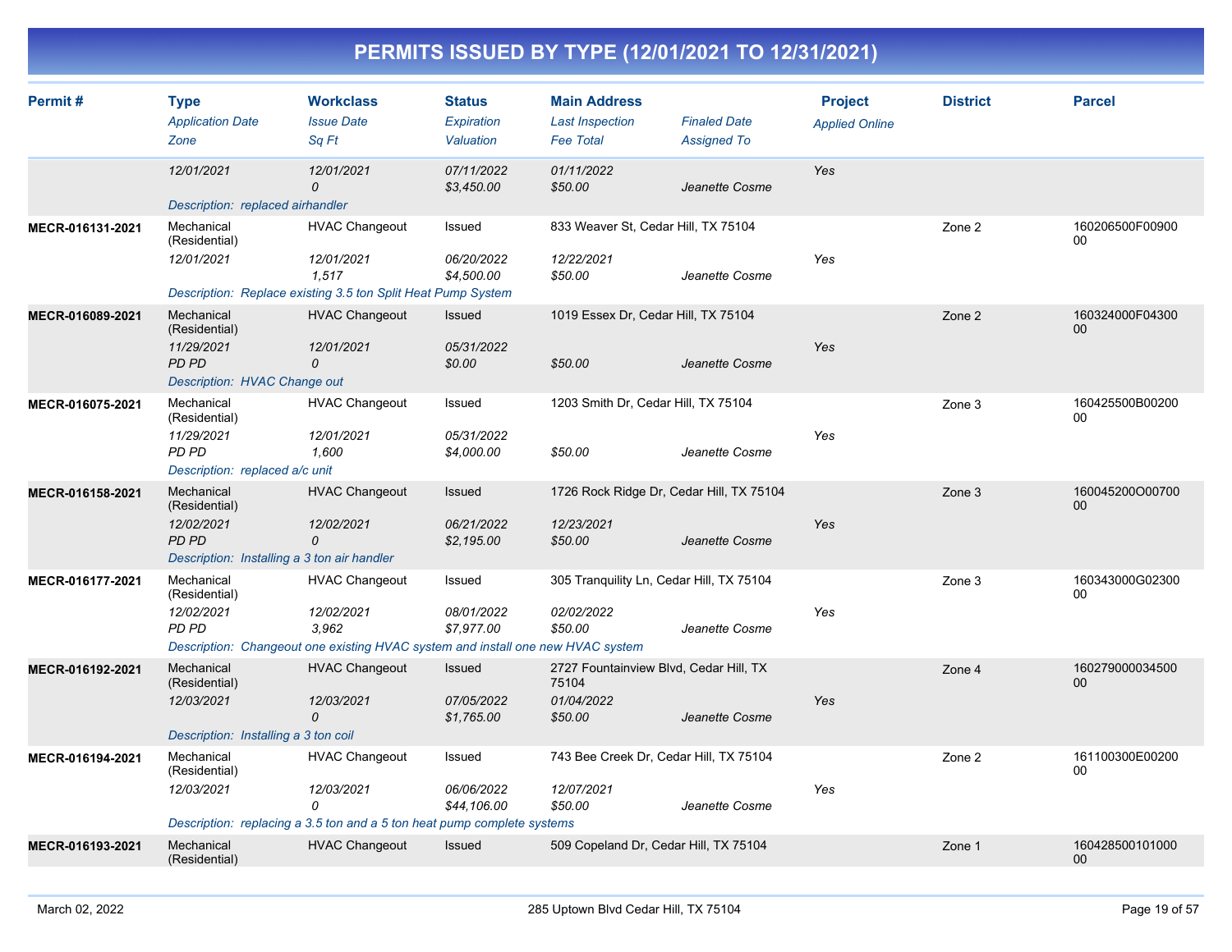| Permit#          | <b>Type</b><br><b>Application Date</b><br>Zone                                                           | <b>Workclass</b><br><b>Issue Date</b><br>Sq Ft                                                                                  | <b>Status</b><br>Expiration<br>Valuation  | <b>Main Address</b><br><b>Last Inspection</b><br><b>Fee Total</b>        | <b>Finaled Date</b><br><b>Assigned To</b> | <b>Project</b><br><b>Applied Online</b> | <b>District</b> | <b>Parcel</b>         |
|------------------|----------------------------------------------------------------------------------------------------------|---------------------------------------------------------------------------------------------------------------------------------|-------------------------------------------|--------------------------------------------------------------------------|-------------------------------------------|-----------------------------------------|-----------------|-----------------------|
|                  | 12/01/2021<br>Description: replaced airhandler                                                           | 12/01/2021<br>$\mathcal{O}$                                                                                                     | 07/11/2022<br>\$3,450.00                  | 01/11/2022<br>\$50.00                                                    | Jeanette Cosme                            | Yes                                     |                 |                       |
| MECR-016131-2021 | Mechanical<br>(Residential)<br>12/01/2021                                                                | <b>HVAC Changeout</b><br>12/01/2021<br>1,517                                                                                    | Issued<br>06/20/2022<br>\$4,500.00        | 833 Weaver St, Cedar Hill, TX 75104<br>12/22/2021<br>\$50.00             | Jeanette Cosme                            | Yes                                     | Zone 2          | 160206500F00900<br>00 |
| MECR-016089-2021 | Mechanical<br>(Residential)<br>11/29/2021<br>PD PD<br>Description: HVAC Change out                       | Description: Replace existing 3.5 ton Split Heat Pump System<br><b>HVAC Changeout</b><br>12/01/2021<br>0                        | Issued<br>05/31/2022<br>\$0.00            | 1019 Essex Dr, Cedar Hill, TX 75104<br>\$50.00                           | Jeanette Cosme                            | Yes                                     | Zone 2          | 160324000F04300<br>00 |
| MECR-016075-2021 | Mechanical<br>(Residential)<br>11/29/2021<br>PD PD<br>Description: replaced a/c unit                     | <b>HVAC Changeout</b><br>12/01/2021<br>1,600                                                                                    | Issued<br>05/31/2022<br>\$4,000.00        | 1203 Smith Dr, Cedar Hill, TX 75104<br>\$50.00                           | Jeanette Cosme                            | Yes                                     | Zone 3          | 160425500B00200<br>00 |
| MECR-016158-2021 | Mechanical<br>(Residential)<br>12/02/2021<br><b>PD PD</b><br>Description: Installing a 3 ton air handler | <b>HVAC Changeout</b><br>12/02/2021<br>0                                                                                        | Issued<br>06/21/2022<br>\$2,195.00        | 1726 Rock Ridge Dr, Cedar Hill, TX 75104<br>12/23/2021<br>\$50.00        | Jeanette Cosme                            | Yes                                     | Zone 3          | 160045200O00700<br>00 |
| MECR-016177-2021 | Mechanical<br>(Residential)<br>12/02/2021<br><b>PD PD</b>                                                | <b>HVAC Changeout</b><br>12/02/2021<br>3.962<br>Description: Changeout one existing HVAC system and install one new HVAC system | Issued<br>08/01/2022<br>\$7.977.00        | 305 Tranquility Ln, Cedar Hill, TX 75104<br>02/02/2022<br>\$50.00        | Jeanette Cosme                            | Yes                                     | Zone 3          | 160343000G02300<br>00 |
| MECR-016192-2021 | Mechanical<br>(Residential)<br>12/03/2021<br>Description: Installing a 3 ton coil                        | <b>HVAC Changeout</b><br>12/03/2021<br>0                                                                                        | <b>Issued</b><br>07/05/2022<br>\$1,765.00 | 2727 Fountainview Blvd, Cedar Hill, TX<br>75104<br>01/04/2022<br>\$50.00 | Jeanette Cosme                            | Yes                                     | Zone 4          | 160279000034500<br>00 |
| MECR-016194-2021 | Mechanical<br>(Residential)<br>12/03/2021                                                                | <b>HVAC Changeout</b><br>12/03/2021<br>0<br>Description: replacing a 3.5 ton and a 5 ton heat pump complete systems             | Issued<br>06/06/2022<br>\$44,106.00       | 743 Bee Creek Dr, Cedar Hill, TX 75104<br>12/07/2021<br>\$50.00          | Jeanette Cosme                            | Yes                                     | Zone 2          | 161100300E00200<br>00 |
| MECR-016193-2021 | Mechanical<br>(Residential)                                                                              | <b>HVAC Changeout</b>                                                                                                           | Issued                                    | 509 Copeland Dr, Cedar Hill, TX 75104                                    |                                           |                                         | Zone 1          | 160428500101000<br>00 |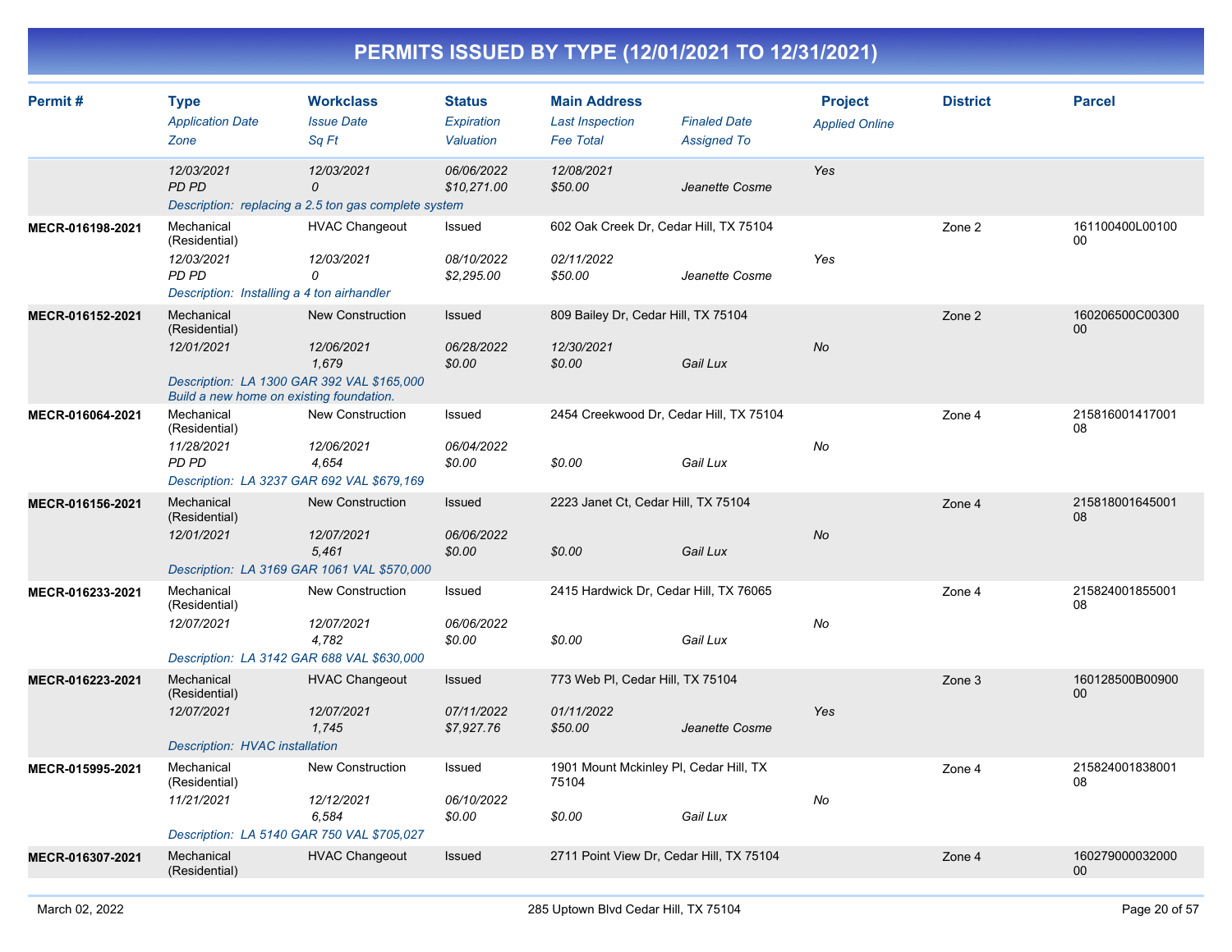| Permit#          | <b>Type</b><br><b>Application Date</b><br>Zone                                                                                      | <b>Workclass</b><br><b>Issue Date</b><br>Sq Ft                          | <b>Status</b><br>Expiration<br>Valuation | <b>Main Address</b><br><b>Last Inspection</b><br><b>Fee Total</b> | <b>Finaled Date</b><br><b>Assigned To</b> | <b>Project</b><br><b>Applied Online</b> | <b>District</b> | <b>Parcel</b>         |
|------------------|-------------------------------------------------------------------------------------------------------------------------------------|-------------------------------------------------------------------------|------------------------------------------|-------------------------------------------------------------------|-------------------------------------------|-----------------------------------------|-----------------|-----------------------|
|                  | 12/03/2021<br>PD PD                                                                                                                 | 12/03/2021<br>0<br>Description: replacing a 2.5 ton gas complete system | 06/06/2022<br>\$10,271.00                | 12/08/2021<br>\$50.00                                             | Jeanette Cosme                            | Yes                                     |                 |                       |
| MECR-016198-2021 | Mechanical<br>(Residential)<br>12/03/2021<br>PD PD<br>Description: Installing a 4 ton airhandler                                    | <b>HVAC Changeout</b><br>12/03/2021<br>0                                | Issued<br>08/10/2022<br>\$2,295.00       | 602 Oak Creek Dr, Cedar Hill, TX 75104<br>02/11/2022<br>\$50.00   | Jeanette Cosme                            | Yes                                     | Zone 2          | 161100400L00100<br>00 |
| MECR-016152-2021 | Mechanical<br>(Residential)<br>12/01/2021<br>Description: LA 1300 GAR 392 VAL \$165,000<br>Build a new home on existing foundation. | <b>New Construction</b><br>12/06/2021<br>1,679                          | Issued<br>06/28/2022<br>\$0.00           | 809 Bailey Dr, Cedar Hill, TX 75104<br>12/30/2021<br>\$0.00       | Gail Lux                                  | No                                      | Zone 2          | 160206500C00300<br>00 |
| MECR-016064-2021 | Mechanical<br>(Residential)<br>11/28/2021<br>PD PD<br>Description: LA 3237 GAR 692 VAL \$679,169                                    | New Construction<br>12/06/2021<br>4,654                                 | Issued<br>06/04/2022<br>\$0.00           | 2454 Creekwood Dr, Cedar Hill, TX 75104<br>\$0.00                 | Gail Lux                                  | No                                      | Zone 4          | 215816001417001<br>08 |
| MECR-016156-2021 | Mechanical<br>(Residential)<br>12/01/2021<br>Description: LA 3169 GAR 1061 VAL \$570,000                                            | <b>New Construction</b><br>12/07/2021<br>5.461                          | Issued<br>06/06/2022<br>\$0.00           | 2223 Janet Ct, Cedar Hill, TX 75104<br>\$0.00                     | Gail Lux                                  | No                                      | Zone 4          | 215818001645001<br>08 |
| MECR-016233-2021 | Mechanical<br>(Residential)<br>12/07/2021<br>Description: LA 3142 GAR 688 VAL \$630,000                                             | <b>New Construction</b><br>12/07/2021<br>4,782                          | Issued<br>06/06/2022<br>\$0.00           | 2415 Hardwick Dr, Cedar Hill, TX 76065<br>\$0.00                  | Gail Lux                                  | No                                      | Zone 4          | 215824001855001<br>08 |
| MECR-016223-2021 | Mechanical<br>(Residential)<br>12/07/2021<br>Description: HVAC installation                                                         | <b>HVAC Changeout</b><br>12/07/2021<br>1,745                            | Issued<br>07/11/2022<br>\$7,927.76       | 773 Web PI, Cedar Hill, TX 75104<br>01/11/2022<br>\$50.00         | Jeanette Cosme                            | Yes                                     | Zone 3          | 160128500B00900<br>00 |
| MECR-015995-2021 | Mechanical<br>(Residential)<br>11/21/2021<br>Description: LA 5140 GAR 750 VAL \$705,027                                             | <b>New Construction</b><br>12/12/2021<br>6,584                          | Issued<br>06/10/2022<br>\$0.00           | 1901 Mount Mckinley PI, Cedar Hill, TX<br>75104<br>\$0.00         | Gail Lux                                  | No                                      | Zone 4          | 215824001838001<br>08 |
| MECR-016307-2021 | Mechanical<br>(Residential)                                                                                                         | <b>HVAC Changeout</b>                                                   | <b>Issued</b>                            | 2711 Point View Dr, Cedar Hill, TX 75104                          |                                           |                                         | Zone 4          | 160279000032000<br>00 |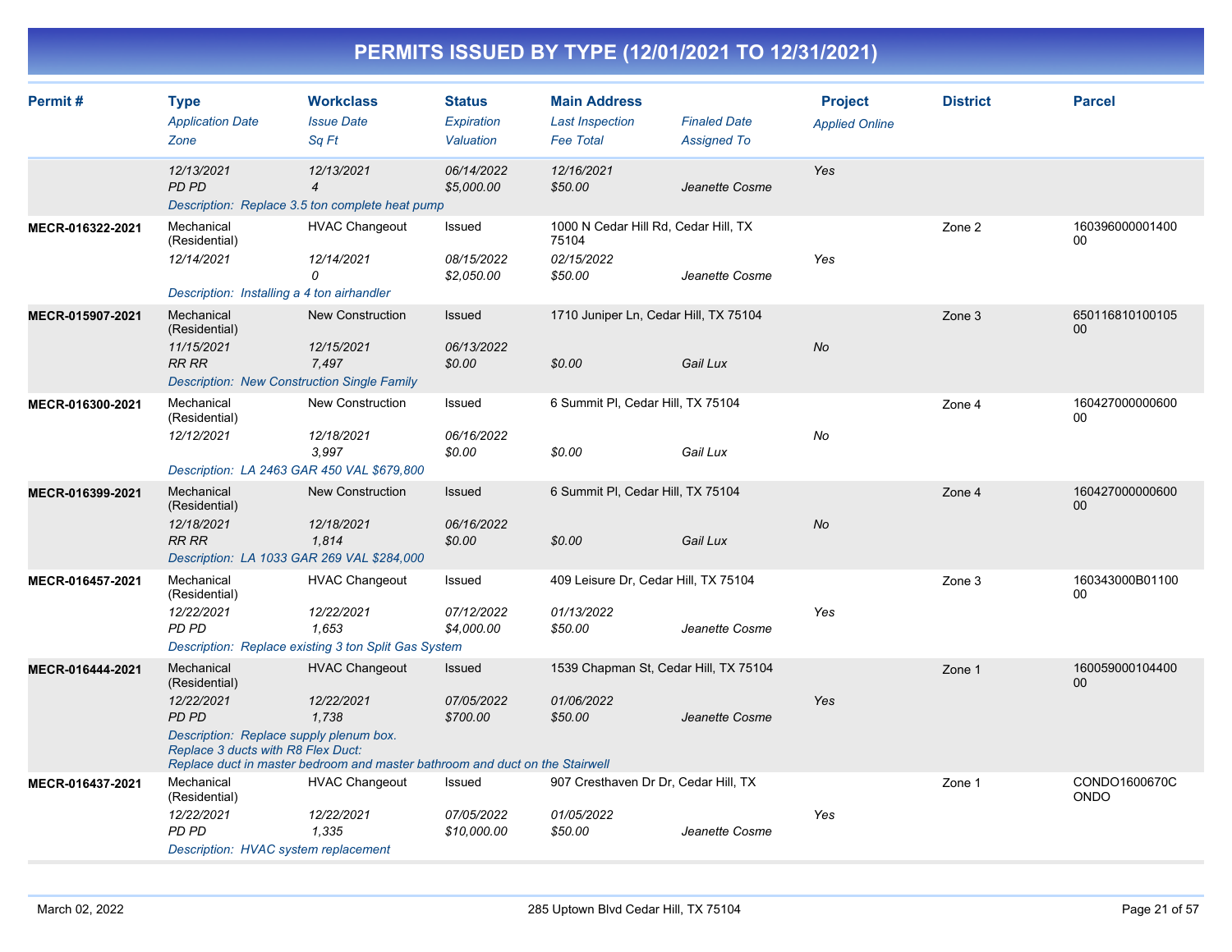| Permit#          | <b>Type</b>                                                                   | <b>Workclass</b>                                                             | <b>Status</b>            | <b>Main Address</b>                           |                     | <b>Project</b>        | <b>District</b> | <b>Parcel</b>                |
|------------------|-------------------------------------------------------------------------------|------------------------------------------------------------------------------|--------------------------|-----------------------------------------------|---------------------|-----------------------|-----------------|------------------------------|
|                  | <b>Application Date</b>                                                       | <b>Issue Date</b>                                                            | Expiration               | <b>Last Inspection</b>                        | <b>Finaled Date</b> | <b>Applied Online</b> |                 |                              |
|                  | Zone                                                                          | Sa Ft                                                                        | Valuation                | <b>Fee Total</b>                              | <b>Assigned To</b>  |                       |                 |                              |
|                  | 12/13/2021                                                                    | 12/13/2021                                                                   | 06/14/2022               | 12/16/2021                                    |                     | Yes                   |                 |                              |
|                  | <b>PD PD</b>                                                                  | $\overline{4}$                                                               | \$5,000.00               | \$50.00                                       | Jeanette Cosme      |                       |                 |                              |
|                  |                                                                               | Description: Replace 3.5 ton complete heat pump                              |                          |                                               |                     |                       |                 |                              |
| MECR-016322-2021 | Mechanical<br>(Residential)                                                   | <b>HVAC Changeout</b>                                                        | Issued                   | 1000 N Cedar Hill Rd, Cedar Hill, TX<br>75104 |                     |                       | Zone 2          | 160396000001400<br>00        |
|                  | 12/14/2021                                                                    | 12/14/2021<br>0                                                              | 08/15/2022<br>\$2,050.00 | 02/15/2022<br>\$50.00                         | Jeanette Cosme      | Yes                   |                 |                              |
|                  | Description: Installing a 4 ton airhandler                                    |                                                                              |                          |                                               |                     |                       |                 |                              |
| MECR-015907-2021 | Mechanical<br>(Residential)                                                   | <b>New Construction</b>                                                      | Issued                   | 1710 Juniper Ln, Cedar Hill, TX 75104         |                     |                       | Zone 3          | 650116810100105<br>00        |
|                  | 11/15/2021                                                                    | 12/15/2021                                                                   | 06/13/2022               |                                               |                     | <b>No</b>             |                 |                              |
|                  | <b>RR RR</b>                                                                  | 7,497                                                                        | \$0.00                   | \$0.00                                        | Gail Lux            |                       |                 |                              |
|                  |                                                                               | <b>Description: New Construction Single Family</b>                           |                          |                                               |                     |                       |                 |                              |
| MECR-016300-2021 | Mechanical<br>(Residential)                                                   | New Construction                                                             | Issued                   | 6 Summit PI, Cedar Hill, TX 75104             |                     |                       | Zone 4          | 160427000000600<br>00        |
|                  | 12/12/2021                                                                    | 12/18/2021                                                                   | 06/16/2022               |                                               |                     | No                    |                 |                              |
|                  |                                                                               | 3,997                                                                        | \$0.00                   | \$0.00                                        | Gail Lux            |                       |                 |                              |
|                  |                                                                               | Description: LA 2463 GAR 450 VAL \$679,800                                   |                          |                                               |                     |                       |                 |                              |
| MECR-016399-2021 | Mechanical<br>(Residential)                                                   | <b>New Construction</b>                                                      | Issued                   | 6 Summit PI, Cedar Hill, TX 75104             |                     |                       | Zone 4          | 160427000000600<br>00        |
|                  | 12/18/2021                                                                    | 12/18/2021                                                                   | 06/16/2022               |                                               |                     | <b>No</b>             |                 |                              |
|                  | <b>RR RR</b>                                                                  | 1,814                                                                        | \$0.00                   | \$0.00                                        | Gail Lux            |                       |                 |                              |
|                  |                                                                               | Description: LA 1033 GAR 269 VAL \$284,000                                   |                          |                                               |                     |                       |                 |                              |
| MECR-016457-2021 | Mechanical<br>(Residential)                                                   | <b>HVAC Changeout</b>                                                        | Issued                   | 409 Leisure Dr, Cedar Hill, TX 75104          |                     |                       | Zone 3          | 160343000B01100<br>00        |
|                  | 12/22/2021                                                                    | 12/22/2021                                                                   | 07/12/2022               | 01/13/2022                                    |                     | Yes                   |                 |                              |
|                  | PD PD                                                                         | 1.653                                                                        | \$4,000.00               | \$50.00                                       | Jeanette Cosme      |                       |                 |                              |
|                  |                                                                               | Description: Replace existing 3 ton Split Gas System                         |                          |                                               |                     |                       |                 |                              |
| MECR-016444-2021 | Mechanical<br>(Residential)                                                   | <b>HVAC Changeout</b>                                                        | Issued                   | 1539 Chapman St, Cedar Hill, TX 75104         |                     |                       | Zone 1          | 160059000104400<br>00        |
|                  | 12/22/2021                                                                    | 12/22/2021                                                                   | 07/05/2022               | 01/06/2022                                    |                     | Yes                   |                 |                              |
|                  | <b>PD PD</b>                                                                  | 1.738                                                                        | \$700.00                 | \$50.00                                       | Jeanette Cosme      |                       |                 |                              |
|                  | Description: Replace supply plenum box.<br>Replace 3 ducts with R8 Flex Duct: |                                                                              |                          |                                               |                     |                       |                 |                              |
|                  |                                                                               | Replace duct in master bedroom and master bathroom and duct on the Stairwell |                          |                                               |                     |                       |                 |                              |
| MECR-016437-2021 | Mechanical<br>(Residential)                                                   | <b>HVAC Changeout</b>                                                        | Issued                   | 907 Cresthaven Dr Dr, Cedar Hill, TX          |                     |                       | Zone 1          | CONDO1600670C<br><b>ONDO</b> |
|                  | 12/22/2021                                                                    | 12/22/2021                                                                   | 07/05/2022               | 01/05/2022                                    |                     | Yes                   |                 |                              |
|                  | PD PD                                                                         | 1.335                                                                        | \$10,000.00              | \$50.00                                       | Jeanette Cosme      |                       |                 |                              |
|                  | Description: HVAC system replacement                                          |                                                                              |                          |                                               |                     |                       |                 |                              |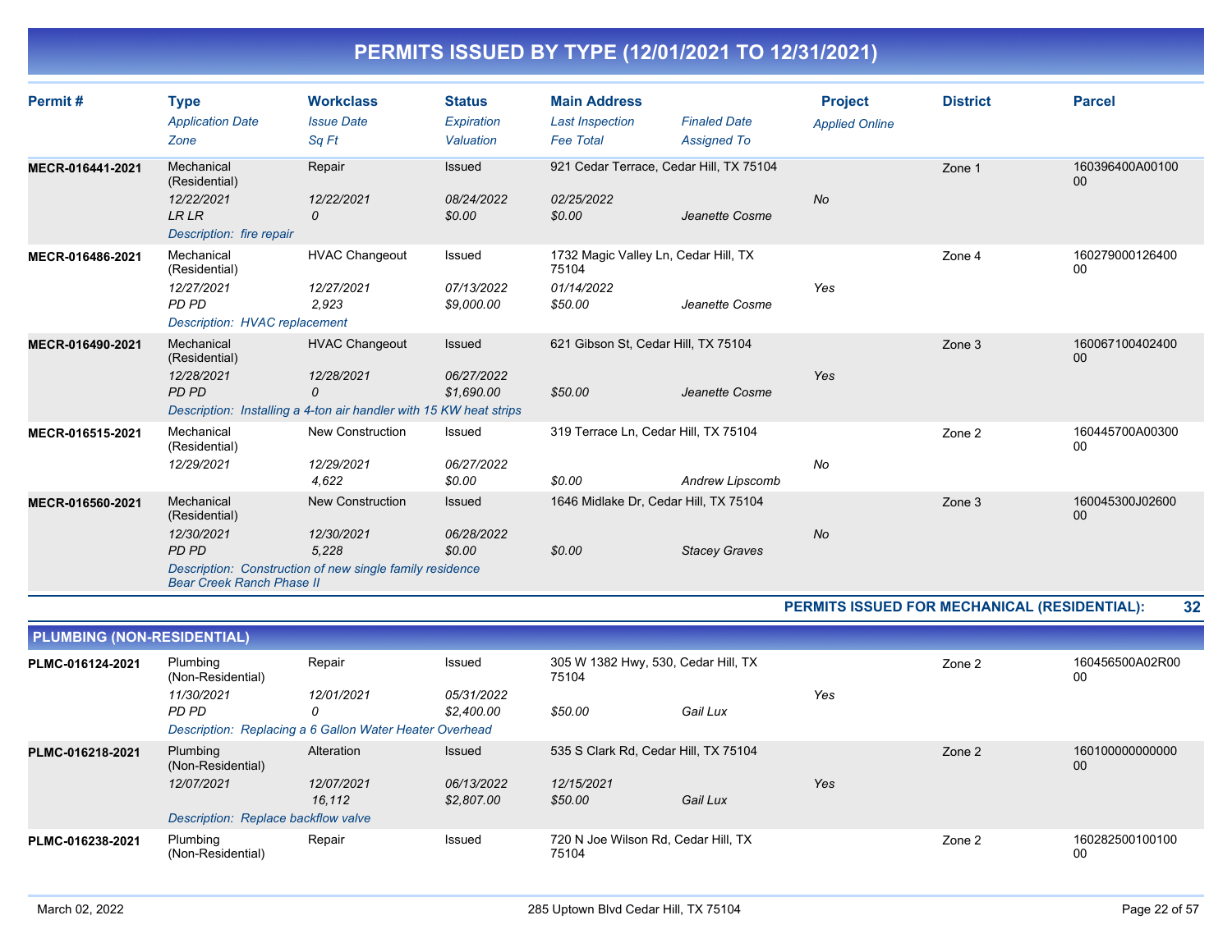| Permit#          | <b>Type</b>                          | <b>Workclass</b>                                                   | <b>Status</b> | <b>Main Address</b>                           |                      | <b>Project</b>        | <b>District</b> | <b>Parcel</b>             |
|------------------|--------------------------------------|--------------------------------------------------------------------|---------------|-----------------------------------------------|----------------------|-----------------------|-----------------|---------------------------|
|                  | <b>Application Date</b>              | <b>Issue Date</b>                                                  | Expiration    | <b>Last Inspection</b>                        | <b>Finaled Date</b>  | <b>Applied Online</b> |                 |                           |
|                  | Zone                                 | Sq Ft                                                              | Valuation     | <b>Fee Total</b>                              | <b>Assigned To</b>   |                       |                 |                           |
| MECR-016441-2021 | Mechanical<br>(Residential)          | Repair                                                             | Issued        | 921 Cedar Terrace, Cedar Hill, TX 75104       |                      |                       | Zone 1          | 160396400A00100<br>$00\,$ |
|                  | 12/22/2021                           | 12/22/2021                                                         | 08/24/2022    | 02/25/2022                                    |                      | <b>No</b>             |                 |                           |
|                  | <b>LRLR</b>                          | 0                                                                  | \$0.00        | \$0.00                                        | Jeanette Cosme       |                       |                 |                           |
|                  | Description: fire repair             |                                                                    |               |                                               |                      |                       |                 |                           |
| MECR-016486-2021 | Mechanical<br>(Residential)          | <b>HVAC Changeout</b>                                              | Issued        | 1732 Magic Valley Ln, Cedar Hill, TX<br>75104 |                      |                       | Zone 4          | 160279000126400<br>$00\,$ |
|                  | 12/27/2021                           | 12/27/2021                                                         | 07/13/2022    | 01/14/2022                                    |                      | Yes                   |                 |                           |
|                  | PD PD                                | 2,923                                                              | \$9,000.00    | \$50.00                                       | Jeanette Cosme       |                       |                 |                           |
|                  | <b>Description: HVAC replacement</b> |                                                                    |               |                                               |                      |                       |                 |                           |
| MECR-016490-2021 | Mechanical<br>(Residential)          | <b>HVAC Changeout</b>                                              | Issued        | 621 Gibson St, Cedar Hill, TX 75104           |                      |                       | Zone 3          | 160067100402400<br>00     |
|                  | 12/28/2021                           | 12/28/2021                                                         | 06/27/2022    |                                               |                      | Yes                   |                 |                           |
|                  | PD PD                                | 0                                                                  | \$1,690.00    | \$50.00                                       | Jeanette Cosme       |                       |                 |                           |
|                  |                                      | Description: Installing a 4-ton air handler with 15 KW heat strips |               |                                               |                      |                       |                 |                           |
| MECR-016515-2021 | Mechanical<br>(Residential)          | <b>New Construction</b>                                            | Issued        | 319 Terrace Ln, Cedar Hill, TX 75104          |                      |                       | Zone 2          | 160445700A00300<br>00     |
|                  | 12/29/2021                           | 12/29/2021                                                         | 06/27/2022    |                                               |                      | No                    |                 |                           |
|                  |                                      | 4,622                                                              | \$0.00        | \$0.00                                        | Andrew Lipscomb      |                       |                 |                           |
| MECR-016560-2021 | Mechanical<br>(Residential)          | <b>New Construction</b>                                            | Issued        | 1646 Midlake Dr, Cedar Hill, TX 75104         |                      |                       | Zone 3          | 160045300J02600<br>$00\,$ |
|                  | 12/30/2021                           | 12/30/2021                                                         | 06/28/2022    |                                               |                      | <b>No</b>             |                 |                           |
|                  | <b>PD PD</b>                         | 5,228                                                              | \$0.00        | \$0.00                                        | <b>Stacey Graves</b> |                       |                 |                           |
|                  | <b>Bear Creek Ranch Phase II</b>     | Description: Construction of new single family residence           |               |                                               |                      |                       |                 |                           |

#### **PERMITS ISSUED FOR MECHANICAL (RESIDENTIAL): 32**

| <b>PLUMBING (NON-RESIDENTIAL)</b> |                                     |                                                         |                                                        |                                              |          |     |        |                       |  |  |  |
|-----------------------------------|-------------------------------------|---------------------------------------------------------|--------------------------------------------------------|----------------------------------------------|----------|-----|--------|-----------------------|--|--|--|
| PLMC-016124-2021                  | Plumbing<br>(Non-Residential)       | Repair                                                  | 305 W 1382 Hwy, 530, Cedar Hill, TX<br>Issued<br>75104 |                                              |          |     | Zone 2 | 160456500A02R00<br>00 |  |  |  |
|                                   | 11/30/2021                          | 12/01/2021                                              | <i>05/31/2022</i>                                      |                                              |          | Yes |        |                       |  |  |  |
|                                   | PD PD                               | 0                                                       | \$2.400.00                                             | \$50.00                                      | Gail Lux |     |        |                       |  |  |  |
|                                   |                                     | Description: Replacing a 6 Gallon Water Heater Overhead |                                                        |                                              |          |     |        |                       |  |  |  |
| PLMC-016218-2021                  | Plumbing<br>(Non-Residential)       | Alteration                                              | <b>Issued</b>                                          | 535 S Clark Rd, Cedar Hill, TX 75104         |          |     | Zone 2 | 160100000000000<br>00 |  |  |  |
|                                   | 12/07/2021                          | 12/07/2021                                              | 06/13/2022                                             | 12/15/2021                                   |          | Yes |        |                       |  |  |  |
|                                   |                                     | 16.112                                                  | \$2,807.00                                             | \$50.00                                      | Gail Lux |     |        |                       |  |  |  |
|                                   | Description: Replace backflow valve |                                                         |                                                        |                                              |          |     |        |                       |  |  |  |
| PLMC-016238-2021                  | Plumbing<br>(Non-Residential)       | Repair                                                  | Issued                                                 | 720 N Joe Wilson Rd, Cedar Hill, TX<br>75104 |          |     | Zone 2 | 160282500100100<br>00 |  |  |  |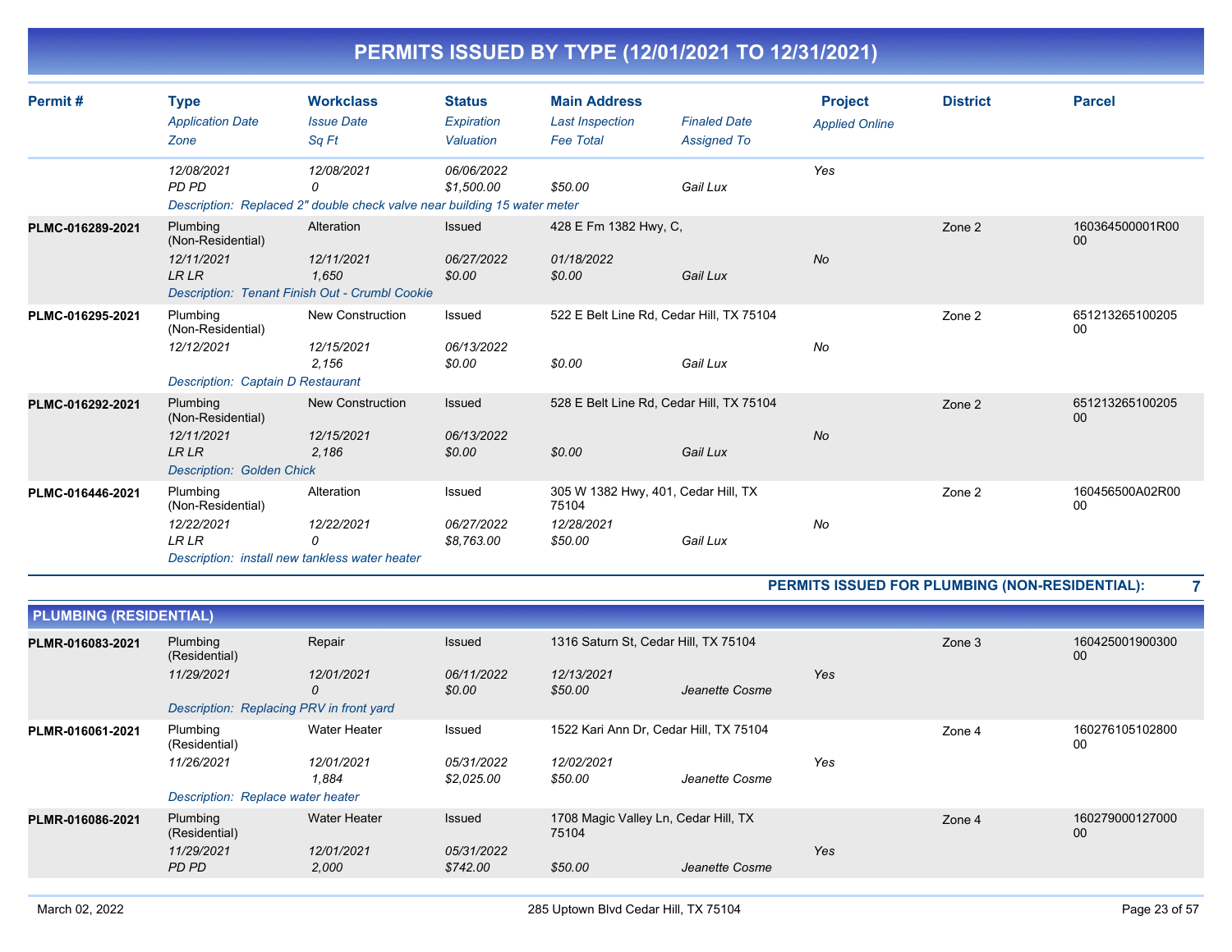|  | PERMITS ISSUED BY TYPE (12/01/2021 TO 12/31/2021) |
|--|---------------------------------------------------|
|  |                                                   |

| Permit#          | <b>Type</b><br><b>Application Date</b><br>Zone                                                  | <b>Workclass</b><br><b>Issue Date</b><br>Sq Ft                                              | <b>Status</b><br>Expiration<br>Valuation | <b>Main Address</b><br><b>Last Inspection</b><br><b>Fee Total</b>     | <b>Finaled Date</b><br><b>Assigned To</b> | <b>Project</b><br><b>Applied Online</b> | <b>District</b> | <b>Parcel</b>         |
|------------------|-------------------------------------------------------------------------------------------------|---------------------------------------------------------------------------------------------|------------------------------------------|-----------------------------------------------------------------------|-------------------------------------------|-----------------------------------------|-----------------|-----------------------|
|                  | 12/08/2021<br>PD PD                                                                             | 12/08/2021<br>0<br>Description: Replaced 2" double check valve near building 15 water meter | 06/06/2022<br>\$1,500.00                 | \$50.00                                                               | Gail Lux                                  | Yes                                     |                 |                       |
| PLMC-016289-2021 | Plumbing<br>(Non-Residential)<br>12/11/2021<br><b>LRLR</b>                                      | Alteration<br>12/11/2021<br>1.650<br>Description: Tenant Finish Out - Crumbl Cookie         | Issued<br>06/27/2022<br>\$0.00           | 428 E Fm 1382 Hwy, C,<br>01/18/2022<br>\$0.00                         | Gail Lux                                  | <b>No</b>                               | Zone 2          | 160364500001R00<br>00 |
| PLMC-016295-2021 | Plumbing<br>(Non-Residential)<br>12/12/2021<br><b>Description: Captain D Restaurant</b>         | <b>New Construction</b><br>12/15/2021<br>2,156                                              | Issued<br>06/13/2022<br>\$0.00           | 522 E Belt Line Rd, Cedar Hill, TX 75104<br>\$0.00                    | Gail Lux                                  | No                                      | Zone 2          | 651213265100205<br>00 |
| PLMC-016292-2021 | Plumbing<br>(Non-Residential)<br>12/11/2021<br><b>LR LR</b><br><b>Description: Golden Chick</b> | <b>New Construction</b><br>12/15/2021<br>2,186                                              | Issued<br>06/13/2022<br>\$0.00           | 528 E Belt Line Rd, Cedar Hill, TX 75104<br>\$0.00                    | Gail Lux                                  | No                                      | Zone 2          | 651213265100205<br>00 |
| PLMC-016446-2021 | Plumbing<br>(Non-Residential)<br>12/22/2021<br><b>LRLR</b>                                      | Alteration<br>12/22/2021<br>0<br>Description: install new tankless water heater             | Issued<br>06/27/2022<br>\$8,763.00       | 305 W 1382 Hwy, 401, Cedar Hill, TX<br>75104<br>12/28/2021<br>\$50.00 | Gail Lux                                  | No                                      | Zone 2          | 160456500A02R00<br>00 |

#### **PERMITS ISSUED FOR PLUMBING (NON-RESIDENTIAL): 7**

| <b>PLUMBING (RESIDENTIAL)</b> |                                          |                     |                          |                                               |                |     |        |                       |  |  |
|-------------------------------|------------------------------------------|---------------------|--------------------------|-----------------------------------------------|----------------|-----|--------|-----------------------|--|--|
| PLMR-016083-2021              | Plumbing<br>(Residential)                | Repair              | Issued                   | 1316 Saturn St, Cedar Hill, TX 75104          |                |     | Zone 3 | 160425001900300<br>00 |  |  |
|                               | 11/29/2021                               | 12/01/2021<br>0     | 06/11/2022<br>\$0.00     | 12/13/2021<br>\$50.00                         | Jeanette Cosme | Yes |        |                       |  |  |
|                               | Description: Replacing PRV in front yard |                     |                          |                                               |                |     |        |                       |  |  |
| PLMR-016061-2021              | Plumbing<br>(Residential)                | <b>Water Heater</b> | Issued                   | 1522 Kari Ann Dr, Cedar Hill, TX 75104        |                |     | Zone 4 | 160276105102800<br>00 |  |  |
|                               | 11/26/2021                               | 12/01/2021<br>1.884 | 05/31/2022<br>\$2,025.00 | 12/02/2021<br>\$50.00                         | Jeanette Cosme | Yes |        |                       |  |  |
|                               | Description: Replace water heater        |                     |                          |                                               |                |     |        |                       |  |  |
| PLMR-016086-2021              | Plumbing<br>(Residential)                | <b>Water Heater</b> | Issued                   | 1708 Magic Valley Ln, Cedar Hill, TX<br>75104 |                |     | Zone 4 | 160279000127000<br>00 |  |  |
|                               | 11/29/2021<br>PD PD                      | 12/01/2021<br>2,000 | 05/31/2022<br>\$742.00   | \$50.00                                       | Jeanette Cosme | Yes |        |                       |  |  |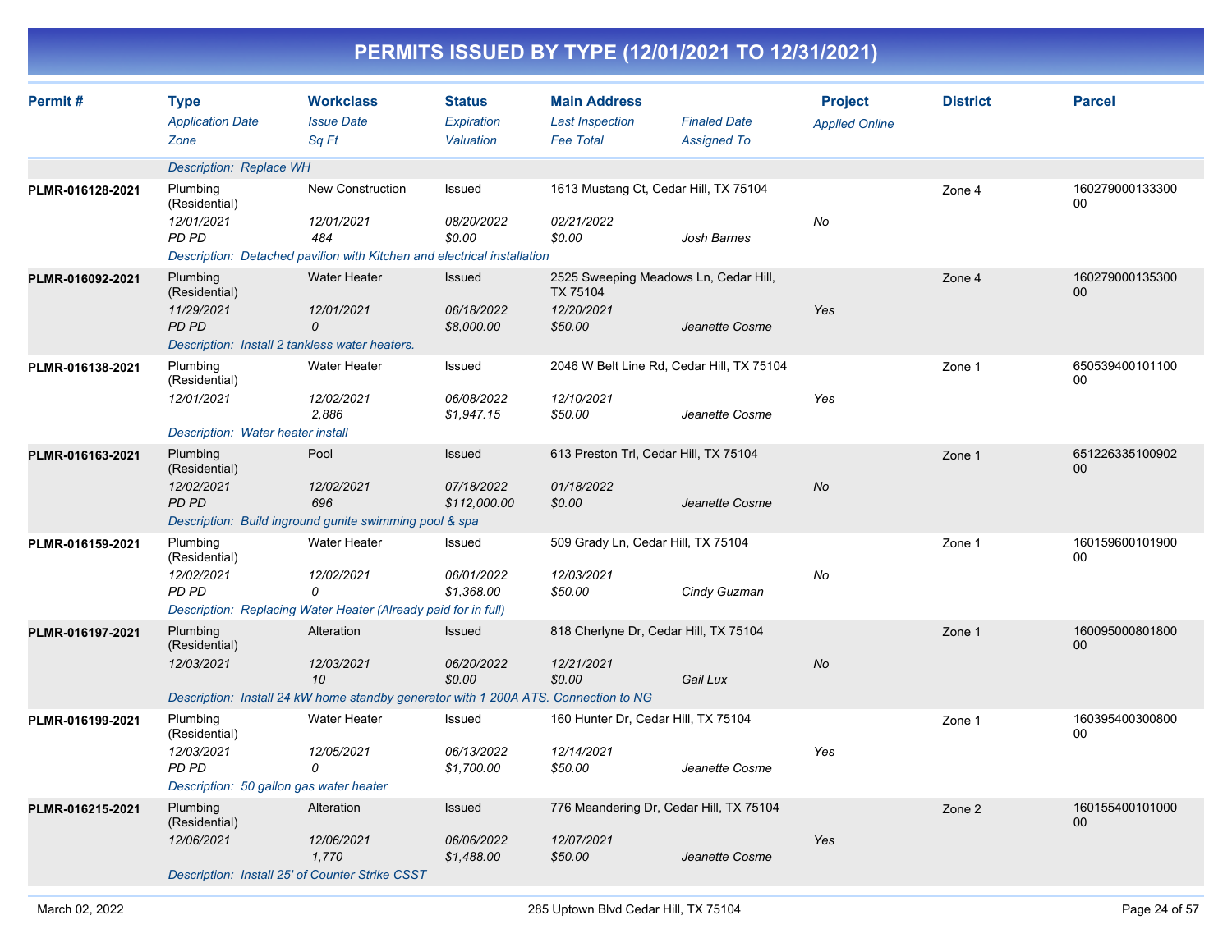|                  |                                                                                             |                                                                                                                       |                                           |                                                                   | PERMITS ISSUED BY TYPE (12/01/2021 TO 12/31/2021)           |                                         |                 |                           |
|------------------|---------------------------------------------------------------------------------------------|-----------------------------------------------------------------------------------------------------------------------|-------------------------------------------|-------------------------------------------------------------------|-------------------------------------------------------------|-----------------------------------------|-----------------|---------------------------|
| Permit#          | <b>Type</b><br><b>Application Date</b><br>Zone                                              | <b>Workclass</b><br><b>Issue Date</b><br>Sq Ft                                                                        | <b>Status</b><br>Expiration<br>Valuation  | <b>Main Address</b><br><b>Last Inspection</b><br><b>Fee Total</b> | <b>Finaled Date</b><br><b>Assigned To</b>                   | <b>Project</b><br><b>Applied Online</b> | <b>District</b> | <b>Parcel</b>             |
|                  | <b>Description: Replace WH</b>                                                              |                                                                                                                       |                                           |                                                                   |                                                             |                                         |                 |                           |
| PLMR-016128-2021 | Plumbing<br>(Residential)<br>12/01/2021<br>PD PD                                            | <b>New Construction</b><br>12/01/2021<br>484                                                                          | Issued<br>08/20/2022<br>\$0.00            | 02/21/2022<br>\$0.00                                              | 1613 Mustang Ct, Cedar Hill, TX 75104<br>Josh Barnes        | No                                      | Zone 4          | 160279000133300<br>00     |
|                  |                                                                                             | Description: Detached pavilion with Kitchen and electrical installation                                               |                                           |                                                                   |                                                             |                                         |                 |                           |
| PLMR-016092-2021 | Plumbing<br>(Residential)<br>11/29/2021<br>PD PD                                            | <b>Water Heater</b><br>12/01/2021<br>0<br>Description: Install 2 tankless water heaters.                              | <b>Issued</b><br>06/18/2022<br>\$8,000.00 | TX 75104<br>12/20/2021<br>\$50.00                                 | 2525 Sweeping Meadows Ln, Cedar Hill,<br>Jeanette Cosme     | Yes                                     | Zone 4          | 160279000135300<br>$00\,$ |
| PLMR-016138-2021 | Plumbing<br>(Residential)<br>12/01/2021<br>Description: Water heater install                | <b>Water Heater</b><br>12/02/2021<br>2,886                                                                            | Issued<br>06/08/2022<br>\$1,947.15        | 12/10/2021<br>\$50.00                                             | 2046 W Belt Line Rd, Cedar Hill, TX 75104<br>Jeanette Cosme | Yes                                     | Zone 1          | 650539400101100<br>00     |
| PLMR-016163-2021 | Plumbing<br>(Residential)<br>12/02/2021<br>PD PD                                            | Pool<br>12/02/2021<br>696<br>Description: Build inground gunite swimming pool & spa                                   | Issued<br>07/18/2022<br>\$112,000.00      | 613 Preston Trl, Cedar Hill, TX 75104<br>01/18/2022<br>\$0.00     | Jeanette Cosme                                              | No                                      | Zone 1          | 651226335100902<br>$00\,$ |
| PLMR-016159-2021 | Plumbing<br>(Residential)<br>12/02/2021<br>PD PD                                            | <b>Water Heater</b><br>12/02/2021<br>0<br>Description: Replacing Water Heater (Already paid for in full)              | Issued<br>06/01/2022<br>\$1,368.00        | 509 Grady Ln, Cedar Hill, TX 75104<br>12/03/2021<br>\$50.00       | Cindy Guzman                                                | No                                      | Zone 1          | 160159600101900<br>00     |
| PLMR-016197-2021 | Plumbing<br>(Residential)<br>12/03/2021                                                     | Alteration<br>12/03/2021<br>10<br>Description: Install 24 kW home standby generator with 1 200A ATS. Connection to NG | <b>Issued</b><br>06/20/2022<br>\$0.00     | 818 Cherlyne Dr, Cedar Hill, TX 75104<br>12/21/2021<br>\$0.00     | Gail Lux                                                    | No                                      | Zone 1          | 160095000801800<br>00     |
| PLMR-016199-2021 | Plumbing<br>(Residential)<br>12/03/2021<br>PD PD<br>Description: 50 gallon gas water heater | <b>Water Heater</b><br>12/05/2021<br>0                                                                                | Issued<br>06/13/2022<br>\$1,700.00        | 160 Hunter Dr, Cedar Hill, TX 75104<br>12/14/2021<br>\$50.00      | Jeanette Cosme                                              | Yes                                     | Zone 1          | 160395400300800<br>00     |
| PLMR-016215-2021 | Plumbing<br>(Residential)<br>12/06/2021                                                     | Alteration<br>12/06/2021<br>1,770<br>Description: Install 25' of Counter Strike CSST                                  | <b>Issued</b><br>06/06/2022<br>\$1,488.00 | 12/07/2021<br>\$50.00                                             | 776 Meandering Dr, Cedar Hill, TX 75104<br>Jeanette Cosme   | Yes                                     | Zone 2          | 160155400101000<br>$00\,$ |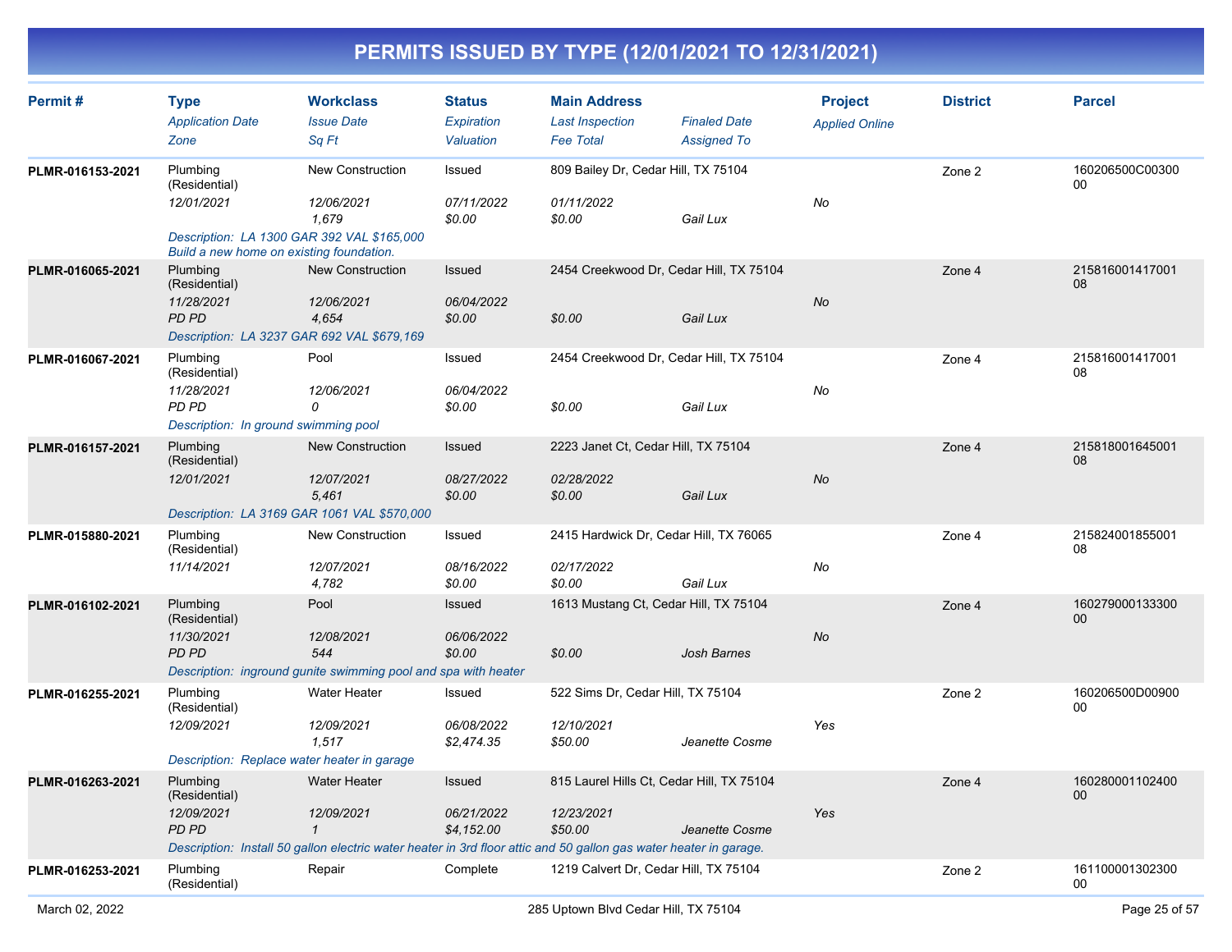| Permit#          | <b>Type</b><br><b>Application Date</b><br>Zone                                                                                    | <b>Workclass</b><br><b>Issue Date</b><br>Sq Ft                                                                                                              | <b>Status</b><br>Expiration<br>Valuation | <b>Main Address</b><br><b>Last Inspection</b><br><b>Fee Total</b>  | <b>Finaled Date</b><br><b>Assigned To</b> | <b>Project</b><br><b>Applied Online</b> | <b>District</b> | <b>Parcel</b>             |
|------------------|-----------------------------------------------------------------------------------------------------------------------------------|-------------------------------------------------------------------------------------------------------------------------------------------------------------|------------------------------------------|--------------------------------------------------------------------|-------------------------------------------|-----------------------------------------|-----------------|---------------------------|
| PLMR-016153-2021 | Plumbing<br>(Residential)<br>12/01/2021<br>Description: LA 1300 GAR 392 VAL \$165,000<br>Build a new home on existing foundation. | <b>New Construction</b><br>12/06/2021<br>1,679                                                                                                              | Issued<br>07/11/2022<br>\$0.00           | 809 Bailey Dr, Cedar Hill, TX 75104<br>01/11/2022<br>\$0.00        | Gail Lux                                  | No                                      | Zone 2          | 160206500C00300<br>00     |
| PLMR-016065-2021 | Plumbing<br>(Residential)<br>11/28/2021<br><b>PD PD</b><br>Description: LA 3237 GAR 692 VAL \$679,169                             | <b>New Construction</b><br>12/06/2021<br>4,654                                                                                                              | Issued<br>06/04/2022<br>\$0.00           | 2454 Creekwood Dr, Cedar Hill, TX 75104<br>\$0.00                  | Gail Lux                                  | No                                      | Zone 4          | 215816001417001<br>08     |
| PLMR-016067-2021 | Plumbing<br>(Residential)<br>11/28/2021<br>PD PD<br>Description: In ground swimming pool                                          | Pool<br>12/06/2021<br>0                                                                                                                                     | Issued<br>06/04/2022<br>\$0.00           | 2454 Creekwood Dr, Cedar Hill, TX 75104<br>\$0.00                  | Gail Lux                                  | No                                      | Zone 4          | 215816001417001<br>08     |
| PLMR-016157-2021 | Plumbing<br>(Residential)<br>12/01/2021<br>Description: LA 3169 GAR 1061 VAL \$570,000                                            | New Construction<br>12/07/2021<br>5,461                                                                                                                     | Issued<br>08/27/2022<br>\$0.00           | 2223 Janet Ct, Cedar Hill, TX 75104<br>02/28/2022<br>\$0.00        | Gail Lux                                  | No                                      | Zone 4          | 215818001645001<br>08     |
| PLMR-015880-2021 | Plumbing<br>(Residential)<br>11/14/2021                                                                                           | <b>New Construction</b><br>12/07/2021<br>4,782                                                                                                              | Issued<br>08/16/2022<br>\$0.00           | 2415 Hardwick Dr, Cedar Hill, TX 76065<br>02/17/2022<br>\$0.00     | Gail Lux                                  | No                                      | Zone 4          | 215824001855001<br>08     |
| PLMR-016102-2021 | Plumbing<br>(Residential)<br>11/30/2021<br>PD PD                                                                                  | Pool<br>12/08/2021<br>544<br>Description: inground gunite swimming pool and spa with heater                                                                 | Issued<br>06/06/2022<br>\$0.00           | 1613 Mustang Ct, Cedar Hill, TX 75104<br>\$0.00                    | Josh Barnes                               | No                                      | Zone 4          | 160279000133300<br>$00\,$ |
| PLMR-016255-2021 | Plumbing<br>(Residential)<br>12/09/2021<br>Description: Replace water heater in garage                                            | <b>Water Heater</b><br>12/09/2021<br>1,517                                                                                                                  | Issued<br>06/08/2022<br>\$2,474.35       | 522 Sims Dr, Cedar Hill, TX 75104<br>12/10/2021<br>\$50.00         | Jeanette Cosme                            | Yes                                     | Zone 2          | 160206500D00900<br>00     |
| PLMR-016263-2021 | Plumbing<br>(Residential)<br>12/09/2021<br>PD PD                                                                                  | <b>Water Heater</b><br>12/09/2021<br>1<br>Description: Install 50 gallon electric water heater in 3rd floor attic and 50 gallon gas water heater in garage. | Issued<br>06/21/2022<br>\$4,152.00       | 815 Laurel Hills Ct, Cedar Hill, TX 75104<br>12/23/2021<br>\$50.00 | Jeanette Cosme                            | Yes                                     | Zone 4          | 160280001102400<br>00     |
| PLMR-016253-2021 | Plumbing<br>(Residential)                                                                                                         | Repair                                                                                                                                                      | Complete                                 | 1219 Calvert Dr, Cedar Hill, TX 75104                              |                                           |                                         | Zone 2          | 161100001302300<br>00     |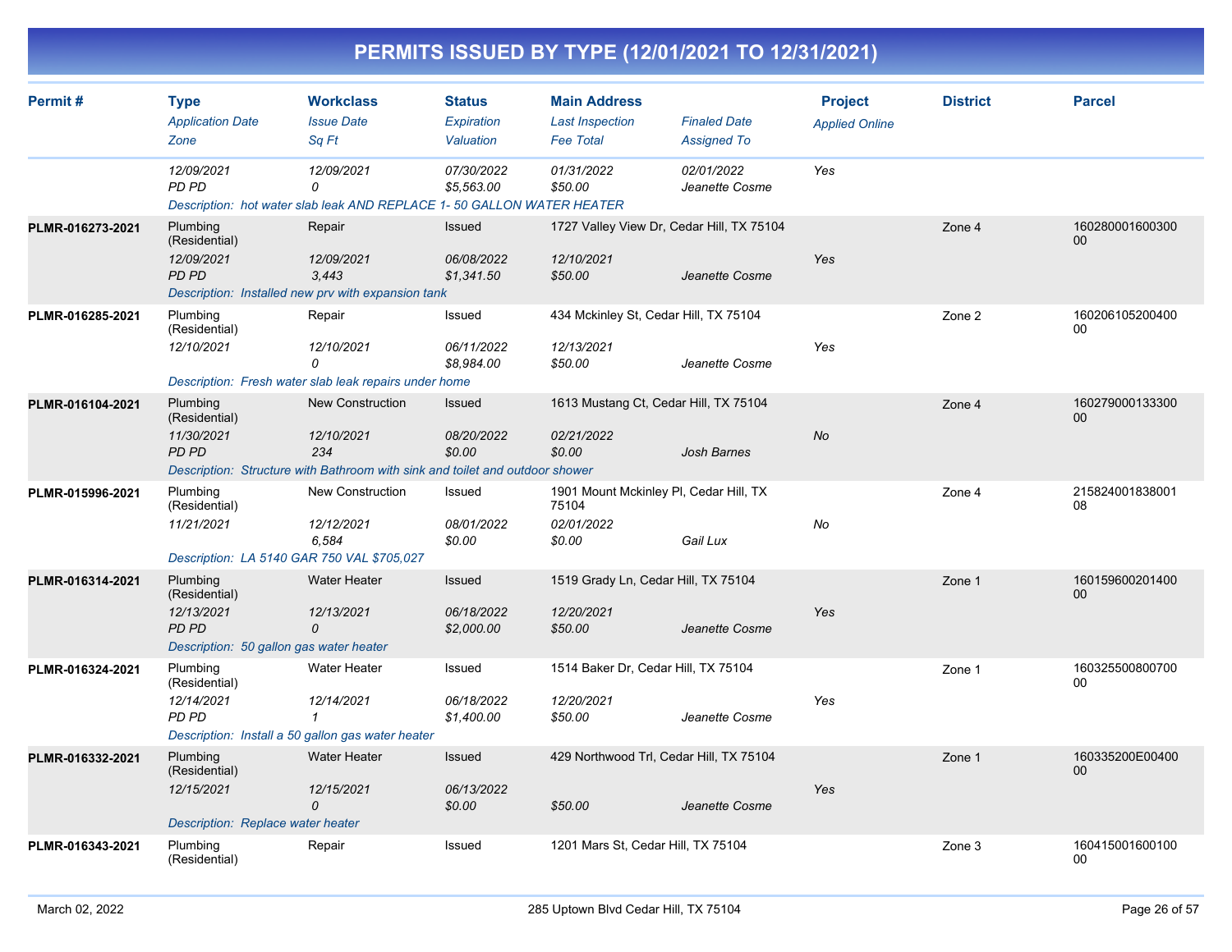|  | PERMITS ISSUED BY TYPE (12/01/2021 TO 12/31/2021) |
|--|---------------------------------------------------|
|  |                                                   |

| Permit#          | <b>Type</b><br><b>Application Date</b><br>Zone                                                     | <b>Workclass</b><br><b>Issue Date</b>                                                                                        | <b>Status</b><br>Expiration<br>Valuation | <b>Main Address</b><br><b>Last Inspection</b><br><b>Fee Total</b>       | <b>Finaled Date</b>                                | <b>Project</b><br><b>Applied Online</b> | <b>District</b> | <b>Parcel</b>         |
|------------------|----------------------------------------------------------------------------------------------------|------------------------------------------------------------------------------------------------------------------------------|------------------------------------------|-------------------------------------------------------------------------|----------------------------------------------------|-----------------------------------------|-----------------|-----------------------|
|                  | 12/09/2021<br>PD PD                                                                                | Sq Ft<br>12/09/2021<br>0<br>Description: hot water slab leak AND REPLACE 1- 50 GALLON WATER HEATER                           | 07/30/2022<br>\$5,563.00                 | 01/31/2022<br>\$50.00                                                   | <b>Assigned To</b><br>02/01/2022<br>Jeanette Cosme | Yes                                     |                 |                       |
| PLMR-016273-2021 | Plumbing<br>(Residential)<br>12/09/2021<br><b>PD PD</b>                                            | Repair<br>12/09/2021<br>3,443<br>Description: Installed new prv with expansion tank                                          | Issued<br>06/08/2022<br>\$1,341.50       | 1727 Valley View Dr, Cedar Hill, TX 75104<br>12/10/2021<br>\$50.00      | Jeanette Cosme                                     | Yes                                     | Zone 4          | 160280001600300<br>00 |
| PLMR-016285-2021 | Plumbing<br>(Residential)<br>12/10/2021                                                            | Repair<br>12/10/2021<br>$\Omega$<br>Description: Fresh water slab leak repairs under home                                    | Issued<br>06/11/2022<br>\$8,984.00       | 434 Mckinley St, Cedar Hill, TX 75104<br>12/13/2021<br>\$50.00          | Jeanette Cosme                                     | Yes                                     | Zone 2          | 160206105200400<br>00 |
| PLMR-016104-2021 | Plumbing<br>(Residential)<br>11/30/2021<br><b>PD PD</b>                                            | <b>New Construction</b><br>12/10/2021<br>234<br>Description: Structure with Bathroom with sink and toilet and outdoor shower | <b>Issued</b><br>08/20/2022<br>\$0.00    | 1613 Mustang Ct, Cedar Hill, TX 75104<br>02/21/2022<br>\$0.00           | <b>Josh Barnes</b>                                 | <b>No</b>                               | Zone 4          | 160279000133300<br>00 |
| PLMR-015996-2021 | Plumbing<br>(Residential)<br>11/21/2021                                                            | New Construction<br>12/12/2021<br>6,584<br>Description: LA 5140 GAR 750 VAL \$705,027                                        | Issued<br>08/01/2022<br>\$0.00           | 1901 Mount Mckinley PI, Cedar Hill, TX<br>75104<br>02/01/2022<br>\$0.00 | Gail Lux                                           | No                                      | Zone 4          | 215824001838001<br>08 |
| PLMR-016314-2021 | Plumbing<br>(Residential)<br>12/13/2021<br><b>PD PD</b><br>Description: 50 gallon gas water heater | <b>Water Heater</b><br>12/13/2021<br>$\mathcal{O}$                                                                           | Issued<br>06/18/2022<br>\$2,000.00       | 1519 Grady Ln, Cedar Hill, TX 75104<br>12/20/2021<br>\$50.00            | Jeanette Cosme                                     | Yes                                     | Zone 1          | 160159600201400<br>00 |
| PLMR-016324-2021 | Plumbing<br>(Residential)<br>12/14/2021<br>PD PD                                                   | Water Heater<br>12/14/2021<br>$\mathbf{1}$<br>Description: Install a 50 gallon gas water heater                              | Issued<br>06/18/2022<br>\$1,400.00       | 1514 Baker Dr, Cedar Hill, TX 75104<br>12/20/2021<br>\$50.00            | Jeanette Cosme                                     | Yes                                     | Zone 1          | 160325500800700<br>00 |
| PLMR-016332-2021 | Plumbing<br>(Residential)<br>12/15/2021<br>Description: Replace water heater                       | <b>Water Heater</b><br>12/15/2021<br>$\mathcal{O}$                                                                           | Issued<br>06/13/2022<br>\$0.00           | 429 Northwood Trl, Cedar Hill, TX 75104<br>\$50.00                      | Jeanette Cosme                                     | Yes                                     | Zone 1          | 160335200E00400<br>00 |
| PLMR-016343-2021 | Plumbing<br>(Residential)                                                                          | Repair                                                                                                                       | Issued                                   | 1201 Mars St, Cedar Hill, TX 75104                                      |                                                    |                                         | Zone 3          | 160415001600100<br>00 |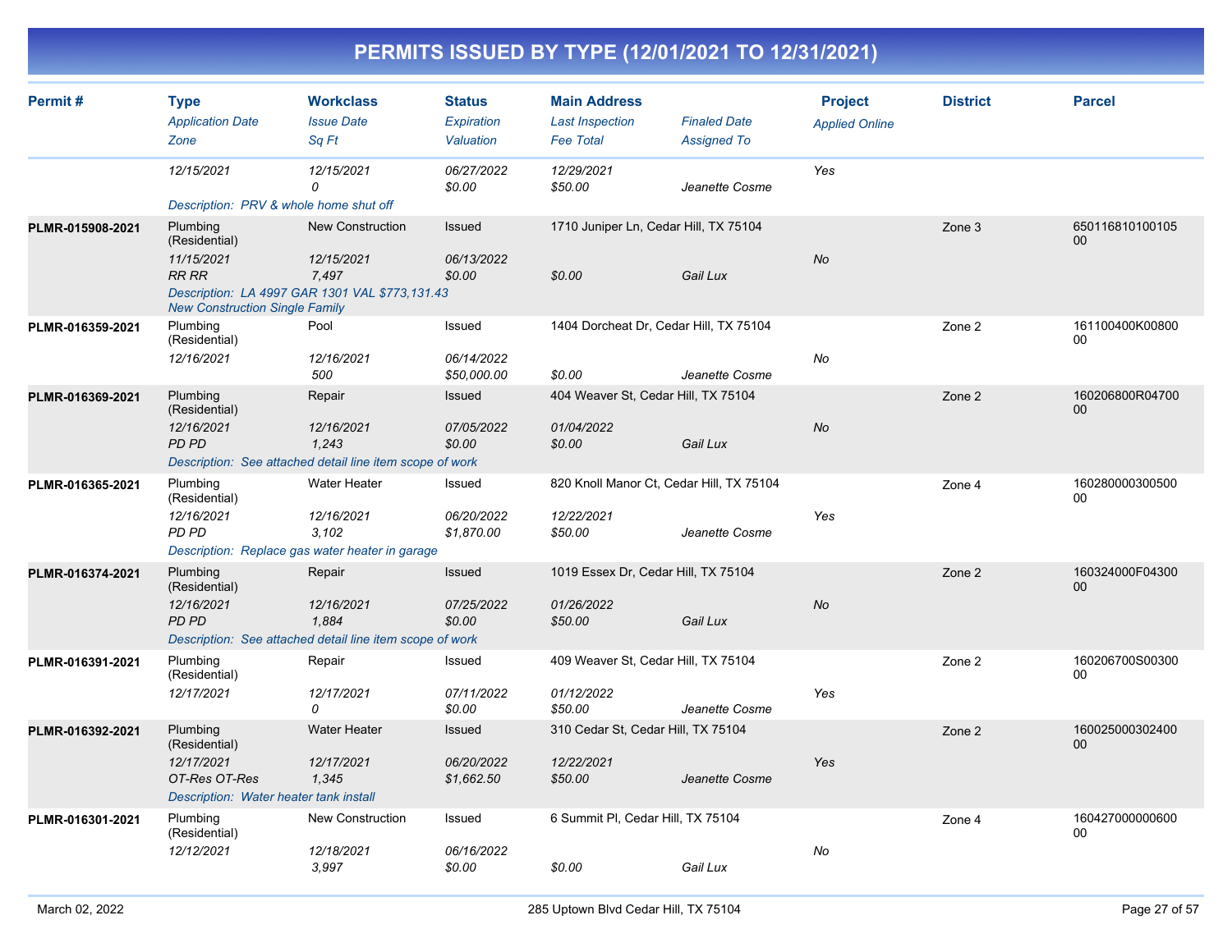| Permit#          | <b>Type</b><br><b>Application Date</b><br>Zone                                                     | <b>Workclass</b><br><b>Issue Date</b><br>Sq Ft                                                   | <b>Status</b><br>Expiration<br>Valuation | <b>Main Address</b><br><b>Last Inspection</b><br><b>Fee Total</b> | <b>Finaled Date</b><br><b>Assigned To</b> | <b>Project</b><br><b>Applied Online</b> | <b>District</b> | <b>Parcel</b>         |
|------------------|----------------------------------------------------------------------------------------------------|--------------------------------------------------------------------------------------------------|------------------------------------------|-------------------------------------------------------------------|-------------------------------------------|-----------------------------------------|-----------------|-----------------------|
|                  | 12/15/2021<br>Description: PRV & whole home shut off                                               | 12/15/2021<br>$\Omega$                                                                           | 06/27/2022<br>\$0.00                     | 12/29/2021<br>\$50.00                                             | Jeanette Cosme                            | Yes                                     |                 |                       |
| PLMR-015908-2021 | Plumbing<br>(Residential)<br>11/15/2021<br><b>RR RR</b><br><b>New Construction Single Family</b>   | <b>New Construction</b><br>12/15/2021<br>7,497<br>Description: LA 4997 GAR 1301 VAL \$773,131.43 | Issued<br>06/13/2022<br>\$0.00           | 1710 Juniper Ln, Cedar Hill, TX 75104<br>\$0.00                   | Gail Lux                                  | <b>No</b>                               | Zone 3          | 650116810100105<br>00 |
| PLMR-016359-2021 | Plumbing<br>(Residential)<br>12/16/2021                                                            | Pool<br>12/16/2021<br>500                                                                        | Issued<br>06/14/2022<br>\$50,000.00      | 1404 Dorcheat Dr, Cedar Hill, TX 75104<br>\$0.00                  | Jeanette Cosme                            | <b>No</b>                               | Zone 2          | 161100400K00800<br>00 |
| PLMR-016369-2021 | Plumbing<br>(Residential)<br>12/16/2021<br><b>PD PD</b>                                            | Repair<br>12/16/2021<br>1,243<br>Description: See attached detail line item scope of work        | Issued<br>07/05/2022<br>\$0.00           | 404 Weaver St, Cedar Hill, TX 75104<br>01/04/2022<br>\$0.00       | Gail Lux                                  | <b>No</b>                               | Zone 2          | 160206800R04700<br>00 |
| PLMR-016365-2021 | Plumbing<br>(Residential)<br>12/16/2021<br>PD PD                                                   | <b>Water Heater</b><br>12/16/2021<br>3.102<br>Description: Replace gas water heater in garage    | Issued<br>06/20/2022<br>\$1,870.00       | 820 Knoll Manor Ct, Cedar Hill, TX 75104<br>12/22/2021<br>\$50.00 | Jeanette Cosme                            | Yes                                     | Zone 4          | 160280000300500<br>00 |
| PLMR-016374-2021 | Plumbing<br>(Residential)<br>12/16/2021<br><b>PD PD</b>                                            | Repair<br>12/16/2021<br>1.884<br>Description: See attached detail line item scope of work        | <b>Issued</b><br>07/25/2022<br>\$0.00    | 1019 Essex Dr, Cedar Hill, TX 75104<br>01/26/2022<br>\$50.00      | Gail Lux                                  | No                                      | Zone 2          | 160324000F04300<br>00 |
| PLMR-016391-2021 | Plumbing<br>(Residential)<br>12/17/2021                                                            | Repair<br>12/17/2021<br>$\Omega$                                                                 | Issued<br>07/11/2022<br>\$0.00           | 409 Weaver St, Cedar Hill, TX 75104<br>01/12/2022<br>\$50.00      | Jeanette Cosme                            | Yes                                     | Zone 2          | 160206700S00300<br>00 |
| PLMR-016392-2021 | Plumbing<br>(Residential)<br>12/17/2021<br>OT-Res OT-Res<br>Description: Water heater tank install | <b>Water Heater</b><br>12/17/2021<br>1.345                                                       | Issued<br>06/20/2022<br>\$1,662.50       | 310 Cedar St, Cedar Hill, TX 75104<br>12/22/2021<br>\$50.00       | Jeanette Cosme                            | Yes                                     | Zone 2          | 160025000302400<br>00 |
| PLMR-016301-2021 | Plumbing<br>(Residential)<br>12/12/2021                                                            | <b>New Construction</b><br>12/18/2021<br>3,997                                                   | Issued<br>06/16/2022<br>\$0.00           | 6 Summit PI, Cedar Hill, TX 75104<br>\$0.00                       | Gail Lux                                  | No                                      | Zone 4          | 160427000000600<br>00 |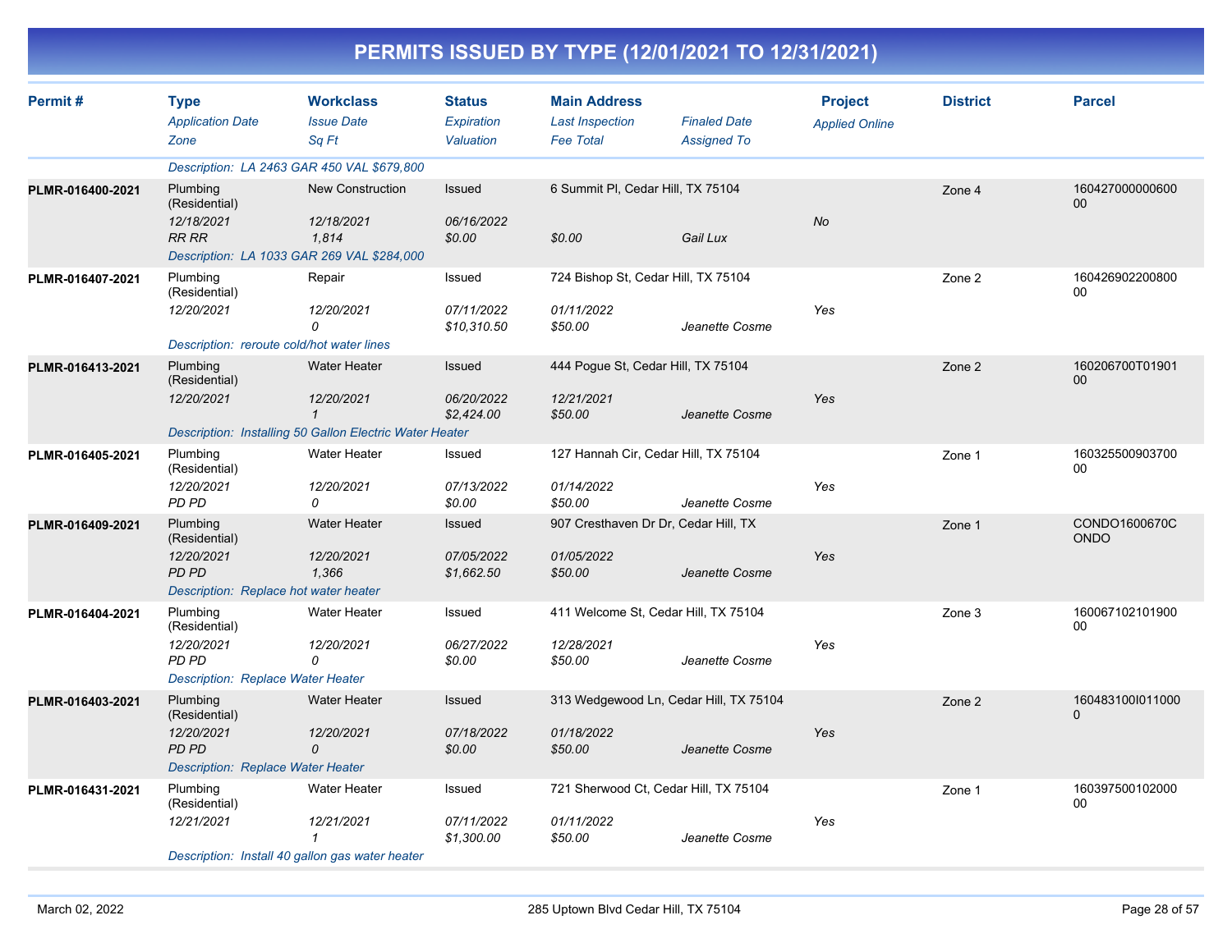|                  |                                                                                                       |                                                                                |                                           |                                                                   | PERMITS ISSUED BY TYPE (12/01/2021 TO 12/31/2021) |                                         |                 |                       |
|------------------|-------------------------------------------------------------------------------------------------------|--------------------------------------------------------------------------------|-------------------------------------------|-------------------------------------------------------------------|---------------------------------------------------|-----------------------------------------|-----------------|-----------------------|
| Permit #         | <b>Type</b><br><b>Application Date</b><br>Zone                                                        | <b>Workclass</b><br><b>Issue Date</b><br>Sq Ft                                 | <b>Status</b><br>Expiration<br>Valuation  | <b>Main Address</b><br><b>Last Inspection</b><br><b>Fee Total</b> | <b>Finaled Date</b><br><b>Assigned To</b>         | <b>Project</b><br><b>Applied Online</b> | <b>District</b> | <b>Parcel</b>         |
|                  | Description: LA 2463 GAR 450 VAL \$679,800                                                            |                                                                                |                                           |                                                                   |                                                   |                                         |                 |                       |
| PLMR-016400-2021 | Plumbing<br>(Residential)<br>12/18/2021<br><b>RR RR</b><br>Description: LA 1033 GAR 269 VAL \$284,000 | <b>New Construction</b><br>12/18/2021<br>1,814                                 | Issued<br>06/16/2022<br>\$0.00            | 6 Summit PI, Cedar Hill, TX 75104<br>\$0.00                       | Gail Lux                                          | No                                      | Zone 4          | 160427000000600<br>00 |
| PLMR-016407-2021 | Plumbing<br>(Residential)<br>12/20/2021<br>Description: reroute cold/hot water lines                  | Repair<br>12/20/2021<br>0                                                      | Issued<br>07/11/2022<br>\$10,310.50       | 724 Bishop St, Cedar Hill, TX 75104<br>01/11/2022<br>\$50.00      | Jeanette Cosme                                    | Yes                                     | Zone 2          | 160426902200800<br>00 |
| PLMR-016413-2021 | Plumbing<br>(Residential)<br>12/20/2021                                                               | <b>Water Heater</b><br>12/20/2021<br>$\mathbf{1}$                              | <b>Issued</b><br>06/20/2022<br>\$2,424.00 | 444 Pogue St, Cedar Hill, TX 75104<br>12/21/2021<br>\$50.00       | Jeanette Cosme                                    | Yes                                     | Zone 2          | 160206700T01901<br>00 |
| PLMR-016405-2021 | Plumbing                                                                                              | Description: Installing 50 Gallon Electric Water Heater<br><b>Water Heater</b> | Issued                                    | 127 Hannah Cir, Cedar Hill, TX 75104                              |                                                   |                                         | Zone 1          | 160325500903700       |
|                  | (Residential)<br>12/20/2021<br>PD PD                                                                  | 12/20/2021<br>0                                                                | 07/13/2022<br>\$0.00                      | 01/14/2022<br>\$50.00                                             | Jeanette Cosme                                    | Yes                                     |                 | 00                    |
| PLMR-016409-2021 | Plumbing<br>(Residential)<br>12/20/2021<br><b>PD PD</b><br>Description: Replace hot water heater      | <b>Water Heater</b><br>12/20/2021<br>1,366                                     | <b>Issued</b><br>07/05/2022<br>\$1,662.50 | 907 Cresthaven Dr Dr, Cedar Hill, TX<br>01/05/2022<br>\$50.00     | Jeanette Cosme                                    | Yes                                     | Zone 1          | CONDO1600670C<br>ONDO |
| PLMR-016404-2021 | Plumbing<br>(Residential)<br>12/20/2021<br><b>PD PD</b><br>Description: Replace Water Heater          | <b>Water Heater</b><br>12/20/2021<br>0                                         | Issued<br>06/27/2022<br>\$0.00            | 411 Welcome St, Cedar Hill, TX 75104<br>12/28/2021<br>\$50.00     | Jeanette Cosme                                    | Yes                                     | Zone 3          | 160067102101900<br>00 |
| PLMR-016403-2021 | Plumbing<br>(Residential)<br>12/20/2021<br>PD PD<br><b>Description: Replace Water Heater</b>          | <b>Water Heater</b><br>12/20/2021<br>0                                         | <b>Issued</b><br>07/18/2022<br>\$0.00     | 313 Wedgewood Ln, Cedar Hill, TX 75104<br>01/18/2022<br>\$50.00   | Jeanette Cosme                                    | Yes                                     | Zone 2          | 1604831001011000<br>0 |
| PLMR-016431-2021 | Plumbing<br>(Residential)<br>12/21/2021<br>Description: Install 40 gallon gas water heater            | Water Heater<br>12/21/2021<br>$\mathbf{1}$                                     | Issued<br>07/11/2022<br>\$1,300.00        | 721 Sherwood Ct, Cedar Hill, TX 75104<br>01/11/2022<br>\$50.00    | Jeanette Cosme                                    | Yes                                     | Zone 1          | 160397500102000<br>00 |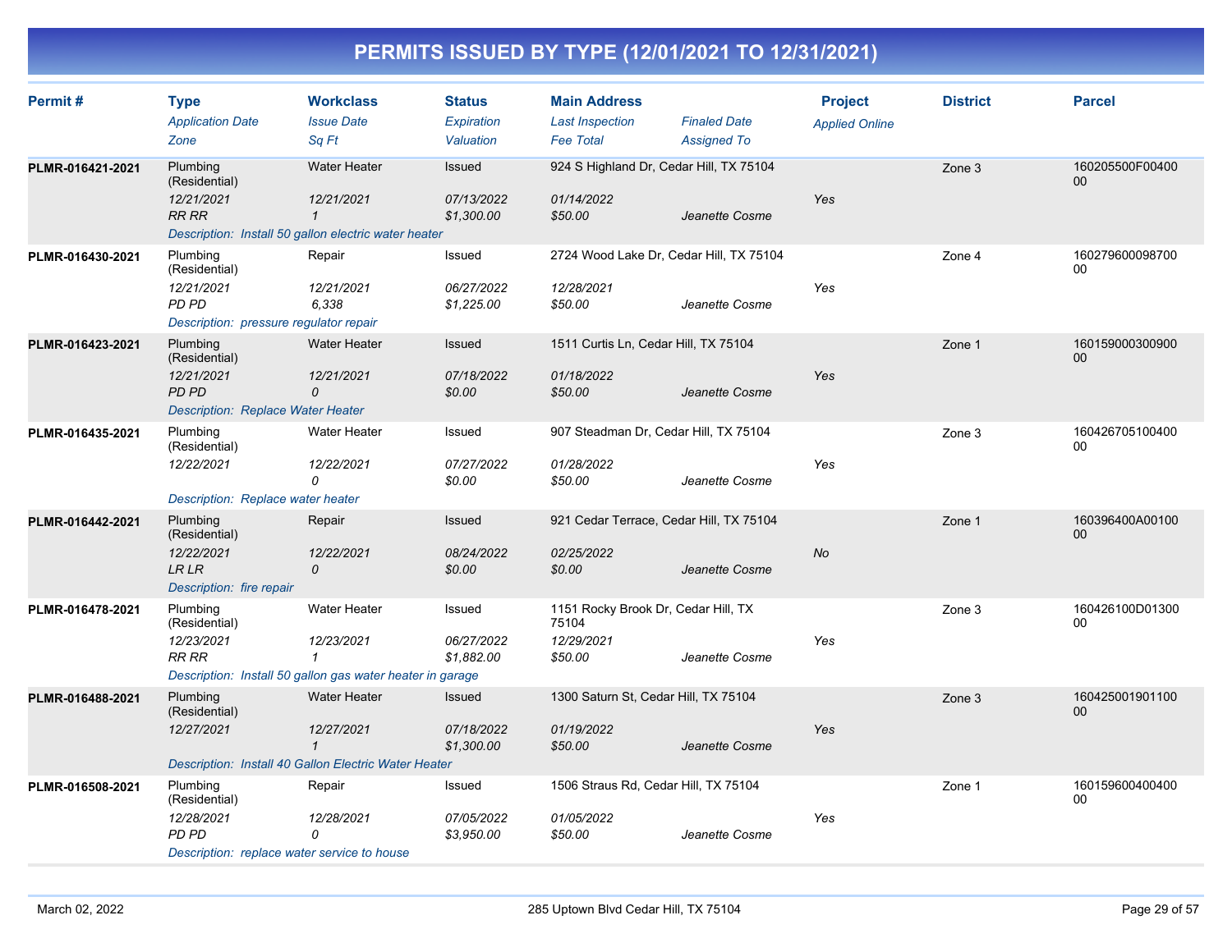| Permit#          | <b>Type</b><br><b>Application Date</b><br>Zone                                                      | <b>Workclass</b><br><b>Issue Date</b><br>Sa Ft                                                                 | <b>Status</b><br>Expiration<br>Valuation  | <b>Main Address</b><br><b>Last Inspection</b><br><b>Fee Total</b>     | <b>Finaled Date</b><br><b>Assigned To</b> | <b>Project</b><br><b>Applied Online</b> | <b>District</b> | <b>Parcel</b>             |
|------------------|-----------------------------------------------------------------------------------------------------|----------------------------------------------------------------------------------------------------------------|-------------------------------------------|-----------------------------------------------------------------------|-------------------------------------------|-----------------------------------------|-----------------|---------------------------|
| PLMR-016421-2021 | Plumbing<br>(Residential)<br>12/21/2021<br><b>RR RR</b>                                             | <b>Water Heater</b><br>12/21/2021<br>$\mathbf{1}$<br>Description: Install 50 gallon electric water heater      | <b>Issued</b><br>07/13/2022<br>\$1,300.00 | 924 S Highland Dr, Cedar Hill, TX 75104<br>01/14/2022<br>\$50.00      | Jeanette Cosme                            | Yes                                     | Zone 3          | 160205500F00400<br>00     |
| PLMR-016430-2021 | Plumbing<br>(Residential)<br>12/21/2021<br>PD PD<br>Description: pressure regulator repair          | Repair<br>12/21/2021<br>6,338                                                                                  | Issued<br>06/27/2022<br>\$1,225.00        | 2724 Wood Lake Dr, Cedar Hill, TX 75104<br>12/28/2021<br>\$50.00      | Jeanette Cosme                            | Yes                                     | Zone 4          | 160279600098700<br>00     |
| PLMR-016423-2021 | Plumbing<br>(Residential)<br>12/21/2021<br><b>PD PD</b><br><b>Description: Replace Water Heater</b> | <b>Water Heater</b><br>12/21/2021<br>0                                                                         | Issued<br>07/18/2022<br>\$0.00            | 1511 Curtis Ln, Cedar Hill, TX 75104<br>01/18/2022<br>\$50.00         | Jeanette Cosme                            | Yes                                     | Zone 1          | 160159000300900<br>00     |
| PLMR-016435-2021 | Plumbing<br>(Residential)<br>12/22/2021<br>Description: Replace water heater                        | <b>Water Heater</b><br>12/22/2021<br>0                                                                         | Issued<br>07/27/2022<br>\$0.00            | 907 Steadman Dr, Cedar Hill, TX 75104<br>01/28/2022<br>\$50.00        | Jeanette Cosme                            | Yes                                     | Zone 3          | 160426705100400<br>00     |
| PLMR-016442-2021 | Plumbing<br>(Residential)<br>12/22/2021<br><b>LR LR</b><br>Description: fire repair                 | Repair<br>12/22/2021<br>0                                                                                      | Issued<br>08/24/2022<br>\$0.00            | 921 Cedar Terrace, Cedar Hill, TX 75104<br>02/25/2022<br>\$0.00       | Jeanette Cosme                            | No                                      | Zone 1          | 160396400A00100<br>$00\,$ |
| PLMR-016478-2021 | Plumbing<br>(Residential)<br>12/23/2021<br><b>RR RR</b>                                             | <b>Water Heater</b><br>12/23/2021<br>$\mathbf{1}$<br>Description: Install 50 gallon gas water heater in garage | Issued<br>06/27/2022<br>\$1,882.00        | 1151 Rocky Brook Dr, Cedar Hill, TX<br>75104<br>12/29/2021<br>\$50.00 | Jeanette Cosme                            | Yes                                     | Zone 3          | 160426100D01300<br>00     |
| PLMR-016488-2021 | Plumbing<br>(Residential)<br>12/27/2021                                                             | <b>Water Heater</b><br>12/27/2021<br>$\mathcal I$<br>Description: Install 40 Gallon Electric Water Heater      | <b>Issued</b><br>07/18/2022<br>\$1,300.00 | 1300 Saturn St, Cedar Hill, TX 75104<br>01/19/2022<br>\$50.00         | Jeanette Cosme                            | <b>Yes</b>                              | Zone 3          | 160425001901100<br>$00\,$ |
| PLMR-016508-2021 | Plumbing<br>(Residential)<br>12/28/2021<br>PD PD<br>Description: replace water service to house     | Repair<br>12/28/2021<br>0                                                                                      | Issued<br>07/05/2022<br>\$3,950.00        | 1506 Straus Rd, Cedar Hill, TX 75104<br>01/05/2022<br>\$50.00         | Jeanette Cosme                            | Yes                                     | Zone 1          | 160159600400400<br>00     |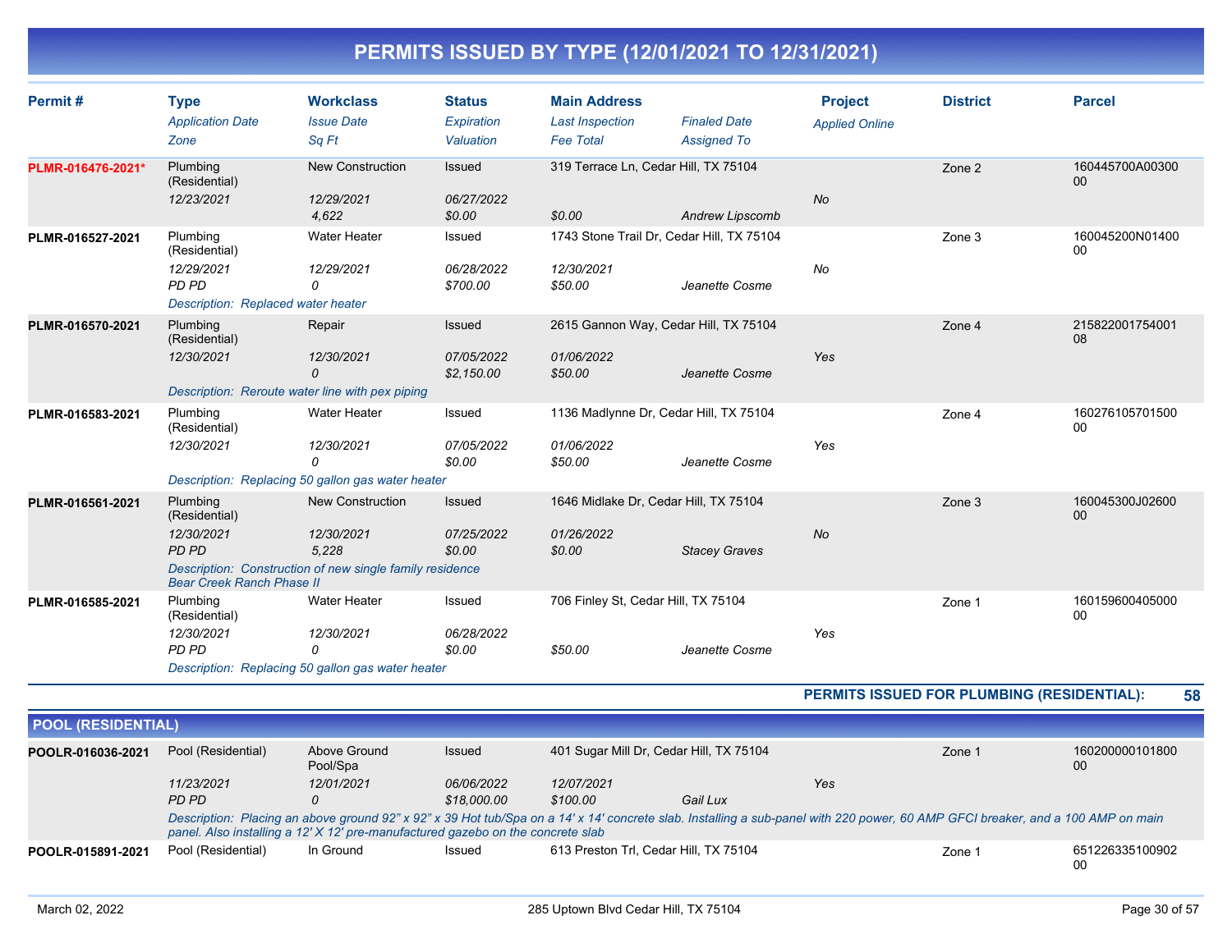| Permit#           | <b>Type</b><br><b>Application Date</b><br>Zone                                         | <b>Workclass</b><br><b>Issue Date</b><br>Sq Ft                                                             | <b>Status</b><br>Expiration<br>Valuation  | <b>Main Address</b><br><b>Last Inspection</b><br><b>Fee Total</b> | <b>Finaled Date</b><br><b>Assigned To</b>                     | <b>Project</b><br><b>Applied Online</b> | <b>District</b> | <b>Parcel</b>         |
|-------------------|----------------------------------------------------------------------------------------|------------------------------------------------------------------------------------------------------------|-------------------------------------------|-------------------------------------------------------------------|---------------------------------------------------------------|-----------------------------------------|-----------------|-----------------------|
| PLMR-016476-2021* | Plumbing<br>(Residential)<br>12/23/2021                                                | <b>New Construction</b><br>12/29/2021<br>4,622                                                             | <b>Issued</b><br>06/27/2022<br>\$0.00     | 319 Terrace Ln, Cedar Hill, TX 75104<br>\$0.00                    | Andrew Lipscomb                                               | <b>No</b>                               | Zone 2          | 160445700A00300<br>00 |
| PLMR-016527-2021  | Plumbing<br>(Residential)<br>12/29/2021<br>PD PD<br>Description: Replaced water heater | <b>Water Heater</b><br>12/29/2021<br>0                                                                     | Issued<br>06/28/2022<br>\$700.00          | 12/30/2021<br>\$50.00                                             | 1743 Stone Trail Dr, Cedar Hill, TX 75104<br>Jeanette Cosme   | No                                      | Zone 3          | 160045200N01400<br>00 |
| PLMR-016570-2021  | Plumbing<br>(Residential)<br>12/30/2021                                                | Repair<br>12/30/2021<br>0<br>Description: Reroute water line with pex piping                               | <b>Issued</b><br>07/05/2022<br>\$2,150.00 | 01/06/2022<br>\$50.00                                             | 2615 Gannon Way, Cedar Hill, TX 75104<br>Jeanette Cosme       | Yes                                     | Zone 4          | 215822001754001<br>08 |
| PLMR-016583-2021  | Plumbing<br>(Residential)<br>12/30/2021                                                | Water Heater<br>12/30/2021<br>0<br>Description: Replacing 50 gallon gas water heater                       | Issued<br>07/05/2022<br>\$0.00            | 01/06/2022<br>\$50.00                                             | 1136 Madlynne Dr, Cedar Hill, TX 75104<br>Jeanette Cosme      | Yes                                     | Zone 4          | 160276105701500<br>00 |
| PLMR-016561-2021  | Plumbing<br>(Residential)<br>12/30/2021<br>PD PD<br><b>Bear Creek Ranch Phase II</b>   | <b>New Construction</b><br>12/30/2021<br>5.228<br>Description: Construction of new single family residence | Issued<br>07/25/2022<br>\$0.00            | 01/26/2022<br>\$0.00                                              | 1646 Midlake Dr, Cedar Hill, TX 75104<br><b>Stacey Graves</b> | <b>No</b>                               | Zone 3          | 160045300J02600<br>00 |
| PLMR-016585-2021  | Plumbing<br>(Residential)<br>12/30/2021<br>PD PD                                       | <b>Water Heater</b><br>12/30/2021<br>0<br>Description: Replacing 50 gallon gas water heater                | Issued<br>06/28/2022<br>\$0.00            | 706 Finley St, Cedar Hill, TX 75104<br>\$50.00                    | Jeanette Cosme                                                | Yes                                     | Zone 1          | 160159600405000<br>00 |

**PERMITS ISSUED FOR PLUMBING (RESIDENTIAL): 58**

| <b>POOL (RESIDENTIAL)</b> |                    |                                                                                                                                                                                                                                                                    |             |                                         |          |     |        |                       |
|---------------------------|--------------------|--------------------------------------------------------------------------------------------------------------------------------------------------------------------------------------------------------------------------------------------------------------------|-------------|-----------------------------------------|----------|-----|--------|-----------------------|
| POOLR-016036-2021         | Pool (Residential) | Above Ground<br>Pool/Spa                                                                                                                                                                                                                                           | Issued      | 401 Sugar Mill Dr, Cedar Hill, TX 75104 |          |     | Zone 1 | 160200000101800<br>00 |
|                           | 11/23/2021         | 12/01/2021                                                                                                                                                                                                                                                         | 06/06/2022  | 12/07/2021                              |          | Yes |        |                       |
|                           | PD PD              | 0                                                                                                                                                                                                                                                                  | \$18,000.00 | \$100.00                                | Gail Lux |     |        |                       |
|                           |                    | Description: Placing an above ground 92" x 92" x 39 Hot tub/Spa on a 14' x 14' concrete slab. Installing a sub-panel with 220 power, 60 AMP GFCI breaker, and a 100 AMP on main<br>panel. Also installing a 12' X 12' pre-manufactured gazebo on the concrete slab |             |                                         |          |     |        |                       |
| POOLR-015891-2021         | Pool (Residential) | In Ground                                                                                                                                                                                                                                                          | Issued      | 613 Preston Trl, Cedar Hill, TX 75104   |          |     | Zone 1 | 651226335100902<br>00 |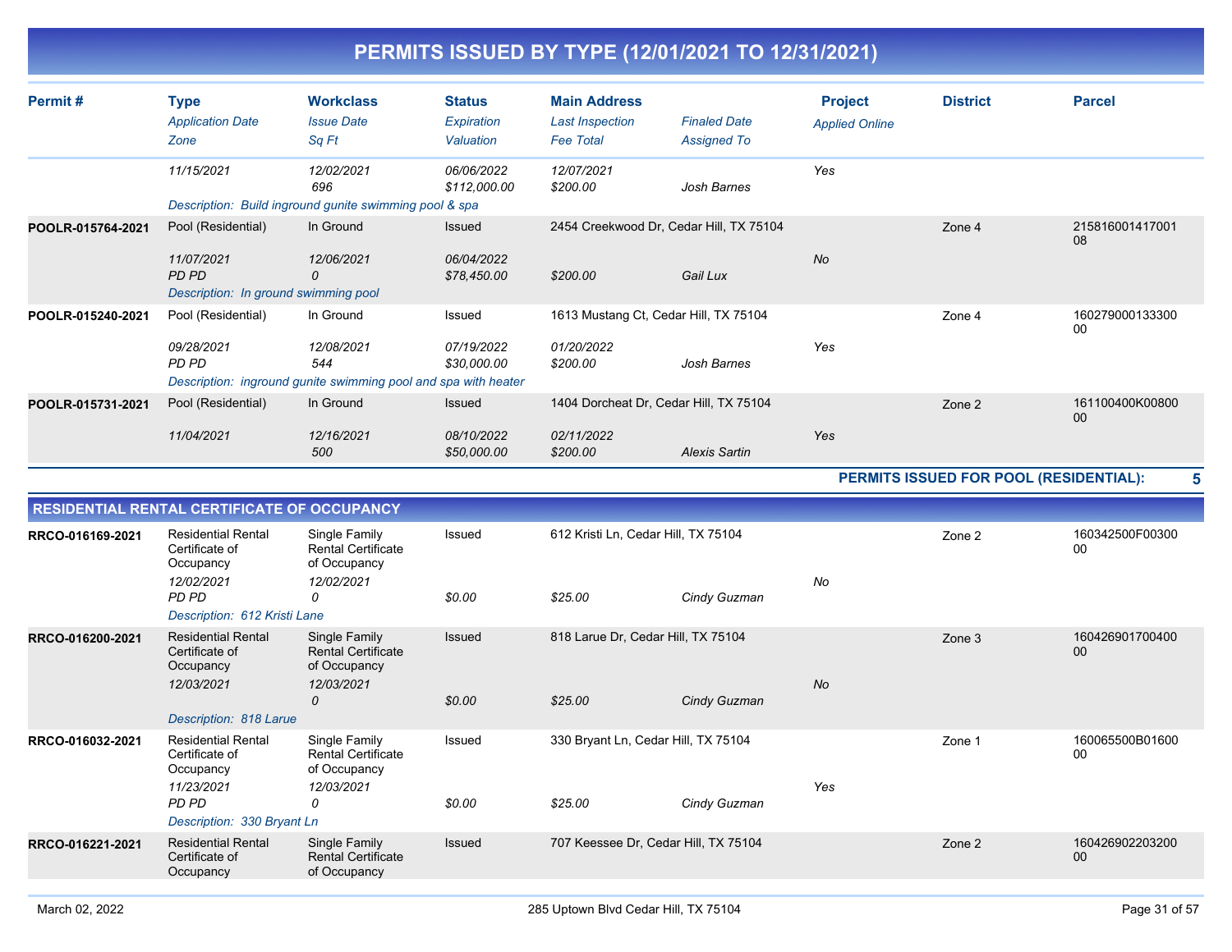| Permit#           | <b>Type</b>                                                 | <b>Workclass</b>                                                                    | Status                     | <b>Main Address</b>                        |                                           | <b>Project</b>        | <b>District</b>                        | <b>Parcel</b>             |
|-------------------|-------------------------------------------------------------|-------------------------------------------------------------------------------------|----------------------------|--------------------------------------------|-------------------------------------------|-----------------------|----------------------------------------|---------------------------|
|                   | <b>Application Date</b><br>Zone                             | <b>Issue Date</b><br>Sq Ft                                                          | Expiration<br>Valuation    | <b>Last Inspection</b><br><b>Fee Total</b> | <b>Finaled Date</b><br><b>Assigned To</b> | <b>Applied Online</b> |                                        |                           |
|                   | 11/15/2021                                                  | 12/02/2021<br>696                                                                   | 06/06/2022<br>\$112,000.00 | 12/07/2021<br>\$200.00                     | Josh Barnes                               | Yes                   |                                        |                           |
|                   |                                                             | Description: Build inground gunite swimming pool & spa                              |                            |                                            |                                           |                       |                                        |                           |
| POOLR-015764-2021 | Pool (Residential)                                          | In Ground                                                                           | Issued                     | 2454 Creekwood Dr, Cedar Hill, TX 75104    |                                           |                       | Zone 4                                 | 215816001417001<br>08     |
|                   | 11/07/2021<br>PD PD<br>Description: In ground swimming pool | 12/06/2021<br>0                                                                     | 06/04/2022<br>\$78,450.00  | \$200.00                                   | Gail Lux                                  | <b>No</b>             |                                        |                           |
| POOLR-015240-2021 | Pool (Residential)                                          | In Ground                                                                           | Issued                     | 1613 Mustang Ct, Cedar Hill, TX 75104      |                                           |                       | Zone 4                                 | 160279000133300<br>00     |
|                   | 09/28/2021<br>PD PD                                         | 12/08/2021<br>544<br>Description: inground gunite swimming pool and spa with heater | 07/19/2022<br>\$30,000.00  | 01/20/2022<br>\$200.00                     | Josh Barnes                               | Yes                   |                                        |                           |
| POOLR-015731-2021 | Pool (Residential)                                          | In Ground                                                                           | Issued                     | 1404 Dorcheat Dr. Cedar Hill, TX 75104     |                                           |                       | Zone 2                                 | 161100400K00800<br>00     |
|                   | 11/04/2021                                                  | 12/16/2021<br>500                                                                   | 08/10/2022<br>\$50,000.00  | 02/11/2022<br>\$200.00                     | <b>Alexis Sartin</b>                      | Yes                   |                                        |                           |
|                   |                                                             |                                                                                     |                            |                                            |                                           |                       | PERMITS ISSUED FOR POOL (RESIDENTIAL): | 5                         |
|                   | RESIDENTIAL RENTAL CERTIFICATE OF OCCUPANCY                 |                                                                                     |                            |                                            |                                           |                       |                                        |                           |
| RRCO-016169-2021  | <b>Residential Rental</b><br>Certificate of<br>Occupancy    | Single Family<br><b>Rental Certificate</b><br>of Occupancy                          | Issued                     | 612 Kristi Ln, Cedar Hill, TX 75104        |                                           |                       | Zone 2                                 | 160342500F00300<br>00     |
|                   | 12/02/2021<br>PD PD                                         | 12/02/2021<br>0                                                                     | \$0.00                     | \$25.00                                    | Cindy Guzman                              | No                    |                                        |                           |
|                   | Description: 612 Kristi Lane                                |                                                                                     |                            |                                            |                                           |                       |                                        |                           |
| RRCO-016200-2021  | <b>Residential Rental</b><br>Certificate of<br>Occupancy    | Single Family<br><b>Rental Certificate</b><br>of Occupancy                          | Issued                     | 818 Larue Dr, Cedar Hill, TX 75104         |                                           |                       | Zone 3                                 | 160426901700400<br>$00\,$ |
|                   | 12/03/2021<br>Description: 818 Larue                        | 12/03/2021<br>0                                                                     | \$0.00                     | \$25.00                                    | Cindy Guzman                              | No                    |                                        |                           |
| RRCO-016032-2021  | <b>Residential Rental</b>                                   | Single Family                                                                       | <b>Issued</b>              | 330 Bryant Ln, Cedar Hill, TX 75104        |                                           |                       | Zone 1                                 | 160065500B01600           |
|                   | Certificate of<br>Occupancy<br>11/23/2021                   | <b>Rental Certificate</b><br>of Occupancy<br>12/03/2021                             |                            |                                            |                                           | Yes                   |                                        | $00\,$                    |
|                   | PD PD<br>Description: 330 Bryant Ln                         | 0                                                                                   | \$0.00                     | \$25.00                                    | Cindy Guzman                              |                       |                                        |                           |
| RRCO-016221-2021  | <b>Residential Rental</b><br>Certificate of<br>Occupancy    | Single Family<br><b>Rental Certificate</b><br>of Occupancy                          | Issued                     | 707 Keessee Dr, Cedar Hill, TX 75104       |                                           |                       | Zone 2                                 | 160426902203200<br>00     |
|                   |                                                             |                                                                                     |                            |                                            |                                           |                       |                                        |                           |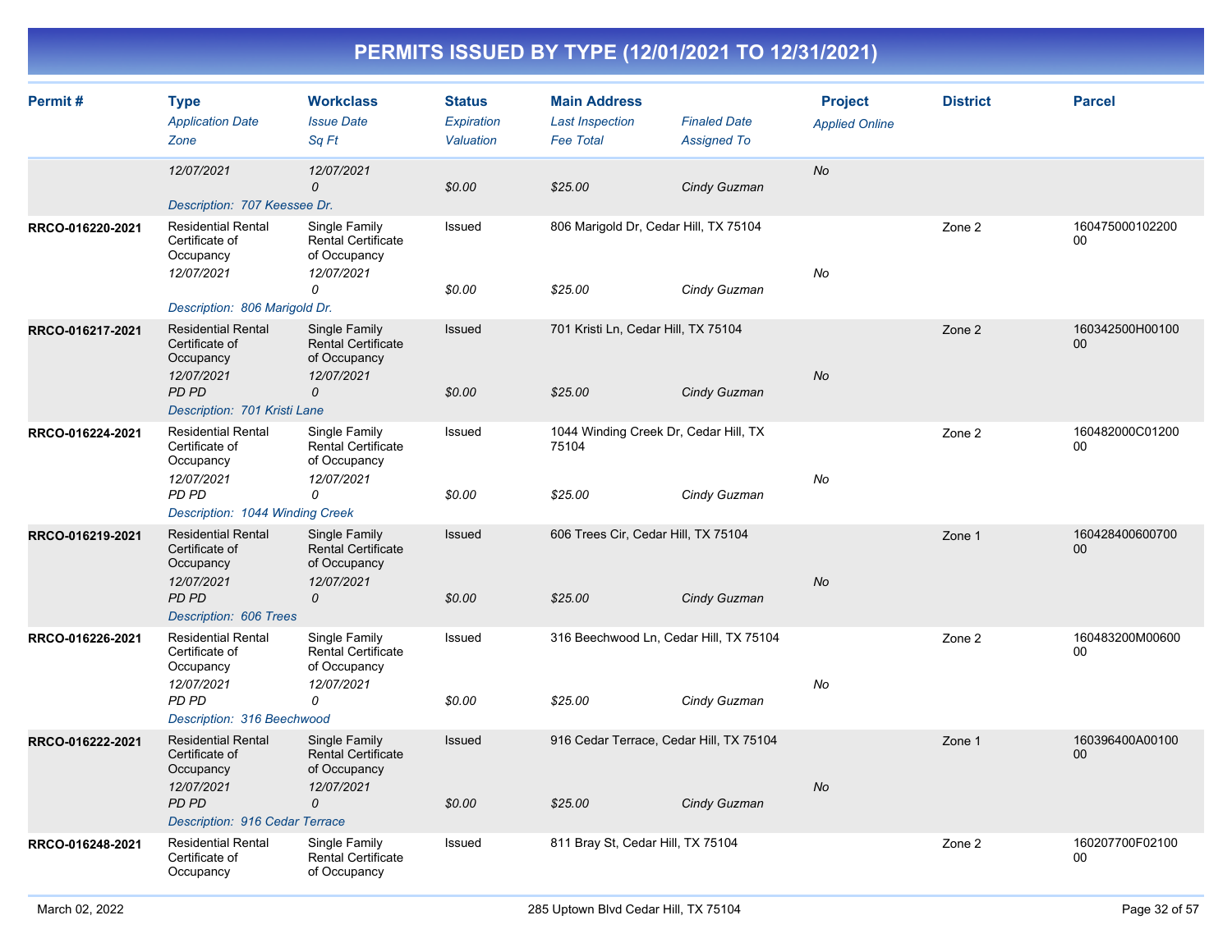| Permit#          | <b>Type</b><br><b>Application Date</b><br>Zone                                         | <b>Workclass</b><br><b>Issue Date</b><br>Sq Ft                                            | <b>Status</b><br><b>Expiration</b><br>Valuation | <b>Main Address</b><br><b>Last Inspection</b><br><b>Fee Total</b> | <b>Finaled Date</b><br><b>Assigned To</b> | <b>Project</b><br><b>Applied Online</b> | <b>District</b> | <b>Parcel</b>             |
|------------------|----------------------------------------------------------------------------------------|-------------------------------------------------------------------------------------------|-------------------------------------------------|-------------------------------------------------------------------|-------------------------------------------|-----------------------------------------|-----------------|---------------------------|
|                  | 12/07/2021<br>Description: 707 Keessee Dr.                                             | 12/07/2021<br>$\mathcal{O}$                                                               | \$0.00                                          | \$25.00                                                           | Cindy Guzman                              | <b>No</b>                               |                 |                           |
| RRCO-016220-2021 | <b>Residential Rental</b><br>Certificate of<br>Occupancy<br>12/07/2021                 | Single Family<br><b>Rental Certificate</b><br>of Occupancy<br>12/07/2021<br>0             | Issued<br>\$0.00                                | 806 Marigold Dr, Cedar Hill, TX 75104<br>\$25.00                  | Cindy Guzman                              | No                                      | Zone 2          | 160475000102200<br>00     |
|                  | Description: 806 Marigold Dr.                                                          |                                                                                           |                                                 |                                                                   |                                           |                                         |                 |                           |
| RRCO-016217-2021 | <b>Residential Rental</b><br>Certificate of<br>Occupancy<br>12/07/2021<br><b>PD PD</b> | Single Family<br><b>Rental Certificate</b><br>of Occupancy<br>12/07/2021<br>$\mathcal{O}$ | Issued<br>\$0.00                                | 701 Kristi Ln, Cedar Hill, TX 75104<br>\$25.00                    | Cindy Guzman                              | <b>No</b>                               | Zone 2          | 160342500H00100<br>00     |
|                  | Description: 701 Kristi Lane                                                           |                                                                                           |                                                 |                                                                   |                                           |                                         |                 |                           |
| RRCO-016224-2021 | <b>Residential Rental</b><br>Certificate of<br>Occupancy                               | Single Family<br><b>Rental Certificate</b><br>of Occupancy                                | Issued                                          | 1044 Winding Creek Dr, Cedar Hill, TX<br>75104                    |                                           |                                         | Zone 2          | 160482000C01200<br>00     |
|                  | 12/07/2021<br>PD PD<br>Description: 1044 Winding Creek                                 | 12/07/2021<br>0                                                                           | \$0.00                                          | \$25.00                                                           | Cindy Guzman                              | No                                      |                 |                           |
| RRCO-016219-2021 | <b>Residential Rental</b><br>Certificate of<br>Occupancy                               | Single Family<br><b>Rental Certificate</b><br>of Occupancy                                | Issued                                          | 606 Trees Cir, Cedar Hill, TX 75104                               |                                           |                                         | Zone 1          | 160428400600700<br>$00\,$ |
|                  | 12/07/2021<br>PD PD<br>Description: 606 Trees                                          | 12/07/2021<br>$\mathcal{O}$                                                               | \$0.00                                          | \$25.00                                                           | Cindy Guzman                              | <b>No</b>                               |                 |                           |
| RRCO-016226-2021 | <b>Residential Rental</b><br>Certificate of<br>Occupancy                               | Single Family<br><b>Rental Certificate</b><br>of Occupancy                                | Issued                                          | 316 Beechwood Ln, Cedar Hill, TX 75104                            |                                           |                                         | Zone 2          | 160483200M00600<br>00     |
|                  | 12/07/2021<br>PD PD<br>Description: 316 Beechwood                                      | 12/07/2021<br>$\Omega$                                                                    | \$0.00                                          | \$25.00                                                           | Cindy Guzman                              | No                                      |                 |                           |
| RRCO-016222-2021 | <b>Residential Rental</b><br>Certificate of<br>Occupancy                               | Single Family<br><b>Rental Certificate</b><br>of Occupancy                                | Issued                                          | 916 Cedar Terrace, Cedar Hill, TX 75104                           |                                           |                                         | Zone 1          | 160396400A00100<br>$00\,$ |
|                  | 12/07/2021<br>PD PD<br>Description: 916 Cedar Terrace                                  | 12/07/2021<br>0                                                                           | \$0.00                                          | \$25.00                                                           | Cindy Guzman                              | <b>No</b>                               |                 |                           |
| RRCO-016248-2021 | <b>Residential Rental</b><br>Certificate of<br>Occupancy                               | Single Family<br><b>Rental Certificate</b><br>of Occupancy                                | Issued                                          | 811 Bray St, Cedar Hill, TX 75104                                 |                                           |                                         | Zone 2          | 160207700F02100<br>00     |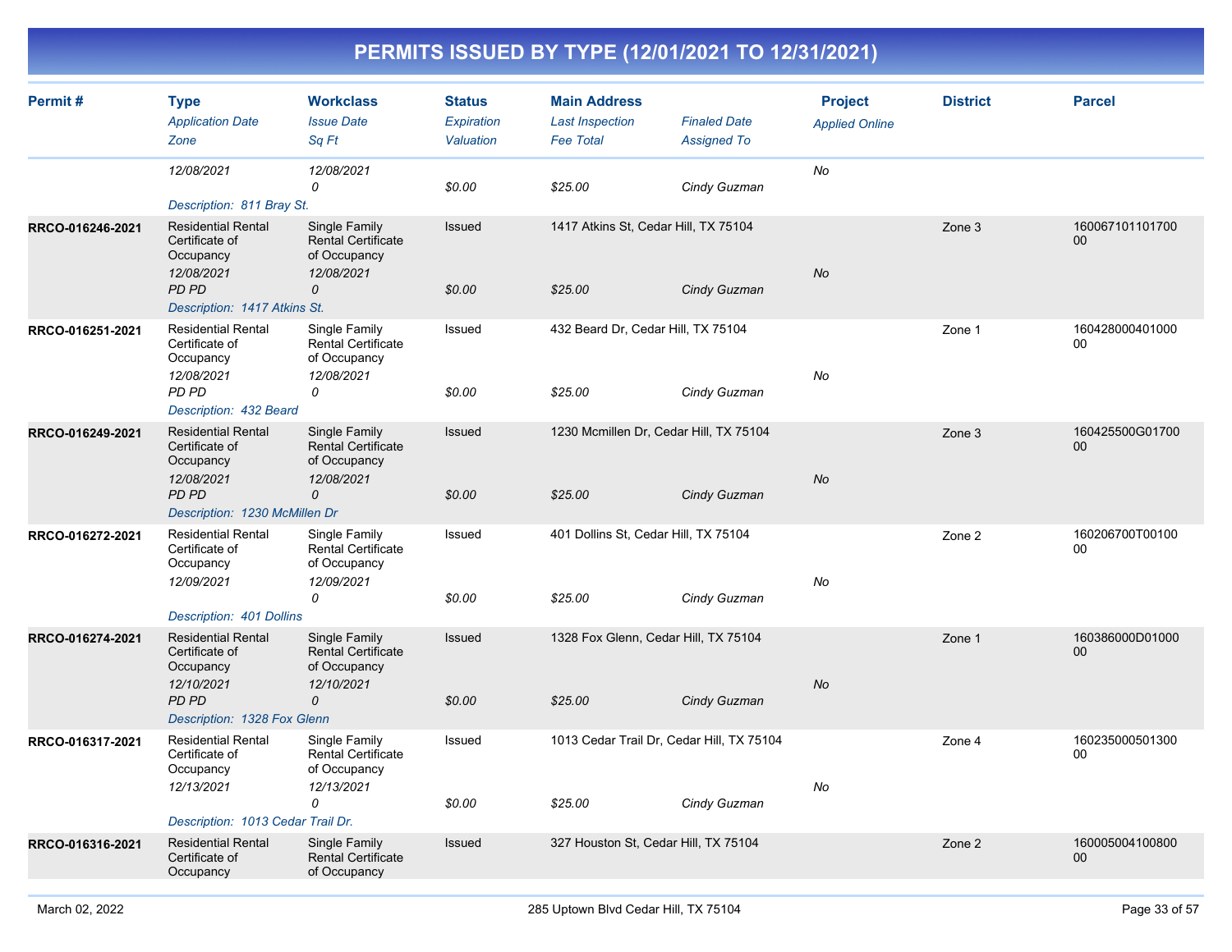| Permit#          | <b>Type</b><br><b>Application Date</b><br>Zone                         | <b>Workclass</b><br><b>Issue Date</b><br>Sq Ft                           | <b>Status</b><br>Expiration<br>Valuation | <b>Main Address</b><br><b>Last Inspection</b><br><b>Fee Total</b> | <b>Finaled Date</b><br><b>Assigned To</b> | <b>Project</b><br><b>Applied Online</b> | <b>District</b> | <b>Parcel</b>             |
|------------------|------------------------------------------------------------------------|--------------------------------------------------------------------------|------------------------------------------|-------------------------------------------------------------------|-------------------------------------------|-----------------------------------------|-----------------|---------------------------|
|                  | 12/08/2021<br>Description: 811 Bray St.                                | 12/08/2021<br>0                                                          | \$0.00                                   | \$25.00                                                           | Cindy Guzman                              | No                                      |                 |                           |
| RRCO-016246-2021 | <b>Residential Rental</b><br>Certificate of<br>Occupancy<br>12/08/2021 | Single Family<br><b>Rental Certificate</b><br>of Occupancy<br>12/08/2021 | Issued                                   | 1417 Atkins St, Cedar Hill, TX 75104                              |                                           | No                                      | Zone 3          | 160067101101700<br>00     |
|                  | PD PD<br>Description: 1417 Atkins St.                                  | 0                                                                        | \$0.00                                   | \$25.00                                                           | Cindy Guzman                              |                                         |                 |                           |
| RRCO-016251-2021 | <b>Residential Rental</b><br>Certificate of<br>Occupancy<br>12/08/2021 | Single Family<br><b>Rental Certificate</b><br>of Occupancy<br>12/08/2021 | <b>Issued</b>                            | 432 Beard Dr, Cedar Hill, TX 75104                                |                                           | No                                      | Zone 1          | 160428000401000<br>00     |
|                  | PD PD<br>Description: 432 Beard                                        | 0                                                                        | \$0.00                                   | \$25.00                                                           | Cindy Guzman                              |                                         |                 |                           |
| RRCO-016249-2021 | <b>Residential Rental</b><br>Certificate of<br>Occupancy               | Single Family<br><b>Rental Certificate</b><br>of Occupancy               | Issued                                   | 1230 Mcmillen Dr, Cedar Hill, TX 75104                            |                                           |                                         | Zone 3          | 160425500G01700<br>00     |
|                  | 12/08/2021<br>PD PD<br>Description: 1230 McMillen Dr                   | 12/08/2021<br>0                                                          | \$0.00                                   | \$25.00                                                           | Cindy Guzman                              | No                                      |                 |                           |
| RRCO-016272-2021 | <b>Residential Rental</b><br>Certificate of<br>Occupancy<br>12/09/2021 | Single Family<br><b>Rental Certificate</b><br>of Occupancy<br>12/09/2021 | Issued                                   | 401 Dollins St, Cedar Hill, TX 75104                              |                                           | No                                      | Zone 2          | 160206700T00100<br>00     |
|                  | Description: 401 Dollins                                               | 0                                                                        | \$0.00                                   | \$25.00                                                           | Cindy Guzman                              |                                         |                 |                           |
| RRCO-016274-2021 | <b>Residential Rental</b><br>Certificate of<br>Occupancy               | Single Family<br><b>Rental Certificate</b><br>of Occupancy               | Issued                                   | 1328 Fox Glenn, Cedar Hill, TX 75104                              |                                           |                                         | Zone 1          | 160386000D01000<br>$00\,$ |
|                  | 12/10/2021<br>PD PD<br>Description: 1328 Fox Glenn                     | 12/10/2021<br>$\mathcal{O}$                                              | \$0.00                                   | \$25.00                                                           | Cindy Guzman                              | <b>No</b>                               |                 |                           |
| RRCO-016317-2021 | <b>Residential Rental</b><br>Certificate of<br>Occupancy               | Single Family<br><b>Rental Certificate</b><br>of Occupancy               | Issued                                   | 1013 Cedar Trail Dr, Cedar Hill, TX 75104                         |                                           |                                         | Zone 4          | 160235000501300<br>00     |
|                  | 12/13/2021<br>Description: 1013 Cedar Trail Dr.                        | 12/13/2021<br>0                                                          | \$0.00                                   | \$25.00                                                           | Cindy Guzman                              | No                                      |                 |                           |
| RRCO-016316-2021 | <b>Residential Rental</b><br>Certificate of<br>Occupancy               | Single Family<br><b>Rental Certificate</b><br>of Occupancy               | Issued                                   | 327 Houston St, Cedar Hill, TX 75104                              |                                           |                                         | Zone 2          | 160005004100800<br>00     |
|                  |                                                                        |                                                                          |                                          |                                                                   |                                           |                                         |                 |                           |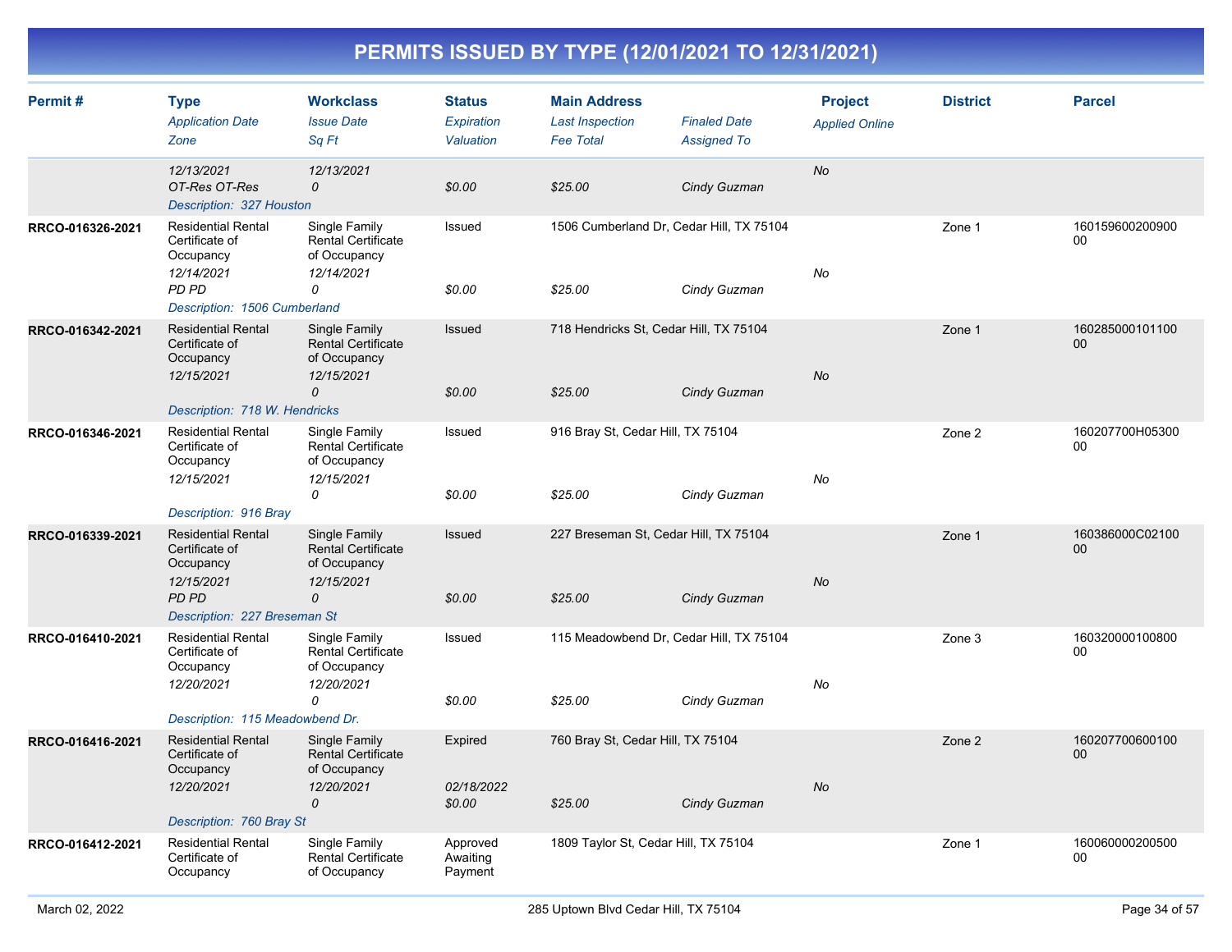| Permit#          | <b>Type</b><br><b>Application Date</b><br>Zone                                  | <b>Workclass</b><br><b>Issue Date</b><br>Sq Ft                                | <b>Status</b><br>Expiration<br>Valuation | <b>Main Address</b><br><b>Last Inspection</b><br><b>Fee Total</b> | <b>Finaled Date</b><br><b>Assigned To</b> | <b>Project</b><br><b>Applied Online</b> | <b>District</b> | <b>Parcel</b>         |
|------------------|---------------------------------------------------------------------------------|-------------------------------------------------------------------------------|------------------------------------------|-------------------------------------------------------------------|-------------------------------------------|-----------------------------------------|-----------------|-----------------------|
|                  | 12/13/2021<br>OT-Res OT-Res<br>Description: 327 Houston                         | 12/13/2021<br>$\Omega$                                                        | \$0.00                                   | \$25.00                                                           | Cindy Guzman                              | No                                      |                 |                       |
| RRCO-016326-2021 | <b>Residential Rental</b><br>Certificate of<br>Occupancy<br>12/14/2021<br>PD PD | Single Family<br><b>Rental Certificate</b><br>of Occupancy<br>12/14/2021<br>0 | Issued<br>\$0.00                         | 1506 Cumberland Dr, Cedar Hill, TX 75104<br>\$25.00               | Cindy Guzman                              | No                                      | Zone 1          | 160159600200900<br>00 |
|                  | Description: 1506 Cumberland                                                    |                                                                               |                                          |                                                                   |                                           |                                         |                 |                       |
| RRCO-016342-2021 | <b>Residential Rental</b><br>Certificate of<br>Occupancy<br>12/15/2021          | Single Family<br><b>Rental Certificate</b><br>of Occupancy<br>12/15/2021<br>0 | Issued<br>\$0.00                         | 718 Hendricks St. Cedar Hill, TX 75104<br>\$25.00                 | Cindy Guzman                              | No                                      | Zone 1          | 160285000101100<br>00 |
|                  | Description: 718 W. Hendricks                                                   |                                                                               |                                          |                                                                   |                                           |                                         |                 |                       |
| RRCO-016346-2021 | <b>Residential Rental</b><br>Certificate of<br>Occupancy<br>12/15/2021          | Single Family<br><b>Rental Certificate</b><br>of Occupancy<br>12/15/2021      | Issued                                   | 916 Bray St, Cedar Hill, TX 75104                                 |                                           | No                                      | Zone 2          | 160207700H05300<br>00 |
|                  | Description: 916 Bray                                                           | 0                                                                             | \$0.00                                   | \$25.00                                                           | Cindy Guzman                              |                                         |                 |                       |
| RRCO-016339-2021 | <b>Residential Rental</b><br>Certificate of<br>Occupancy<br>12/15/2021          | Single Family<br><b>Rental Certificate</b><br>of Occupancy                    | <b>Issued</b>                            | 227 Breseman St, Cedar Hill, TX 75104                             |                                           | <b>No</b>                               | Zone 1          | 160386000C02100<br>00 |
|                  | PD PD<br>Description: 227 Breseman St                                           | 12/15/2021<br>$\overline{O}$                                                  | \$0.00                                   | \$25.00                                                           | Cindy Guzman                              |                                         |                 |                       |
| RRCO-016410-2021 | <b>Residential Rental</b><br>Certificate of<br>Occupancy                        | Single Family<br>Rental Certificate<br>of Occupancy                           | Issued                                   | 115 Meadowbend Dr, Cedar Hill, TX 75104                           |                                           |                                         | Zone 3          | 160320000100800<br>00 |
|                  | 12/20/2021                                                                      | 12/20/2021<br>0                                                               | \$0.00                                   | \$25.00                                                           | Cindy Guzman                              | No                                      |                 |                       |
|                  | Description: 115 Meadowbend Dr.                                                 |                                                                               |                                          |                                                                   |                                           |                                         |                 |                       |
| RRCO-016416-2021 | <b>Residential Rental</b><br>Certificate of<br>Occupancy                        | Single Family<br><b>Rental Certificate</b><br>of Occupancy                    | Expired                                  | 760 Bray St, Cedar Hill, TX 75104                                 |                                           |                                         | Zone 2          | 160207700600100<br>00 |
|                  | 12/20/2021                                                                      | 12/20/2021<br>$\Omega$                                                        | 02/18/2022<br>\$0.00                     | \$25.00                                                           | Cindy Guzman                              | <b>No</b>                               |                 |                       |
|                  | Description: 760 Bray St                                                        |                                                                               |                                          |                                                                   |                                           |                                         |                 |                       |
| RRCO-016412-2021 | <b>Residential Rental</b><br>Certificate of<br>Occupancy                        | Single Family<br>Rental Certificate<br>of Occupancy                           | Approved<br>Awaiting<br>Payment          | 1809 Taylor St, Cedar Hill, TX 75104                              |                                           |                                         | Zone 1          | 160060000200500<br>00 |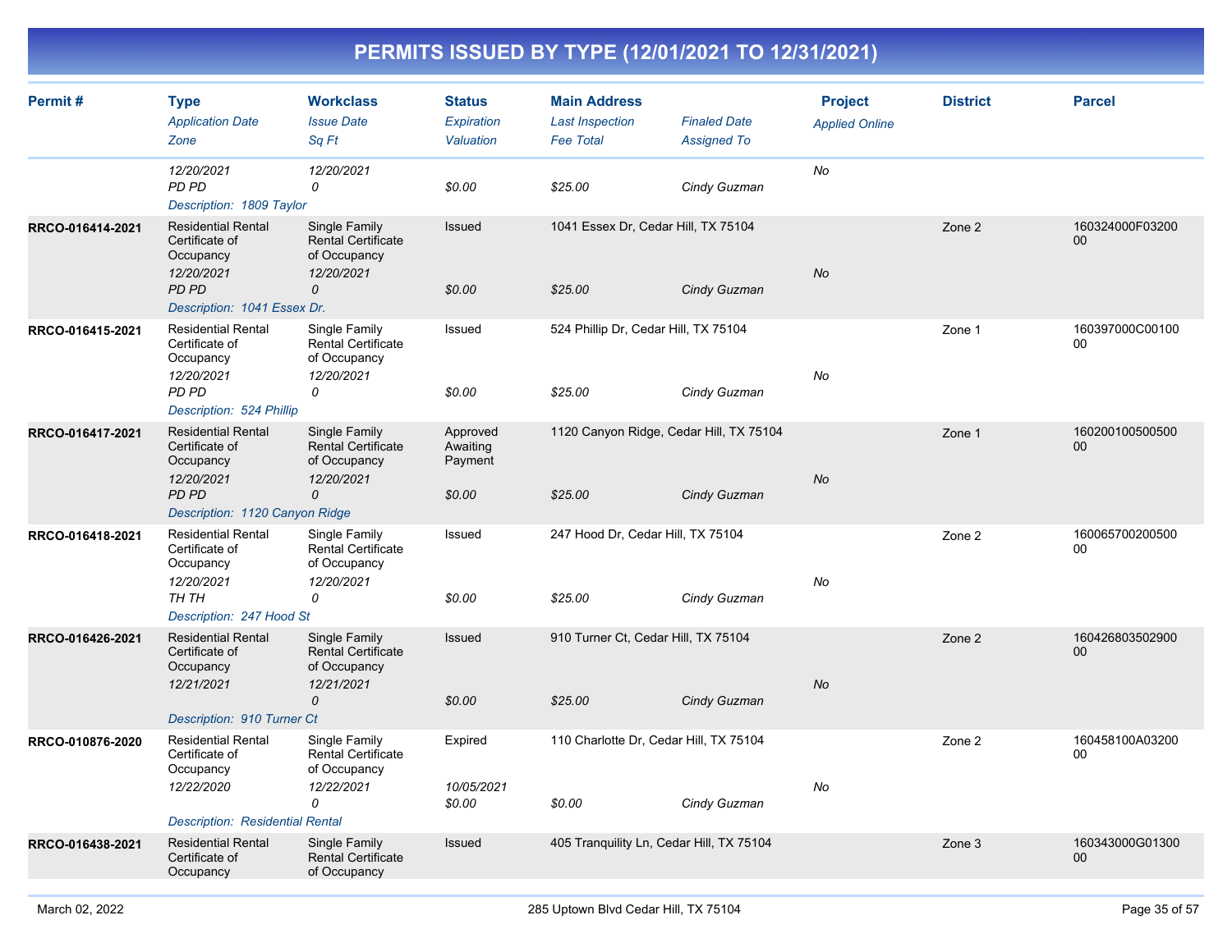| Permit#          | <b>Type</b><br><b>Application Date</b><br>Zone                                  | <b>Workclass</b><br><b>Issue Date</b><br>Sq Ft                                | <b>Status</b><br>Expiration<br>Valuation | <b>Main Address</b><br><b>Last Inspection</b><br><b>Fee Total</b> | <b>Finaled Date</b><br><b>Assigned To</b> | <b>Project</b><br><b>Applied Online</b> | <b>District</b> | <b>Parcel</b>                      |
|------------------|---------------------------------------------------------------------------------|-------------------------------------------------------------------------------|------------------------------------------|-------------------------------------------------------------------|-------------------------------------------|-----------------------------------------|-----------------|------------------------------------|
|                  | 12/20/2021<br>PD PD<br>Description: 1809 Taylor                                 | 12/20/2021<br>0                                                               | \$0.00                                   | \$25.00                                                           | Cindy Guzman                              | No                                      |                 |                                    |
| RRCO-016414-2021 | <b>Residential Rental</b><br>Certificate of<br>Occupancy<br>12/20/2021<br>PD PD | Single Family<br><b>Rental Certificate</b><br>of Occupancy<br>12/20/2021<br>0 | Issued<br>\$0.00                         | 1041 Essex Dr, Cedar Hill, TX 75104<br>\$25.00                    | Cindy Guzman                              | <b>No</b>                               | Zone 2          | 160324000F03200<br>00              |
|                  | Description: 1041 Essex Dr.                                                     |                                                                               |                                          |                                                                   |                                           |                                         |                 |                                    |
| RRCO-016415-2021 | <b>Residential Rental</b><br>Certificate of<br>Occupancy<br>12/20/2021          | Single Family<br><b>Rental Certificate</b><br>of Occupancy<br>12/20/2021      | Issued                                   | 524 Phillip Dr, Cedar Hill, TX 75104                              |                                           | No                                      | Zone 1          | 160397000C00100<br>00              |
|                  | PD PD<br>Description: 524 Phillip                                               | 0                                                                             | \$0.00                                   | \$25.00                                                           | Cindy Guzman                              |                                         |                 |                                    |
| RRCO-016417-2021 | <b>Residential Rental</b><br>Certificate of<br>Occupancy                        | Single Family<br>Rental Certificate<br>of Occupancy                           | Approved<br>Awaiting<br>Payment          | 1120 Canyon Ridge, Cedar Hill, TX 75104                           |                                           |                                         | Zone 1          | 160200100500500<br>00              |
|                  | 12/20/2021<br>PD PD<br>Description: 1120 Canyon Ridge                           | 12/20/2021<br>$\mathcal{O}$                                                   | \$0.00                                   | \$25.00                                                           | Cindy Guzman                              | <b>No</b>                               |                 |                                    |
| RRCO-016418-2021 | <b>Residential Rental</b><br>Certificate of<br>Occupancy                        | Single Family<br>Rental Certificate<br>of Occupancy                           | Issued                                   | 247 Hood Dr, Cedar Hill, TX 75104                                 |                                           |                                         | Zone 2          | 160065700200500<br>00              |
|                  | 12/20/2021<br>TH TH<br>Description: 247 Hood St                                 | 12/20/2021<br>0                                                               | \$0.00                                   | \$25.00                                                           | Cindy Guzman                              | No                                      |                 |                                    |
| RRCO-016426-2021 | <b>Residential Rental</b><br>Certificate of<br>Occupancy                        | Single Family<br><b>Rental Certificate</b><br>of Occupancy                    | Issued                                   | 910 Turner Ct, Cedar Hill, TX 75104                               |                                           |                                         | Zone 2          | 160426803502900<br>00              |
|                  | 12/21/2021                                                                      | 12/21/2021<br>$\mathcal{O}$                                                   | \$0.00                                   | \$25.00                                                           | Cindy Guzman                              | No                                      |                 |                                    |
| RRCO-010876-2020 | Description: 910 Turner Ct<br><b>Residential Rental</b>                         | Single Family                                                                 | Expired                                  | 110 Charlotte Dr, Cedar Hill, TX 75104                            |                                           |                                         | Zone 2          | 160458100A03200                    |
|                  | Certificate of<br>Occupancy                                                     | <b>Rental Certificate</b><br>of Occupancy                                     |                                          |                                                                   |                                           |                                         |                 | 00                                 |
|                  | 12/22/2020                                                                      | 12/22/2021<br>0                                                               | 10/05/2021<br>\$0.00                     | \$0.00                                                            | Cindy Guzman                              | No                                      |                 |                                    |
|                  | Description: Residential Rental                                                 |                                                                               |                                          |                                                                   |                                           |                                         |                 |                                    |
| RRCO-016438-2021 | <b>Residential Rental</b><br>Certificate of<br>Occupancy                        | Single Family<br><b>Rental Certificate</b><br>of Occupancy                    | Issued                                   | 405 Tranquility Ln, Cedar Hill, TX 75104                          |                                           |                                         | Zone 3          | 160343000G01300<br>00 <sub>0</sub> |
|                  |                                                                                 |                                                                               |                                          |                                                                   |                                           |                                         |                 |                                    |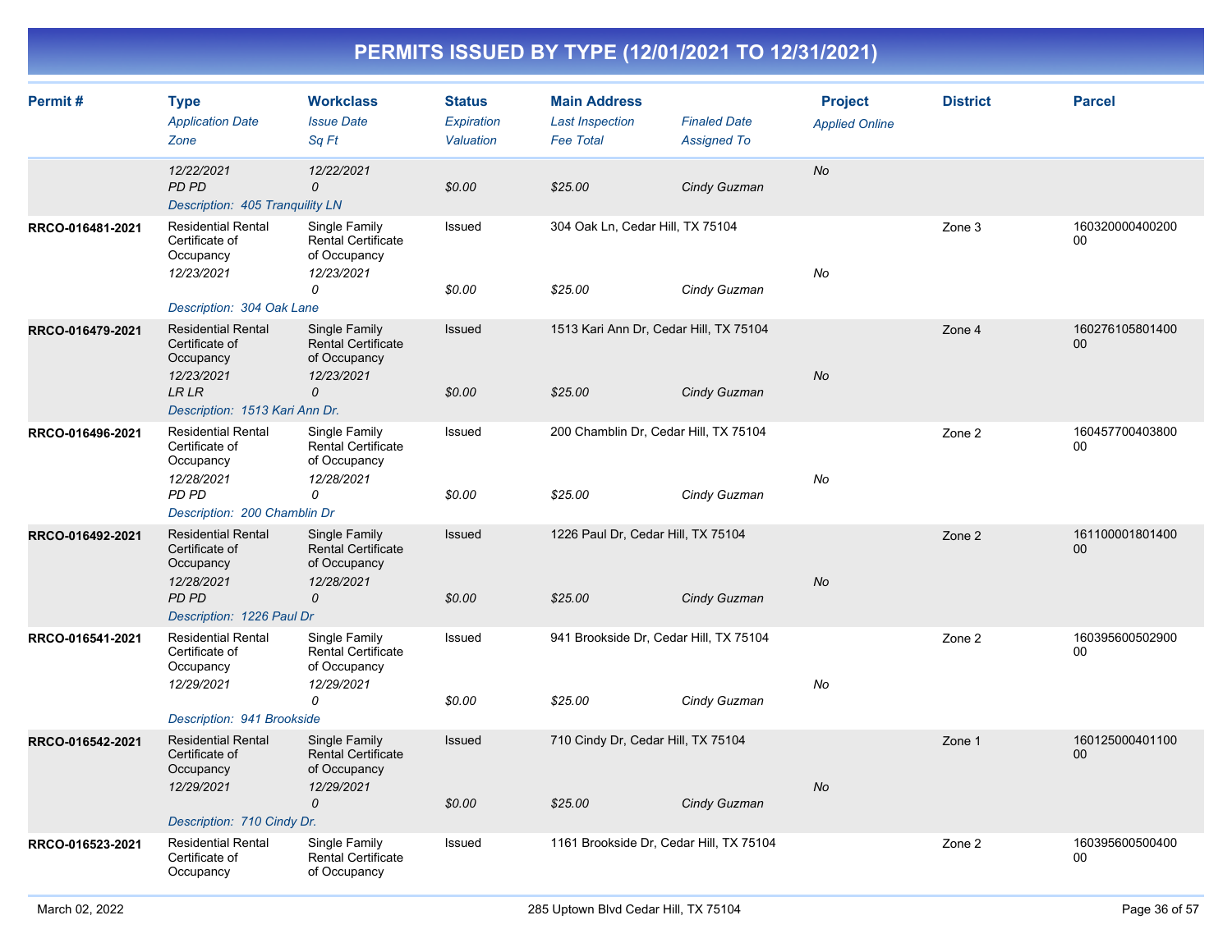| Permit#          | <b>Type</b><br><b>Application Date</b><br>Zone                         | <b>Workclass</b><br><b>Issue Date</b><br>Sq Ft                           | <b>Status</b><br><b>Expiration</b><br>Valuation | <b>Main Address</b><br><b>Last Inspection</b><br><b>Fee Total</b> | <b>Finaled Date</b><br><b>Assigned To</b> | <b>Project</b><br><b>Applied Online</b> | <b>District</b> | <b>Parcel</b>         |
|------------------|------------------------------------------------------------------------|--------------------------------------------------------------------------|-------------------------------------------------|-------------------------------------------------------------------|-------------------------------------------|-----------------------------------------|-----------------|-----------------------|
|                  | 12/22/2021<br>PD PD<br>Description: 405 Tranquility LN                 | 12/22/2021<br>0                                                          | \$0.00                                          | \$25.00                                                           | Cindy Guzman                              | No                                      |                 |                       |
| RRCO-016481-2021 | <b>Residential Rental</b><br>Certificate of<br>Occupancy<br>12/23/2021 | Single Family<br><b>Rental Certificate</b><br>of Occupancy<br>12/23/2021 | Issued                                          | 304 Oak Ln, Cedar Hill, TX 75104                                  |                                           | No                                      | Zone 3          | 160320000400200<br>00 |
|                  | Description: 304 Oak Lane                                              | 0                                                                        | \$0.00                                          | \$25.00                                                           | Cindy Guzman                              |                                         |                 |                       |
| RRCO-016479-2021 | <b>Residential Rental</b><br>Certificate of<br>Occupancy<br>12/23/2021 | Single Family<br><b>Rental Certificate</b><br>of Occupancy<br>12/23/2021 | Issued                                          | 1513 Kari Ann Dr, Cedar Hill, TX 75104                            |                                           | <b>No</b>                               | Zone 4          | 160276105801400<br>00 |
|                  | <b>LRLR</b><br>Description: 1513 Kari Ann Dr.                          | $\Omega$                                                                 | \$0.00                                          | \$25.00                                                           | Cindy Guzman                              |                                         |                 |                       |
| RRCO-016496-2021 | <b>Residential Rental</b><br>Certificate of<br>Occupancy               | Single Family<br><b>Rental Certificate</b><br>of Occupancy               | Issued                                          | 200 Chamblin Dr, Cedar Hill, TX 75104                             |                                           |                                         | Zone 2          | 160457700403800<br>00 |
|                  | 12/28/2021<br>PD PD<br>Description: 200 Chamblin Dr                    | 12/28/2021<br>0                                                          | \$0.00                                          | \$25.00                                                           | Cindy Guzman                              | No                                      |                 |                       |
| RRCO-016492-2021 | <b>Residential Rental</b><br>Certificate of<br>Occupancy               | Single Family<br><b>Rental Certificate</b><br>of Occupancy               | <b>Issued</b>                                   | 1226 Paul Dr, Cedar Hill, TX 75104                                |                                           |                                         | Zone 2          | 161100001801400<br>00 |
|                  | 12/28/2021<br>PD PD<br>Description: 1226 Paul Dr                       | 12/28/2021<br>$\mathcal{O}$                                              | \$0.00                                          | \$25.00                                                           | Cindy Guzman                              | No                                      |                 |                       |
| RRCO-016541-2021 | <b>Residential Rental</b><br>Certificate of<br>Occupancy               | Single Family<br>Rental Certificate<br>of Occupancy                      | Issued                                          | 941 Brookside Dr, Cedar Hill, TX 75104                            |                                           |                                         | Zone 2          | 160395600502900<br>00 |
|                  | 12/29/2021                                                             | 12/29/2021<br>0                                                          | \$0.00                                          | \$25.00                                                           | Cindy Guzman                              | No                                      |                 |                       |
| RRCO-016542-2021 | Description: 941 Brookside<br><b>Residential Rental</b>                | Single Family                                                            | Issued                                          | 710 Cindy Dr, Cedar Hill, TX 75104                                |                                           |                                         | Zone 1          | 160125000401100       |
|                  | Certificate of<br>Occupancy<br>12/29/2021                              | <b>Rental Certificate</b><br>of Occupancy<br>12/29/2021                  |                                                 |                                                                   |                                           | No                                      |                 | 00                    |
|                  | Description: 710 Cindy Dr.                                             | $\mathcal{O}$                                                            | \$0.00                                          | \$25.00                                                           | Cindy Guzman                              |                                         |                 |                       |
| RRCO-016523-2021 | <b>Residential Rental</b><br>Certificate of<br>Occupancy               | Single Family<br>Rental Certificate<br>of Occupancy                      | Issued                                          | 1161 Brookside Dr, Cedar Hill, TX 75104                           |                                           |                                         | Zone 2          | 160395600500400<br>00 |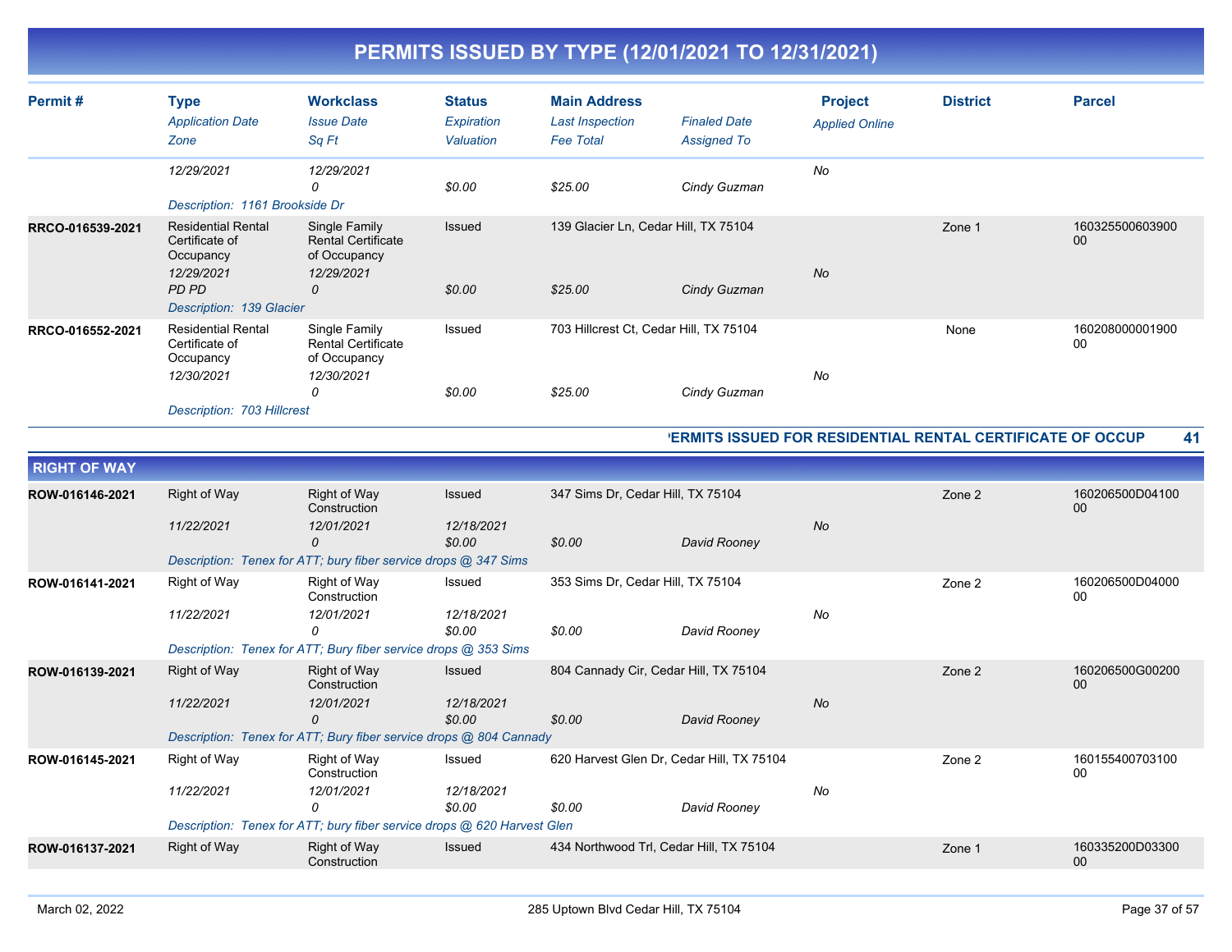| Permit#          | <b>Type</b><br><b>Application Date</b><br>Zone                                                              | <b>Workclass</b><br><b>Issue Date</b><br>Sq Ft                                | <b>Status</b><br>Expiration<br>Valuation | <b>Main Address</b><br><b>Last Inspection</b><br><b>Fee Total</b> | <b>Finaled Date</b><br><b>Assigned To</b> | <b>Project</b><br><b>Applied Online</b> | <b>District</b> | <b>Parcel</b>         |
|------------------|-------------------------------------------------------------------------------------------------------------|-------------------------------------------------------------------------------|------------------------------------------|-------------------------------------------------------------------|-------------------------------------------|-----------------------------------------|-----------------|-----------------------|
|                  | 12/29/2021<br>Description: 1161 Brookside Dr                                                                | 12/29/2021<br>0                                                               | \$0.00                                   | \$25.00                                                           | Cindy Guzman                              | No                                      |                 |                       |
| RRCO-016539-2021 | <b>Residential Rental</b><br>Certificate of<br>Occupancy<br>12/29/2021<br>PD PD<br>Description: 139 Glacier | Single Family<br><b>Rental Certificate</b><br>of Occupancy<br>12/29/2021<br>0 | Issued<br>\$0.00                         | 139 Glacier Ln, Cedar Hill, TX 75104<br>\$25.00                   | Cindy Guzman                              | <b>No</b>                               | Zone 1          | 160325500603900<br>00 |
| RRCO-016552-2021 | <b>Residential Rental</b><br>Certificate of<br>Occupancy<br>12/30/2021<br>Description: 703 Hillcrest        | Single Family<br><b>Rental Certificate</b><br>of Occupancy<br>12/30/2021<br>0 | Issued<br>\$0.00                         | 703 Hillcrest Ct, Cedar Hill, TX 75104<br>\$25.00                 | Cindy Guzman                              | No                                      | None            | 160208000001900<br>00 |

#### **PERMITS ISSUED FOR RESIDENTIAL RENTAL CERTIFICATE OF OCCUP 41**

| <b>RIGHT OF WAY</b> |              |                                                                         |                      |                                           |              |           |        |                           |
|---------------------|--------------|-------------------------------------------------------------------------|----------------------|-------------------------------------------|--------------|-----------|--------|---------------------------|
| ROW-016146-2021     | Right of Way | <b>Right of Way</b><br>Construction                                     | <b>Issued</b>        | 347 Sims Dr, Cedar Hill, TX 75104         |              |           | Zone 2 | 160206500D04100<br>00     |
|                     | 11/22/2021   | 12/01/2021<br>0                                                         | 12/18/2021<br>\$0.00 | \$0.00                                    | David Rooney | <b>No</b> |        |                           |
|                     |              | Description: Tenex for ATT; bury fiber service drops @ 347 Sims         |                      |                                           |              |           |        |                           |
| ROW-016141-2021     | Right of Way | Right of Way<br>Construction                                            | Issued               | 353 Sims Dr, Cedar Hill, TX 75104         |              |           | Zone 2 | 160206500D04000<br>00     |
|                     | 11/22/2021   | 12/01/2021<br>0                                                         | 12/18/2021<br>\$0.00 | \$0.00                                    | David Rooney | No        |        |                           |
|                     |              | Description: Tenex for ATT; Bury fiber service drops @ 353 Sims         |                      |                                           |              |           |        |                           |
| ROW-016139-2021     | Right of Way | <b>Right of Way</b><br>Construction                                     | <b>Issued</b>        | 804 Cannady Cir, Cedar Hill, TX 75104     |              |           | Zone 2 | 160206500G00200<br>$00\,$ |
|                     | 11/22/2021   | 12/01/2021<br>$\Omega$                                                  | 12/18/2021<br>\$0.00 | \$0.00                                    | David Rooney | <b>No</b> |        |                           |
|                     |              | Description: Tenex for ATT; Bury fiber service drops @ 804 Cannady      |                      |                                           |              |           |        |                           |
| ROW-016145-2021     | Right of Way | Right of Way<br>Construction                                            | Issued               | 620 Harvest Glen Dr, Cedar Hill, TX 75104 |              |           | Zone 2 | 160155400703100<br>00     |
|                     | 11/22/2021   | 12/01/2021<br>$\Omega$                                                  | 12/18/2021<br>\$0.00 | \$0.00                                    | David Rooney | No        |        |                           |
|                     |              | Description: Tenex for ATT; bury fiber service drops @ 620 Harvest Glen |                      |                                           |              |           |        |                           |
| ROW-016137-2021     | Right of Way | <b>Right of Way</b><br>Construction                                     | <b>Issued</b>        | 434 Northwood Trl, Cedar Hill, TX 75104   |              |           | Zone 1 | 160335200D03300<br>$00\,$ |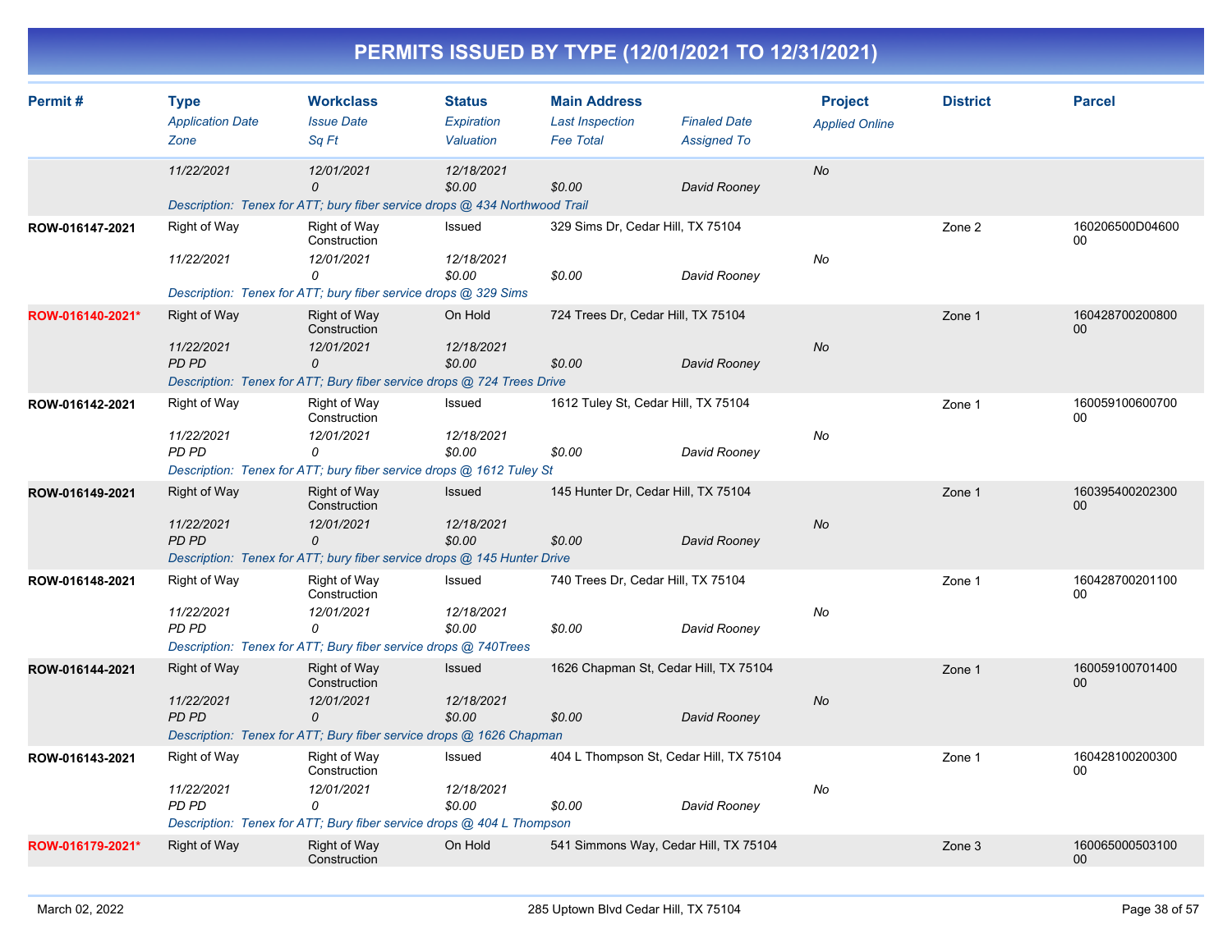|  | PERMITS ISSUED BY TYPE (12/01/2021 TO 12/31/2021) |
|--|---------------------------------------------------|
|  |                                                   |

| Permit#          | <b>Type</b>                     | <b>Workclass</b>                                                             | <b>Status</b>           | <b>Main Address</b>                        |                                           | <b>Project</b>        | <b>District</b> | <b>Parcel</b>             |
|------------------|---------------------------------|------------------------------------------------------------------------------|-------------------------|--------------------------------------------|-------------------------------------------|-----------------------|-----------------|---------------------------|
|                  | <b>Application Date</b><br>Zone | <b>Issue Date</b><br>Sq Ft                                                   | Expiration<br>Valuation | <b>Last Inspection</b><br><b>Fee Total</b> | <b>Finaled Date</b><br><b>Assigned To</b> | <b>Applied Online</b> |                 |                           |
|                  |                                 |                                                                              |                         |                                            |                                           |                       |                 |                           |
|                  | 11/22/2021                      | 12/01/2021<br>0                                                              | 12/18/2021<br>\$0.00    | \$0.00                                     | David Rooney                              | No                    |                 |                           |
|                  |                                 | Description: Tenex for ATT; bury fiber service drops @ 434 Northwood Trail   |                         |                                            |                                           |                       |                 |                           |
| ROW-016147-2021  | Right of Way                    | Right of Way<br>Construction                                                 | Issued                  | 329 Sims Dr, Cedar Hill, TX 75104          |                                           |                       | Zone 2          | 160206500D04600<br>00     |
|                  | 11/22/2021                      | 12/01/2021<br>0                                                              | 12/18/2021<br>\$0.00    | \$0.00                                     | David Rooney                              | No                    |                 |                           |
|                  |                                 | Description: Tenex for ATT; bury fiber service drops @ 329 Sims              |                         |                                            |                                           |                       |                 |                           |
| ROW-016140-2021* | Right of Way                    | <b>Right of Way</b><br>Construction                                          | On Hold                 | 724 Trees Dr, Cedar Hill, TX 75104         |                                           |                       | Zone 1          | 160428700200800<br>$00\,$ |
|                  | 11/22/2021                      | 12/01/2021                                                                   | 12/18/2021              |                                            |                                           | <b>No</b>             |                 |                           |
|                  | <b>PD PD</b>                    | 0<br>Description: Tenex for ATT; Bury fiber service drops @ 724 Trees Drive  | \$0.00                  | \$0.00                                     | David Rooney                              |                       |                 |                           |
| ROW-016142-2021  | Right of Way                    | Right of Way                                                                 | Issued                  | 1612 Tuley St, Cedar Hill, TX 75104        |                                           |                       | Zone 1          | 160059100600700           |
|                  |                                 | Construction                                                                 |                         |                                            |                                           |                       |                 | $00\,$                    |
|                  | 11/22/2021                      | 12/01/2021                                                                   | 12/18/2021              |                                            |                                           | No                    |                 |                           |
|                  | PD PD                           | 0<br>Description: Tenex for ATT; bury fiber service drops @ 1612 Tuley St    | \$0.00                  | \$0.00                                     | David Rooney                              |                       |                 |                           |
| ROW-016149-2021  | <b>Right of Way</b>             | <b>Right of Way</b>                                                          | <b>Issued</b>           | 145 Hunter Dr. Cedar Hill, TX 75104        |                                           |                       | Zone 1          | 160395400202300           |
|                  |                                 | Construction                                                                 |                         |                                            |                                           |                       |                 | $00\,$                    |
|                  | 11/22/2021<br><b>PD PD</b>      | 12/01/2021                                                                   | 12/18/2021              |                                            |                                           | <b>No</b>             |                 |                           |
|                  |                                 | 0<br>Description: Tenex for ATT; bury fiber service drops @ 145 Hunter Drive | \$0.00                  | \$0.00                                     | David Rooney                              |                       |                 |                           |
| ROW-016148-2021  | Right of Way                    | Right of Way                                                                 | Issued                  | 740 Trees Dr, Cedar Hill, TX 75104         |                                           |                       | Zone 1          | 160428700201100           |
|                  |                                 | Construction                                                                 |                         |                                            |                                           |                       |                 | 00                        |
|                  | 11/22/2021                      | 12/01/2021                                                                   | 12/18/2021              |                                            |                                           | No                    |                 |                           |
|                  | <b>PD PD</b>                    | $\Omega$<br>Description: Tenex for ATT; Bury fiber service drops @ 740Trees  | \$0.00                  | \$0.00                                     | David Rooney                              |                       |                 |                           |
| ROW-016144-2021  | Right of Way                    | Right of Way                                                                 | <b>Issued</b>           | 1626 Chapman St, Cedar Hill, TX 75104      |                                           |                       | Zone 1          | 160059100701400           |
|                  |                                 | Construction                                                                 |                         |                                            |                                           |                       |                 | $00\,$                    |
|                  | 11/22/2021<br>PD PD             | 12/01/2021<br>0                                                              | 12/18/2021<br>\$0.00    | \$0.00                                     | David Rooney                              | <b>No</b>             |                 |                           |
|                  |                                 | Description: Tenex for ATT; Bury fiber service drops @ 1626 Chapman          |                         |                                            |                                           |                       |                 |                           |
| ROW-016143-2021  | Right of Way                    | <b>Right of Way</b>                                                          | Issued                  |                                            | 404 L Thompson St, Cedar Hill, TX 75104   |                       | Zone 1          | 160428100200300           |
|                  |                                 | Construction                                                                 |                         |                                            |                                           |                       |                 | 00                        |
|                  | 11/22/2021<br>PD PD             | 12/01/2021<br>0                                                              | 12/18/2021<br>\$0.00    | \$0.00                                     | David Rooney                              | No                    |                 |                           |
|                  |                                 | Description: Tenex for ATT; Bury fiber service drops @ 404 L Thompson        |                         |                                            |                                           |                       |                 |                           |
| ROW-016179-2021* | <b>Right of Way</b>             | <b>Right of Way</b>                                                          | On Hold                 |                                            | 541 Simmons Way, Cedar Hill, TX 75104     |                       | Zone 3          | 160065000503100           |
|                  |                                 | Construction                                                                 |                         |                                            |                                           |                       |                 | $00\,$                    |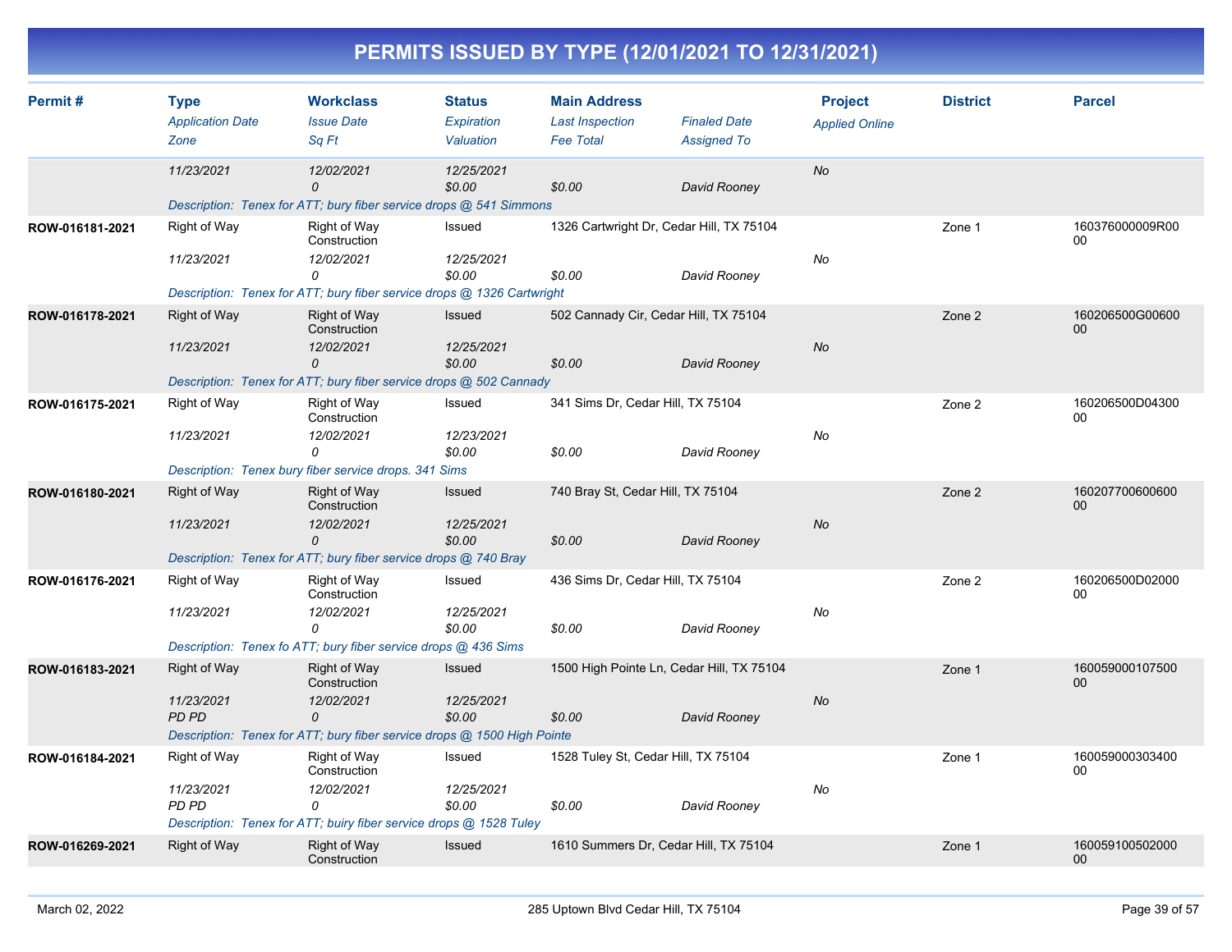| Permit#         | <b>Type</b>             | <b>Workclass</b>                                                        | <b>Status</b>        | <b>Main Address</b>                 |                                           | <b>Project</b>        | <b>District</b> | <b>Parcel</b>                      |
|-----------------|-------------------------|-------------------------------------------------------------------------|----------------------|-------------------------------------|-------------------------------------------|-----------------------|-----------------|------------------------------------|
|                 | <b>Application Date</b> | <b>Issue Date</b>                                                       | Expiration           | <b>Last Inspection</b>              | <b>Finaled Date</b>                       | <b>Applied Online</b> |                 |                                    |
|                 | Zone                    | Sa Ft                                                                   | Valuation            | <b>Fee Total</b>                    | <b>Assigned To</b>                        |                       |                 |                                    |
|                 | 11/23/2021              | 12/02/2021<br>$\Omega$                                                  | 12/25/2021<br>\$0.00 | \$0.00                              | David Rooney                              | <b>No</b>             |                 |                                    |
|                 |                         | Description: Tenex for ATT; bury fiber service drops @ 541 Simmons      |                      |                                     |                                           |                       |                 |                                    |
| ROW-016181-2021 | Right of Way            | Right of Way<br>Construction                                            | Issued               |                                     | 1326 Cartwright Dr, Cedar Hill, TX 75104  |                       | Zone 1          | 160376000009R00<br>00              |
|                 | 11/23/2021              | 12/02/2021                                                              | 12/25/2021           |                                     |                                           | No                    |                 |                                    |
|                 |                         | 0                                                                       | \$0.00               | \$0.00                              | David Rooney                              |                       |                 |                                    |
|                 |                         | Description: Tenex for ATT; bury fiber service drops @ 1326 Cartwright  |                      |                                     |                                           |                       |                 |                                    |
| ROW-016178-2021 | <b>Right of Way</b>     | Right of Way<br>Construction                                            | <b>Issued</b>        |                                     | 502 Cannady Cir, Cedar Hill, TX 75104     |                       | Zone 2          | 160206500G00600<br>00 <sup>°</sup> |
|                 | 11/23/2021              | 12/02/2021                                                              | 12/25/2021           |                                     |                                           | No                    |                 |                                    |
|                 |                         | 0<br>Description: Tenex for ATT; bury fiber service drops @ 502 Cannady | \$0.00               | \$0.00                              | David Rooney                              |                       |                 |                                    |
|                 | <b>Right of Way</b>     | <b>Right of Way</b>                                                     | Issued               | 341 Sims Dr, Cedar Hill, TX 75104   |                                           |                       | Zone 2          | 160206500D04300                    |
| ROW-016175-2021 |                         | Construction                                                            |                      |                                     |                                           |                       |                 | 00                                 |
|                 | 11/23/2021              | 12/02/2021                                                              | 12/23/2021           |                                     |                                           | No                    |                 |                                    |
|                 |                         | $\Omega$                                                                | \$0.00               | \$0.00                              | David Rooney                              |                       |                 |                                    |
|                 |                         | Description: Tenex bury fiber service drops. 341 Sims                   |                      |                                     |                                           |                       |                 |                                    |
| ROW-016180-2021 | <b>Right of Way</b>     | Right of Way<br>Construction                                            | Issued               | 740 Bray St, Cedar Hill, TX 75104   |                                           |                       | Zone 2          | 160207700600600<br>00              |
|                 | 11/23/2021              | 12/02/2021                                                              | 12/25/2021           |                                     |                                           | <b>No</b>             |                 |                                    |
|                 |                         | 0                                                                       | \$0.00               | \$0.00                              | David Rooney                              |                       |                 |                                    |
|                 |                         | Description: Tenex for ATT; bury fiber service drops @ 740 Bray         |                      |                                     |                                           |                       |                 |                                    |
| ROW-016176-2021 | Right of Way            | Right of Way<br>Construction                                            | Issued               | 436 Sims Dr, Cedar Hill, TX 75104   |                                           |                       | Zone 2          | 160206500D02000<br>00              |
|                 | 11/23/2021              | 12/02/2021<br>0                                                         | 12/25/2021<br>\$0.00 | \$0.00                              | David Rooney                              | No                    |                 |                                    |
|                 |                         | Description: Tenex fo ATT; bury fiber service drops @ 436 Sims          |                      |                                     |                                           |                       |                 |                                    |
| ROW-016183-2021 | <b>Right of Way</b>     | Right of Way                                                            | Issued               |                                     | 1500 High Pointe Ln, Cedar Hill, TX 75104 |                       | Zone 1          | 160059000107500                    |
|                 |                         | Construction                                                            |                      |                                     |                                           |                       |                 | 00 <sup>°</sup>                    |
|                 | 11/23/2021              | 12/02/2021                                                              | 12/25/2021           |                                     |                                           | <b>No</b>             |                 |                                    |
|                 | PD PD                   | 0                                                                       | \$0.00               | \$0.00                              | David Rooney                              |                       |                 |                                    |
|                 |                         | Description: Tenex for ATT; bury fiber service drops @ 1500 High Pointe |                      |                                     |                                           |                       |                 |                                    |
| ROW-016184-2021 | Right of Way            | <b>Right of Way</b><br>Construction                                     | Issued               | 1528 Tuley St, Cedar Hill, TX 75104 |                                           |                       | Zone 1          | 160059000303400<br>$00\,$          |
|                 | 11/23/2021<br>PD PD     | 12/02/2021<br>0                                                         | 12/25/2021<br>\$0.00 | \$0.00                              | David Rooney                              | No                    |                 |                                    |
|                 |                         | Description: Tenex for ATT; buiry fiber service drops @ 1528 Tuley      |                      |                                     |                                           |                       |                 |                                    |
| ROW-016269-2021 | <b>Right of Way</b>     | <b>Right of Way</b><br>Construction                                     | Issued               |                                     | 1610 Summers Dr, Cedar Hill, TX 75104     |                       | Zone 1          | 160059100502000<br>00 <sup>°</sup> |
|                 |                         |                                                                         |                      |                                     |                                           |                       |                 |                                    |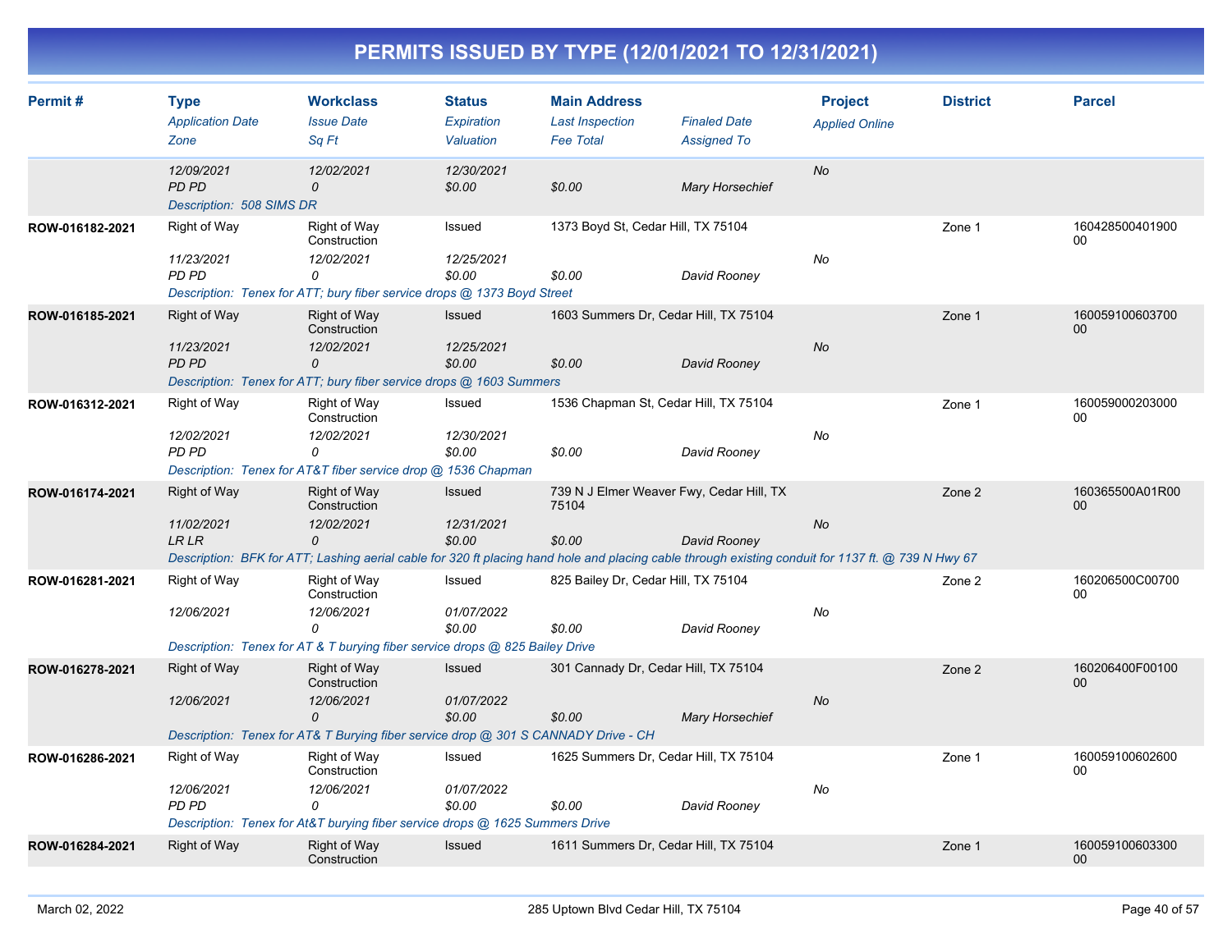| Permit#         | <b>Type</b><br><b>Application Date</b><br>Zone         | <b>Workclass</b><br><b>Issue Date</b><br>Sa Ft                                                                                                                                                               | <b>Status</b><br>Expiration<br>Valuation | <b>Main Address</b><br><b>Last Inspection</b><br><b>Fee Total</b> | <b>Finaled Date</b><br><b>Assigned To</b> | <b>Project</b><br><b>Applied Online</b> | <b>District</b> | <b>Parcel</b>             |
|-----------------|--------------------------------------------------------|--------------------------------------------------------------------------------------------------------------------------------------------------------------------------------------------------------------|------------------------------------------|-------------------------------------------------------------------|-------------------------------------------|-----------------------------------------|-----------------|---------------------------|
|                 | 12/09/2021<br><b>PD PD</b><br>Description: 508 SIMS DR | 12/02/2021<br>$\mathcal{O}$                                                                                                                                                                                  | 12/30/2021<br>\$0.00                     | \$0.00                                                            | <b>Mary Horsechief</b>                    | <b>No</b>                               |                 |                           |
| ROW-016182-2021 | Right of Way<br>11/23/2021<br><b>PD PD</b>             | Right of Way<br>Construction<br>12/02/2021<br>0<br>Description: Tenex for ATT; bury fiber service drops @ 1373 Boyd Street                                                                                   | Issued<br>12/25/2021<br>\$0.00           | 1373 Boyd St, Cedar Hill, TX 75104<br>\$0.00                      | David Rooney                              | No                                      | Zone 1          | 160428500401900<br>00     |
| ROW-016185-2021 | <b>Right of Way</b><br>11/23/2021<br><b>PD PD</b>      | <b>Right of Way</b><br>Construction<br>12/02/2021<br>0<br>Description: Tenex for ATT; bury fiber service drops @ 1603 Summers                                                                                | Issued<br>12/25/2021<br>\$0.00           | 1603 Summers Dr, Cedar Hill, TX 75104<br>\$0.00                   | David Rooney                              | No                                      | Zone 1          | 160059100603700<br>00     |
| ROW-016312-2021 | Right of Way<br>12/02/2021<br>PD PD                    | Right of Way<br>Construction<br>12/02/2021<br>0<br>Description: Tenex for AT&T fiber service drop @ 1536 Chapman                                                                                             | Issued<br>12/30/2021<br>\$0.00           | 1536 Chapman St, Cedar Hill, TX 75104<br>\$0.00                   | David Rooney                              | No                                      | Zone 1          | 160059000203000<br>00     |
| ROW-016174-2021 | <b>Right of Way</b><br>11/02/2021<br><b>LRLR</b>       | <b>Right of Way</b><br>Construction<br>12/02/2021<br>0<br>Description: BFK for ATT; Lashing aerial cable for 320 ft placing hand hole and placing cable through existing conduit for 1137 ft. @ 739 N Hwy 67 | Issued<br>12/31/2021<br>\$0.00           | 739 N J Elmer Weaver Fwy, Cedar Hill, TX<br>75104<br>\$0.00       | David Rooney                              | No                                      | Zone 2          | 160365500A01R00<br>00     |
| ROW-016281-2021 | Right of Way<br>12/06/2021                             | Right of Way<br>Construction<br>12/06/2021<br>0<br>Description: Tenex for AT & T burying fiber service drops @ 825 Bailey Drive                                                                              | Issued<br>01/07/2022<br>\$0.00           | 825 Bailey Dr, Cedar Hill, TX 75104<br>\$0.00                     | David Rooney                              | No                                      | Zone 2          | 160206500C00700<br>00     |
| ROW-016278-2021 | <b>Right of Way</b><br>12/06/2021                      | <b>Right of Way</b><br>Construction<br>12/06/2021<br>0<br>Description: Tenex for AT& T Burying fiber service drop @ 301 S CANNADY Drive - CH                                                                 | Issued<br>01/07/2022<br>\$0.00           | 301 Cannady Dr, Cedar Hill, TX 75104<br>\$0.00                    | <b>Mary Horsechief</b>                    | <b>No</b>                               | Zone 2          | 160206400F00100<br>$00\,$ |
| ROW-016286-2021 | Right of Way<br>12/06/2021<br>PD PD                    | <b>Right of Way</b><br>Construction<br>12/06/2021<br>0<br>Description: Tenex for At&T burying fiber service drops @ 1625 Summers Drive                                                                       | Issued<br>01/07/2022<br>\$0.00           | 1625 Summers Dr, Cedar Hill, TX 75104<br>\$0.00                   | David Rooney                              | No                                      | Zone 1          | 160059100602600<br>00     |
| ROW-016284-2021 | <b>Right of Way</b>                                    | <b>Right of Way</b><br>Construction                                                                                                                                                                          | Issued                                   | 1611 Summers Dr, Cedar Hill, TX 75104                             |                                           |                                         | Zone 1          | 160059100603300<br>00     |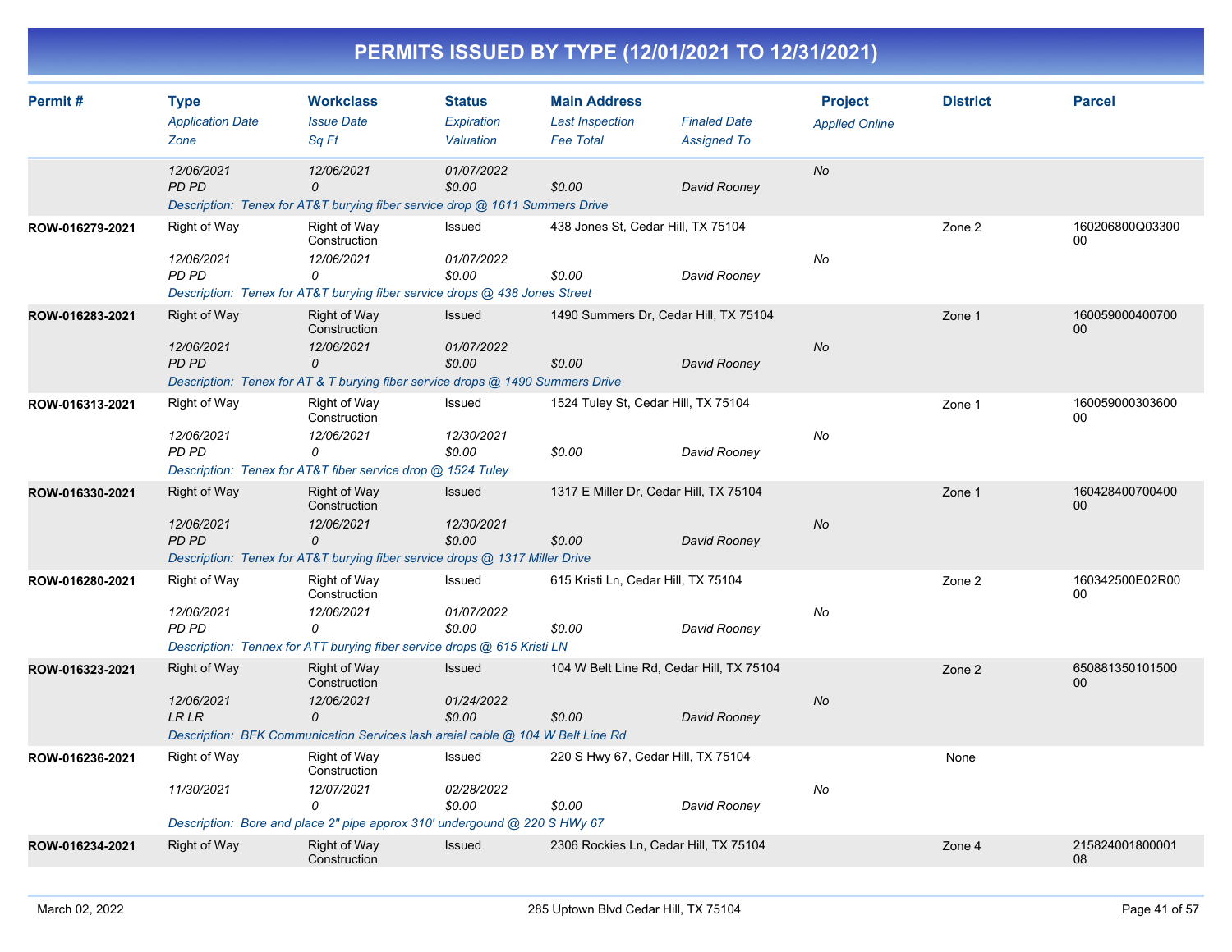| Permit#         | <b>Type</b><br><b>Application Date</b> | <b>Workclass</b><br><b>Issue Date</b>                                                             | <b>Status</b><br>Expiration | <b>Main Address</b><br><b>Last Inspection</b> | <b>Finaled Date</b>                      | <b>Project</b><br><b>Applied Online</b> | <b>District</b> | <b>Parcel</b>         |
|-----------------|----------------------------------------|---------------------------------------------------------------------------------------------------|-----------------------------|-----------------------------------------------|------------------------------------------|-----------------------------------------|-----------------|-----------------------|
|                 | Zone                                   | Sq Ft                                                                                             | Valuation                   | <b>Fee Total</b>                              | <b>Assigned To</b>                       |                                         |                 |                       |
|                 | 12/06/2021<br><b>PD PD</b>             | 12/06/2021<br>0<br>Description: Tenex for AT&T burying fiber service drop @ 1611 Summers Drive    | 01/07/2022<br>\$0.00        | \$0.00                                        | David Rooney                             | <b>No</b>                               |                 |                       |
| ROW-016279-2021 | Right of Way                           | <b>Right of Way</b><br>Construction                                                               | Issued                      | 438 Jones St, Cedar Hill, TX 75104            |                                          |                                         | Zone 2          | 160206800Q03300<br>00 |
|                 | 12/06/2021<br><b>PD PD</b>             | 12/06/2021<br>0                                                                                   | 01/07/2022<br>\$0.00        | \$0.00                                        | David Rooney                             | No                                      |                 |                       |
|                 |                                        | Description: Tenex for AT&T burying fiber service drops @ 438 Jones Street                        |                             |                                               |                                          |                                         |                 |                       |
| ROW-016283-2021 | <b>Right of Way</b>                    | <b>Right of Way</b><br>Construction                                                               | Issued                      |                                               | 1490 Summers Dr. Cedar Hill, TX 75104    |                                         | Zone 1          | 160059000400700<br>00 |
|                 | 12/06/2021<br>PD PD                    | 12/06/2021<br>0<br>Description: Tenex for AT & T burying fiber service drops @ 1490 Summers Drive | 01/07/2022<br>\$0.00        | \$0.00                                        | David Rooney                             | <b>No</b>                               |                 |                       |
| ROW-016313-2021 | Right of Way                           | Right of Way<br>Construction                                                                      | Issued                      |                                               | 1524 Tuley St, Cedar Hill, TX 75104      |                                         | Zone 1          | 160059000303600<br>00 |
|                 | 12/06/2021<br>PD PD                    | 12/06/2021<br>0<br>Description: Tenex for AT&T fiber service drop @ 1524 Tuley                    | 12/30/2021<br>\$0.00        | \$0.00                                        | David Rooney                             | No                                      |                 |                       |
|                 |                                        |                                                                                                   |                             |                                               |                                          |                                         |                 |                       |
| ROW-016330-2021 | <b>Right of Way</b>                    | <b>Right of Way</b><br>Construction                                                               | Issued                      |                                               | 1317 E Miller Dr, Cedar Hill, TX 75104   |                                         | Zone 1          | 160428400700400<br>00 |
|                 | 12/06/2021<br><b>PD PD</b>             | 12/06/2021<br>0<br>Description: Tenex for AT&T burying fiber service drops @ 1317 Miller Drive    | 12/30/2021<br>\$0.00        | \$0.00                                        | David Rooney                             | No                                      |                 |                       |
| ROW-016280-2021 | Right of Way                           | Right of Way                                                                                      | Issued                      | 615 Kristi Ln, Cedar Hill, TX 75104           |                                          |                                         | Zone 2          | 160342500E02R00       |
|                 |                                        | Construction                                                                                      |                             |                                               |                                          |                                         |                 | 00                    |
|                 | 12/06/2021<br>PD PD                    | 12/06/2021<br>$\Omega$                                                                            | 01/07/2022<br>\$0.00        | \$0.00                                        | David Rooney                             | No                                      |                 |                       |
|                 |                                        | Description: Tennex for ATT burying fiber service drops @ 615 Kristi LN                           |                             |                                               |                                          |                                         |                 |                       |
| ROW-016323-2021 | <b>Right of Way</b>                    | <b>Right of Way</b><br>Construction                                                               | Issued                      |                                               | 104 W Belt Line Rd, Cedar Hill, TX 75104 |                                         | Zone 2          | 650881350101500<br>00 |
|                 | 12/06/2021<br><b>LRLR</b>              | 12/06/2021<br>0                                                                                   | 01/24/2022<br>\$0.00        | \$0.00                                        | David Rooney                             | <b>No</b>                               |                 |                       |
|                 |                                        | Description: BFK Communication Services lash areial cable @ 104 W Belt Line Rd                    |                             |                                               |                                          |                                         |                 |                       |
| ROW-016236-2021 | Right of Way                           | Right of Way<br>Construction                                                                      | Issued                      |                                               | 220 S Hwy 67, Cedar Hill, TX 75104       |                                         | None            |                       |
|                 | 11/30/2021                             | 12/07/2021<br>0                                                                                   | 02/28/2022<br>\$0.00        | \$0.00                                        | David Rooney                             | No                                      |                 |                       |
|                 |                                        | Description: Bore and place 2" pipe approx 310' undergound @ 220 S HWy 67                         |                             |                                               |                                          |                                         |                 |                       |
| ROW-016234-2021 | <b>Right of Way</b>                    | <b>Right of Way</b><br>Construction                                                               | Issued                      |                                               | 2306 Rockies Ln, Cedar Hill, TX 75104    |                                         | Zone 4          | 215824001800001<br>08 |
|                 |                                        |                                                                                                   |                             |                                               |                                          |                                         |                 |                       |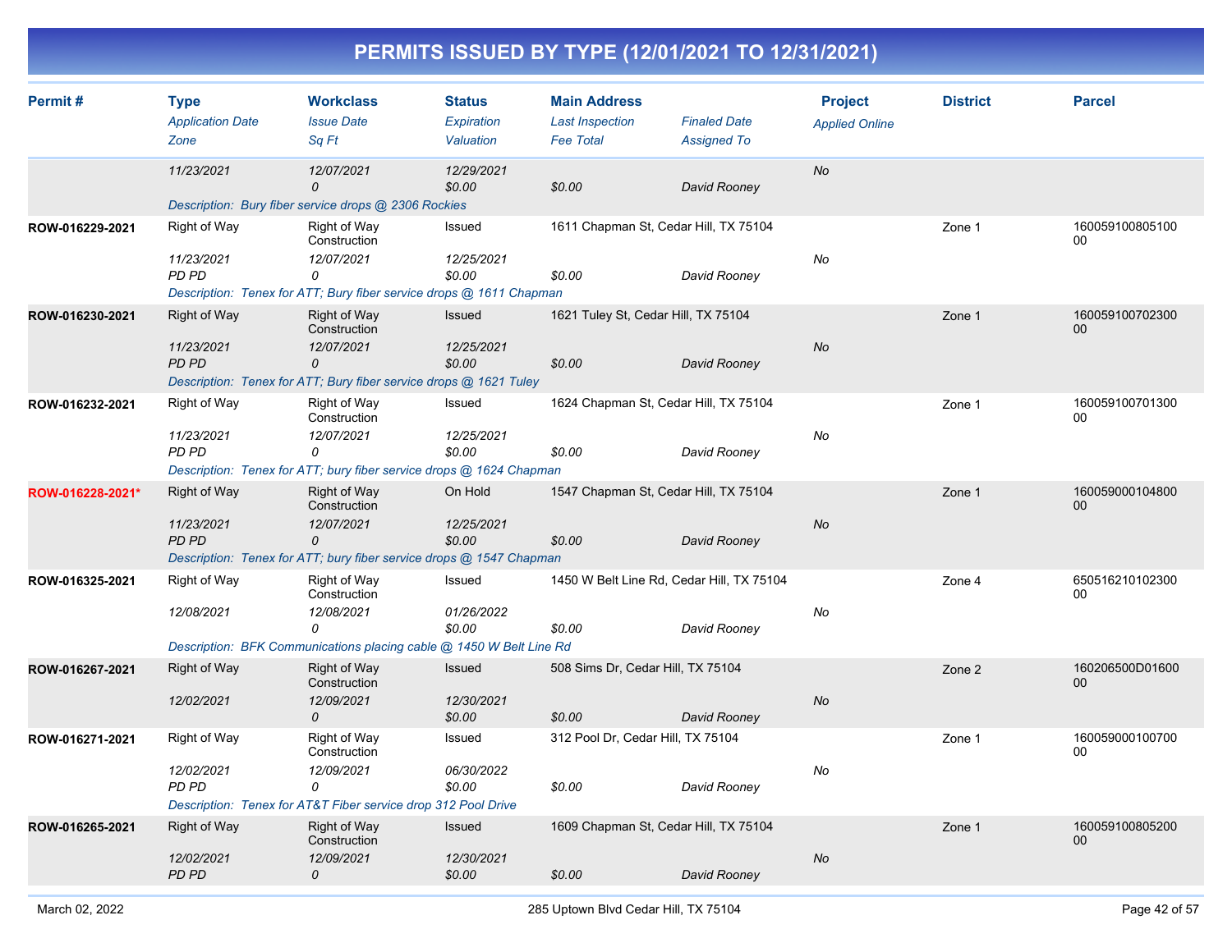| Permit#          | <b>Type</b><br><b>Application Date</b><br>Zone | <b>Workclass</b><br><b>Issue Date</b><br>Sq Ft                                   | <b>Status</b><br>Expiration<br>Valuation | <b>Main Address</b><br><b>Last Inspection</b><br><b>Fee Total</b> | <b>Finaled Date</b><br><b>Assigned To</b> | <b>Project</b><br><b>Applied Online</b> | <b>District</b> | <b>Parcel</b>         |
|------------------|------------------------------------------------|----------------------------------------------------------------------------------|------------------------------------------|-------------------------------------------------------------------|-------------------------------------------|-----------------------------------------|-----------------|-----------------------|
|                  | 11/23/2021                                     | 12/07/2021<br>O                                                                  | 12/29/2021<br>\$0.00                     | \$0.00                                                            | David Rooney                              | <b>No</b>                               |                 |                       |
|                  |                                                | Description: Bury fiber service drops @ 2306 Rockies                             |                                          |                                                                   |                                           |                                         |                 |                       |
| ROW-016229-2021  | Right of Way                                   | Right of Way<br>Construction                                                     | Issued                                   | 1611 Chapman St, Cedar Hill, TX 75104                             |                                           |                                         | Zone 1          | 160059100805100<br>00 |
|                  | 11/23/2021<br>PD PD                            | 12/07/2021<br>0                                                                  | 12/25/2021<br>\$0.00                     | \$0.00                                                            | David Rooney                              | No                                      |                 |                       |
|                  |                                                | Description: Tenex for ATT; Bury fiber service drops @ 1611 Chapman              |                                          |                                                                   |                                           |                                         |                 |                       |
| ROW-016230-2021  | <b>Right of Way</b>                            | Right of Way<br>Construction                                                     | Issued                                   | 1621 Tuley St, Cedar Hill, TX 75104                               |                                           |                                         | Zone 1          | 160059100702300<br>00 |
|                  | 11/23/2021<br><b>PD PD</b>                     | 12/07/2021<br>0                                                                  | 12/25/2021<br>\$0.00                     | \$0.00                                                            | David Rooney                              | No                                      |                 |                       |
|                  |                                                | Description: Tenex for ATT; Bury fiber service drops @ 1621 Tuley                |                                          |                                                                   |                                           |                                         |                 |                       |
| ROW-016232-2021  | Right of Way                                   | Right of Way<br>Construction                                                     | Issued                                   | 1624 Chapman St, Cedar Hill, TX 75104                             |                                           |                                         | Zone 1          | 160059100701300<br>00 |
|                  | 11/23/2021<br>PD PD                            | 12/07/2021<br>0                                                                  | 12/25/2021<br>\$0.00                     | \$0.00                                                            | David Rooney                              | No                                      |                 |                       |
|                  |                                                | Description: Tenex for ATT; bury fiber service drops @ 1624 Chapman              |                                          |                                                                   |                                           |                                         |                 |                       |
| ROW-016228-2021* | <b>Right of Way</b>                            | <b>Right of Way</b><br>Construction                                              | On Hold                                  | 1547 Chapman St, Cedar Hill, TX 75104                             |                                           |                                         | Zone 1          | 160059000104800<br>00 |
|                  | 11/23/2021<br><b>PD PD</b>                     | 12/07/2021<br>0                                                                  | 12/25/2021<br>\$0.00                     | \$0.00                                                            | David Rooney                              | <b>No</b>                               |                 |                       |
|                  |                                                | Description: Tenex for ATT; bury fiber service drops @ 1547 Chapman              |                                          |                                                                   |                                           |                                         |                 |                       |
| ROW-016325-2021  | Right of Way                                   | Right of Way<br>Construction                                                     | Issued                                   | 1450 W Belt Line Rd, Cedar Hill, TX 75104                         |                                           |                                         | Zone 4          | 650516210102300<br>00 |
|                  | 12/08/2021                                     | 12/08/2021<br>$\Omega$                                                           | 01/26/2022<br>\$0.00                     | \$0.00                                                            | David Rooney                              | No                                      |                 |                       |
|                  |                                                | Description: BFK Communications placing cable @ 1450 W Belt Line Rd              |                                          |                                                                   |                                           |                                         |                 |                       |
| ROW-016267-2021  | <b>Right of Way</b>                            | Right of Way<br>Construction                                                     | Issued                                   | 508 Sims Dr, Cedar Hill, TX 75104                                 |                                           |                                         | Zone 2          | 160206500D01600<br>00 |
|                  | 12/02/2021                                     | 12/09/2021<br>0                                                                  | 12/30/2021<br>\$0.00                     | \$0.00                                                            | David Rooney                              | No                                      |                 |                       |
| ROW-016271-2021  | Right of Way                                   | <b>Right of Way</b><br>Construction                                              | Issued                                   | 312 Pool Dr, Cedar Hill, TX 75104                                 |                                           |                                         | Zone 1          | 160059000100700<br>00 |
|                  | 12/02/2021<br>PD PD                            | 12/09/2021<br>0<br>Description: Tenex for AT&T Fiber service drop 312 Pool Drive | 06/30/2022<br>\$0.00                     | \$0.00                                                            | David Rooney                              | No                                      |                 |                       |
| ROW-016265-2021  | <b>Right of Way</b>                            | <b>Right of Way</b>                                                              | Issued                                   | 1609 Chapman St, Cedar Hill, TX 75104                             |                                           |                                         | Zone 1          | 160059100805200       |
|                  | 12/02/2021                                     | Construction<br>12/09/2021                                                       | 12/30/2021                               |                                                                   |                                           | <b>No</b>                               |                 | 00                    |
|                  | <b>PD PD</b>                                   | 0                                                                                | \$0.00                                   | \$0.00                                                            | David Rooney                              |                                         |                 |                       |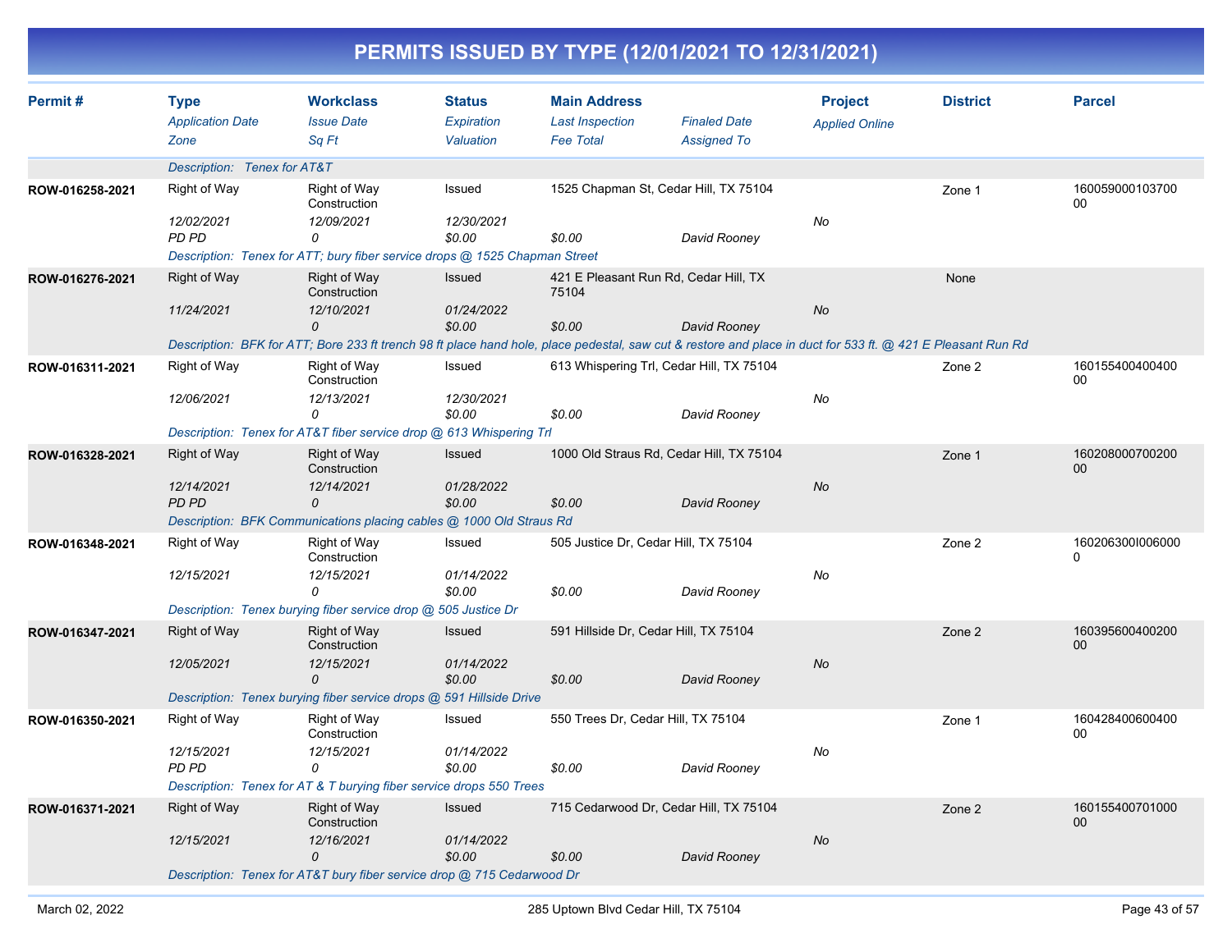|                 |                             |                                                                            |                      |                                       | PERMITS ISSUED BY TYPE (12/01/2021 TO 12/31/2021)                                                                                                           |                       |                 |                           |
|-----------------|-----------------------------|----------------------------------------------------------------------------|----------------------|---------------------------------------|-------------------------------------------------------------------------------------------------------------------------------------------------------------|-----------------------|-----------------|---------------------------|
| Permit#         | <b>Type</b>                 | <b>Workclass</b>                                                           | <b>Status</b>        | <b>Main Address</b>                   |                                                                                                                                                             | <b>Project</b>        | <b>District</b> | <b>Parcel</b>             |
|                 | <b>Application Date</b>     | <b>Issue Date</b>                                                          | Expiration           | <b>Last Inspection</b>                | <b>Finaled Date</b>                                                                                                                                         | <b>Applied Online</b> |                 |                           |
|                 | Zone                        | Sq Ft                                                                      | Valuation            | <b>Fee Total</b>                      | <b>Assigned To</b>                                                                                                                                          |                       |                 |                           |
|                 | Description: Tenex for AT&T |                                                                            |                      |                                       |                                                                                                                                                             |                       |                 |                           |
| ROW-016258-2021 | Right of Way                | Right of Way<br>Construction                                               | Issued               |                                       | 1525 Chapman St, Cedar Hill, TX 75104                                                                                                                       |                       | Zone 1          | 160059000103700<br>00     |
|                 | 12/02/2021                  | 12/09/2021                                                                 | 12/30/2021           |                                       |                                                                                                                                                             | No                    |                 |                           |
|                 | PD PD                       | 0                                                                          | \$0.00               | \$0.00                                | David Rooney                                                                                                                                                |                       |                 |                           |
|                 |                             | Description: Tenex for ATT; bury fiber service drops @ 1525 Chapman Street |                      |                                       |                                                                                                                                                             |                       |                 |                           |
| ROW-016276-2021 | <b>Right of Way</b>         | <b>Right of Way</b><br>Construction                                        | Issued               | 75104                                 | 421 E Pleasant Run Rd, Cedar Hill, TX                                                                                                                       |                       | None            |                           |
|                 | 11/24/2021                  | 12/10/2021                                                                 | 01/24/2022           |                                       |                                                                                                                                                             | No                    |                 |                           |
|                 |                             | 0                                                                          | \$0.00               | \$0.00                                | David Rooney                                                                                                                                                |                       |                 |                           |
|                 |                             |                                                                            |                      |                                       | Description: BFK for ATT; Bore 233 ft trench 98 ft place hand hole, place pedestal, saw cut & restore and place in duct for 533 ft. @ 421 E Pleasant Run Rd |                       |                 |                           |
| ROW-016311-2021 | <b>Right of Way</b>         | Right of Way<br>Construction                                               | Issued               |                                       | 613 Whispering Trl, Cedar Hill, TX 75104                                                                                                                    |                       | Zone 2          | 160155400400400<br>00     |
|                 | 12/06/2021                  | 12/13/2021<br>0                                                            | 12/30/2021<br>\$0.00 | \$0.00                                | David Rooney                                                                                                                                                | No                    |                 |                           |
|                 |                             | Description: Tenex for AT&T fiber service drop @ 613 Whispering Trl        |                      |                                       |                                                                                                                                                             |                       |                 |                           |
| ROW-016328-2021 | <b>Right of Way</b>         | Right of Way                                                               | Issued               |                                       | 1000 Old Straus Rd, Cedar Hill, TX 75104                                                                                                                    |                       | Zone 1          | 160208000700200           |
|                 | 12/14/2021                  | Construction<br>12/14/2021                                                 | 01/28/2022           |                                       |                                                                                                                                                             | No                    |                 | $00\,$                    |
|                 | PD PD                       | 0                                                                          | \$0.00               | \$0.00                                | David Rooney                                                                                                                                                |                       |                 |                           |
|                 |                             | Description: BFK Communications placing cables @ 1000 Old Straus Rd        |                      |                                       |                                                                                                                                                             |                       |                 |                           |
| ROW-016348-2021 | <b>Right of Way</b>         | Right of Way                                                               | Issued               | 505 Justice Dr, Cedar Hill, TX 75104  |                                                                                                                                                             |                       | Zone 2          | 1602063001006000          |
|                 |                             | Construction                                                               |                      |                                       |                                                                                                                                                             |                       |                 | $\Omega$                  |
|                 | 12/15/2021                  | 12/15/2021                                                                 | 01/14/2022           |                                       |                                                                                                                                                             | No                    |                 |                           |
|                 |                             | $\Omega$                                                                   | \$0.00               | \$0.00                                | David Rooney                                                                                                                                                |                       |                 |                           |
|                 |                             | Description: Tenex burying fiber service drop @ 505 Justice Dr             |                      |                                       |                                                                                                                                                             |                       |                 |                           |
| ROW-016347-2021 | <b>Right of Way</b>         | Right of Way<br>Construction                                               | <b>Issued</b>        | 591 Hillside Dr, Cedar Hill, TX 75104 |                                                                                                                                                             |                       | Zone 2          | 160395600400200<br>$00\,$ |
|                 | 12/05/2021                  | 12/15/2021                                                                 | 01/14/2022           |                                       |                                                                                                                                                             | No                    |                 |                           |
|                 |                             | 0                                                                          | \$0.00               | \$0.00                                | David Rooney                                                                                                                                                |                       |                 |                           |
|                 |                             | Description: Tenex burying fiber service drops @ 591 Hillside Drive        |                      |                                       |                                                                                                                                                             |                       |                 |                           |
| ROW-016350-2021 | Right of Way                | Right of Way<br>Construction                                               | Issued               | 550 Trees Dr, Cedar Hill, TX 75104    |                                                                                                                                                             |                       | Zone 1          | 160428400600400<br>00     |
|                 | 12/15/2021                  | 12/15/2021                                                                 | 01/14/2022           |                                       |                                                                                                                                                             | No                    |                 |                           |
|                 | PD PD                       | 0                                                                          | \$0.00               | \$0.00                                | David Rooney                                                                                                                                                |                       |                 |                           |
|                 |                             | Description: Tenex for AT & T burying fiber service drops 550 Trees        |                      |                                       |                                                                                                                                                             |                       |                 |                           |
| ROW-016371-2021 | <b>Right of Way</b>         | Right of Way<br>Construction                                               | <b>Issued</b>        |                                       | 715 Cedarwood Dr, Cedar Hill, TX 75104                                                                                                                      |                       | Zone 2          | 160155400701000<br>00     |
|                 | 12/15/2021                  | 12/16/2021                                                                 | 01/14/2022           |                                       |                                                                                                                                                             | No                    |                 |                           |
|                 |                             | 0                                                                          | \$0.00               | \$0.00                                | David Rooney                                                                                                                                                |                       |                 |                           |
|                 |                             | Description: Tenex for AT&T bury fiber service drop @ 715 Cedarwood Dr     |                      |                                       |                                                                                                                                                             |                       |                 |                           |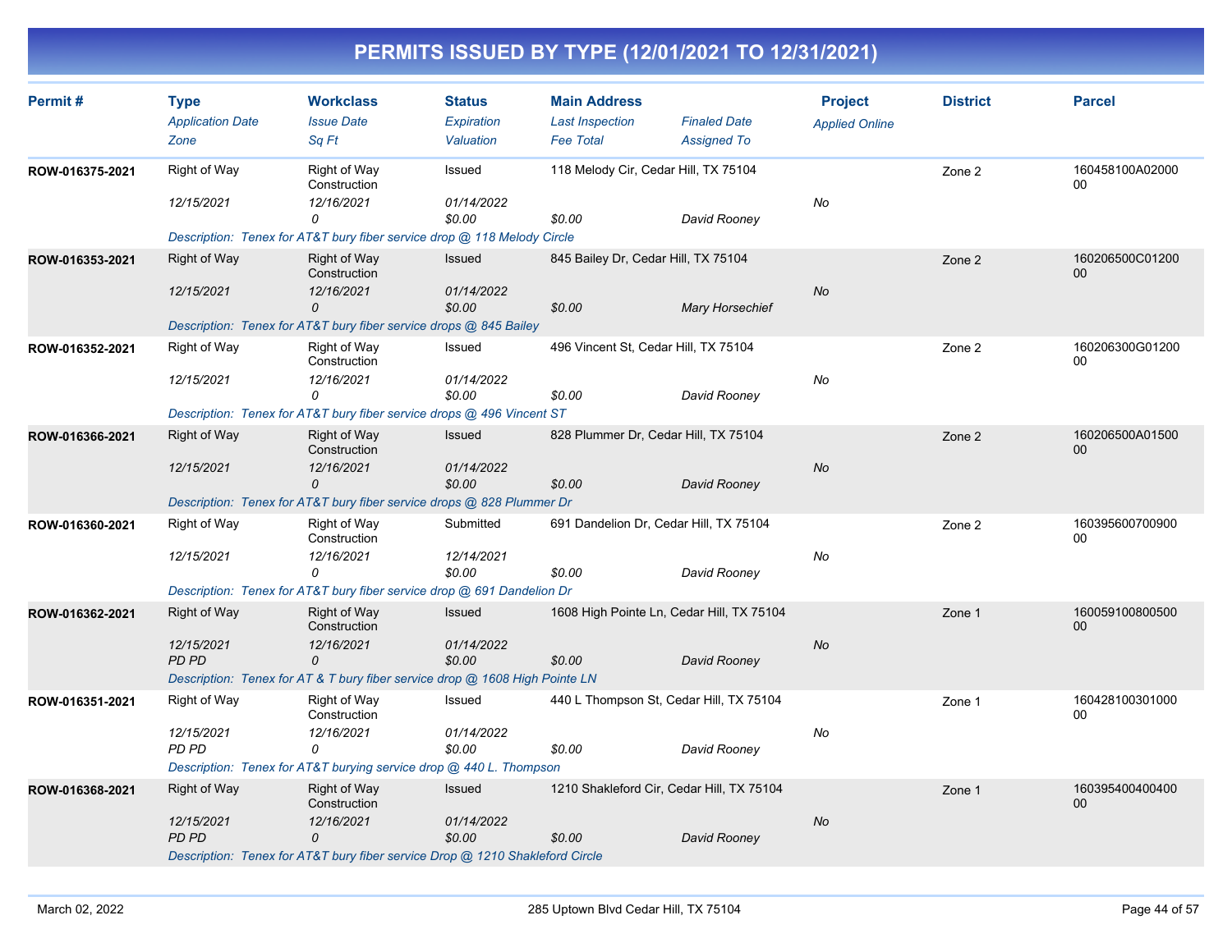| Permit#         | <b>Type</b><br><b>Application Date</b> | <b>Workclass</b><br><b>Issue Date</b>                                                        | <b>Status</b><br>Expiration | <b>Main Address</b><br><b>Last Inspection</b> | <b>Finaled Date</b>                       | <b>Project</b><br><b>Applied Online</b> | <b>District</b> | <b>Parcel</b>             |
|-----------------|----------------------------------------|----------------------------------------------------------------------------------------------|-----------------------------|-----------------------------------------------|-------------------------------------------|-----------------------------------------|-----------------|---------------------------|
|                 | Zone                                   | Sa Ft                                                                                        | Valuation                   | <b>Fee Total</b>                              | <b>Assigned To</b>                        |                                         |                 |                           |
| ROW-016375-2021 | <b>Right of Way</b>                    | <b>Right of Way</b><br>Construction                                                          | Issued                      | 118 Melody Cir, Cedar Hill, TX 75104          |                                           |                                         | Zone 2          | 160458100A02000<br>00     |
|                 | 12/15/2021                             | 12/16/2021<br>0                                                                              | 01/14/2022<br>\$0.00        | \$0.00                                        | David Rooney                              | No                                      |                 |                           |
|                 |                                        | Description: Tenex for AT&T bury fiber service drop @ 118 Melody Circle                      |                             |                                               |                                           |                                         |                 |                           |
| ROW-016353-2021 | <b>Right of Way</b>                    | <b>Right of Way</b><br>Construction                                                          | <b>Issued</b>               | 845 Bailey Dr, Cedar Hill, TX 75104           |                                           |                                         | Zone 2          | 160206500C01200<br>00     |
|                 | 12/15/2021                             | 12/16/2021<br>$\mathcal{O}$                                                                  | 01/14/2022<br>\$0.00        | \$0.00                                        | <b>Mary Horsechief</b>                    | <b>No</b>                               |                 |                           |
|                 |                                        | Description: Tenex for AT&T bury fiber service drops @ 845 Bailey                            |                             |                                               |                                           |                                         |                 |                           |
| ROW-016352-2021 | Right of Way                           | <b>Right of Way</b><br>Construction                                                          | Issued                      | 496 Vincent St, Cedar Hill, TX 75104          |                                           |                                         | Zone 2          | 160206300G01200<br>$00\,$ |
|                 | 12/15/2021                             | 12/16/2021<br>$\Omega$                                                                       | 01/14/2022<br>\$0.00        | \$0.00                                        | David Rooney                              | No                                      |                 |                           |
|                 |                                        | Description: Tenex for AT&T bury fiber service drops @ 496 Vincent ST                        |                             |                                               |                                           |                                         |                 |                           |
| ROW-016366-2021 | <b>Right of Way</b>                    | <b>Right of Way</b><br>Construction                                                          | Issued                      |                                               | 828 Plummer Dr, Cedar Hill, TX 75104      |                                         | Zone 2          | 160206500A01500<br>$00\,$ |
|                 | 12/15/2021                             | 12/16/2021<br>$\mathcal{O}$                                                                  | 01/14/2022<br>\$0.00        | \$0.00                                        | David Rooney                              | No                                      |                 |                           |
|                 |                                        | Description: Tenex for AT&T bury fiber service drops @ 828 Plummer Dr                        |                             |                                               |                                           |                                         |                 |                           |
| ROW-016360-2021 | Right of Way                           | <b>Right of Way</b><br>Construction                                                          | Submitted                   |                                               | 691 Dandelion Dr, Cedar Hill, TX 75104    |                                         | Zone 2          | 160395600700900<br>00     |
|                 | 12/15/2021                             | 12/16/2021<br>$\Omega$                                                                       | 12/14/2021<br>\$0.00        | \$0.00                                        | David Rooney                              | No                                      |                 |                           |
|                 |                                        | Description: Tenex for AT&T bury fiber service drop @ 691 Dandelion Dr                       |                             |                                               |                                           |                                         |                 |                           |
| ROW-016362-2021 | <b>Right of Way</b>                    | <b>Right of Way</b><br>Construction                                                          | Issued                      |                                               | 1608 High Pointe Ln, Cedar Hill, TX 75104 |                                         | Zone 1          | 160059100800500<br>00     |
|                 | 12/15/2021                             | 12/16/2021                                                                                   | 01/14/2022                  |                                               |                                           | No                                      |                 |                           |
|                 | <b>PD PD</b>                           | $\mathcal{O}$<br>Description: Tenex for AT & T bury fiber service drop @ 1608 High Pointe LN | \$0.00                      | \$0.00                                        | David Rooney                              |                                         |                 |                           |
| ROW-016351-2021 | Right of Way                           | <b>Right of Way</b><br>Construction                                                          | Issued                      |                                               | 440 L Thompson St, Cedar Hill, TX 75104   |                                         | Zone 1          | 160428100301000<br>00     |
|                 | 12/15/2021                             | 12/16/2021                                                                                   | 01/14/2022                  |                                               |                                           | No                                      |                 |                           |
|                 | PD PD                                  | 0                                                                                            | \$0.00                      | \$0.00                                        | David Rooney                              |                                         |                 |                           |
|                 |                                        | Description: Tenex for AT&T burying service drop @ 440 L. Thompson                           |                             |                                               |                                           |                                         |                 |                           |
| ROW-016368-2021 | <b>Right of Way</b>                    | <b>Right of Way</b><br>Construction                                                          | Issued                      |                                               | 1210 Shakleford Cir, Cedar Hill, TX 75104 |                                         | Zone 1          | 160395400400400<br>00     |
|                 | 12/15/2021                             | 12/16/2021<br>$\Omega$                                                                       | 01/14/2022                  |                                               |                                           | <b>No</b>                               |                 |                           |
|                 | <b>PD PD</b>                           | Description: Tenex for AT&T bury fiber service Drop @ 1210 Shakleford Circle                 | \$0.00                      | \$0.00                                        | David Rooney                              |                                         |                 |                           |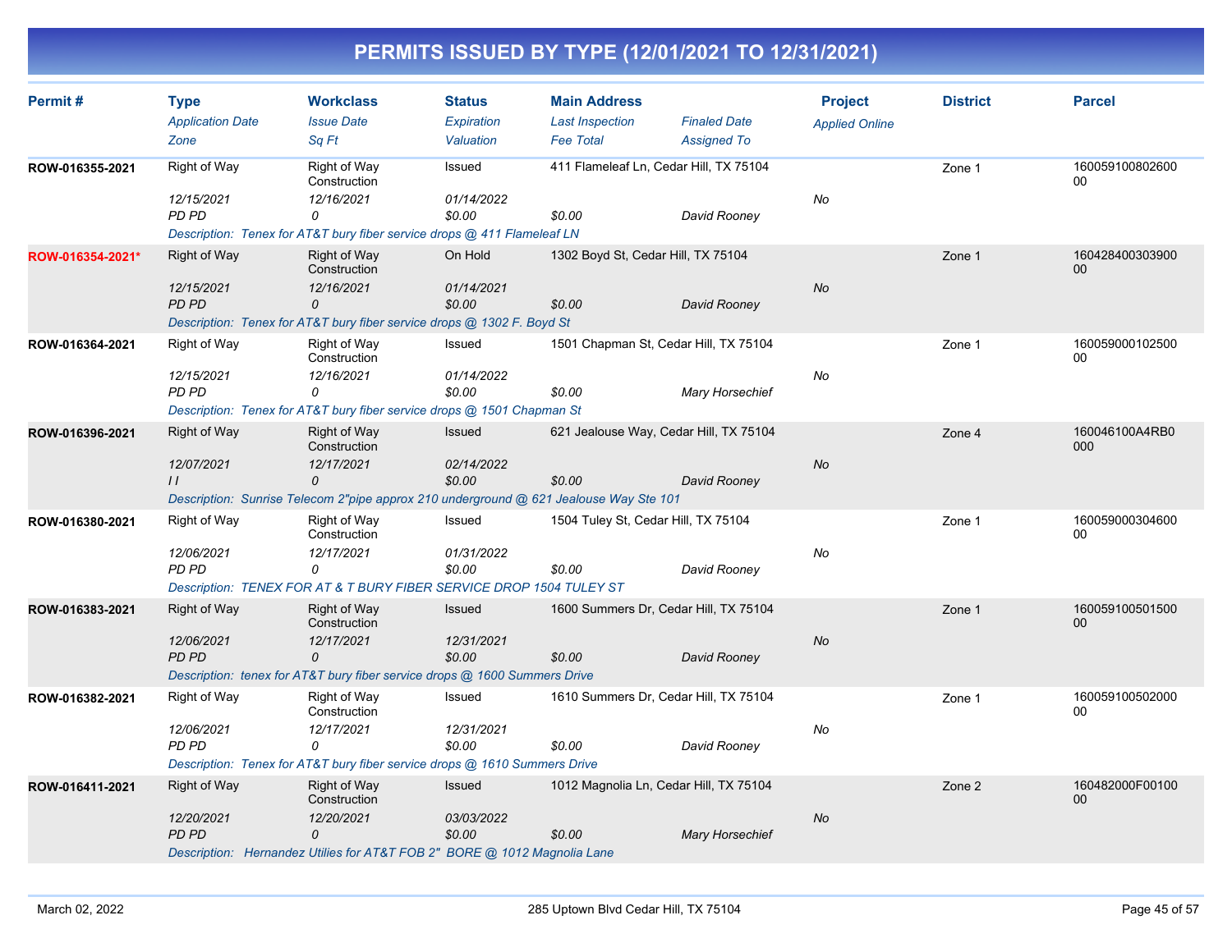| Permit#          | <b>Type</b><br><b>Application Date</b> | <b>Workclass</b><br><b>Issue Date</b>                                                                    | <b>Status</b><br>Expiration | <b>Main Address</b><br><b>Last Inspection</b> | <b>Finaled Date</b>                    | <b>Project</b>        | <b>District</b> | <b>Parcel</b>             |
|------------------|----------------------------------------|----------------------------------------------------------------------------------------------------------|-----------------------------|-----------------------------------------------|----------------------------------------|-----------------------|-----------------|---------------------------|
|                  | Zone                                   | Sa Ft                                                                                                    | Valuation                   | <b>Fee Total</b>                              | <b>Assigned To</b>                     | <b>Applied Online</b> |                 |                           |
| ROW-016355-2021  | <b>Right of Way</b>                    | Right of Way<br>Construction                                                                             | Issued                      |                                               | 411 Flameleaf Ln, Cedar Hill, TX 75104 |                       | Zone 1          | 160059100802600<br>00     |
|                  | 12/15/2021<br>PD PD                    | 12/16/2021<br>0<br>Description: Tenex for AT&T bury fiber service drops @ 411 Flameleaf LN               | 01/14/2022<br>\$0.00        | \$0.00                                        | David Rooney                           | No                    |                 |                           |
| ROW-016354-2021* | Right of Way<br>12/15/2021             | <b>Right of Way</b><br>Construction<br>12/16/2021                                                        | On Hold<br>01/14/2021       | 1302 Boyd St, Cedar Hill, TX 75104            |                                        | No                    | Zone 1          | 160428400303900<br>00     |
|                  | PD PD                                  | 0<br>Description: Tenex for AT&T bury fiber service drops @ 1302 F. Boyd St                              | \$0.00                      | \$0.00                                        | David Rooney                           |                       |                 |                           |
| ROW-016364-2021  | Right of Way                           | Right of Way<br>Construction                                                                             | Issued                      | 1501 Chapman St, Cedar Hill, TX 75104         |                                        |                       | Zone 1          | 160059000102500<br>00     |
|                  | 12/15/2021<br>PD PD                    | 12/16/2021<br>$\Omega$<br>Description: Tenex for AT&T bury fiber service drops @ 1501 Chapman St         | 01/14/2022<br>\$0.00        | \$0.00                                        | Mary Horsechief                        | No                    |                 |                           |
| ROW-016396-2021  | <b>Right of Way</b>                    | <b>Right of Way</b><br>Construction                                                                      | <b>Issued</b>               | 621 Jealouse Way, Cedar Hill, TX 75104        |                                        |                       | Zone 4          | 160046100A4RB0<br>000     |
|                  | 12/07/2021<br>$\prime\prime$           | 12/17/2021<br>0<br>Description: Sunrise Telecom 2"pipe approx 210 underground @ 621 Jealouse Way Ste 101 | 02/14/2022<br>\$0.00        | \$0.00                                        | David Rooney                           | <b>No</b>             |                 |                           |
| ROW-016380-2021  | Right of Way                           | Right of Way<br>Construction                                                                             | Issued                      | 1504 Tuley St, Cedar Hill, TX 75104           |                                        |                       | Zone 1          | 160059000304600<br>00     |
|                  | 12/06/2021<br>PD PD                    | 12/17/2021<br>0                                                                                          | 01/31/2022<br>\$0.00        | \$0.00                                        | David Rooney                           | No                    |                 |                           |
|                  |                                        | Description: TENEX FOR AT & T BURY FIBER SERVICE DROP 1504 TULEY ST                                      |                             |                                               |                                        |                       |                 |                           |
| ROW-016383-2021  | <b>Right of Way</b><br>12/06/2021      | <b>Right of Way</b><br>Construction<br>12/17/2021                                                        | Issued<br>12/31/2021        | 1600 Summers Dr, Cedar Hill, TX 75104         |                                        | No                    | Zone 1          | 160059100501500<br>00     |
|                  | PD PD                                  | 0<br>Description: tenex for AT&T bury fiber service drops @ 1600 Summers Drive                           | \$0.00                      | \$0.00                                        | David Rooney                           |                       |                 |                           |
| ROW-016382-2021  | Right of Way                           | <b>Right of Way</b><br>Construction                                                                      | Issued                      | 1610 Summers Dr, Cedar Hill, TX 75104         |                                        |                       | Zone 1          | 160059100502000<br>00     |
|                  | 12/06/2021<br>PD PD                    | 12/17/2021<br>0                                                                                          | 12/31/2021<br>\$0.00        | \$0.00                                        | David Rooney                           | No                    |                 |                           |
|                  |                                        | Description: Tenex for AT&T bury fiber service drops @ 1610 Summers Drive                                |                             |                                               |                                        |                       |                 |                           |
| ROW-016411-2021  | <b>Right of Way</b>                    | Right of Way<br>Construction                                                                             | Issued                      | 1012 Magnolia Ln, Cedar Hill, TX 75104        |                                        |                       | Zone 2          | 160482000F00100<br>$00\,$ |
|                  | 12/20/2021<br>PD PD                    | 12/20/2021<br>0<br>Description: Hernandez Utilies for AT&T FOB 2" BORE @ 1012 Magnolia Lane              | 03/03/2022<br>\$0.00        | \$0.00                                        | <b>Mary Horsechief</b>                 | No                    |                 |                           |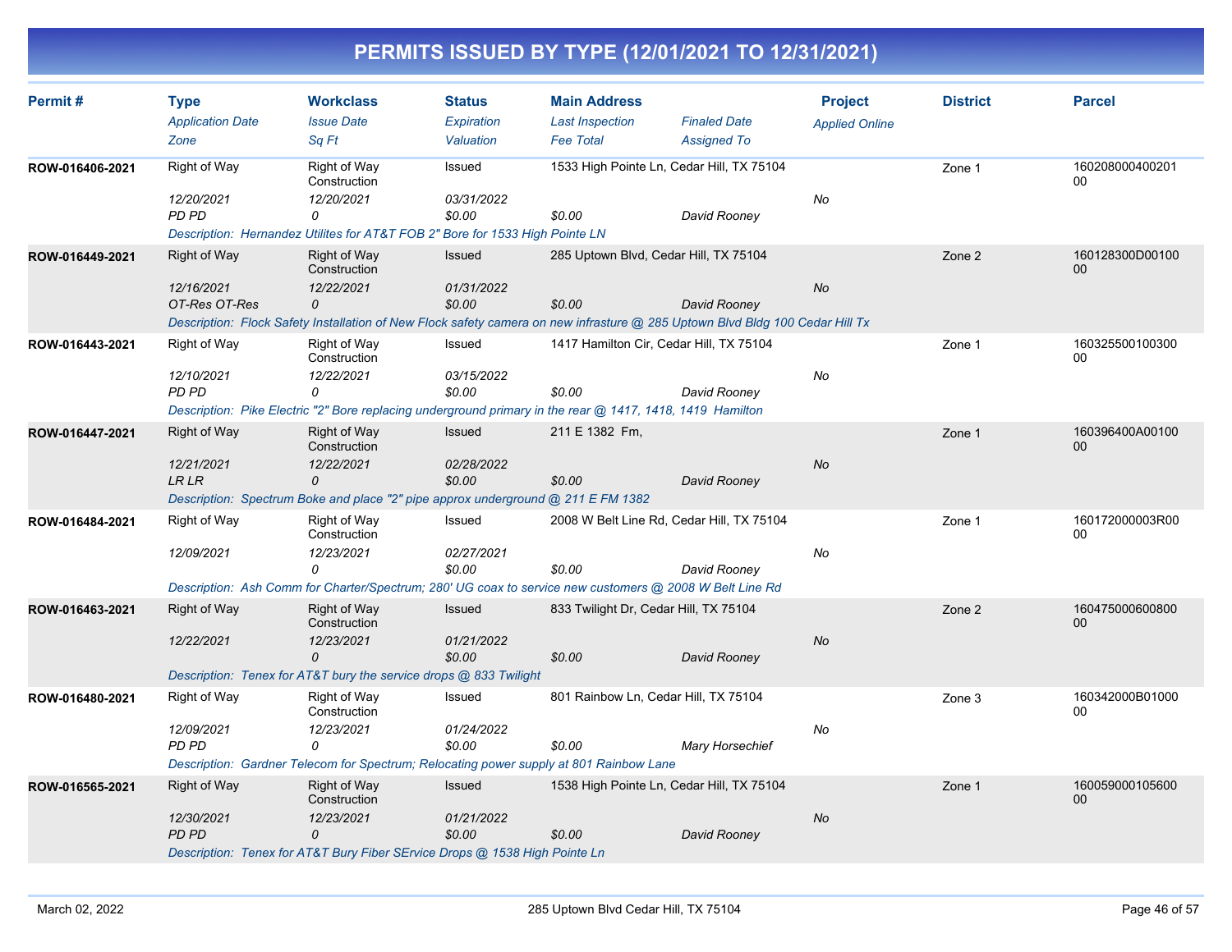| Permit#         | <b>Type</b>             | <b>Workclass</b>                                                                                          | <b>Status</b> | <b>Main Address</b>                   |                                                                                                                              | <b>Project</b>        | <b>District</b> | <b>Parcel</b>         |
|-----------------|-------------------------|-----------------------------------------------------------------------------------------------------------|---------------|---------------------------------------|------------------------------------------------------------------------------------------------------------------------------|-----------------------|-----------------|-----------------------|
|                 | <b>Application Date</b> | <b>Issue Date</b>                                                                                         | Expiration    | <b>Last Inspection</b>                | <b>Finaled Date</b>                                                                                                          | <b>Applied Online</b> |                 |                       |
|                 | Zone                    | Sa Ft                                                                                                     | Valuation     | <b>Fee Total</b>                      | <b>Assigned To</b>                                                                                                           |                       |                 |                       |
| ROW-016406-2021 | Right of Way            | Right of Way<br>Construction                                                                              | Issued        |                                       | 1533 High Pointe Ln, Cedar Hill, TX 75104                                                                                    |                       | Zone 1          | 160208000400201<br>00 |
|                 | 12/20/2021              | 12/20/2021                                                                                                | 03/31/2022    |                                       |                                                                                                                              | No                    |                 |                       |
|                 | <b>PD PD</b>            | 0                                                                                                         | \$0.00        | \$0.00                                | David Rooney                                                                                                                 |                       |                 |                       |
|                 |                         | Description: Hernandez Utilites for AT&T FOB 2" Bore for 1533 High Pointe LN                              |               |                                       |                                                                                                                              |                       |                 |                       |
| ROW-016449-2021 | Right of Way            | Right of Way<br>Construction                                                                              | <b>Issued</b> |                                       | 285 Uptown Blvd, Cedar Hill, TX 75104                                                                                        |                       | Zone 2          | 160128300D00100<br>00 |
|                 | 12/16/2021              | 12/22/2021                                                                                                | 01/31/2022    |                                       |                                                                                                                              | No                    |                 |                       |
|                 | OT-Res OT-Res           | 0                                                                                                         | \$0.00        | \$0.00                                | David Rooney                                                                                                                 |                       |                 |                       |
|                 |                         |                                                                                                           |               |                                       | Description: Flock Safety Installation of New Flock safety camera on new infrasture @ 285 Uptown Blvd Bldg 100 Cedar Hill Tx |                       |                 |                       |
| ROW-016443-2021 | Right of Way            | Right of Way<br>Construction                                                                              | Issued        |                                       | 1417 Hamilton Cir, Cedar Hill, TX 75104                                                                                      |                       | Zone 1          | 160325500100300<br>00 |
|                 | 12/10/2021              | 12/22/2021                                                                                                | 03/15/2022    |                                       |                                                                                                                              | No                    |                 |                       |
|                 | <b>PD PD</b>            | 0                                                                                                         | \$0.00        | \$0.00                                | David Rooney                                                                                                                 |                       |                 |                       |
|                 |                         | Description: Pike Electric "2" Bore replacing underground primary in the rear @ 1417, 1418, 1419 Hamilton |               |                                       |                                                                                                                              |                       |                 |                       |
| ROW-016447-2021 | Right of Way            | <b>Right of Way</b><br>Construction                                                                       | Issued        | 211 E 1382 Fm,                        |                                                                                                                              |                       | Zone 1          | 160396400A00100<br>00 |
|                 | 12/21/2021              | 12/22/2021                                                                                                | 02/28/2022    |                                       |                                                                                                                              | No                    |                 |                       |
|                 | LR LR                   | 0                                                                                                         | \$0.00        | \$0.00                                | David Rooney                                                                                                                 |                       |                 |                       |
|                 |                         | Description: Spectrum Boke and place "2" pipe approx underground @ 211 E FM 1382                          |               |                                       |                                                                                                                              |                       |                 |                       |
| ROW-016484-2021 | <b>Right of Way</b>     | Right of Way<br>Construction                                                                              | Issued        |                                       | 2008 W Belt Line Rd, Cedar Hill, TX 75104                                                                                    |                       | Zone 1          | 160172000003R00<br>00 |
|                 | 12/09/2021              | 12/23/2021                                                                                                | 02/27/2021    |                                       |                                                                                                                              | No                    |                 |                       |
|                 |                         | 0                                                                                                         | \$0.00        | \$0.00                                | David Rooney                                                                                                                 |                       |                 |                       |
|                 |                         | Description: Ash Comm for Charter/Spectrum; 280' UG coax to service new customers @ 2008 W Belt Line Rd   |               |                                       |                                                                                                                              |                       |                 |                       |
| ROW-016463-2021 | Right of Way            | Right of Way<br>Construction                                                                              | Issued        | 833 Twilight Dr, Cedar Hill, TX 75104 |                                                                                                                              |                       | Zone 2          | 160475000600800<br>00 |
|                 | 12/22/2021              | 12/23/2021                                                                                                | 01/21/2022    |                                       |                                                                                                                              | <b>No</b>             |                 |                       |
|                 |                         | 0                                                                                                         | \$0.00        | \$0.00                                | David Rooney                                                                                                                 |                       |                 |                       |
|                 |                         | Description: Tenex for AT&T bury the service drops @ 833 Twilight                                         |               |                                       |                                                                                                                              |                       |                 |                       |
| ROW-016480-2021 | Right of Way            | Right of Way<br>Construction                                                                              | Issued        |                                       | 801 Rainbow Ln, Cedar Hill, TX 75104                                                                                         |                       | Zone 3          | 160342000B01000<br>00 |
|                 | 12/09/2021              | 12/23/2021                                                                                                | 01/24/2022    |                                       |                                                                                                                              | No                    |                 |                       |
|                 | <b>PD PD</b>            | 0                                                                                                         | \$0.00        | \$0.00                                | <b>Mary Horsechief</b>                                                                                                       |                       |                 |                       |
|                 |                         | Description: Gardner Telecom for Spectrum; Relocating power supply at 801 Rainbow Lane                    |               |                                       |                                                                                                                              |                       |                 |                       |
| ROW-016565-2021 | Right of Way            | Right of Way<br>Construction                                                                              | Issued        |                                       | 1538 High Pointe Ln, Cedar Hill, TX 75104                                                                                    |                       | Zone 1          | 160059000105600<br>00 |
|                 | 12/30/2021              | 12/23/2021                                                                                                | 01/21/2022    |                                       |                                                                                                                              | <b>No</b>             |                 |                       |
|                 | <b>PD PD</b>            | 0                                                                                                         | \$0.00        | \$0.00                                | David Rooney                                                                                                                 |                       |                 |                       |
|                 |                         | Description: Tenex for AT&T Bury Fiber SErvice Drops @ 1538 High Pointe Ln                                |               |                                       |                                                                                                                              |                       |                 |                       |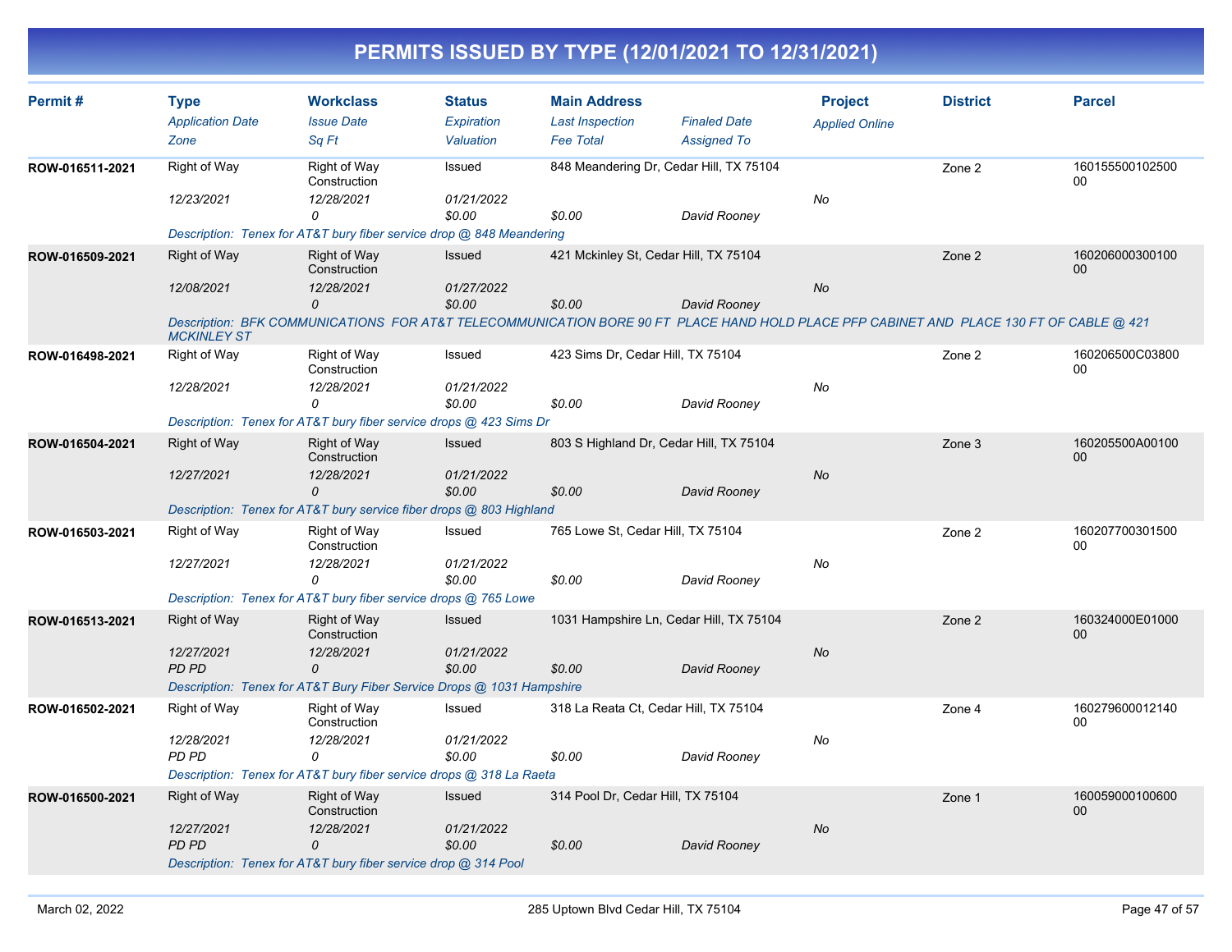| Permit#         | <b>Type</b>             | <b>Workclass</b>                                                      | <b>Status</b> | <b>Main Address</b>               |                                                                                                                                         | <b>Project</b>        | <b>District</b> | <b>Parcel</b>             |
|-----------------|-------------------------|-----------------------------------------------------------------------|---------------|-----------------------------------|-----------------------------------------------------------------------------------------------------------------------------------------|-----------------------|-----------------|---------------------------|
|                 | <b>Application Date</b> | <b>Issue Date</b>                                                     | Expiration    | <b>Last Inspection</b>            | <b>Finaled Date</b>                                                                                                                     | <b>Applied Online</b> |                 |                           |
|                 | Zone                    | Sa Ft                                                                 | Valuation     | <b>Fee Total</b>                  | <b>Assigned To</b>                                                                                                                      |                       |                 |                           |
| ROW-016511-2021 | Right of Way            | Right of Way<br>Construction                                          | Issued        |                                   | 848 Meandering Dr, Cedar Hill, TX 75104                                                                                                 |                       | Zone 2          | 160155500102500<br>00     |
|                 | 12/23/2021              | 12/28/2021                                                            | 01/21/2022    |                                   |                                                                                                                                         | No                    |                 |                           |
|                 |                         | 0                                                                     | \$0.00        | \$0.00                            | David Rooney                                                                                                                            |                       |                 |                           |
|                 |                         | Description: Tenex for AT&T bury fiber service drop @ 848 Meandering  |               |                                   |                                                                                                                                         |                       |                 |                           |
| ROW-016509-2021 | <b>Right of Way</b>     | <b>Right of Way</b><br>Construction                                   | Issued        |                                   | 421 Mckinley St, Cedar Hill, TX 75104                                                                                                   |                       | Zone 2          | 160206000300100<br>$00\,$ |
|                 | 12/08/2021              | 12/28/2021                                                            | 01/27/2022    |                                   |                                                                                                                                         | <b>No</b>             |                 |                           |
|                 |                         | 0                                                                     | \$0.00        | \$0.00                            | David Rooney                                                                                                                            |                       |                 |                           |
|                 | <b>MCKINLEY ST</b>      |                                                                       |               |                                   | Description: BFK COMMUNICATIONS FOR AT&T TELECOMMUNICATION BORE 90 FT PLACE HAND HOLD PLACE PFP CABINET AND PLACE 130 FT OF CABLE @ 421 |                       |                 |                           |
| ROW-016498-2021 | Right of Way            | Right of Way<br>Construction                                          | Issued        | 423 Sims Dr, Cedar Hill, TX 75104 |                                                                                                                                         |                       | Zone 2          | 160206500C03800<br>00     |
|                 | 12/28/2021              | 12/28/2021                                                            | 01/21/2022    |                                   |                                                                                                                                         | No                    |                 |                           |
|                 |                         | 0                                                                     | \$0.00        | \$0.00                            | David Rooney                                                                                                                            |                       |                 |                           |
|                 |                         | Description: Tenex for AT&T bury fiber service drops @ 423 Sims Dr    |               |                                   |                                                                                                                                         |                       |                 |                           |
| ROW-016504-2021 | <b>Right of Way</b>     | <b>Right of Way</b><br>Construction                                   | Issued        |                                   | 803 S Highland Dr, Cedar Hill, TX 75104                                                                                                 |                       | Zone 3          | 160205500A00100<br>00     |
|                 | 12/27/2021              | 12/28/2021                                                            | 01/21/2022    |                                   |                                                                                                                                         | No                    |                 |                           |
|                 |                         | $\Omega$                                                              | \$0.00        | \$0.00                            | David Rooney                                                                                                                            |                       |                 |                           |
|                 |                         | Description: Tenex for AT&T bury service fiber drops @ 803 Highland   |               |                                   |                                                                                                                                         |                       |                 |                           |
| ROW-016503-2021 | Right of Way            | Right of Way<br>Construction                                          | Issued        | 765 Lowe St, Cedar Hill, TX 75104 |                                                                                                                                         |                       | Zone 2          | 160207700301500<br>00     |
|                 | 12/27/2021              | 12/28/2021                                                            | 01/21/2022    |                                   |                                                                                                                                         | No                    |                 |                           |
|                 |                         | 0                                                                     | \$0.00        | \$0.00                            | David Rooney                                                                                                                            |                       |                 |                           |
|                 |                         | Description: Tenex for AT&T bury fiber service drops @ 765 Lowe       |               |                                   |                                                                                                                                         |                       |                 |                           |
| ROW-016513-2021 | <b>Right of Way</b>     | <b>Right of Way</b><br>Construction                                   | Issued        |                                   | 1031 Hampshire Ln, Cedar Hill, TX 75104                                                                                                 |                       | Zone 2          | 160324000E01000<br>00     |
|                 | 12/27/2021              | 12/28/2021                                                            | 01/21/2022    |                                   |                                                                                                                                         | No                    |                 |                           |
|                 | <b>PD PD</b>            | 0                                                                     | \$0.00        | \$0.00                            | David Rooney                                                                                                                            |                       |                 |                           |
|                 |                         | Description: Tenex for AT&T Bury Fiber Service Drops @ 1031 Hampshire |               |                                   |                                                                                                                                         |                       |                 |                           |
| ROW-016502-2021 | Right of Way            | Right of Way<br>Construction                                          | Issued        |                                   | 318 La Reata Ct, Cedar Hill, TX 75104                                                                                                   |                       | Zone 4          | 160279600012140<br>$00\,$ |
|                 | 12/28/2021              | 12/28/2021                                                            | 01/21/2022    |                                   |                                                                                                                                         | No                    |                 |                           |
|                 | PD PD                   | 0                                                                     | \$0.00        | \$0.00                            | David Rooney                                                                                                                            |                       |                 |                           |
|                 |                         | Description: Tenex for AT&T bury fiber service drops @ 318 La Raeta   |               |                                   |                                                                                                                                         |                       |                 |                           |
| ROW-016500-2021 | Right of Way            | <b>Right of Way</b><br>Construction                                   | Issued        | 314 Pool Dr, Cedar Hill, TX 75104 |                                                                                                                                         |                       | Zone 1          | 160059000100600<br>00     |
|                 | 12/27/2021              | 12/28/2021                                                            | 01/21/2022    |                                   |                                                                                                                                         | No                    |                 |                           |
|                 | <b>PD PD</b>            | $\Omega$                                                              | \$0.00        | \$0.00                            | David Rooney                                                                                                                            |                       |                 |                           |
|                 |                         | Description: Tenex for AT&T bury fiber service drop @ 314 Pool        |               |                                   |                                                                                                                                         |                       |                 |                           |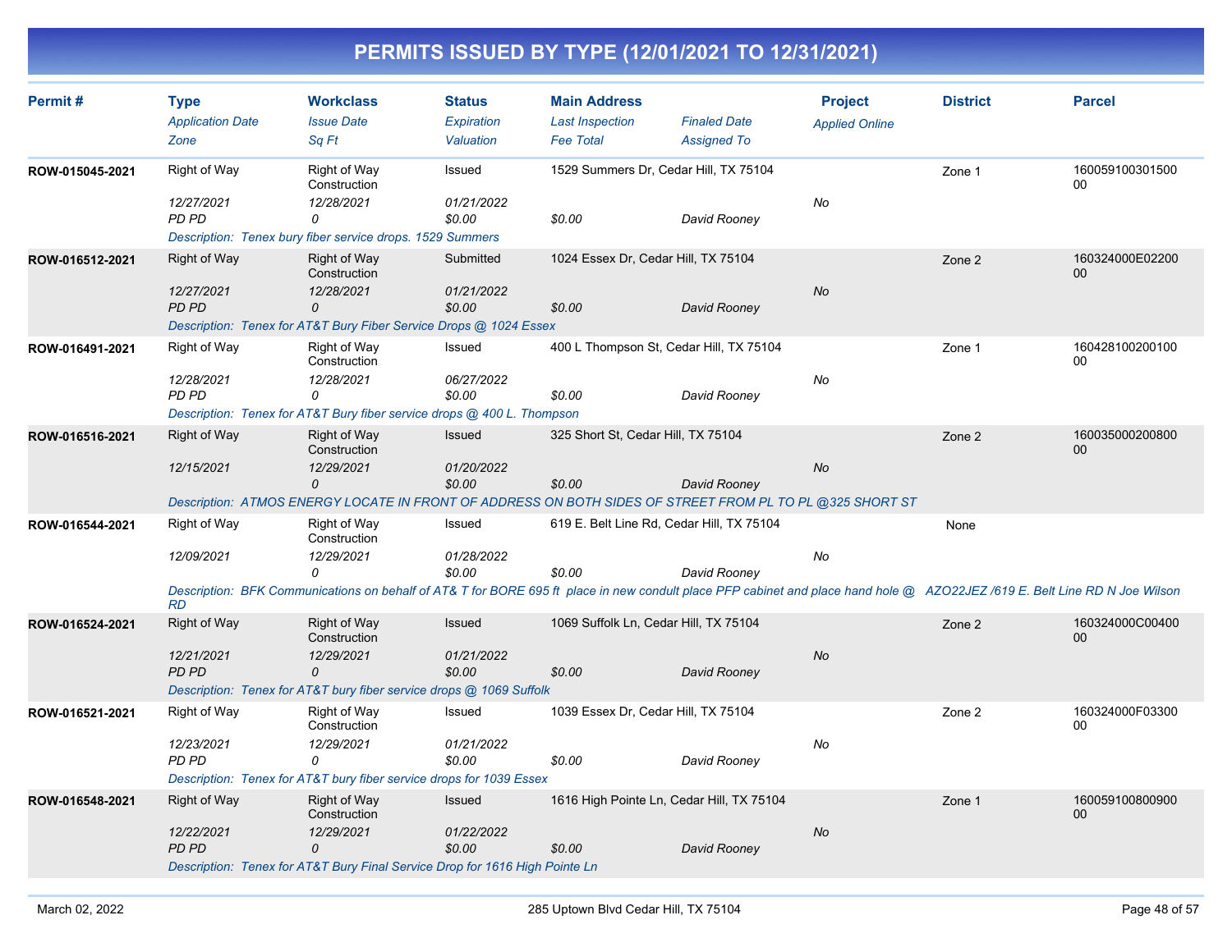| Permit#         | <b>Type</b><br><b>Application Date</b><br>Zone          | <b>Workclass</b><br><b>Issue Date</b><br>Sq Ft                                                                                                                                                                               | <b>Status</b><br>Expiration<br>Valuation | <b>Main Address</b><br><b>Last Inspection</b><br><b>Fee Total</b> | <b>Finaled Date</b><br><b>Assigned To</b> | <b>Project</b><br><b>Applied Online</b> | <b>District</b> | <b>Parcel</b>             |
|-----------------|---------------------------------------------------------|------------------------------------------------------------------------------------------------------------------------------------------------------------------------------------------------------------------------------|------------------------------------------|-------------------------------------------------------------------|-------------------------------------------|-----------------------------------------|-----------------|---------------------------|
| ROW-015045-2021 | Right of Way<br>12/27/2021<br>PD PD                     | Right of Way<br>Construction<br>12/28/2021<br>$\Omega$                                                                                                                                                                       | Issued<br>01/21/2022<br>\$0.00           | 1529 Summers Dr, Cedar Hill, TX 75104<br>\$0.00                   | David Rooney                              | No                                      | Zone 1          | 160059100301500<br>00     |
| ROW-016512-2021 | Right of Way<br>12/27/2021<br><b>PD PD</b>              | Description: Tenex bury fiber service drops. 1529 Summers<br><b>Right of Way</b><br>Construction<br>12/28/2021<br>0<br>Description: Tenex for AT&T Bury Fiber Service Drops @ 1024 Essex                                     | Submitted<br>01/21/2022<br>\$0.00        | 1024 Essex Dr, Cedar Hill, TX 75104<br>\$0.00                     | David Rooney                              | No                                      | Zone 2          | 160324000E02200<br>00     |
| ROW-016491-2021 | Right of Way<br>12/28/2021<br>PD PD                     | <b>Right of Way</b><br>Construction<br>12/28/2021<br>$\Omega$<br>Description: Tenex for AT&T Bury fiber service drops @ 400 L. Thompson                                                                                      | Issued<br>06/27/2022<br>\$0.00           | 400 L Thompson St, Cedar Hill, TX 75104<br>\$0.00                 | David Rooney                              | No                                      | Zone 1          | 160428100200100<br>00     |
| ROW-016516-2021 | Right of Way<br>12/15/2021                              | <b>Right of Way</b><br>Construction<br>12/29/2021<br>$\Omega$<br>Description: ATMOS ENERGY LOCATE IN FRONT OF ADDRESS ON BOTH SIDES OF STREET FROM PL TO PL @325 SHORT ST                                                    | Issued<br>01/20/2022<br>\$0.00           | 325 Short St, Cedar Hill, TX 75104<br>\$0.00                      | David Rooney                              | No                                      | Zone 2          | 160035000200800<br>00     |
| ROW-016544-2021 | Right of Way<br>12/09/2021                              | Right of Way<br>Construction<br>12/29/2021<br>0<br>Description: BFK Communications on behalf of AT& T for BORE 695 ft place in new condult place PFP cabinet and place hand hole @ AZO22JEZ/619 E. Belt Line RD N Joe Wilson | Issued<br>01/28/2022<br>\$0.00           | 619 E. Belt Line Rd, Cedar Hill, TX 75104<br>\$0.00               | David Rooney                              | No                                      | None            |                           |
| ROW-016524-2021 | <b>RD</b><br>Right of Way<br>12/21/2021<br><b>PD PD</b> | <b>Right of Way</b><br>Construction<br>12/29/2021<br>$\Omega$<br>Description: Tenex for AT&T bury fiber service drops @ 1069 Suffolk                                                                                         | Issued<br>01/21/2022<br>\$0.00           | 1069 Suffolk Ln, Cedar Hill, TX 75104<br>\$0.00                   | David Rooney                              | No                                      | Zone 2          | 160324000C00400<br>$00\,$ |
| ROW-016521-2021 | Right of Way<br>12/23/2021<br>PD PD                     | Right of Way<br>Construction<br>12/29/2021<br>$\Omega$<br>Description: Tenex for AT&T bury fiber service drops for 1039 Essex                                                                                                | Issued<br>01/21/2022<br>\$0.00           | 1039 Essex Dr, Cedar Hill, TX 75104<br>\$0.00                     | David Rooney                              | No                                      | Zone 2          | 160324000F03300<br>00     |
| ROW-016548-2021 | Right of Way<br>12/22/2021<br><b>PD PD</b>              | Right of Way<br>Construction<br>12/29/2021<br>$\Omega$<br>Description: Tenex for AT&T Bury Final Service Drop for 1616 High Pointe Ln                                                                                        | Issued<br>01/22/2022<br>\$0.00           | 1616 High Pointe Ln, Cedar Hill, TX 75104<br>\$0.00               | David Rooney                              | No                                      | Zone 1          | 160059100800900<br>00     |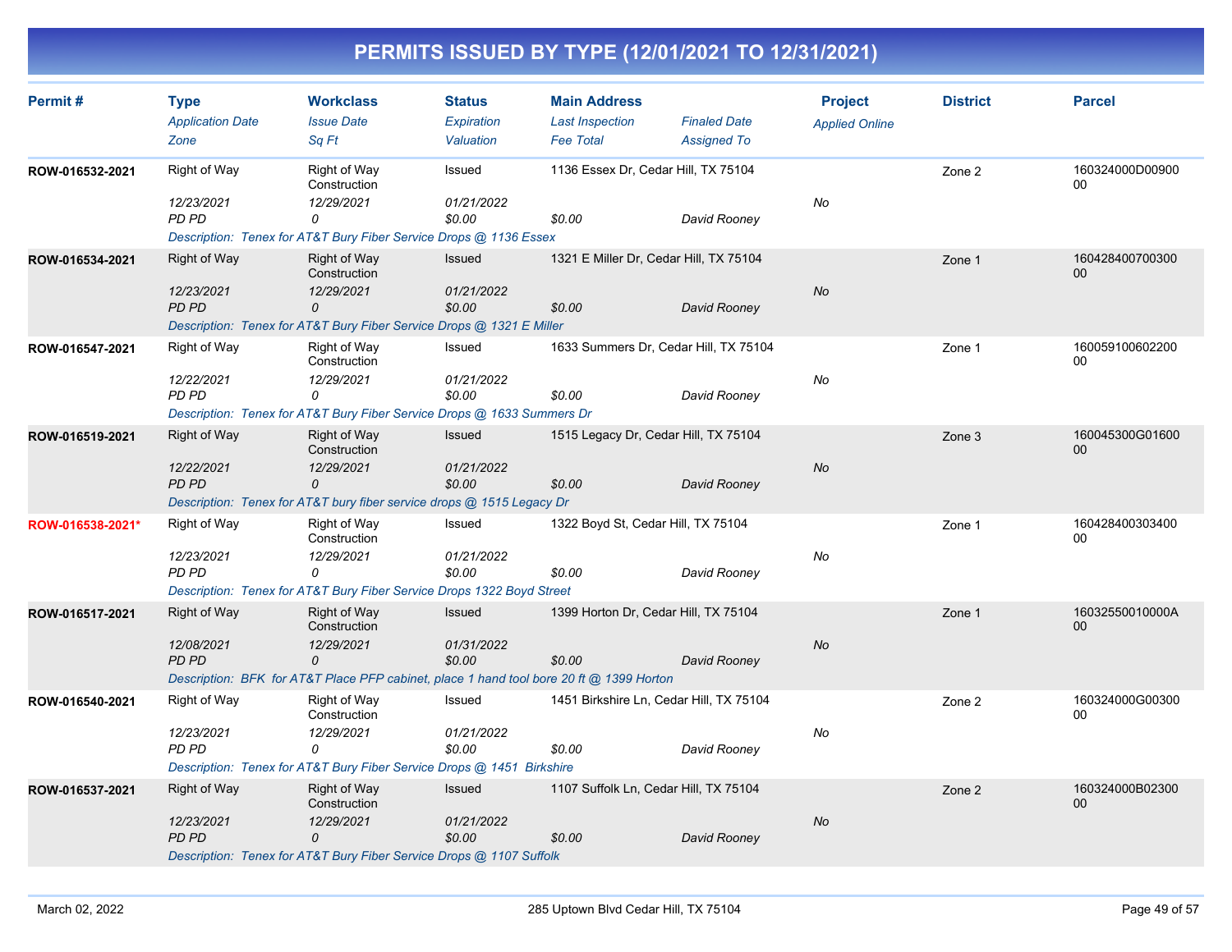| Permit#          | <b>Type</b>                     | <b>Workclass</b>                                                                        | <b>Status</b>           | <b>Main Address</b>                        |                                           | <b>Project</b>        | <b>District</b> | <b>Parcel</b>             |
|------------------|---------------------------------|-----------------------------------------------------------------------------------------|-------------------------|--------------------------------------------|-------------------------------------------|-----------------------|-----------------|---------------------------|
|                  | <b>Application Date</b><br>Zone | <b>Issue Date</b><br>Sq Ft                                                              | Expiration<br>Valuation | <b>Last Inspection</b><br><b>Fee Total</b> | <b>Finaled Date</b><br><b>Assigned To</b> | <b>Applied Online</b> |                 |                           |
| ROW-016532-2021  | <b>Right of Way</b>             | Right of Way<br>Construction                                                            | Issued                  | 1136 Essex Dr, Cedar Hill, TX 75104        |                                           |                       | Zone 2          | 160324000D00900<br>00     |
|                  | 12/23/2021<br>PD PD             | 12/29/2021<br>0                                                                         | 01/21/2022<br>\$0.00    | \$0.00                                     | David Rooney                              | No                    |                 |                           |
|                  |                                 | Description: Tenex for AT&T Bury Fiber Service Drops @ 1136 Essex                       |                         |                                            |                                           |                       |                 |                           |
| ROW-016534-2021  | Right of Way                    | Right of Way<br>Construction                                                            | <b>Issued</b>           |                                            | 1321 E Miller Dr, Cedar Hill, TX 75104    |                       | Zone 1          | 160428400700300<br>00     |
|                  | 12/23/2021<br>PD PD             | 12/29/2021<br>0                                                                         | 01/21/2022<br>\$0.00    | \$0.00                                     | David Rooney                              | <b>No</b>             |                 |                           |
|                  |                                 | Description: Tenex for AT&T Bury Fiber Service Drops @ 1321 E Miller                    |                         |                                            |                                           |                       |                 |                           |
| ROW-016547-2021  | Right of Way                    | Right of Way<br>Construction                                                            | Issued                  |                                            | 1633 Summers Dr, Cedar Hill, TX 75104     |                       | Zone 1          | 160059100602200<br>00     |
|                  | 12/22/2021                      | 12/29/2021                                                                              | 01/21/2022              |                                            |                                           | No                    |                 |                           |
|                  | PD PD                           | 0                                                                                       | \$0.00                  | \$0.00                                     | David Rooney                              |                       |                 |                           |
|                  |                                 | Description: Tenex for AT&T Bury Fiber Service Drops @ 1633 Summers Dr                  |                         |                                            |                                           |                       |                 |                           |
| ROW-016519-2021  | Right of Way                    | <b>Right of Way</b><br>Construction                                                     | Issued                  |                                            | 1515 Legacy Dr, Cedar Hill, TX 75104      |                       | Zone 3          | 160045300G01600<br>$00\,$ |
|                  | 12/22/2021                      | 12/29/2021                                                                              | 01/21/2022              |                                            |                                           | No                    |                 |                           |
|                  | PD PD                           | 0                                                                                       | \$0.00                  | \$0.00                                     | David Rooney                              |                       |                 |                           |
|                  |                                 | Description: Tenex for AT&T bury fiber service drops @ 1515 Legacy Dr                   |                         |                                            |                                           |                       |                 |                           |
| ROW-016538-2021* | <b>Right of Way</b>             | Right of Way<br>Construction                                                            | Issued                  | 1322 Boyd St, Cedar Hill, TX 75104         |                                           |                       | Zone 1          | 160428400303400<br>$00\,$ |
|                  | 12/23/2021                      | 12/29/2021                                                                              | 01/21/2022              |                                            |                                           | No                    |                 |                           |
|                  | PD PD                           | 0                                                                                       | \$0.00                  | \$0.00                                     | David Rooney                              |                       |                 |                           |
|                  |                                 | Description: Tenex for AT&T Bury Fiber Service Drops 1322 Boyd Street                   |                         |                                            |                                           |                       |                 |                           |
| ROW-016517-2021  | Right of Way                    | Right of Way<br>Construction                                                            | Issued                  |                                            | 1399 Horton Dr, Cedar Hill, TX 75104      |                       | Zone 1          | 16032550010000A<br>00     |
|                  | 12/08/2021                      | 12/29/2021                                                                              | 01/31/2022              |                                            |                                           | <b>No</b>             |                 |                           |
|                  | <b>PD PD</b>                    | 0                                                                                       | \$0.00                  | \$0.00                                     | David Rooney                              |                       |                 |                           |
|                  |                                 | Description: BFK for AT&T Place PFP cabinet, place 1 hand tool bore 20 ft @ 1399 Horton |                         |                                            |                                           |                       |                 |                           |
| ROW-016540-2021  | Right of Way                    | Right of Way<br>Construction                                                            | Issued                  |                                            | 1451 Birkshire Ln, Cedar Hill, TX 75104   |                       | Zone 2          | 160324000G00300<br>00     |
|                  | 12/23/2021                      | 12/29/2021                                                                              | 01/21/2022              |                                            |                                           | No                    |                 |                           |
|                  | PD PD                           | 0                                                                                       | \$0.00                  | \$0.00                                     | David Rooney                              |                       |                 |                           |
|                  |                                 | Description: Tenex for AT&T Bury Fiber Service Drops @ 1451 Birkshire                   |                         |                                            |                                           |                       |                 |                           |
| ROW-016537-2021  | <b>Right of Way</b>             | Right of Way<br>Construction                                                            | Issued                  |                                            | 1107 Suffolk Ln, Cedar Hill, TX 75104     |                       | Zone 2          | 160324000B02300<br>00     |
|                  | 12/23/2021                      | 12/29/2021                                                                              | <i>01/21/2022</i>       |                                            |                                           | <b>No</b>             |                 |                           |
|                  | PD PD                           | $\Omega$                                                                                | \$0.00                  | \$0.00                                     | David Rooney                              |                       |                 |                           |
|                  |                                 | Description: Tenex for AT&T Bury Fiber Service Drops @ 1107 Suffolk                     |                         |                                            |                                           |                       |                 |                           |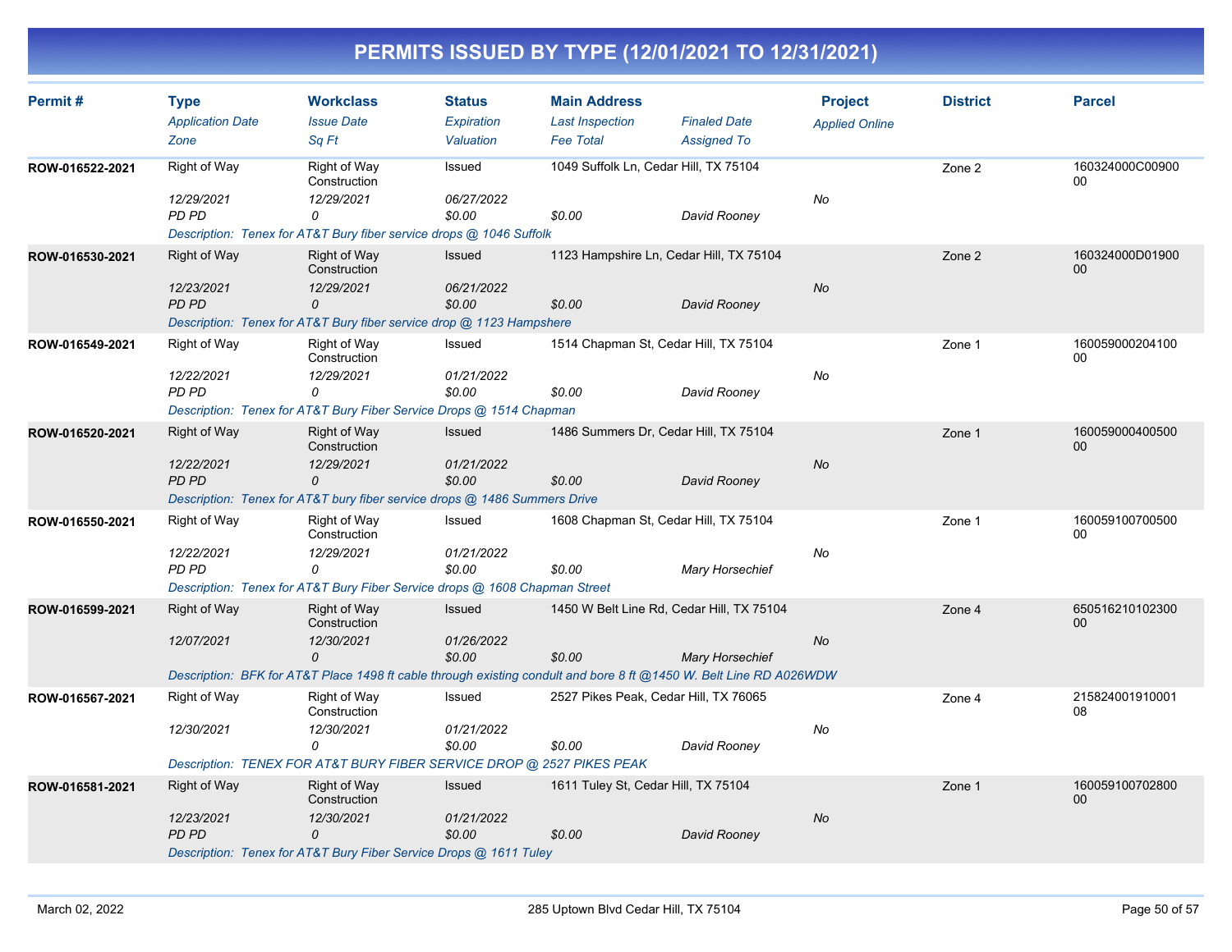| Permit#         | <b>Type</b><br><b>Application Date</b> | <b>Workclass</b><br><b>Issue Date</b>                                      | <b>Status</b><br><b>Expiration</b> | <b>Main Address</b><br><b>Last Inspection</b> | <b>Finaled Date</b>                                                                                                | <b>Project</b><br><b>Applied Online</b> | <b>District</b> | <b>Parcel</b>         |
|-----------------|----------------------------------------|----------------------------------------------------------------------------|------------------------------------|-----------------------------------------------|--------------------------------------------------------------------------------------------------------------------|-----------------------------------------|-----------------|-----------------------|
|                 | Zone                                   | Sa Ft                                                                      | Valuation                          | <b>Fee Total</b>                              | <b>Assigned To</b>                                                                                                 |                                         |                 |                       |
| ROW-016522-2021 | Right of Way                           | <b>Right of Way</b><br>Construction                                        | Issued                             |                                               | 1049 Suffolk Ln, Cedar Hill, TX 75104                                                                              |                                         | Zone 2          | 160324000C00900<br>00 |
|                 | 12/29/2021<br>PD PD                    | 12/29/2021<br>0                                                            | 06/27/2022<br>\$0.00               | \$0.00                                        | David Rooney                                                                                                       | No                                      |                 |                       |
|                 |                                        | Description: Tenex for AT&T Bury fiber service drops @ 1046 Suffolk        |                                    |                                               |                                                                                                                    |                                         |                 |                       |
| ROW-016530-2021 | <b>Right of Way</b>                    | <b>Right of Way</b><br>Construction                                        | Issued                             |                                               | 1123 Hampshire Ln, Cedar Hill, TX 75104                                                                            |                                         | Zone 2          | 160324000D01900<br>00 |
|                 | 12/23/2021<br><b>PD PD</b>             | 12/29/2021<br>0                                                            | 06/21/2022<br>\$0.00               | \$0.00                                        | David Rooney                                                                                                       | No                                      |                 |                       |
|                 |                                        | Description: Tenex for AT&T Bury fiber service drop @ 1123 Hampshere       |                                    |                                               |                                                                                                                    |                                         |                 |                       |
| ROW-016549-2021 | Right of Way                           | Right of Way<br>Construction                                               | Issued                             |                                               | 1514 Chapman St, Cedar Hill, TX 75104                                                                              |                                         | Zone 1          | 160059000204100<br>00 |
|                 | 12/22/2021<br>PD PD                    | 12/29/2021<br>0                                                            | 01/21/2022<br>\$0.00               | \$0.00                                        | David Rooney                                                                                                       | No                                      |                 |                       |
|                 |                                        | Description: Tenex for AT&T Bury Fiber Service Drops @ 1514 Chapman        |                                    |                                               |                                                                                                                    |                                         |                 |                       |
| ROW-016520-2021 | <b>Right of Way</b>                    | <b>Right of Way</b><br>Construction                                        | Issued                             |                                               | 1486 Summers Dr, Cedar Hill, TX 75104                                                                              |                                         | Zone 1          | 160059000400500<br>00 |
|                 | 12/22/2021<br><b>PD PD</b>             | 12/29/2021<br>0                                                            | 01/21/2022<br>\$0.00               | \$0.00                                        | David Rooney                                                                                                       | No                                      |                 |                       |
|                 |                                        | Description: Tenex for AT&T bury fiber service drops @ 1486 Summers Drive  |                                    |                                               |                                                                                                                    |                                         |                 |                       |
| ROW-016550-2021 | Right of Way                           | Right of Way<br>Construction                                               | Issued                             |                                               | 1608 Chapman St, Cedar Hill, TX 75104                                                                              |                                         | Zone 1          | 160059100700500<br>00 |
|                 | 12/22/2021<br>PD PD                    | 12/29/2021<br>0                                                            | 01/21/2022<br>\$0.00               | \$0.00                                        | <b>Mary Horsechief</b>                                                                                             | No                                      |                 |                       |
|                 |                                        | Description: Tenex for AT&T Bury Fiber Service drops @ 1608 Chapman Street |                                    |                                               |                                                                                                                    |                                         |                 |                       |
| ROW-016599-2021 | <b>Right of Way</b>                    | Right of Way<br>Construction                                               | <b>Issued</b>                      |                                               | 1450 W Belt Line Rd, Cedar Hill, TX 75104                                                                          |                                         | Zone 4          | 650516210102300<br>00 |
|                 | 12/07/2021                             | 12/30/2021<br>$\Omega$                                                     | 01/26/2022<br>\$0.00               | \$0.00                                        | <b>Mary Horsechief</b>                                                                                             | <b>No</b>                               |                 |                       |
|                 |                                        |                                                                            |                                    |                                               | Description: BFK for AT&T Place 1498 ft cable through existing condult and bore 8 ft @1450 W. Belt Line RD A026WDW |                                         |                 |                       |
| ROW-016567-2021 | <b>Right of Way</b>                    | Right of Way<br>Construction                                               | Issued                             |                                               | 2527 Pikes Peak, Cedar Hill, TX 76065                                                                              |                                         | Zone 4          | 215824001910001<br>08 |
|                 | 12/30/2021                             | 12/30/2021<br>0                                                            | 01/21/2022<br>\$0.00               | \$0.00                                        | David Rooney                                                                                                       | No                                      |                 |                       |
|                 |                                        | Description: TENEX FOR AT&T BURY FIBER SERVICE DROP @ 2527 PIKES PEAK      |                                    |                                               |                                                                                                                    |                                         |                 |                       |
| ROW-016581-2021 | <b>Right of Way</b>                    | <b>Right of Way</b><br>Construction                                        | Issued                             | 1611 Tuley St, Cedar Hill, TX 75104           |                                                                                                                    |                                         | Zone 1          | 160059100702800<br>00 |
|                 | 12/23/2021<br>PD PD                    | 12/30/2021<br>0                                                            | 01/21/2022<br>\$0.00               | \$0.00                                        | David Rooney                                                                                                       | <b>No</b>                               |                 |                       |
|                 |                                        | Description: Tenex for AT&T Bury Fiber Service Drops @ 1611 Tuley          |                                    |                                               |                                                                                                                    |                                         |                 |                       |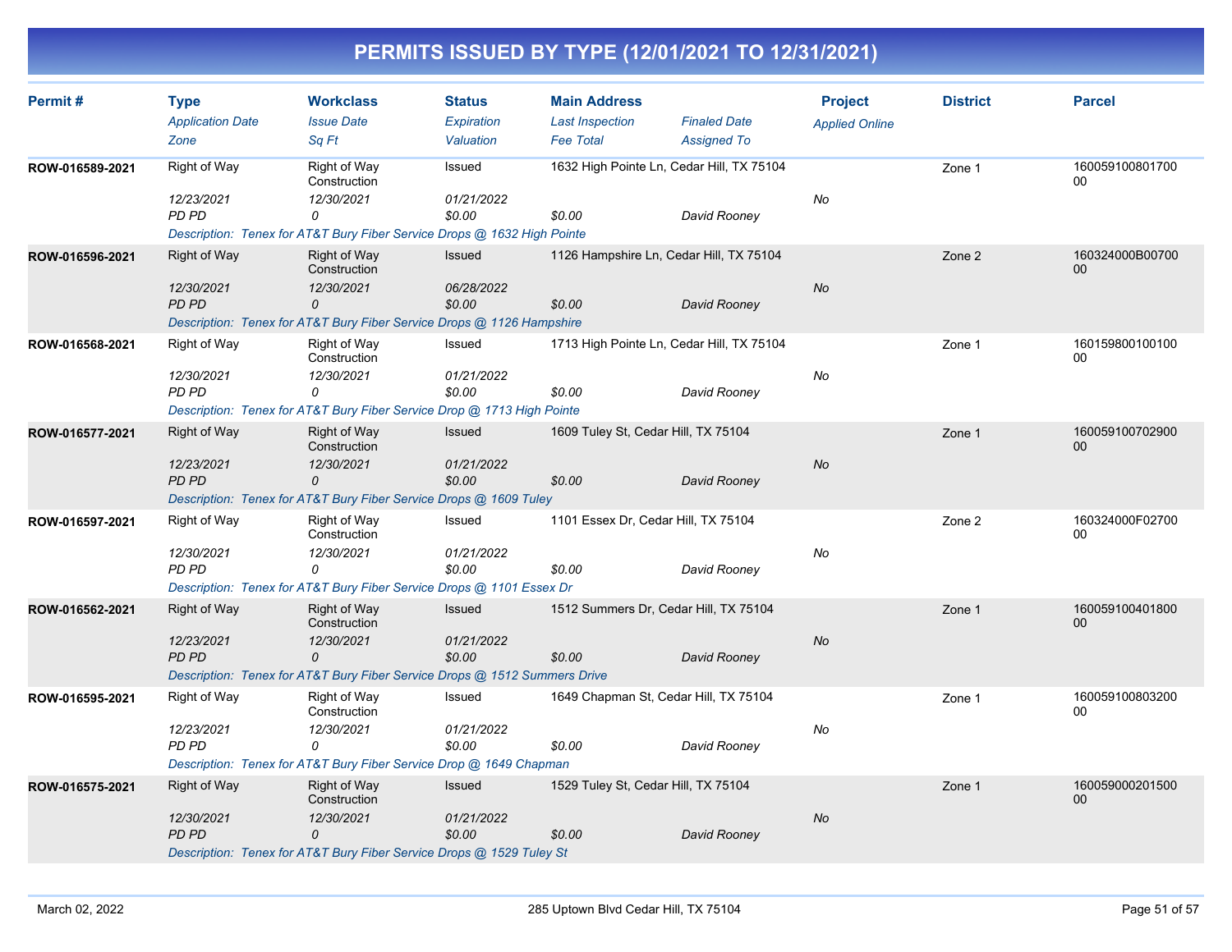| Permit#         | <b>Type</b><br><b>Application Date</b><br>Zone    | <b>Workclass</b><br><b>Issue Date</b><br>Sa Ft                                                                                   | <b>Status</b><br>Expiration<br>Valuation | <b>Main Address</b><br><b>Last Inspection</b><br><b>Fee Total</b> | <b>Finaled Date</b><br><b>Assigned To</b> | <b>Project</b><br><b>Applied Online</b> | <b>District</b> | <b>Parcel</b>             |
|-----------------|---------------------------------------------------|----------------------------------------------------------------------------------------------------------------------------------|------------------------------------------|-------------------------------------------------------------------|-------------------------------------------|-----------------------------------------|-----------------|---------------------------|
| ROW-016589-2021 | <b>Right of Way</b><br>12/23/2021<br><b>PD PD</b> | Right of Way<br>Construction<br>12/30/2021<br>0<br>Description: Tenex for AT&T Bury Fiber Service Drops @ 1632 High Pointe       | Issued<br>01/21/2022<br>\$0.00           | 1632 High Pointe Ln, Cedar Hill, TX 75104<br>\$0.00               | David Rooney                              | No                                      | Zone 1          | 160059100801700<br>00     |
| ROW-016596-2021 | Right of Way<br>12/30/2021<br>PD PD               | <b>Right of Way</b><br>Construction<br>12/30/2021<br>0<br>Description: Tenex for AT&T Bury Fiber Service Drops @ 1126 Hampshire  | Issued<br>06/28/2022<br>\$0.00           | 1126 Hampshire Ln, Cedar Hill, TX 75104<br>\$0.00                 | David Rooney                              | No                                      | Zone 2          | 160324000B00700<br>00     |
| ROW-016568-2021 | Right of Way<br>12/30/2021<br><b>PD PD</b>        | Right of Way<br>Construction<br>12/30/2021<br>$\Omega$<br>Description: Tenex for AT&T Bury Fiber Service Drop @ 1713 High Pointe | Issued<br>01/21/2022<br>\$0.00           | 1713 High Pointe Ln, Cedar Hill, TX 75104<br>\$0.00               | David Rooney                              | No                                      | Zone 1          | 160159800100100<br>00     |
| ROW-016577-2021 | <b>Right of Way</b><br>12/23/2021<br>PD PD        | <b>Right of Way</b><br>Construction<br>12/30/2021<br>0<br>Description: Tenex for AT&T Bury Fiber Service Drops @ 1609 Tuley      | <b>Issued</b><br>01/21/2022<br>\$0.00    | 1609 Tuley St, Cedar Hill, TX 75104<br>\$0.00                     | David Rooney                              | <b>No</b>                               | Zone 1          | 160059100702900<br>00     |
| ROW-016597-2021 | Right of Way<br>12/30/2021<br><b>PD PD</b>        | Right of Way<br>Construction<br>12/30/2021<br>$\Omega$<br>Description: Tenex for AT&T Bury Fiber Service Drops @ 1101 Essex Dr   | Issued<br>01/21/2022<br>\$0.00           | 1101 Essex Dr, Cedar Hill, TX 75104<br>\$0.00                     | David Rooney                              | No                                      | Zone 2          | 160324000F02700<br>00     |
| ROW-016562-2021 | <b>Right of Way</b><br>12/23/2021<br><b>PD PD</b> | Right of Way<br>Construction<br>12/30/2021<br>0<br>Description: Tenex for AT&T Bury Fiber Service Drops @ 1512 Summers Drive     | Issued<br>01/21/2022<br>\$0.00           | 1512 Summers Dr, Cedar Hill, TX 75104<br>\$0.00                   | David Rooney                              | No                                      | Zone 1          | 160059100401800<br>00     |
| ROW-016595-2021 | Right of Way<br>12/23/2021<br><b>PD PD</b>        | Right of Way<br>Construction<br>12/30/2021<br>0<br>Description: Tenex for AT&T Bury Fiber Service Drop @ 1649 Chapman            | Issued<br>01/21/2022<br>\$0.00           | 1649 Chapman St, Cedar Hill, TX 75104<br>\$0.00                   | David Rooney                              | No                                      | Zone 1          | 160059100803200<br>00     |
| ROW-016575-2021 | <b>Right of Way</b><br>12/30/2021<br>PD PD        | Right of Way<br>Construction<br>12/30/2021<br>0<br>Description: Tenex for AT&T Bury Fiber Service Drops @ 1529 Tuley St          | Issued<br>01/21/2022<br>\$0.00           | 1529 Tuley St, Cedar Hill, TX 75104<br>\$0.00                     | David Rooney                              | No                                      | Zone 1          | 160059000201500<br>$00\,$ |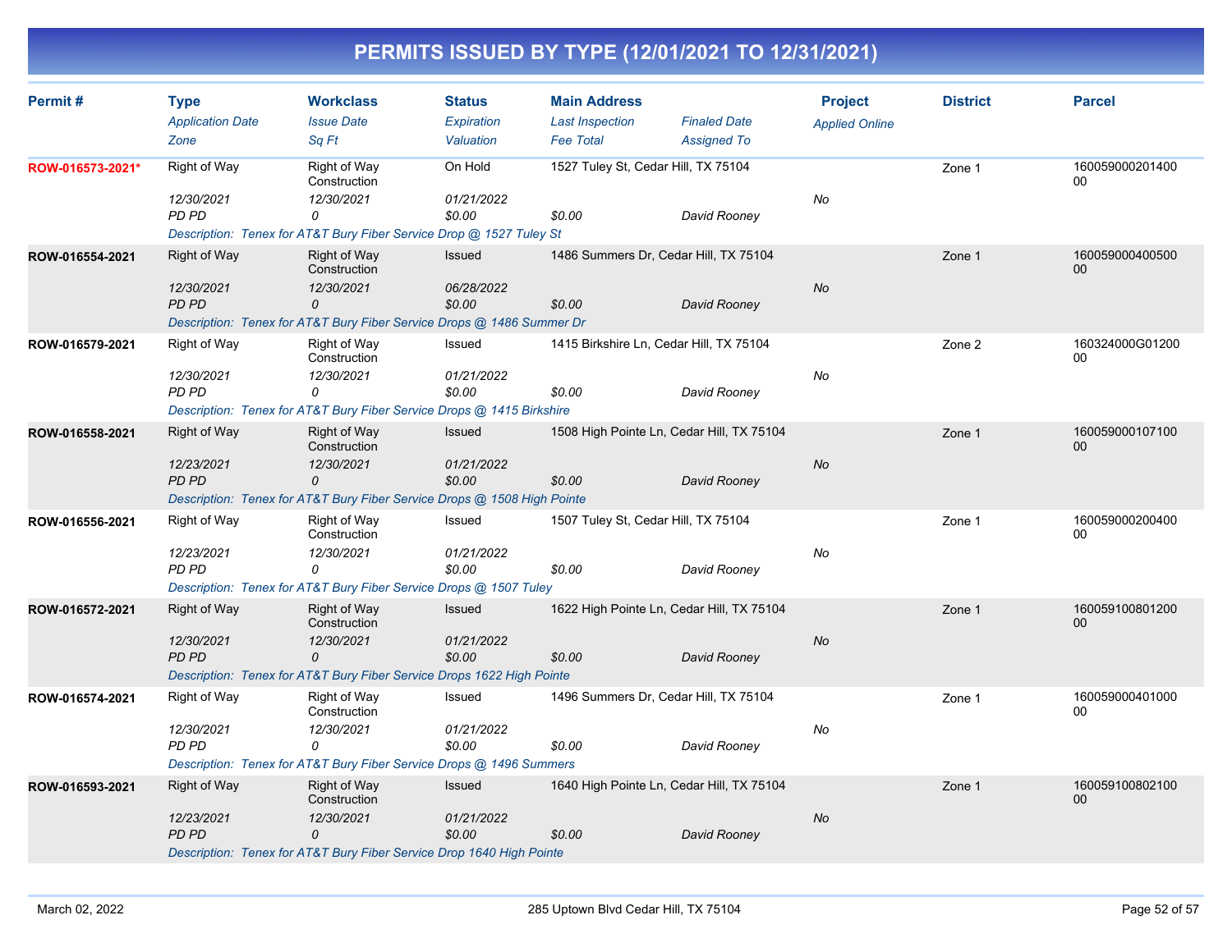| Permit#          | <b>Type</b><br><b>Application Date</b><br>Zone    | <b>Workclass</b><br><b>Issue Date</b><br>Sa Ft                                                                                    | <b>Status</b><br>Expiration<br>Valuation | <b>Main Address</b><br><b>Last Inspection</b><br><b>Fee Total</b> | <b>Finaled Date</b><br><b>Assigned To</b>                 | <b>Project</b><br><b>Applied Online</b> | <b>District</b> | <b>Parcel</b>             |
|------------------|---------------------------------------------------|-----------------------------------------------------------------------------------------------------------------------------------|------------------------------------------|-------------------------------------------------------------------|-----------------------------------------------------------|-----------------------------------------|-----------------|---------------------------|
| ROW-016573-2021* | Right of Way<br>12/30/2021<br>PD PD               | Right of Way<br>Construction<br>12/30/2021<br>0<br>Description: Tenex for AT&T Bury Fiber Service Drop @ 1527 Tuley St            | On Hold<br>01/21/2022<br>\$0.00          | 1527 Tuley St, Cedar Hill, TX 75104<br>\$0.00                     | David Rooney                                              | No                                      | Zone 1          | 160059000201400<br>00     |
| ROW-016554-2021  | Right of Way<br>12/30/2021<br><b>PD PD</b>        | Right of Way<br>Construction<br>12/30/2021<br>0<br>Description: Tenex for AT&T Bury Fiber Service Drops @ 1486 Summer Dr          | <b>Issued</b><br>06/28/2022<br>\$0.00    | 1486 Summers Dr, Cedar Hill, TX 75104<br>\$0.00                   | David Rooney                                              | <b>No</b>                               | Zone 1          | 160059000400500<br>00     |
| ROW-016579-2021  | Right of Way<br>12/30/2021<br><b>PD PD</b>        | Right of Way<br>Construction<br>12/30/2021<br>0<br>Description: Tenex for AT&T Bury Fiber Service Drops @ 1415 Birkshire          | Issued<br>01/21/2022<br>\$0.00           | 1415 Birkshire Ln, Cedar Hill, TX 75104<br>\$0.00                 | David Rooney                                              | No                                      | Zone 2          | 160324000G01200<br>00     |
| ROW-016558-2021  | Right of Way<br>12/23/2021<br><b>PD PD</b>        | <b>Right of Way</b><br>Construction<br>12/30/2021<br>0<br>Description: Tenex for AT&T Bury Fiber Service Drops @ 1508 High Pointe | Issued<br>01/21/2022<br>\$0.00           | \$0.00                                                            | 1508 High Pointe Ln, Cedar Hill, TX 75104<br>David Rooney | <b>No</b>                               | Zone 1          | 160059000107100<br>$00\,$ |
| ROW-016556-2021  | Right of Way<br>12/23/2021<br>PD PD               | Right of Way<br>Construction<br>12/30/2021<br>0<br>Description: Tenex for AT&T Bury Fiber Service Drops @ 1507 Tuley              | Issued<br>01/21/2022<br>\$0.00           | 1507 Tuley St, Cedar Hill, TX 75104<br>\$0.00                     | David Rooney                                              | No                                      | Zone 1          | 160059000200400<br>00     |
| ROW-016572-2021  | Right of Way<br>12/30/2021<br><b>PD PD</b>        | Right of Way<br>Construction<br>12/30/2021<br>0<br>Description: Tenex for AT&T Bury Fiber Service Drops 1622 High Pointe          | <b>Issued</b><br>01/21/2022<br>\$0.00    | \$0.00                                                            | 1622 High Pointe Ln, Cedar Hill, TX 75104<br>David Rooney | <b>No</b>                               | Zone 1          | 160059100801200<br>00     |
| ROW-016574-2021  | Right of Way<br>12/30/2021<br>PD PD               | Right of Way<br>Construction<br>12/30/2021<br>0<br>Description: Tenex for AT&T Bury Fiber Service Drops @ 1496 Summers            | Issued<br>01/21/2022<br>\$0.00           | 1496 Summers Dr, Cedar Hill, TX 75104<br>\$0.00                   | David Rooney                                              | No                                      | Zone 1          | 160059000401000<br>00     |
| ROW-016593-2021  | <b>Right of Way</b><br>12/23/2021<br><b>PD PD</b> | Right of Way<br>Construction<br>12/30/2021<br>0<br>Description: Tenex for AT&T Bury Fiber Service Drop 1640 High Pointe           | <b>Issued</b><br>01/21/2022<br>\$0.00    | \$0.00                                                            | 1640 High Pointe Ln, Cedar Hill, TX 75104<br>David Rooney | No                                      | Zone 1          | 160059100802100<br>$00\,$ |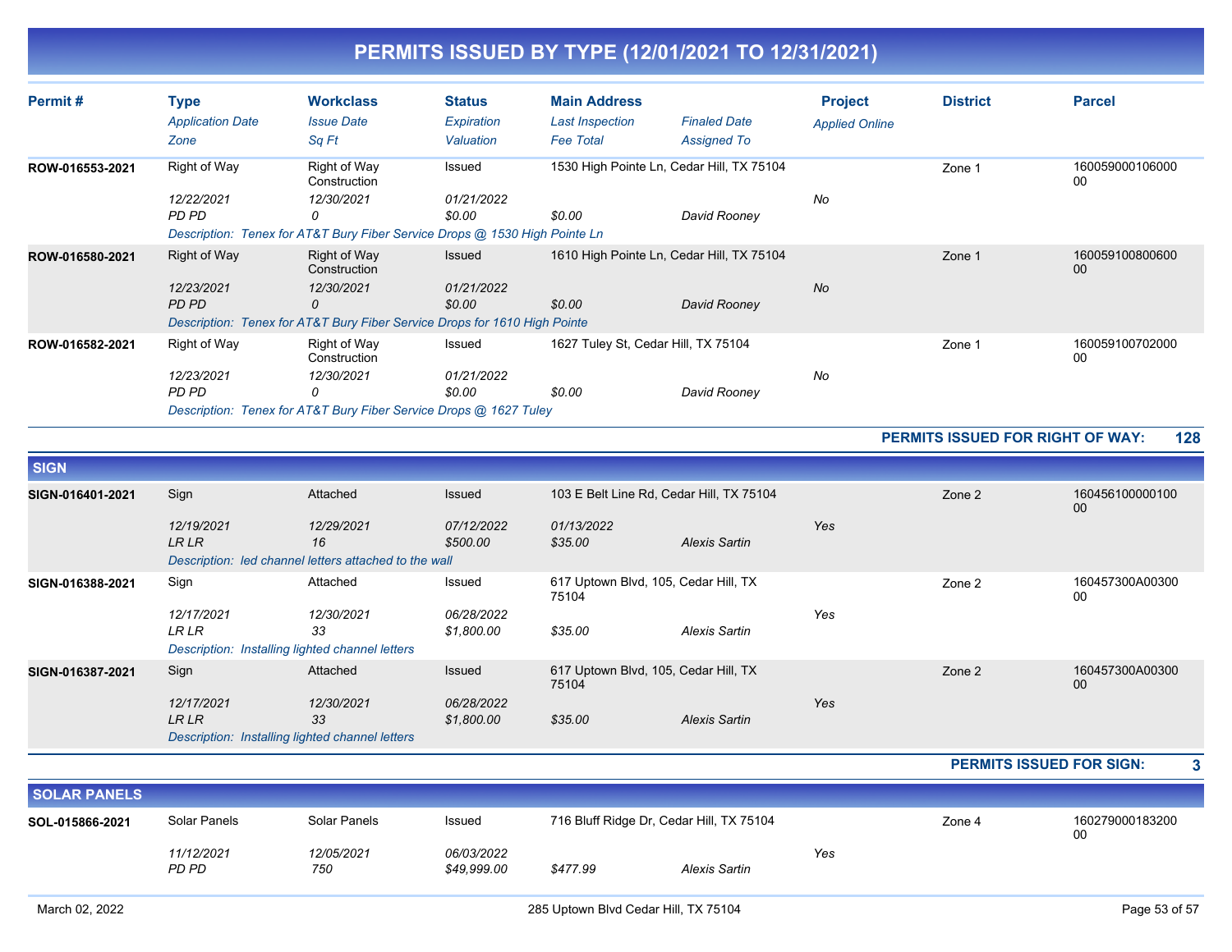| Permit#         | Type<br><b>Application Date</b><br>Zone | <b>Workclass</b><br><b>Issue Date</b><br>Sq Ft                                                                                | <b>Status</b><br>Expiration<br>Valuation | <b>Main Address</b><br><b>Last Inspection</b><br><b>Fee Total</b> | <b>Finaled Date</b><br><b>Assigned To</b>                 | <b>Project</b><br><b>Applied Online</b> | <b>District</b> | <b>Parcel</b>             |
|-----------------|-----------------------------------------|-------------------------------------------------------------------------------------------------------------------------------|------------------------------------------|-------------------------------------------------------------------|-----------------------------------------------------------|-----------------------------------------|-----------------|---------------------------|
| ROW-016553-2021 | Right of Way<br>12/22/2021<br>PD PD     | Right of Way<br>Construction<br>12/30/2021<br>0<br>Description: Tenex for AT&T Bury Fiber Service Drops @ 1530 High Pointe Ln | Issued<br>01/21/2022<br>\$0.00           | \$0.00                                                            | 1530 High Pointe Ln, Cedar Hill, TX 75104<br>David Rooney | No                                      | Zone 1          | 160059000106000<br>00     |
| ROW-016580-2021 | Right of Way<br>12/23/2021<br>PD PD     | Right of Way<br>Construction<br>12/30/2021<br>0<br>Description: Tenex for AT&T Bury Fiber Service Drops for 1610 High Pointe  | Issued<br>01/21/2022<br>\$0.00           | \$0.00                                                            | 1610 High Pointe Ln, Cedar Hill, TX 75104<br>David Rooney | <b>No</b>                               | Zone 1          | 160059100800600<br>$00\,$ |
| ROW-016582-2021 | Right of Way<br>12/23/2021<br>PD PD     | Right of Way<br>Construction<br>12/30/2021<br>0<br>Description: Tenex for AT&T Bury Fiber Service Drops @ 1627 Tuley          | Issued<br>01/21/2022<br>\$0.00           | 1627 Tuley St, Cedar Hill, TX 75104<br>\$0.00                     | David Rooney                                              | No                                      | Zone 1          | 160059100702000<br>00     |

#### **PERMITS ISSUED FOR RIGHT OF WAY: 128**

| <b>SIGN</b>      |                                                 |                                                                           |                        |                                               |                      |     |        |                       |
|------------------|-------------------------------------------------|---------------------------------------------------------------------------|------------------------|-----------------------------------------------|----------------------|-----|--------|-----------------------|
| SIGN-016401-2021 | Sign                                            | Attached                                                                  | Issued                 | 103 E Belt Line Rd, Cedar Hill, TX 75104      |                      |     | Zone 2 | 160456100000100<br>00 |
|                  | 12/19/2021<br><b>LRLR</b>                       | 12/29/2021<br>16<br>Description: led channel letters attached to the wall | 07/12/2022<br>\$500.00 | 01/13/2022<br>\$35.00                         | Alexis Sartin        | Yes |        |                       |
|                  |                                                 |                                                                           |                        |                                               |                      |     |        |                       |
| SIGN-016388-2021 | Sign                                            | Attached                                                                  | Issued                 | 617 Uptown Blvd, 105, Cedar Hill, TX<br>75104 |                      |     | Zone 2 | 160457300A00300<br>00 |
|                  | 12/17/2021                                      | 12/30/2021                                                                | 06/28/2022             |                                               |                      | Yes |        |                       |
|                  | <b>LR LR</b>                                    | 33                                                                        | \$1,800.00             | \$35.00                                       | Alexis Sartin        |     |        |                       |
|                  | Description: Installing lighted channel letters |                                                                           |                        |                                               |                      |     |        |                       |
| SIGN-016387-2021 | Sign                                            | Attached                                                                  | Issued                 | 617 Uptown Blvd, 105, Cedar Hill, TX<br>75104 |                      |     | Zone 2 | 160457300A00300<br>00 |
|                  | 12/17/2021                                      | 12/30/2021                                                                | 06/28/2022             |                                               |                      | Yes |        |                       |
|                  | <b>LR LR</b>                                    | 33                                                                        | \$1,800.00             | \$35.00                                       | <b>Alexis Sartin</b> |     |        |                       |
|                  | Description: Installing lighted channel letters |                                                                           |                        |                                               |                      |     |        |                       |

#### **PERMITS ISSUED FOR SIGN: 3**

| <b>SOLAR PANELS</b> |                                                                                    |                   |                           |          |                      |        |                       |  |  |  |
|---------------------|------------------------------------------------------------------------------------|-------------------|---------------------------|----------|----------------------|--------|-----------------------|--|--|--|
| SOL-015866-2021     | 716 Bluff Ridge Dr, Cedar Hill, TX 75104<br>Solar Panels<br>Solar Panels<br>Issued |                   |                           |          |                      | Zone 4 | 160279000183200<br>00 |  |  |  |
|                     | 11/12/2021<br>PD PD                                                                | 12/05/2021<br>750 | 06/03/2022<br>\$49.999.00 | \$477.99 | Yes<br>Alexis Sartin |        |                       |  |  |  |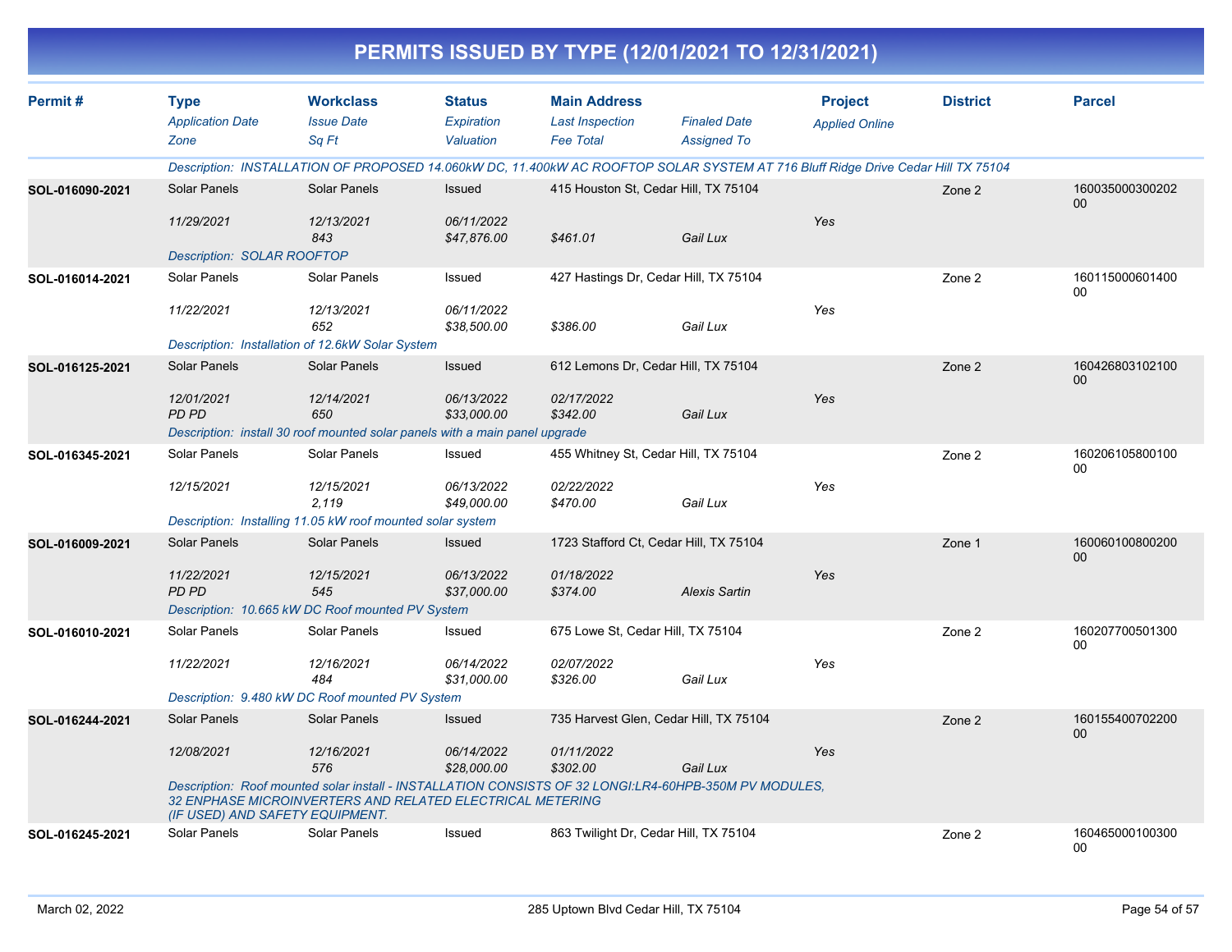|                 |                                                 |                                                                                                                                                                     |                                          |                                                                   | PERMITS ISSUED BY TYPE (12/01/2021 TO 12/31/2021) |                                         |                 |                           |
|-----------------|-------------------------------------------------|---------------------------------------------------------------------------------------------------------------------------------------------------------------------|------------------------------------------|-------------------------------------------------------------------|---------------------------------------------------|-----------------------------------------|-----------------|---------------------------|
| Permit#         | <b>Type</b><br><b>Application Date</b><br>Zone  | <b>Workclass</b><br><b>Issue Date</b><br>Sq Ft                                                                                                                      | <b>Status</b><br>Expiration<br>Valuation | <b>Main Address</b><br><b>Last Inspection</b><br><b>Fee Total</b> | <b>Finaled Date</b><br><b>Assigned To</b>         | <b>Project</b><br><b>Applied Online</b> | <b>District</b> | <b>Parcel</b>             |
|                 |                                                 | Description: INSTALLATION OF PROPOSED 14.060kW DC, 11.400kW AC ROOFTOP SOLAR SYSTEM AT 716 Bluff Ridge Drive Cedar Hill TX 75104                                    |                                          |                                                                   |                                                   |                                         |                 |                           |
| SOL-016090-2021 | Solar Panels                                    | <b>Solar Panels</b>                                                                                                                                                 | Issued                                   |                                                                   | 415 Houston St, Cedar Hill, TX 75104              |                                         | Zone 2          | 160035000300202<br>$00\,$ |
|                 | 11/29/2021<br><b>Description: SOLAR ROOFTOP</b> | 12/13/2021<br>843                                                                                                                                                   | 06/11/2022<br>\$47,876.00                | \$461.01                                                          | Gail Lux                                          | Yes                                     |                 |                           |
| SOL-016014-2021 | Solar Panels                                    | Solar Panels                                                                                                                                                        | Issued                                   |                                                                   | 427 Hastings Dr, Cedar Hill, TX 75104             |                                         | Zone 2          | 160115000601400<br>$00\,$ |
|                 | 11/22/2021                                      | 12/13/2021<br>652                                                                                                                                                   | 06/11/2022<br>\$38,500.00                | \$386.00                                                          | Gail Lux                                          | Yes                                     |                 |                           |
|                 |                                                 | Description: Installation of 12.6kW Solar System                                                                                                                    |                                          |                                                                   |                                                   |                                         |                 |                           |
| SOL-016125-2021 | Solar Panels                                    | <b>Solar Panels</b>                                                                                                                                                 | Issued                                   | 612 Lemons Dr, Cedar Hill, TX 75104                               |                                                   |                                         | Zone 2          | 160426803102100<br>$00\,$ |
|                 | 12/01/2021<br>PD PD                             | 12/14/2021<br>650                                                                                                                                                   | 06/13/2022<br>\$33,000.00                | 02/17/2022<br>\$342.00                                            | Gail Lux                                          | Yes                                     |                 |                           |
|                 |                                                 | Description: install 30 roof mounted solar panels with a main panel upgrade                                                                                         |                                          |                                                                   |                                                   |                                         |                 |                           |
| SOL-016345-2021 | Solar Panels                                    | Solar Panels                                                                                                                                                        | Issued                                   | 455 Whitney St, Cedar Hill, TX 75104                              |                                                   |                                         | Zone 2          | 160206105800100<br>00     |
|                 | 12/15/2021                                      | 12/15/2021<br>2.119                                                                                                                                                 | 06/13/2022<br>\$49,000.00                | 02/22/2022<br>\$470.00                                            | Gail Lux                                          | Yes                                     |                 |                           |
|                 |                                                 | Description: Installing 11.05 kW roof mounted solar system                                                                                                          |                                          |                                                                   |                                                   |                                         |                 |                           |
| SOL-016009-2021 | Solar Panels                                    | Solar Panels                                                                                                                                                        | <b>Issued</b>                            |                                                                   | 1723 Stafford Ct, Cedar Hill, TX 75104            |                                         | Zone 1          | 160060100800200<br>$00\,$ |
|                 | 11/22/2021<br><b>PD PD</b>                      | 12/15/2021<br>545<br>Description: 10.665 kW DC Roof mounted PV System                                                                                               | 06/13/2022<br>\$37,000.00                | 01/18/2022<br>\$374.00                                            | <b>Alexis Sartin</b>                              | Yes                                     |                 |                           |
|                 | Solar Panels                                    | Solar Panels                                                                                                                                                        | Issued                                   | 675 Lowe St, Cedar Hill, TX 75104                                 |                                                   |                                         | Zone 2          | 160207700501300           |
| SOL-016010-2021 |                                                 |                                                                                                                                                                     |                                          |                                                                   |                                                   |                                         |                 | 00                        |
|                 | 11/22/2021                                      | 12/16/2021<br>484                                                                                                                                                   | 06/14/2022<br>\$31,000.00                | 02/07/2022<br>\$326.00                                            | Gail Lux                                          | Yes                                     |                 |                           |
|                 |                                                 | Description: 9.480 kW DC Roof mounted PV System                                                                                                                     |                                          |                                                                   |                                                   |                                         |                 |                           |
| SOL-016244-2021 | Solar Panels                                    | Solar Panels                                                                                                                                                        | <b>Issued</b>                            |                                                                   | 735 Harvest Glen, Cedar Hill, TX 75104            |                                         | Zone 2          | 160155400702200<br>$00\,$ |
|                 | 12/08/2021                                      | 12/16/2021<br>576                                                                                                                                                   | 06/14/2022<br>\$28,000.00                | 01/11/2022<br>\$302.00                                            | Gail Lux                                          | Yes                                     |                 |                           |
|                 | (IF USED) AND SAFETY EQUIPMENT.                 | Description: Roof mounted solar install - INSTALLATION CONSISTS OF 32 LONGI:LR4-60HPB-350M PV MODULES,<br>32 ENPHASE MICROINVERTERS AND RELATED ELECTRICAL METERING |                                          |                                                                   |                                                   |                                         |                 |                           |
| SOL-016245-2021 | Solar Panels                                    | Solar Panels                                                                                                                                                        | Issued                                   | 863 Twilight Dr, Cedar Hill, TX 75104                             |                                                   |                                         | Zone 2          | 160465000100300<br>00     |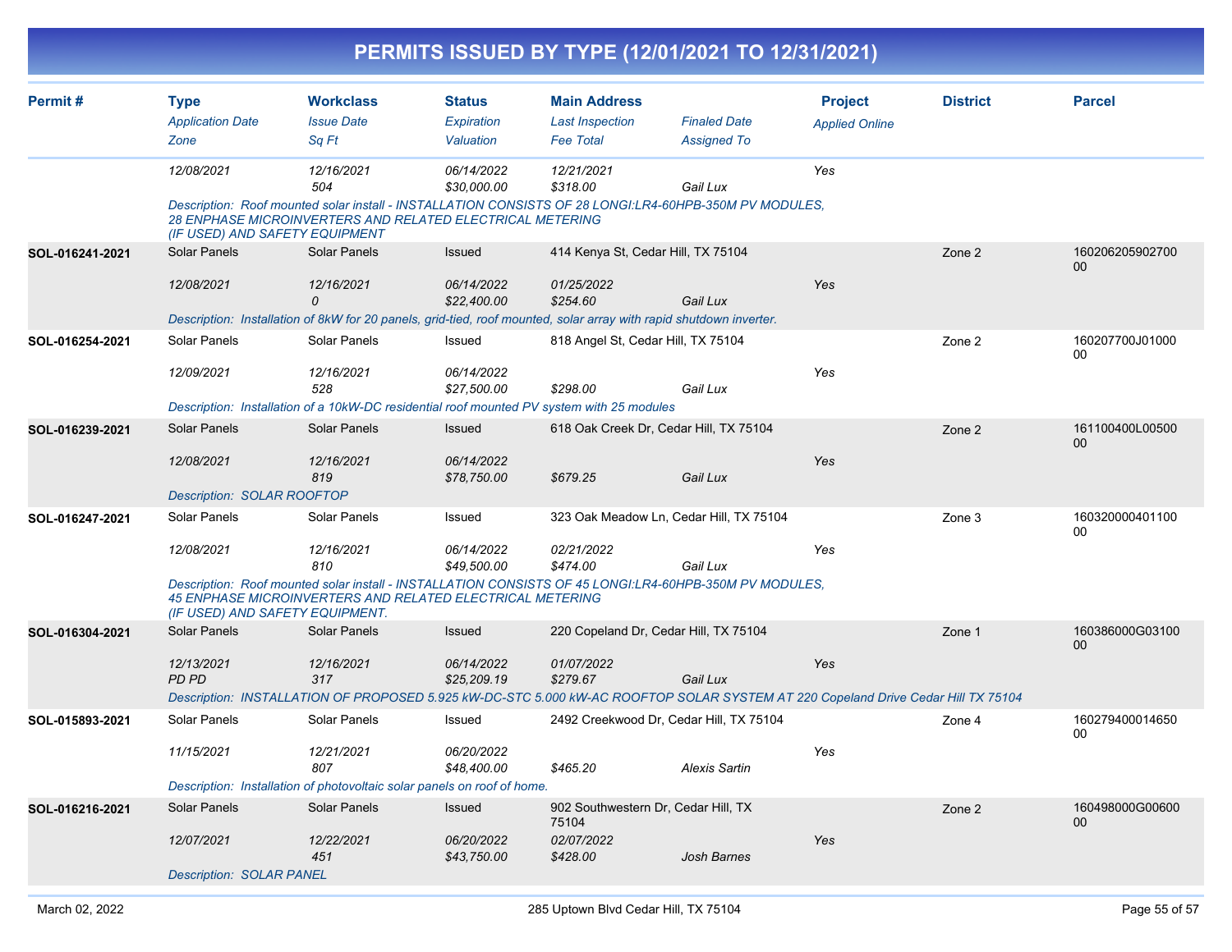|                 |                                   |                                                                                                                                                                                                               |                           |                                    | PERMITS ISSUED BY TYPE (12/01/2021 TO 12/31/2021) |                       |                 |                           |
|-----------------|-----------------------------------|---------------------------------------------------------------------------------------------------------------------------------------------------------------------------------------------------------------|---------------------------|------------------------------------|---------------------------------------------------|-----------------------|-----------------|---------------------------|
| Permit#         | <b>Type</b>                       | <b>Workclass</b>                                                                                                                                                                                              | <b>Status</b>             | <b>Main Address</b>                |                                                   | <b>Project</b>        | <b>District</b> | <b>Parcel</b>             |
|                 | <b>Application Date</b>           | <b>Issue Date</b>                                                                                                                                                                                             | Expiration                | <b>Last Inspection</b>             | <b>Finaled Date</b>                               | <b>Applied Online</b> |                 |                           |
|                 | Zone                              | Sq Ft                                                                                                                                                                                                         | Valuation                 | <b>Fee Total</b>                   | <b>Assigned To</b>                                |                       |                 |                           |
|                 | 12/08/2021                        | 12/16/2021<br>504                                                                                                                                                                                             | 06/14/2022<br>\$30,000.00 | 12/21/2021<br>\$318.00             | Gail Lux                                          | Yes                   |                 |                           |
|                 |                                   | Description: Roof mounted solar install - INSTALLATION CONSISTS OF 28 LONGI:LR4-60HPB-350M PV MODULES,<br>28 ENPHASE MICROINVERTERS AND RELATED ELECTRICAL METERING<br>(IF USED) AND SAFETY EQUIPMENT         |                           |                                    |                                                   |                       |                 |                           |
| SOL-016241-2021 | <b>Solar Panels</b>               | <b>Solar Panels</b>                                                                                                                                                                                           | Issued                    | 414 Kenya St, Cedar Hill, TX 75104 |                                                   |                       | Zone 2          | 160206205902700<br>$00\,$ |
|                 | 12/08/2021                        | 12/16/2021<br>$\Omega$                                                                                                                                                                                        | 06/14/2022<br>\$22,400.00 | 01/25/2022<br>\$254.60             | Gail Lux                                          | Yes                   |                 |                           |
|                 |                                   | Description: Installation of 8kW for 20 panels, grid-tied, roof mounted, solar array with rapid shutdown inverter.                                                                                            |                           |                                    |                                                   |                       |                 |                           |
| SOL-016254-2021 | Solar Panels                      | Solar Panels                                                                                                                                                                                                  | Issued                    | 818 Angel St, Cedar Hill, TX 75104 |                                                   |                       | Zone 2          | 160207700J01000<br>00     |
|                 | 12/09/2021                        | 12/16/2021<br>528                                                                                                                                                                                             | 06/14/2022<br>\$27,500.00 | \$298.00                           | Gail Lux                                          | Yes                   |                 |                           |
|                 |                                   | Description: Installation of a 10kW-DC residential roof mounted PV system with 25 modules                                                                                                                     |                           |                                    |                                                   |                       |                 |                           |
| SOL-016239-2021 | <b>Solar Panels</b>               | Solar Panels                                                                                                                                                                                                  | Issued                    |                                    | 618 Oak Creek Dr, Cedar Hill, TX 75104            |                       | Zone 2          | 161100400L00500<br>$00\,$ |
|                 | 12/08/2021                        | 12/16/2021<br>819                                                                                                                                                                                             | 06/14/2022<br>\$78,750.00 | \$679.25                           | Gail Lux                                          | Yes                   |                 |                           |
|                 | <b>Description: SOLAR ROOFTOP</b> |                                                                                                                                                                                                               |                           |                                    |                                                   |                       |                 |                           |
| SOL-016247-2021 | Solar Panels                      | Solar Panels                                                                                                                                                                                                  | Issued                    |                                    | 323 Oak Meadow Ln, Cedar Hill, TX 75104           |                       | Zone 3          | 160320000401100<br>00     |
|                 | 12/08/2021                        | 12/16/2021<br>810                                                                                                                                                                                             | 06/14/2022<br>\$49,500.00 | 02/21/2022<br>\$474.00             | Gail Lux                                          | Yes                   |                 |                           |
|                 |                                   | Description: Roof mounted solar install - INSTALLATION CONSISTS OF 45 LONGI:LR4-60HPB-350M PV MODULES,<br><b>45 ENPHASE MICROINVERTERS AND RELATED ELECTRICAL METERING</b><br>(IF USED) AND SAFETY EQUIPMENT. |                           |                                    |                                                   |                       |                 |                           |
| SOL-016304-2021 | Solar Panels                      | Solar Panels                                                                                                                                                                                                  | <b>Issued</b>             |                                    | 220 Copeland Dr, Cedar Hill, TX 75104             |                       | Zone 1          | 160386000G03100<br>$00\,$ |
|                 | 12/13/2021<br><b>PD PD</b>        | 12/16/2021<br>317                                                                                                                                                                                             | 06/14/2022<br>\$25,209.19 | 01/07/2022<br>\$279.67             | Gail Lux                                          | Yes                   |                 |                           |
|                 |                                   | Description: INSTALLATION OF PROPOSED 5.925 kW-DC-STC 5.000 kW-AC ROOFTOP SOLAR SYSTEM AT 220 Copeland Drive Cedar Hill TX 75104                                                                              |                           |                                    |                                                   |                       |                 |                           |
| SOL-015893-2021 | Solar Panels                      | Solar Panels                                                                                                                                                                                                  | Issued                    |                                    | 2492 Creekwood Dr, Cedar Hill, TX 75104           |                       | Zone 4          | 160279400014650<br>00     |
|                 | 11/15/2021                        | 12/21/2021<br>807                                                                                                                                                                                             | 06/20/2022<br>\$48,400.00 | \$465.20                           | <b>Alexis Sartin</b>                              | Yes                   |                 |                           |
|                 |                                   | Description: Installation of photovoltaic solar panels on roof of home.                                                                                                                                       |                           |                                    |                                                   |                       |                 |                           |
| SOL-016216-2021 | Solar Panels                      | Solar Panels                                                                                                                                                                                                  | Issued                    | 75104                              | 902 Southwestern Dr, Cedar Hill, TX               |                       | Zone 2          | 160498000G00600<br>00     |
|                 | 12/07/2021                        | 12/22/2021<br>451                                                                                                                                                                                             | 06/20/2022<br>\$43,750.00 | 02/07/2022<br>\$428.00             | Josh Barnes                                       | Yes                   |                 |                           |
|                 | <b>Description: SOLAR PANEL</b>   |                                                                                                                                                                                                               |                           |                                    |                                                   |                       |                 |                           |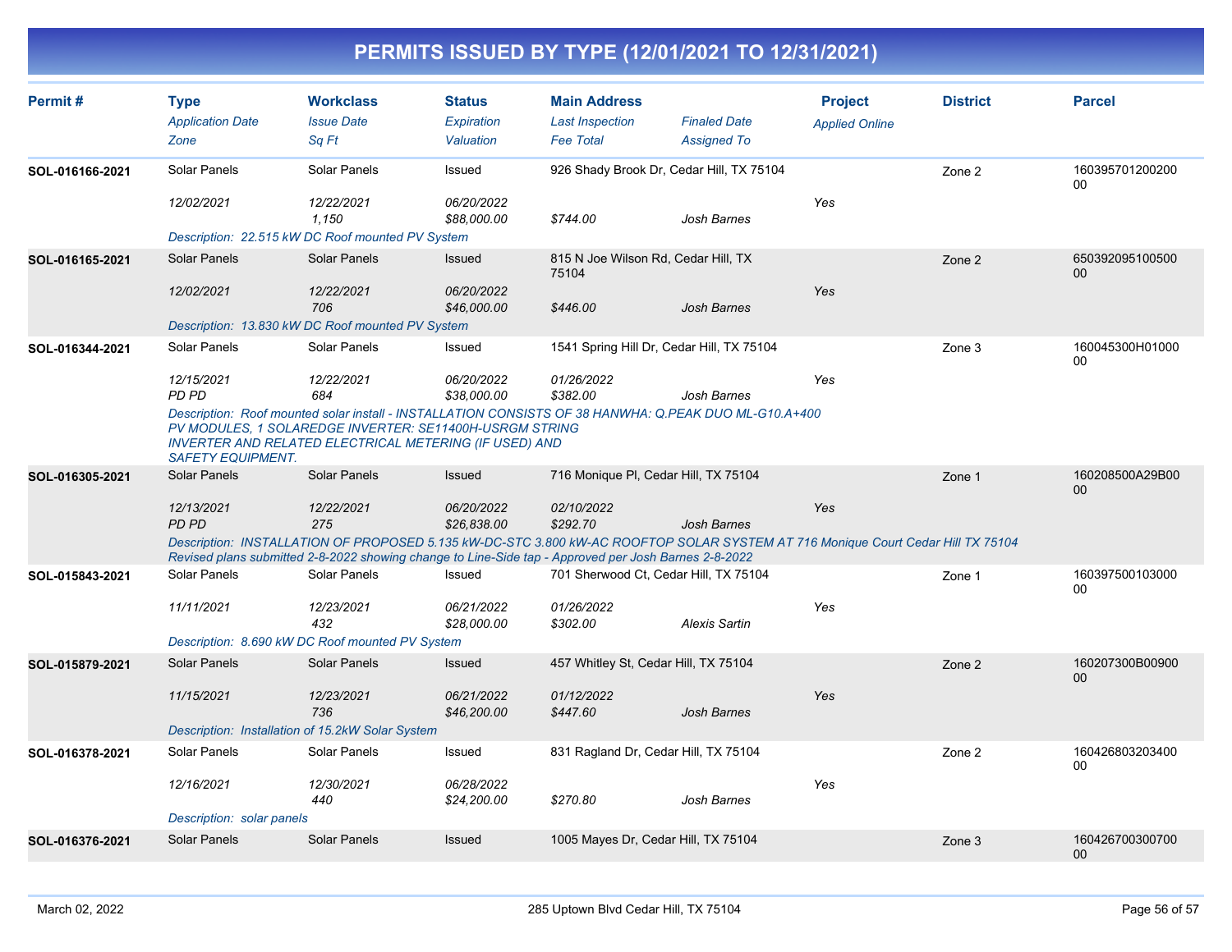| Permit#         | <b>Type</b><br><b>Application Date</b><br>Zone | <b>Workclass</b><br><b>Issue Date</b><br>Sa Ft                                                                                                                                                                                          | <b>Status</b><br>Expiration<br>Valuation | <b>Main Address</b><br><b>Last Inspection</b><br><b>Fee Total</b> | <b>Finaled Date</b><br><b>Assigned To</b> | <b>Project</b><br><b>Applied Online</b> | <b>District</b> | <b>Parcel</b>                      |
|-----------------|------------------------------------------------|-----------------------------------------------------------------------------------------------------------------------------------------------------------------------------------------------------------------------------------------|------------------------------------------|-------------------------------------------------------------------|-------------------------------------------|-----------------------------------------|-----------------|------------------------------------|
| SOL-016166-2021 | Solar Panels<br>12/02/2021                     | Solar Panels<br>12/22/2021                                                                                                                                                                                                              | Issued<br>06/20/2022                     | 926 Shady Brook Dr, Cedar Hill, TX 75104                          |                                           | Yes                                     | Zone 2          | 160395701200200<br>00              |
|                 |                                                | 1,150<br>Description: 22.515 kW DC Roof mounted PV System                                                                                                                                                                               | \$88,000.00                              | \$744.00                                                          | Josh Barnes                               |                                         |                 |                                    |
| SOL-016165-2021 | Solar Panels                                   | Solar Panels                                                                                                                                                                                                                            | <b>Issued</b>                            | 815 N Joe Wilson Rd, Cedar Hill, TX<br>75104                      |                                           |                                         | Zone 2          | 650392095100500<br>$00\,$          |
|                 | 12/02/2021                                     | 12/22/2021<br>706                                                                                                                                                                                                                       | 06/20/2022<br>\$46,000.00                | \$446.00                                                          | <b>Josh Barnes</b>                        | Yes                                     |                 |                                    |
|                 |                                                | Description: 13.830 kW DC Roof mounted PV System                                                                                                                                                                                        |                                          |                                                                   |                                           |                                         |                 |                                    |
| SOL-016344-2021 | Solar Panels                                   | Solar Panels                                                                                                                                                                                                                            | Issued                                   | 1541 Spring Hill Dr, Cedar Hill, TX 75104                         |                                           |                                         | Zone 3          | 160045300H01000<br>00              |
|                 | 12/15/2021<br>PD PD                            | 12/22/2021<br>684                                                                                                                                                                                                                       | 06/20/2022<br>\$38,000.00                | 01/26/2022<br>\$382.00                                            | Josh Barnes                               | Yes                                     |                 |                                    |
|                 | <b>SAFETY EQUIPMENT.</b>                       | Description: Roof mounted solar install - INSTALLATION CONSISTS OF 38 HANWHA: Q.PEAK DUO ML-G10.A+400<br>PV MODULES, 1 SOLAREDGE INVERTER: SE11400H-USRGM STRING<br><b>INVERTER AND RELATED ELECTRICAL METERING (IF USED) AND</b>       |                                          |                                                                   |                                           |                                         |                 |                                    |
| SOL-016305-2021 | <b>Solar Panels</b>                            | <b>Solar Panels</b>                                                                                                                                                                                                                     | Issued                                   | 716 Monique PI, Cedar Hill, TX 75104                              |                                           |                                         | Zone 1          | 160208500A29B00<br>00 <sup>°</sup> |
|                 | 12/13/2021<br><b>PD PD</b>                     | 12/22/2021<br>275                                                                                                                                                                                                                       | 06/20/2022<br>\$26,838.00                | 02/10/2022<br>\$292.70                                            | Josh Barnes                               | Yes                                     |                 |                                    |
|                 |                                                | Description: INSTALLATION OF PROPOSED 5.135 kW-DC-STC 3.800 kW-AC ROOFTOP SOLAR SYSTEM AT 716 Monique Court Cedar Hill TX 75104<br>Revised plans submitted 2-8-2022 showing change to Line-Side tap - Approved per Josh Barnes 2-8-2022 |                                          |                                                                   |                                           |                                         |                 |                                    |
| SOL-015843-2021 | Solar Panels                                   | Solar Panels                                                                                                                                                                                                                            | Issued                                   | 701 Sherwood Ct. Cedar Hill, TX 75104                             |                                           |                                         | Zone 1          | 160397500103000<br>00              |
|                 | 11/11/2021                                     | 12/23/2021<br>432                                                                                                                                                                                                                       | 06/21/2022<br>\$28,000.00                | 01/26/2022<br>\$302.00                                            | <b>Alexis Sartin</b>                      | Yes                                     |                 |                                    |
|                 |                                                | Description: 8.690 kW DC Roof mounted PV System                                                                                                                                                                                         |                                          |                                                                   |                                           |                                         |                 |                                    |
| SOL-015879-2021 | <b>Solar Panels</b>                            | Solar Panels                                                                                                                                                                                                                            | Issued                                   | 457 Whitley St, Cedar Hill, TX 75104                              |                                           |                                         | Zone 2          | 160207300B00900<br>00 <sub>0</sub> |
|                 | 11/15/2021                                     | 12/23/2021<br>736                                                                                                                                                                                                                       | 06/21/2022<br>\$46,200.00                | 01/12/2022<br>\$447.60                                            | <b>Josh Barnes</b>                        | Yes                                     |                 |                                    |
|                 |                                                | Description: Installation of 15.2kW Solar System                                                                                                                                                                                        |                                          |                                                                   |                                           |                                         |                 |                                    |
| SOL-016378-2021 | Solar Panels                                   | Solar Panels                                                                                                                                                                                                                            | Issued                                   | 831 Ragland Dr, Cedar Hill, TX 75104                              |                                           |                                         | Zone 2          | 160426803203400<br>$00\,$          |
|                 | 12/16/2021                                     | 12/30/2021<br>440                                                                                                                                                                                                                       | 06/28/2022<br>\$24,200.00                | \$270.80                                                          | Josh Barnes                               | Yes                                     |                 |                                    |
|                 | Description: solar panels                      |                                                                                                                                                                                                                                         |                                          |                                                                   |                                           |                                         |                 |                                    |
| SOL-016376-2021 | Solar Panels                                   | Solar Panels                                                                                                                                                                                                                            | Issued                                   | 1005 Mayes Dr, Cedar Hill, TX 75104                               |                                           |                                         | Zone 3          | 160426700300700<br>$00\,$          |
|                 |                                                |                                                                                                                                                                                                                                         |                                          |                                                                   |                                           |                                         |                 |                                    |